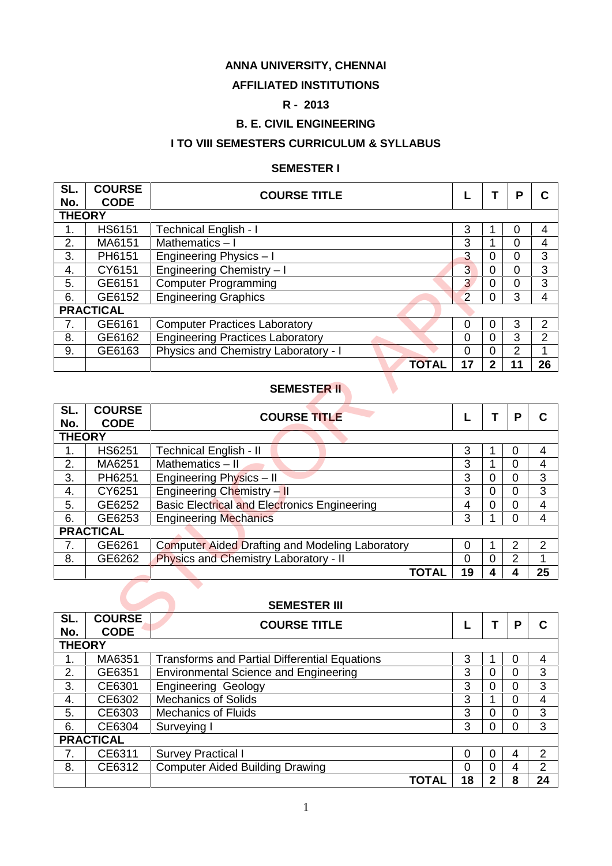#### **ANNA UNIVERSITY, CHENNAI**

### **AFFILIATED INSTITUTIONS**

### **R - 2013**

### **B. E. CIVIL ENGINEERING**

### **I TO VIII SEMESTERS CURRICULUM & SYLLABUS**

#### **SEMESTER I**

| SL.<br>No. | <b>COURSE</b><br><b>CODE</b> | <b>COURSE TITLE</b>                     |                |   | P | C              |  |  |  |  |
|------------|------------------------------|-----------------------------------------|----------------|---|---|----------------|--|--|--|--|
|            | <b>THEORY</b>                |                                         |                |   |   |                |  |  |  |  |
| 1.         | <b>HS6151</b>                | <b>Technical English - I</b>            | 3              |   | 0 | 4              |  |  |  |  |
| 2.         | MA6151                       | Mathematics $-1$                        | 3              |   | 0 | 4              |  |  |  |  |
| 3.         | PH6151                       | Engineering Physics - I                 | 3              | 0 | 0 | 3              |  |  |  |  |
| 4.         | CY6151                       | Engineering Chemistry - I               | $\overline{3}$ | 0 | 0 | 3              |  |  |  |  |
| 5.         | GE6151                       | <b>Computer Programming</b>             | 3 <sup>1</sup> | 0 | 0 | 3              |  |  |  |  |
| 6.         | GE6152                       | <b>Engineering Graphics</b>             | $\overline{2}$ | 0 | 3 | 4              |  |  |  |  |
|            | <b>PRACTICAL</b>             |                                         |                |   |   |                |  |  |  |  |
| 7.         | GE6161                       | <b>Computer Practices Laboratory</b>    | $\Omega$       | 0 | 3 | $\overline{2}$ |  |  |  |  |
| 8.         | GE6162                       | <b>Engineering Practices Laboratory</b> | 0              | 0 | 3 | 2              |  |  |  |  |
| 9.         | GE6163                       | Physics and Chemistry Laboratory - I    | $\Omega$       | 0 | 2 |                |  |  |  |  |
|            |                              | <b>TOTAL</b>                            | 17             | 2 |   | 26             |  |  |  |  |

## **SEMESTER II**

| 3.            | PH6151                       | Engineering Physics - I                                | 3              | $\mathbf 0$    | 0              | 3              |
|---------------|------------------------------|--------------------------------------------------------|----------------|----------------|----------------|----------------|
| 4.            | CY6151                       | Engineering Chemistry - I                              | $\overline{3}$ | $\mathbf 0$    | 0              | 3              |
| 5.            | GE6151                       | <b>Computer Programming</b>                            | $\overline{3}$ | $\Omega$       | $\overline{0}$ | 3              |
| 6.            | GE6152                       | <b>Engineering Graphics</b>                            | $\overline{2}$ | $\Omega$       | 3              | 4              |
|               | <b>PRACTICAL</b>             |                                                        |                |                |                |                |
| 7.            | GE6161                       | <b>Computer Practices Laboratory</b>                   | 0              | 0              | 3              | $\overline{2}$ |
| 8.            | GE6162                       | <b>Engineering Practices Laboratory</b>                | 0              | 0              | 3              | $\overline{2}$ |
| 9.            | GE6163                       | Physics and Chemistry Laboratory - I                   | 0              | $\overline{0}$ | $\overline{2}$ | 1              |
|               |                              | <b>TOTAL</b>                                           | 17             | $\overline{2}$ | 11             | 26             |
|               |                              | <b>SEMESTER II</b>                                     |                |                |                |                |
| SL.           | <b>COURSE</b>                | <b>COURSE TITLE</b>                                    |                | T              | P              | $\mathbf C$    |
| No.           | <b>CODE</b>                  |                                                        |                |                |                |                |
| <b>THEORY</b> |                              |                                                        |                |                |                |                |
| 1.            | HS6251                       | <b>Technical English - II</b>                          | 3              |                | $\mathbf 0$    | 4              |
| 2.            | MA6251                       | Mathematics - II                                       | 3              |                | $\overline{0}$ | 4              |
| 3.            | PH6251                       | Engineering Physics - II                               | 3              | $\overline{0}$ | $\overline{0}$ | 3              |
| 4.            | CY6251                       | Engineering Chemistry - II                             | 3              | $\Omega$       | 0              | $\overline{3}$ |
| 5.            | GE6252                       | <b>Basic Electrical and Electronics Engineering</b>    | 4              | 0              | 0              | 4              |
| 6.            | GE6253                       | <b>Engineering Mechanics</b>                           | 3              |                | $\overline{0}$ | $\overline{4}$ |
|               | <b>PRACTICAL</b>             |                                                        |                |                |                |                |
| 7.            | GE6261                       | <b>Computer Aided Drafting and Modeling Laboratory</b> | 0              |                | 2              | 2              |
| 8.            | GE6262                       | Physics and Chemistry Laboratory - II                  | 0              | $\overline{0}$ | $\overline{2}$ | 1              |
|               |                              | <b>TOTAL</b>                                           | 19             | 4              | 4              | 25             |
|               |                              |                                                        |                |                |                |                |
|               |                              | <b>SEMESTER III</b>                                    |                |                |                |                |
| SL.<br>No.    | <b>COURSE</b><br><b>CODE</b> | <b>COURSE TITLE</b>                                    |                | т              | P              | $\mathbf C$    |

#### **SEMESTER III**

| SL.           | <b>COURSE</b>    | <b>COURSE TITLE</b>                                  |    |   | P | С  |
|---------------|------------------|------------------------------------------------------|----|---|---|----|
| No.           | <b>CODE</b>      |                                                      |    |   |   |    |
| <b>THEORY</b> |                  |                                                      |    |   |   |    |
| 1.            | MA6351           | <b>Transforms and Partial Differential Equations</b> | 3  |   | 0 | 4  |
| 2.            | GE6351           | <b>Environmental Science and Engineering</b>         | 3  | 0 | 0 | 3  |
| 3.            | CE6301           | <b>Engineering Geology</b>                           | 3  | 0 | 0 | 3  |
| 4.            | CE6302           | <b>Mechanics of Solids</b>                           | 3  |   | 0 | 4  |
| 5.            | CE6303           | <b>Mechanics of Fluids</b>                           | 3  |   | 0 | 3  |
| 6.            | CE6304           | Surveying I                                          | 3  |   | 0 | 3  |
|               | <b>PRACTICAL</b> |                                                      |    |   |   |    |
| 7.            | CE6311           | <b>Survey Practical I</b>                            | 0  | 0 | 4 | 2  |
| 8.            | CE6312           | <b>Computer Aided Building Drawing</b>               | 0  | 0 | 4 | 2  |
|               |                  | TOTAL                                                | 18 | 2 | 8 | 24 |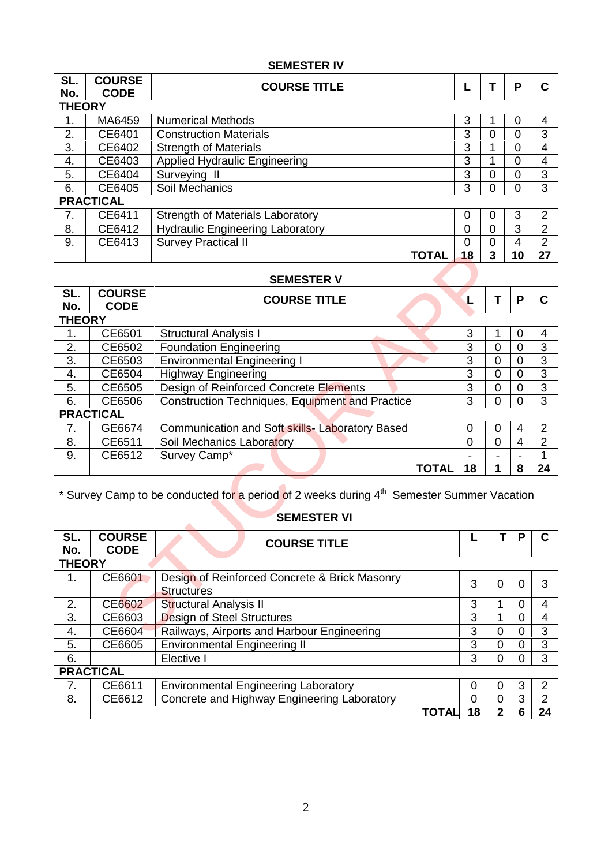### **SEMESTER IV**

| SL.<br>No.                     | <b>COURSE</b><br><b>CODE</b> | <b>COURSE TITLE</b>                     |          |   | Р  | C              |
|--------------------------------|------------------------------|-----------------------------------------|----------|---|----|----------------|
| <b>THEORY</b>                  |                              |                                         |          |   |    |                |
| 1.                             | MA6459                       | <b>Numerical Methods</b>                | 3        |   | 0  | 4              |
| 2.                             | CE6401                       | <b>Construction Materials</b>           | 3        | 0 | 0  | 3              |
| 3.                             | CE6402                       | <b>Strength of Materials</b>            | 3        |   | 0  | 4              |
| 4.                             | CE6403                       | <b>Applied Hydraulic Engineering</b>    | 3        |   | 0  | 4              |
| 5.                             | CE6404                       | Surveying II                            | 3        | 0 | 0  | 3              |
| 6.                             | CE6405                       | Soil Mechanics                          | 3        | 0 | 0  | 3              |
|                                | <b>PRACTICAL</b>             |                                         |          |   |    |                |
| $7_{\scriptscriptstyle{\sim}}$ | CE6411                       | <b>Strength of Materials Laboratory</b> | $\Omega$ | O | 3  | 2              |
| 8.                             | CE6412                       | <b>Hydraulic Engineering Laboratory</b> | 0        | 0 | 3  | $\overline{2}$ |
| 9.                             | CE6413                       | <b>Survey Practical II</b>              | $\Omega$ | 0 | 4  | 2              |
|                                |                              | <b>TOTAL</b>                            | 18       | 3 | 10 | 27             |

#### **SEMESTER V**

|               |                              | <b>TOTAL</b>                                                                                                                                       | 18             | 3              | 10             | 27             |
|---------------|------------------------------|----------------------------------------------------------------------------------------------------------------------------------------------------|----------------|----------------|----------------|----------------|
|               |                              | <b>SEMESTER V</b>                                                                                                                                  |                |                |                |                |
| SL.<br>No.    | <b>COURSE</b><br><b>CODE</b> | <b>COURSE TITLE</b>                                                                                                                                | L              | Т              | P              | $\mathbf c$    |
| <b>THEORY</b> |                              |                                                                                                                                                    |                |                |                |                |
| 1.            | CE6501                       | <b>Structural Analysis I</b>                                                                                                                       | 3              | 1              | 0              | 4              |
| 2.            | CE6502                       | <b>Foundation Engineering</b>                                                                                                                      | $\overline{3}$ | $\overline{0}$ | $\overline{0}$ | $\overline{3}$ |
| 3.            | CE6503                       | <b>Environmental Engineering I</b>                                                                                                                 | 3              | 0              | 0              | 3              |
| 4.            | CE6504                       | <b>Highway Engineering</b>                                                                                                                         | $\overline{3}$ | 0              | 0              | $\overline{3}$ |
| 5.            | CE6505                       | Design of Reinforced Concrete Elements                                                                                                             | $\overline{3}$ | $\mathbf 0$    | $\overline{0}$ | $\overline{3}$ |
| 6.            | CE6506                       | Construction Techniques, Equipment and Practice                                                                                                    | 3              | $\overline{0}$ | 0              | 3              |
|               | <b>PRACTICAL</b>             |                                                                                                                                                    |                |                |                |                |
| 7.            | GE6674                       | Communication and Soft skills- Laboratory Based                                                                                                    | $\mathbf 0$    | 0              | 4              | $\overline{2}$ |
| 8.            | CE6511                       | Soil Mechanics Laboratory                                                                                                                          | 0              | $\overline{0}$ | $\overline{4}$ | $\overline{2}$ |
| 9.            | CE6512                       | Survey Camp*                                                                                                                                       |                |                |                | 1              |
|               |                              | <b>TOTAL</b>                                                                                                                                       | 18             | 1              | 8              | 24             |
| SL.<br>No.    | <b>COURSE</b><br><b>CODE</b> | * Survey Camp to be conducted for a period of 2 weeks during 4 <sup>th</sup> Semester Summer Vacation<br><b>SEMESTER VI</b><br><b>COURSE TITLE</b> | L              | т              | P              | $\mathbf c$    |
| <b>THEORY</b> |                              |                                                                                                                                                    |                |                |                |                |
| 1.            | CE6601                       | Design of Reinforced Concrete & Brick Masonry<br><b>Structures</b>                                                                                 | 3              | $\Omega$       | $\Omega$       | 3              |
| 2.            | CE6602                       | Structural Analysis II                                                                                                                             | 3              | 1              | $\overline{0}$ | $\overline{4}$ |
| 3.            | CE6603                       | <b>Design of Steel Structures</b>                                                                                                                  | 3              | 1              | 0              | 4              |
| 4.            | CE6604                       | Railways, Airports and Harbour Engineering                                                                                                         | 3              | $\overline{0}$ | $\overline{0}$ | 3              |

# \* Survey Camp to be conducted for a period of 2 weeks during 4th Semester Summer Vacation

# **SEMESTER VI**

| SL.<br>No.    | <b>COURSE</b><br><b>CODE</b> | <b>COURSE TITLE</b>                                                |    |                | р | C  |
|---------------|------------------------------|--------------------------------------------------------------------|----|----------------|---|----|
| <b>THEORY</b> |                              |                                                                    |    |                |   |    |
| 1.            | CE6601                       | Design of Reinforced Concrete & Brick Masonry<br><b>Structures</b> | 3  | $\overline{0}$ | 0 | 3  |
| 2.            | CE6602                       | Structural Analysis II                                             | 3  |                | 0 | 4  |
| 3.            | CE6603                       | Design of Steel Structures                                         | 3  |                | Ω | 4  |
| 4.            | CE6604                       | Railways, Airports and Harbour Engineering                         | 3  | 0              | ი | 3  |
| 5.            | CE6605                       | <b>Environmental Engineering II</b>                                | 3  | 0              | ი | 3  |
| 6.            |                              | Elective I                                                         | 3  | 0              | 0 | 3  |
|               | <b>PRACTICAL</b>             |                                                                    |    |                |   |    |
| 7.            | CE6611                       | <b>Environmental Engineering Laboratory</b>                        | 0  | 0              | 3 | 2  |
| 8.            | CE6612                       | Concrete and Highway Engineering Laboratory                        | 0  | 0              | 3 | 2  |
|               |                              | TOTAI                                                              | 18 | 2              | 6 | 24 |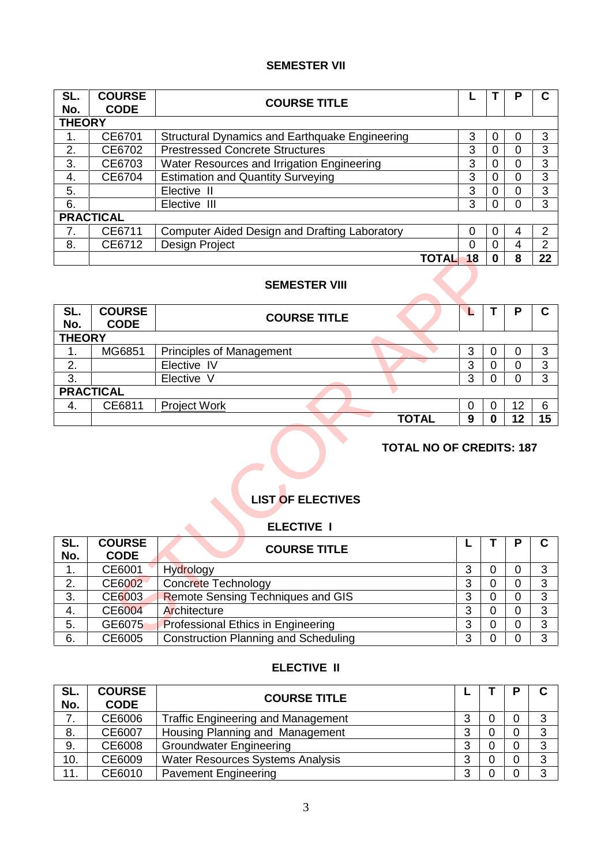### **SEMESTER VII**

| SL.<br>No.    | <b>COURSE</b><br><b>CODE</b> | <b>COURSE TITLE</b>                                  |             |   | Р | C              |
|---------------|------------------------------|------------------------------------------------------|-------------|---|---|----------------|
| <b>THEORY</b> |                              |                                                      |             |   |   |                |
| 1.            | CE6701                       | Structural Dynamics and Earthquake Engineering       | 3           | 0 | 0 | 3              |
| 2.            | CE6702                       | <b>Prestressed Concrete Structures</b>               | 3           |   | 0 | 3              |
| 3.            | CE6703                       | Water Resources and Irrigation Engineering           | 3           | 0 | 0 | 3              |
| 4.            | CE6704                       | <b>Estimation and Quantity Surveying</b>             | 3           | 0 | ი | 3              |
| 5.            |                              | Elective II                                          | 3           | 0 | 0 | 3              |
| 6.            |                              | Elective III                                         | 3           | 0 | O | 3              |
|               | <b>PRACTICAL</b>             |                                                      |             |   |   |                |
| 7.            | CE6711                       | <b>Computer Aided Design and Drafting Laboratory</b> | 0           |   | 4 | 2              |
| 8.            | CE6712                       | Design Project                                       | 0           | 0 | 4 | $\overline{2}$ |
|               |                              |                                                      | 18<br>TOTAL |   | 8 | 22             |

#### **SEMESTER VIII**

|               |                              |                                               | <b>TOTAL</b><br>18 | $\mathbf{0}$   | 8              | 22             |
|---------------|------------------------------|-----------------------------------------------|--------------------|----------------|----------------|----------------|
|               |                              | <b>SEMESTER VIII</b>                          |                    |                |                |                |
| SL.<br>No.    | <b>COURSE</b><br><b>CODE</b> | <b>COURSE TITLE</b>                           | L                  | т              | P              | $\mathbf C$    |
| <b>THEORY</b> |                              |                                               |                    |                |                |                |
| 1.            | MG6851                       | <b>Principles of Management</b>               | 3                  | $\mathbf 0$    | 0              | 3              |
| 2.            |                              | Elective IV                                   | 3                  | $\overline{0}$ | 0              | 3              |
| 3.            |                              | Elective V                                    | 3                  | $\Omega$       | 0              | 3              |
|               | <b>PRACTICAL</b>             |                                               |                    |                |                |                |
| 4.            | CE6811                       | <b>Project Work</b>                           | $\mathbf 0$        | 0              | 12             | 6              |
|               |                              |                                               | <b>TOTAL</b><br>9  | $\bf{0}$       | 12             | 15             |
|               |                              |                                               |                    |                |                |                |
|               |                              | <b>LIST OF ELECTIVES</b><br><b>ELECTIVE I</b> |                    |                |                |                |
| SL.<br>No.    | <b>COURSE</b><br><b>CODE</b> | <b>COURSE TITLE</b>                           |                    | т              | P              | $\mathbf C$    |
| 1.            | CE6001                       | Hydrology                                     | 3                  | $\overline{0}$ | $\overline{0}$ | 3              |
| 2.            | <b>CE6002</b>                | Concrete Technology                           | 3                  | 0              | 0              | $\overline{3}$ |
| 3.            | CE6003                       | <b>Remote Sensing Techniques and GIS</b>      | 3                  | 0              | $\overline{0}$ | 3              |
| 4.            | <b>CE6004</b>                | Architecture                                  | 3                  | $\overline{0}$ | $\overline{0}$ | 3              |
| 5.            | GE6075                       | Professional Ethics in Engineering            | 3                  | 0              | $\overline{0}$ | 3              |

### **TOTAL NO OF CREDITS: 187**

## **LIST OF ELECTIVES**

### **ELECTIVE I**

| SL.<br>No. | <b>COURSE</b><br><b>CODE</b> | <b>COURSE TITLE</b>                         |   | P | C |
|------------|------------------------------|---------------------------------------------|---|---|---|
| 1.         | CE6001                       | Hydrology                                   | 3 |   | 3 |
| 2.         | CE6002                       | <b>Concrete Technology</b>                  | 3 |   | 3 |
| 3.         | CE6003                       | <b>Remote Sensing Techniques and GIS</b>    | 3 |   | 3 |
| 4.         | CE6004                       | Architecture                                | 3 |   | 3 |
| 5.         | GE6075                       | <b>Professional Ethics in Engineering</b>   | 3 |   | 3 |
| 6.         | CE6005                       | <b>Construction Planning and Scheduling</b> | 3 |   | 3 |

### **ELECTIVE II**

| SL.<br>No. | <b>COURSE</b><br><b>CODE</b> | <b>COURSE TITLE</b>                       |              | D | C |
|------------|------------------------------|-------------------------------------------|--------------|---|---|
| . .        | CE6006                       | <b>Traffic Engineering and Management</b> | ว<br>ບ       | 0 | 3 |
| 8.         | CE6007                       | Housing Planning and Management           | 3            | 0 | 3 |
| 9.         | CE6008                       | <b>Groundwater Engineering</b>            | 3            | 0 | 3 |
| 10.        | CE6009                       | <b>Water Resources Systems Analysis</b>   | ว<br>ື       | 0 | 3 |
| 11.        | CE6010                       | <b>Pavement Engineering</b>               | $\mathbf{z}$ | 0 | 3 |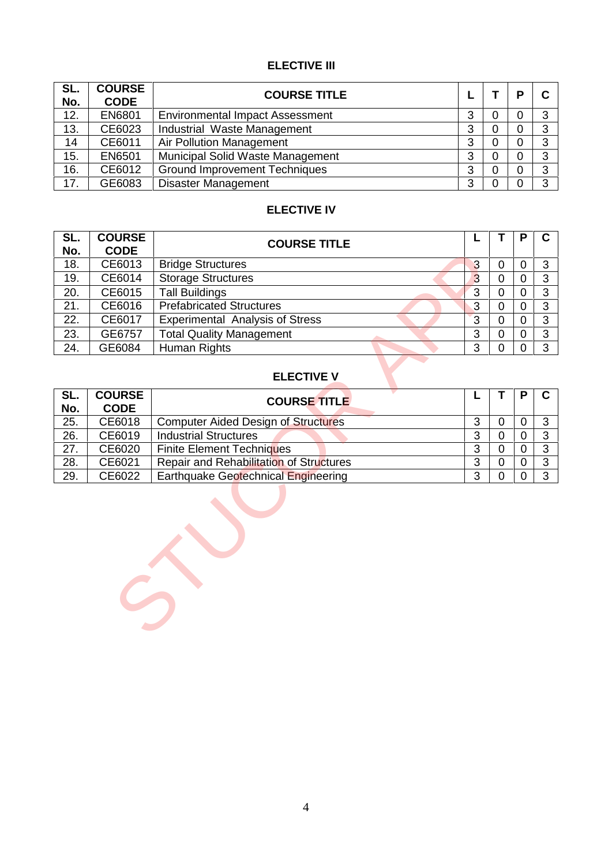### **ELECTIVE III**

| SL.<br>No. | <b>COURSE</b><br><b>CODE</b> | <b>COURSE TITLE</b>                    |        |   | D | C |
|------------|------------------------------|----------------------------------------|--------|---|---|---|
| 12.        | EN6801                       | <b>Environmental Impact Assessment</b> | ≏<br>ت | 0 |   | 3 |
| 13.        | CE6023                       | Industrial Waste Management            | 3      | 0 |   | 3 |
| 14         | CE6011                       | Air Pollution Management               | 3      | 0 |   | 3 |
| 15.        | EN6501                       | Municipal Solid Waste Management       | 3      | 0 |   | 3 |
| 16.        | CE6012                       | <b>Ground Improvement Techniques</b>   | 3      | 0 |   | 3 |
| 17.        | GE6083                       | <b>Disaster Management</b>             | 3      |   |   | 3 |

### **ELECTIVE IV**

| SL.<br>No. | <b>COURSE</b><br><b>CODE</b> | <b>COURSE TITLE</b>                        |                | Т              | P              | $\mathbf C$    |
|------------|------------------------------|--------------------------------------------|----------------|----------------|----------------|----------------|
| 18.        | CE6013                       | <b>Bridge Structures</b>                   | 3              | $\mathbf 0$    | $\mathbf 0$    | 3              |
| 19.        | CE6014                       | <b>Storage Structures</b>                  | $\overline{3}$ | $\overline{0}$ | $\overline{0}$ | 3              |
| 20.        | CE6015                       | <b>Tall Buildings</b>                      | 3              | $\mathbf 0$    | $\mathbf 0$    | $\overline{3}$ |
| 21.        | CE6016                       | <b>Prefabricated Structures</b>            | 3              | $\overline{0}$ | $\mathbf 0$    | $\overline{3}$ |
| 22.        | CE6017                       | Experimental Analysis of Stress            | $\overline{3}$ | $\overline{0}$ | $\overline{0}$ | 3              |
| 23.        | GE6757                       | <b>Total Quality Management</b>            | 3              | $\overline{0}$ | $\overline{0}$ | 3              |
| 24.        | GE6084                       | Human Rights                               | 3              | $\overline{0}$ | $\overline{0}$ | $\overline{3}$ |
| SL.        | <b>COURSE</b>                | <b>ELECTIVE V</b>                          | L              | Т              | P              | C              |
| No.        | <b>CODE</b>                  | <b>COURSE TITLE</b>                        |                |                |                |                |
| 25.        | CE6018                       | <b>Computer Aided Design of Structures</b> | 3              | $\mathbf 0$    | $\mathbf 0$    | 3              |
| 26.        | CE6019                       | <b>Industrial Structures</b>               | $\overline{3}$ | $\mathbf 0$    | $\overline{0}$ | 3              |
| 27.        | CE6020                       | <b>Finite Element Techniques</b>           | $\overline{3}$ | $\mathbf 0$    | $\overline{0}$ | $\overline{3}$ |
| 28.        | CE6021                       | Repair and Rehabilitation of Structures    | 3              | $\mathsf 0$    | $\mathbf 0$    | 3              |
| 29.        | CE6022                       | Earthquake Geotechnical Engineering        | 3              | $\overline{0}$ | 0              | 3              |
|            |                              |                                            |                |                |                |                |

## **ELECTIVE V**

| SL.<br>No. | <b>COURSE</b><br><b>CODE</b> | <b>COURSE TITLE</b>                        |   |  | C       |
|------------|------------------------------|--------------------------------------------|---|--|---------|
| 25.        | CE6018                       | <b>Computer Aided Design of Structures</b> |   |  | ົ       |
| 26.        | CE6019                       | <b>Industrial Structures</b>               |   |  | 3       |
| 27.        | CE6020                       | <b>Finite Element Techniques</b>           |   |  | ົ<br>J  |
| 28.        | CE6021                       | Repair and Rehabilitation of Structures    |   |  | ົ<br>J. |
| 29.        | CE6022                       | Earthquake Geotechnical Engineering        | 3 |  | 3       |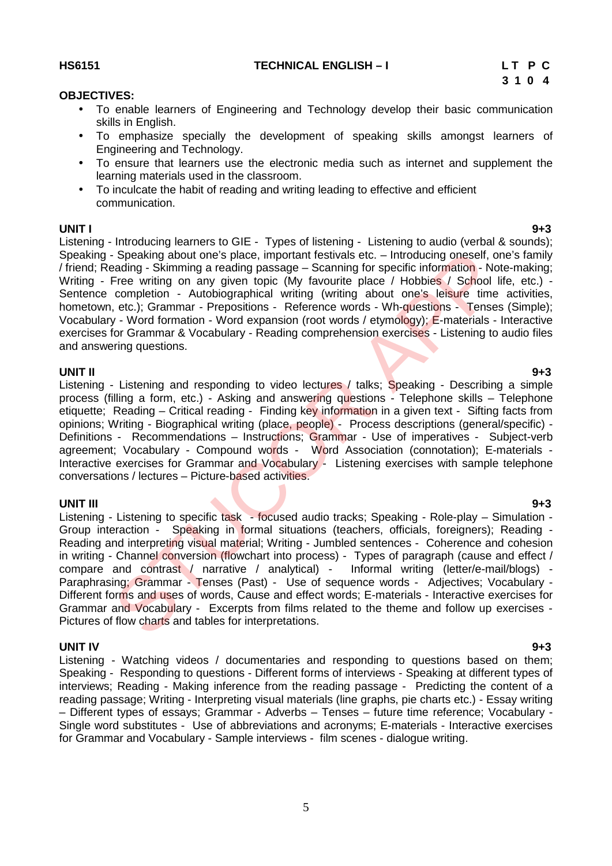5

**HS6151 TECHNICAL ENGLISH – I L T P C**

#### **OBJECTIVES:**

- To enable learners of Engineering and Technology develop their basic communication skills in English.
- To emphasize specially the development of speaking skills amongst learners of Engineering and Technology.
- To ensure that learners use the electronic media such as internet and supplement the learning materials used in the classroom.
- To inculcate the habit of reading and writing leading to effective and efficient communication.

#### **UNIT I 9+3**

Listening - Introducing learners to GIE - Types of listening - Listening to audio (verbal & sounds); Speaking - Speaking about one's place, important festivals etc. – Introducing oneself, one's family / friend; Reading - Skimming a reading passage – Scanning for specific information - Note-making; Writing - Free writing on any given topic (My favourite place / Hobbies / School life, etc.) -Sentence completion - Autobiographical writing (writing about one's leisure time activities, hometown, etc.); Grammar - Prepositions - Reference words - Wh-questions - Tenses (Simple); Vocabulary - Word formation - Word expansion (root words / etymology); E-materials - Interactive exercises for Grammar & Vocabulary - Reading comprehension exercises - Listening to audio files and answering questions.

**UNIT II 9+3** Listening - Listening and responding to video lectures / talks; Speaking - Describing a simple process (filling a form, etc.) - Asking and answering questions - Telephone skills – Telephone etiquette; Reading – Critical reading - Finding key information in a given text - Sifting facts from opinions; Writing - Biographical writing (place, people) - Process descriptions (general/specific) - Definitions - Recommendations – Instructions; Grammar - Use of imperatives - Subject-verb agreement; Vocabulary - Compound words - Word Association (connotation); E-materials -Interactive exercises for Grammar and Vocabulary - Listening exercises with sample telephone conversations / lectures – Picture-based activities.

**UNIT III 9+3** Listening - Listening to specific task - focused audio tracks: Speaking - Role-play – Simulation -Group interaction - Speaking in formal situations (teachers, officials, foreigners); Reading - Reading and interpreting visual material; Writing - Jumbled sentences - Coherence and cohesion in writing - Channel conversion (flowchart into process) - Types of paragraph (cause and effect / compare and contrast / narrative / analytical) - Informal writing (letter/e-mail/blogs) - Paraphrasing; Grammar - Tenses (Past) - Use of sequence words - Adjectives; Vocabulary - Different forms and uses of words, Cause and effect words; E-materials - Interactive exercises for Grammar and Vocabulary - Excerpts from films related to the theme and follow up exercises - Pictures of flow charts and tables for interpretations. - Speaking about one's place, important festivals etc. – Introducing oneself, one<br>Free writing on any given topic (My favourite place / Hobbies / School Free writing on any given topic (My favourite place / Hobbies / Schoo

**UNIT IV 9+3** Listening - Watching videos / documentaries and responding to questions based on them; Speaking - Responding to questions - Different forms of interviews - Speaking at different types of interviews; Reading - Making inference from the reading passage - Predicting the content of a reading passage; Writing - Interpreting visual materials (line graphs, pie charts etc.) - Essay writing – Different types of essays; Grammar - Adverbs – Tenses – future time reference; Vocabulary - Single word substitutes - Use of abbreviations and acronyms; E-materials - Interactive exercises for Grammar and Vocabulary - Sample interviews - film scenes - dialogue writing.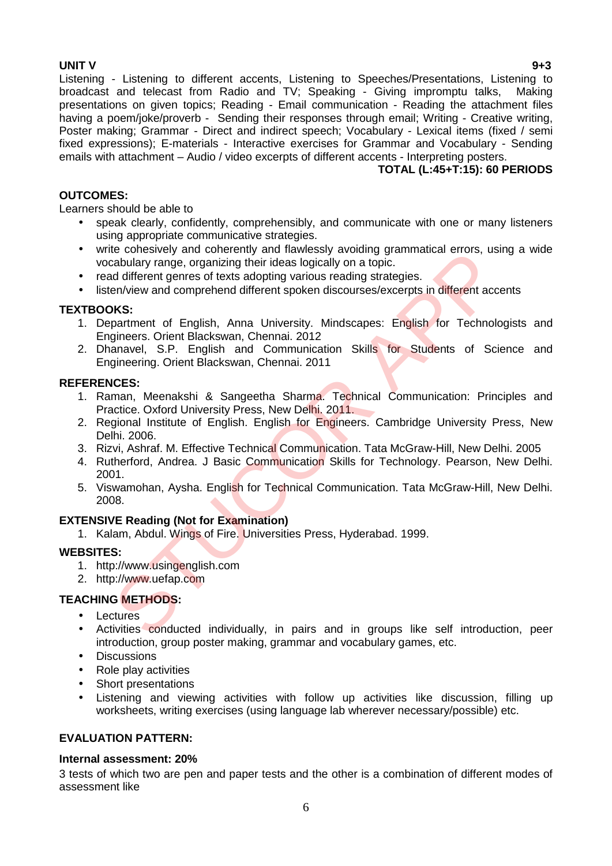**UNIT V 9+3** Listening - Listening to different accents, Listening to Speeches/Presentations, Listening to broadcast and telecast from Radio and TV; Speaking - Giving impromptu talks, Making presentations on given topics; Reading - Email communication - Reading the attachment files having a poem/joke/proverb - Sending their responses through email; Writing - Creative writing, Poster making; Grammar - Direct and indirect speech; Vocabulary - Lexical items (fixed / semi fixed expressions); E-materials - Interactive exercises for Grammar and Vocabulary - Sending emails with attachment – Audio / video excerpts of different accents - Interpreting posters.

#### **TOTAL (L:45+T:15): 60 PERIODS**

#### **OUTCOMES:**

Learners should be able to

- speak clearly, confidently, comprehensibly, and communicate with one or many listeners using appropriate communicative strategies.
- write cohesively and coherently and flawlessly avoiding grammatical errors, using a wide vocabulary range, organizing their ideas logically on a topic.
- read different genres of texts adopting various reading strategies.
- listen/view and comprehend different spoken discourses/excerpts in different accents

#### **TEXTBOOKS:**

- 1. Department of English, Anna University. Mindscapes: English for Technologists and Engineers. Orient Blackswan, Chennai. 2012 re conesivery and conerentry and narmewssty avolung grammatical erois, used<br>tabulary range, organizing their ideas logically on a topic.<br>The different genres of texts adopting various reading strategies.<br>AMS:<br>ACS:<br>partment
- 2. Dhanavel, S.P. English and Communication Skills for Students of Science and Engineering. Orient Blackswan, Chennai. 2011

#### **REFERENCES:**

- 1. Raman, Meenakshi & Sangeetha Sharma. Technical Communication: Principles and Practice. Oxford University Press, New Delhi. 2011.
- 2. Regional Institute of English. English for Engineers. Cambridge University Press, New Delhi. 2006.
- 3. Rizvi, Ashraf. M. Effective Technical Communication. Tata McGraw-Hill, New Delhi. 2005
- 4. Rutherford, Andrea. J Basic Communication Skills for Technology. Pearson, New Delhi. 2001.
- 5. Viswamohan, Aysha. English for Technical Communication. Tata McGraw-Hill, New Delhi. 2008.

#### **EXTENSIVE Reading (Not for Examination)**

1. Kalam, Abdul. Wings of Fire. Universities Press, Hyderabad. 1999.

#### **WEBSITES:**

- 1. http://www.usingenglish.com
- 2. http://www.uefap.com

#### **TEACHING METHODS:**

- $\bullet$  Lectures
- Activities conducted individually, in pairs and in groups like self introduction, peer introduction, group poster making, grammar and vocabulary games, etc.
- Discussions
- Role play activities
- Short presentations
- Listening and viewing activities with follow up activities like discussion, filling up worksheets, writing exercises (using language lab wherever necessary/possible) etc.

#### **EVALUATION PATTERN:**

#### **Internal assessment: 20%**

3 tests of which two are pen and paper tests and the other is a combination of different modes of assessment like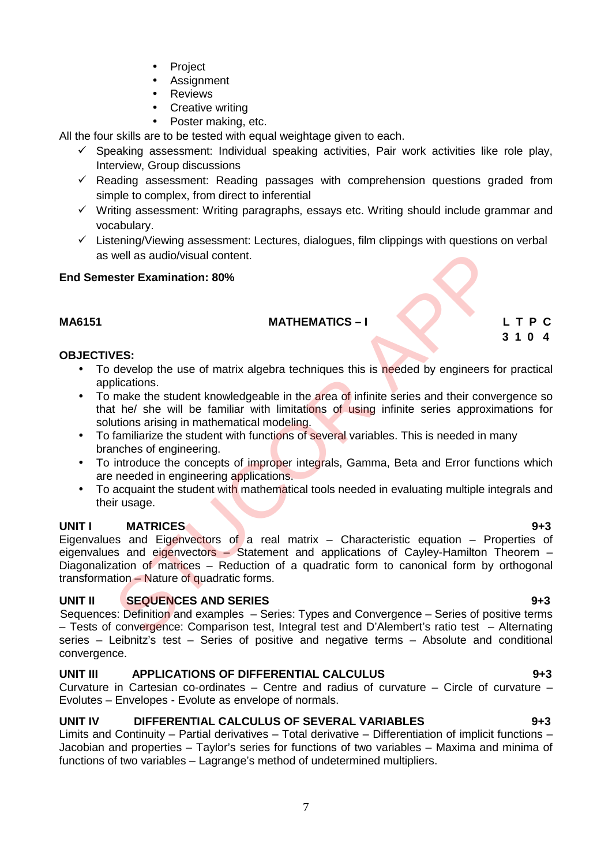- Project
- Assignment
- Reviews
- Creative writing
- Poster making, etc.

All the four skills are to be tested with equal weightage given to each.

- $\checkmark$  Speaking assessment: Individual speaking activities, Pair work activities like role play, Interview, Group discussions
- $\checkmark$  Reading assessment: Reading passages with comprehension questions graded from simple to complex, from direct to inferential
- $\checkmark$  Writing assessment: Writing paragraphs, essays etc. Writing should include grammar and vocabulary.
- $\checkmark$  Listening/Viewing assessment: Lectures, dialogues, film clippings with questions on verbal as well as audio/visual content.

### **End Semester Examination: 80%**

### **MA6151 MATHEMATICS – I L T P C**

**3 1 0 4**

#### **OBJECTIVES:**

- To develop the use of matrix algebra techniques this is needed by engineers for practical applications.
- To make the student knowledgeable in the area of infinite series and their convergence so that he/ she will be familiar with limitations of using infinite series approximations for solutions arising in mathematical modeling.
- To familiarize the student with functions of several variables. This is needed in many branches of engineering.
- To introduce the concepts of improper integrals, Gamma, Beta and Error functions which are needed in engineering applications.
- To acquaint the student with mathematical tools needed in evaluating multiple integrals and their usage.

### **UNIT I MATRICES 9+3**

Eigenvalues and Eigenvectors of a real matrix  $-$  Characteristic equation  $-$  Properties of eigenvalues and eigenvectors – Statement and applications of Cayley-Hamilton Theorem – Diagonalization of matrices – Reduction of a quadratic form to canonical form by orthogonal transformation – Nature of quadratic forms. well as audio/visual content.<br>
Ster Examination: 80%<br>
MATHEMATICS -1<br>
VES:<br>
develop the use of matrix algebra techniques this is needed by engineers for<br>
make the student knowledgeable in the area of infinite series and th

### **UNIT II SEQUENCES AND SERIES 9+3**

Sequences: Definition and examples – Series: Types and Convergence – Series of positive terms – Tests of convergence: Comparison test, Integral test and D'Alembert's ratio test – Alternating series – Leibnitz's test – Series of positive and negative terms – Absolute and conditional convergence.

### **UNIT III APPLICATIONS OF DIFFERENTIAL CALCULUS 9+3**

Curvature in Cartesian co-ordinates – Centre and radius of curvature – Circle of curvature – Evolutes – Envelopes - Evolute as envelope of normals.

### **UNIT IV DIFFERENTIAL CALCULUS OF SEVERAL VARIABLES 9+3**

Limits and Continuity – Partial derivatives – Total derivative – Differentiation of implicit functions – Jacobian and properties – Taylor's series for functions of two variables – Maxima and minima of functions of two variables – Lagrange's method of undetermined multipliers.

### 7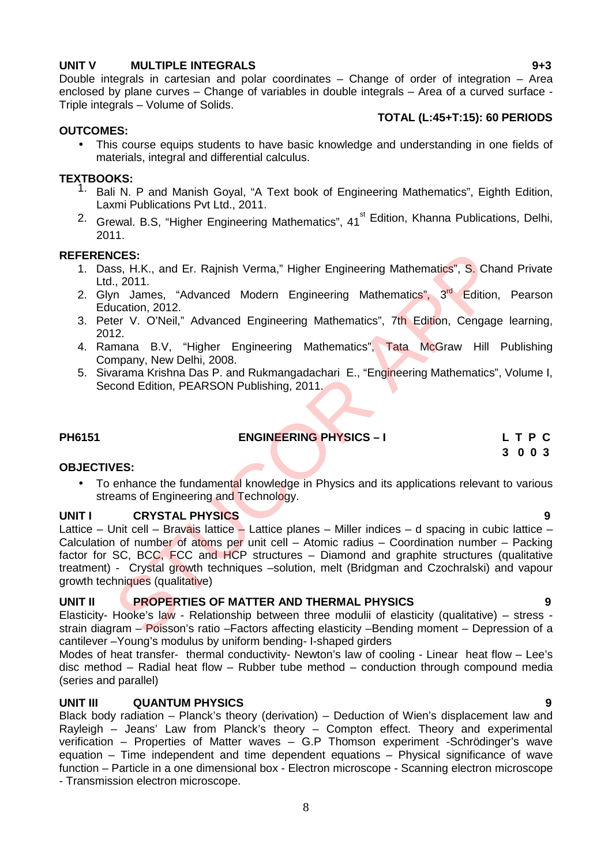#### **UNIT V MULTIPLE INTEGRALS 9+3**

Double integrals in cartesian and polar coordinates – Change of order of integration – Area enclosed by plane curves – Change of variables in double integrals – Area of a curved surface - Triple integrals – Volume of Solids.

#### **TOTAL (L:45+T:15): 60 PERIODS**

#### **OUTCOMES:**

 This course equips students to have basic knowledge and understanding in one fields of materials, integral and differential calculus.

#### **TEXTBOOKS:**

- <sup>1.</sup> Bali N. P and Manish Goyal, "A Text book of Engineering Mathematics", Eighth Edition, Laxmi Publications Pvt Ltd., 2011.
- <sup>2.</sup> Grewal. B.S, "Higher Engineering Mathematics", 41<sup>st</sup> Edition, Khanna Publications, Delhi, 2011.

#### **REFERENCES:**

- 1. Dass, H.K., and Er. Rajnish Verma," Higher Engineering Mathematics", S. Chand Private Ltd., 2011.
- 2. Glyn James, "Advanced Modern Engineering Mathematics", 3<sup>rd</sup> Edition, Pearson Education, 2012.
- 3. Peter V. O'Neil," Advanced Engineering Mathematics", 7th Edition, Cengage learning, 2012.
- 4. Ramana B.V, "Higher Engineering Mathematics", Tata McGraw Hill Publishing Company, New Delhi, 2008.
- 5. Sivarama Krishna Das P. and Rukmangadachari E., "Engineering Mathematics", Volume I, Second Edition, PEARSON Publishing, 2011.

#### **PH6151 ENGINEERING PHYSICS – I L T P C**

#### **OBJECTIVES:** • To enhance the fundamental knowledge in Physics and its applications relevant to various streams of Engineering and Technology.

#### **UNIT I CRYSTAL PHYSICS 9**

Lattice – Unit cell – Bravais lattice – Lattice planes – Miller indices – d spacing in cubic lattice – Calculation of number of atoms per unit cell – Atomic radius – Coordination number – Packing factor for SC, BCC, FCC and HCP structures – Diamond and graphite structures (qualitative treatment) - Crystal growth techniques –solution, melt (Bridgman and Czochralski) and vapour growth techniques (qualitative) ICES:<br>
I., 2011.<br>
I., 2011.<br>
I., 2011.<br>
I., 2011.<br>
I., 2011.<br>
I., 2011.<br>
I., 2011.<br>
Ucclin, 2012.<br>
Ucclin, 2012.<br>
Ucclin, 2012.<br>
Italy Advanced Modern Engineering Mathematics", 7th Edition, Cengage<br>
12.<br>
Impany, New Delhi,

#### **UNIT II PROPERTIES OF MATTER AND THERMAL PHYSICS 9**

Elasticity- Hooke's law - Relationship between three modulii of elasticity (qualitative) – stress strain diagram – Poisson's ratio – Factors affecting elasticity – Bending moment – Depression of a cantilever –Young's modulus by uniform bending- I-shaped girders

Modes of heat transfer- thermal conductivity- Newton's law of cooling - Linear heat flow – Lee's disc method – Radial heat flow – Rubber tube method – conduction through compound media (series and parallel)

#### **UNIT III QUANTUM PHYSICS 9**

Black body radiation – Planck's theory (derivation) – Deduction of Wien's displacement law and Rayleigh – Jeans' Law from Planck's theory – Compton effect. Theory and experimental verification – Properties of Matter waves – G.P Thomson experiment -Schrödinger's wave equation – Time independent and time dependent equations – Physical significance of wave function – Particle in a one dimensional box - Electron microscope - Scanning electron microscope - Transmission electron microscope.

**3 0 0 3**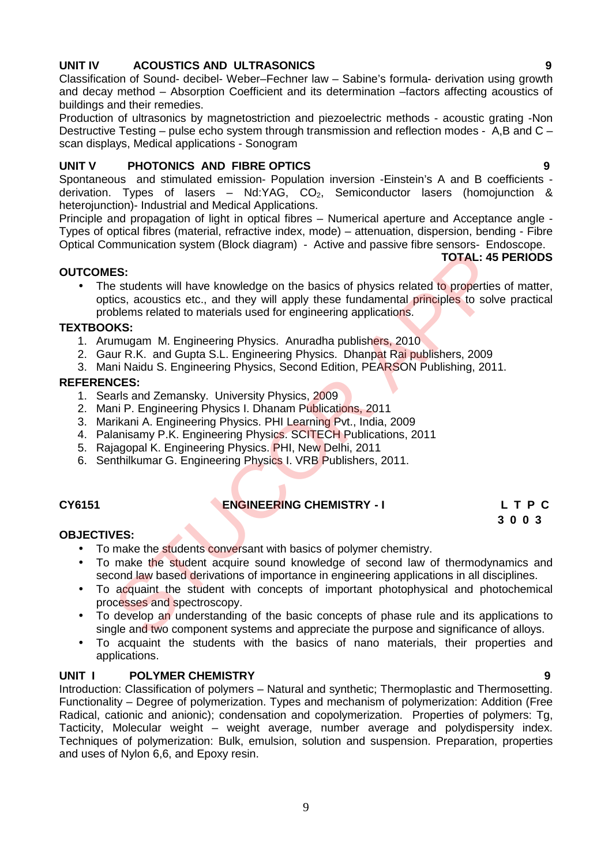### **UNIT IV ACOUSTICS AND ULTRASONICS 9**

Classification of Sound- decibel- Weber–Fechner law – Sabine's formula- derivation using growth and decay method – Absorption Coefficient and its determination –factors affecting acoustics of buildings and their remedies.

Production of ultrasonics by magnetostriction and piezoelectric methods - acoustic grating -Non Destructive Testing – pulse echo system through transmission and reflection modes - A,B and C – scan displays, Medical applications - Sonogram

#### **UNIT V PHOTONICS AND FIBRE OPTICS 9**

Spontaneous and stimulated emission- Population inversion -Einstein's A and B coefficients derivation. Types of lasers –  $Nd:YAG$ ,  $CO<sub>2</sub>$ , Semiconductor lasers (homojunction & heterojunction)- Industrial and Medical Applications.

Principle and propagation of light in optical fibres – Numerical aperture and Acceptance angle - Types of optical fibres (material, refractive index, mode) – attenuation, dispersion, bending - Fibre Optical Communication system (Block diagram) - Active and passive fibre sensors- Endoscope.

#### **OUTCOMES:**

The students will have knowledge on the basics of physics related to properties of matter, optics, acoustics etc., and they will apply these fundamental principles to solve practical problems related to materials used for engineering applications. **ES:**<br> **ES:**<br>
Estudents will have knowledge on the basics of physics related to properties<br>
icis, acoustics etc., and they will apply these fundamental principles to solv<br>
blems related to materials used for engineering ap

#### **TEXTBOOKS:**

- 1. Arumugam M. Engineering Physics. Anuradha publishers, 2010
- 2. Gaur R.K. and Gupta S.L. Engineering Physics. Dhanpat Rai publishers, 2009
- 3. Mani Naidu S. Engineering Physics, Second Edition, PEARSON Publishing, 2011.

#### **REFERENCES:**

- 1. Searls and Zemansky. University Physics, 2009
- 2. Mani P. Engineering Physics I. Dhanam Publications, 2011
- 3. Marikani A. Engineering Physics. PHI Learning Pvt., India, 2009
- 4. Palanisamy P.K. Engineering Physics. SCITECH Publications, 2011
- 5. Rajagopal K. Engineering Physics. PHI, New Delhi, 2011
- 6. Senthilkumar G. Engineering Physics I. VRB Publishers, 2011.

### **CY6151 ENGINEERING CHEMISTRY - I L T P C**

## **3 0 0 3**

#### **OBJECTIVES:**

- To make the students conversant with basics of polymer chemistry.
- To make the student acquire sound knowledge of second law of thermodynamics and second law based derivations of importance in engineering applications in all disciplines.
- To acquaint the student with concepts of important photophysical and photochemical processes and spectroscopy.
- To develop an understanding of the basic concepts of phase rule and its applications to single and two component systems and appreciate the purpose and significance of alloys.
- To acquaint the students with the basics of nano materials, their properties and applications.

#### **UNIT I POLYMER CHEMISTRY 9**

Introduction: Classification of polymers – Natural and synthetic; Thermoplastic and Thermosetting. Functionality – Degree of polymerization. Types and mechanism of polymerization: Addition (Free Radical, cationic and anionic); condensation and copolymerization. Properties of polymers: Tg, Tacticity, Molecular weight – weight average, number average and polydispersity index. Techniques of polymerization: Bulk, emulsion, solution and suspension. Preparation, properties and uses of Nylon 6,6, and Epoxy resin.

**TOTAL: 45 PERIODS**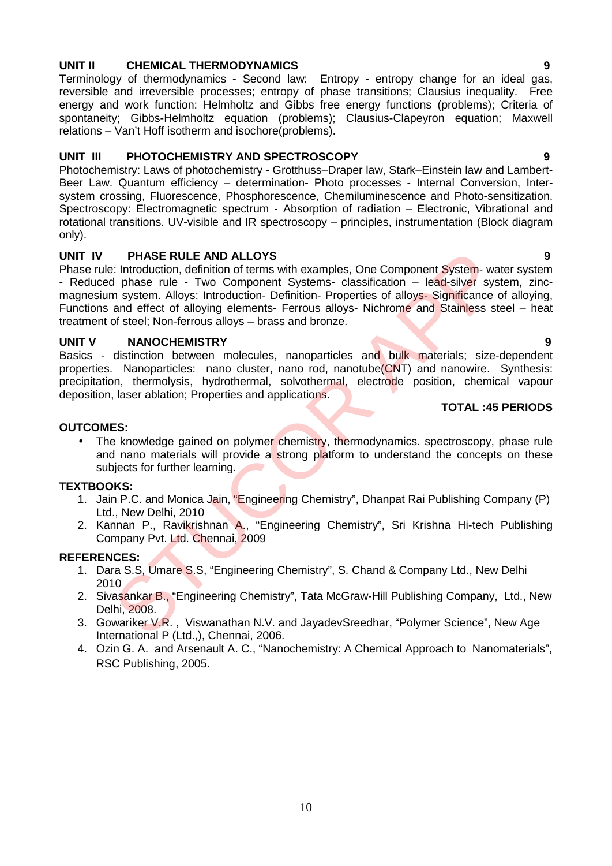### **UNIT II CHEMICAL THERMODYNAMICS 9**

Terminology of thermodynamics - Second law: Entropy - entropy change for an ideal gas, reversible and irreversible processes; entropy of phase transitions; Clausius inequality. Free energy and work function: Helmholtz and Gibbs free energy functions (problems); Criteria of spontaneity; Gibbs-Helmholtz equation (problems); Clausius-Clapeyron equation; Maxwell relations – Van't Hoff isotherm and isochore(problems).

#### **UNIT III PHOTOCHEMISTRY AND SPECTROSCOPY 9**

Photochemistry: Laws of photochemistry - Grotthuss–Draper law, Stark–Einstein law and Lambert- Beer Law. Quantum efficiency – determination- Photo processes - Internal Conversion, Inter system crossing, Fluorescence, Phosphorescence, Chemiluminescence and Photo-sensitization. Spectroscopy: Electromagnetic spectrum - Absorption of radiation – Electronic, Vibrational and rotational transitions. UV-visible and IR spectroscopy – principles, instrumentation (Block diagram only).

#### **UNIT IV PHASE RULE AND ALLOYS 9**

Phase rule: Introduction, definition of terms with examples, One Component System- water system - Reduced phase rule - Two Component Systems- classification – lead-silver system, zincmagnesium system. Alloys: Introduction- Definition- Properties of alloys- Significance of alloying, Functions and effect of alloying elements- Ferrous alloys- Nichrome and Stainless steel – heat treatment of steel; Non-ferrous alloys – brass and bronze. PHASE RULE AND ALLOYS<br>
S: Introduction, definition of terms with examples, One Component System- way<br>
di phase rule - Two Component Systems- classification – lead-silver system. Alloys: Introduction-Definition-Properties o

#### **UNIT V NANOCHEMISTRY 9**

Basics - distinction between molecules, nanoparticles and bulk materials; size-dependent properties. Nanoparticles: nano cluster, nano rod, nanotube(CNT) and nanowire. Synthesis: precipitation, thermolysis, hydrothermal, solvothermal, electrode position, chemical vapour deposition, laser ablation; Properties and applications.

#### **TOTAL :45 PERIODS**

#### **OUTCOMES:**

• The knowledge gained on polymer chemistry, thermodynamics. spectroscopy, phase rule and nano materials will provide a strong platform to understand the concepts on these subjects for further learning.

#### **TEXTBOOKS:**

- 1. Jain P.C. and Monica Jain, "Engineering Chemistry", Dhanpat Rai Publishing Company (P) Ltd., New Delhi, 2010
- 2. Kannan P., Ravikrishnan A., "Engineering Chemistry", Sri Krishna Hi-tech Publishing Company Pvt. Ltd. Chennai, 2009

- 1. Dara S.S, Umare S.S, "Engineering Chemistry", S. Chand & Company Ltd., New Delhi 2010
- 2. Sivasankar B., "Engineering Chemistry", Tata McGraw-Hill Publishing Company, Ltd., New Delhi, 2008.
- 3. Gowariker V.R. , Viswanathan N.V. and JayadevSreedhar, "Polymer Science", New Age International P (Ltd.,), Chennai, 2006.
- 4. Ozin G. A. and Arsenault A. C., "Nanochemistry: A Chemical Approach to Nanomaterials", RSC Publishing, 2005.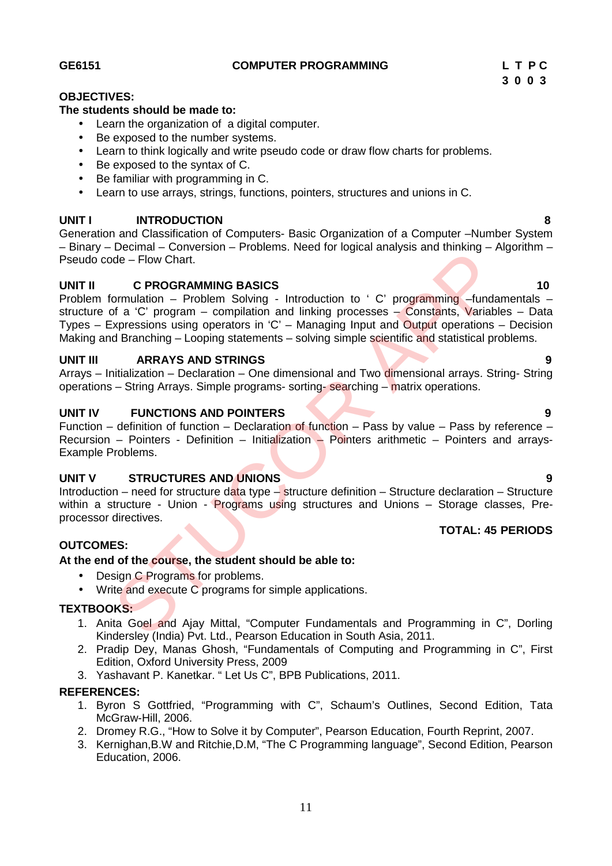**GE6151 COMPUTER PROGRAMMING L T P C**

## **3 0 0 3**

#### **OBJECTIVES:**

#### **The students should be made to:**

- Learn the organization of a digital computer.
- Be exposed to the number systems.
- Learn to think logically and write pseudo code or draw flow charts for problems.
- Be exposed to the syntax of C.
- Be familiar with programming in C.
- Learn to use arrays, strings, functions, pointers, structures and unions in C.

#### **UNIT I INTRODUCTION 8**

Generation and Classification of Computers- Basic Organization of a Computer –Number System – Binary – Decimal – Conversion – Problems. Need for logical analysis and thinking – Algorithm – Pseudo code – Flow Chart.

#### **UNIT II C PROGRAMMING BASICS 10**

Problem formulation – Problem Solving - Introduction to ' C' programming –fundamentals – structure of a 'C' program – compilation and linking processes – Constants, Variables – Data Types – Expressions using operators in 'C' – Managing Input and Output operations – Decision Making and Branching – Looping statements – solving simple scientific and statistical problems. Structure - Union - Production of Introduction of Individual Concernsion CORACHES<br>
STORIC - FIOW Chart.<br>
C PROGRAMMING BASICS<br>
C Programming -fundation and linking processes - Constants, Variably<br>
discussions using operato

#### **UNIT III ARRAYS AND STRINGS 9**

Arrays – Initialization – Declaration – One dimensional and Two dimensional arrays. String- String operations – String Arrays. Simple programs- sorting- searching – matrix operations.

#### **UNIT IV FUNCTIONS AND POINTERS 9**

Function – definition of function – Declaration of function – Pass by value – Pass by reference – Recursion – Pointers - Definition – Initialization – Pointers arithmetic – Pointers and arrays-Example Problems.

#### **UNIT V STRUCTURES AND UNIONS 9**

Introduction – need for structure data type – structure definition – Structure declaration – Structure within a structure - Union - Programs using structures and Unions – Storage classes, Preprocessor directives.

### **TOTAL: 45 PERIODS**

### **OUTCOMES:**

#### **At the end of the course, the student should be able to:**

- Design C Programs for problems.
- Write and execute C programs for simple applications.

#### **TEXTBOOKS:**

- 1. Anita Goel and Ajay Mittal, "Computer Fundamentals and Programming in C", Dorling Kindersley (India) Pvt. Ltd., Pearson Education in South Asia, 2011.
- 2. Pradip Dey, Manas Ghosh, "Fundamentals of Computing and Programming in C", First Edition, Oxford University Press, 2009
- 3. Yashavant P. Kanetkar. " Let Us C", BPB Publications, 2011.

- 1. Byron S Gottfried, "Programming with C", Schaum's Outlines, Second Edition, Tata McGraw-Hill, 2006.
- 2. Dromey R.G., "How to Solve it by Computer", Pearson Education, Fourth Reprint, 2007.
- 3. Kernighan,B.W and Ritchie,D.M, "The C Programming language", Second Edition, Pearson Education, 2006.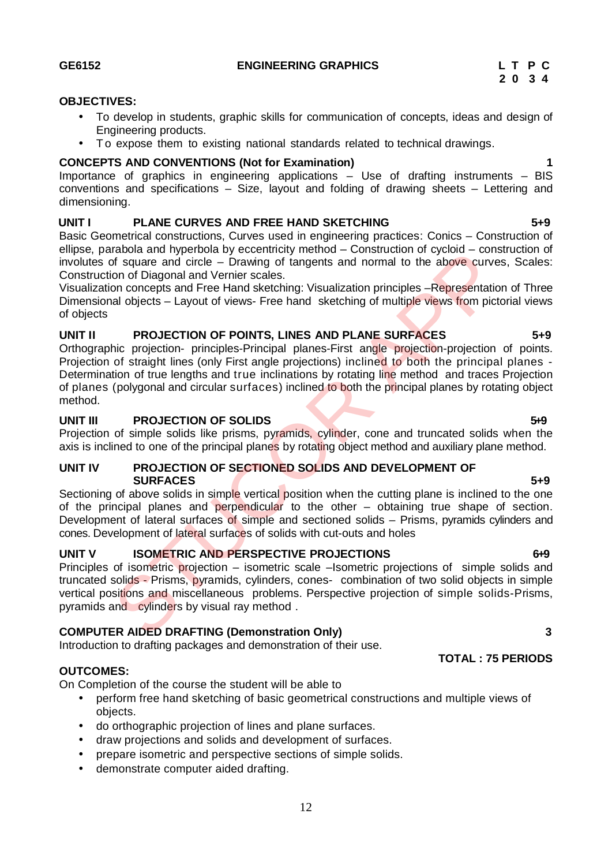## conventions and specifications – Size, layout and folding of drawing sheets – Lettering and

Importance of graphics in engineering applications – Use of drafting instruments – BIS

### **UNIT I PLANE CURVES AND FREE HAND SKETCHING 5+9**

Basic Geometrical constructions, Curves used in engineering practices: Conics – Construction of ellipse, parabola and hyperbola by eccentricity method – Construction of cycloid – construction of involutes of square and circle – Drawing of tangents and normal to the above curves, Scales: Construction of Diagonal and Vernier scales.

Visualization concepts and Free Hand sketching: Visualization principles –Representation of Three Dimensional objects – Layout of views- Free hand sketching of multiple views from pictorial views of objects

### **UNIT II PROJECTION OF POINTS, LINES AND PLANE SURFACES 5+9**

Orthographic projection- principles-Principal planes-First angle projection-projection of points. Projection of straight lines (only First angle projections) inclined to both the principal planes - Determination of true lengths and true inclinations by rotating line method and traces Projection of planes (polygonal and circular surfaces) inclined to both the principal planes by rotating object method. manula intered and Free Hand sketching method – Constitution of typeraton of plagna and order and forein Dragonal and Vernier scales.<br>
In Signare and Grie Hand sketching: Visualization principles –Representation on concept

### **UNIT III PROJECTION OF SOLIDS 5.9 5.9**

Projection of simple solids like prisms, pyramids, cylinder, cone and truncated solids when the axis is inclined to one of the principal planes by rotating object method and auxiliary plane method.

#### **UNIT IV PROJECTION OF SECTIONED SOLIDS AND DEVELOPMENT OF SURFACES 5+9**

Sectioning of above solids in simple vertical position when the cutting plane is inclined to the one of the principal planes and perpendicular to the other – obtaining true shape of section. Development of lateral surfaces of simple and sectioned solids – Prisms, pyramids cylinders and cones. Development of lateral surfaces of solids with cut-outs and holes

### **UNIT V ISOMETRIC AND PERSPECTIVE PROJECTIONS 6+9**

Principles of isometric projection – isometric scale –Isometric projections of simple solids and truncated solids - Prisms, pyramids, cylinders, cones- combination of two solid objects in simple vertical positions and miscellaneous problems. Perspective projection of simple solids-Prisms, pyramids and cylinders by visual ray method .

### **COMPUTER AIDED DRAFTING (Demonstration Only) 3**

Introduction to drafting packages and demonstration of their use.

### **OUTCOMES:**

On Completion of the course the student will be able to

- perform free hand sketching of basic geometrical constructions and multiple views of objects.
- do orthographic projection of lines and plane surfaces.
- draw projections and solids and development of surfaces.
- prepare isometric and perspective sections of simple solids.
- demonstrate computer aided drafting.

**OBJECTIVES:**

dimensioning.

Engineering products.

To develop in students, graphic skills for communication of concepts, ideas and design of

**TOTAL : 75 PERIODS**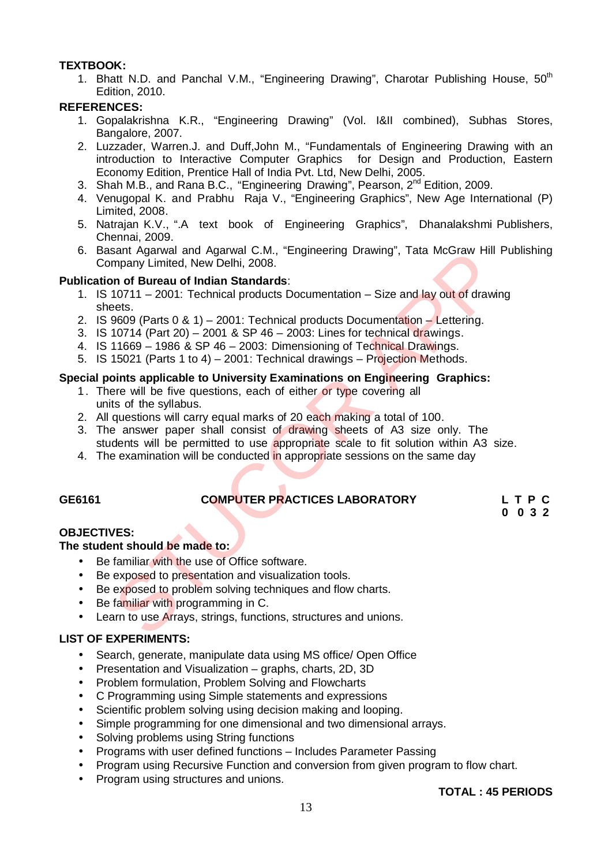#### **TEXTBOOK:**

1. Bhatt N.D. and Panchal V.M., "Engineering Drawing", Charotar Publishing House, 50<sup>th</sup> Edition, 2010.

#### **REFERENCES:**

- 1. Gopalakrishna K.R., "Engineering Drawing" (Vol. I&II combined), Subhas Stores, Bangalore, 2007.
- 2. Luzzader, Warren.J. and Duff,John M., "Fundamentals of Engineering Drawing with an introduction to Interactive Computer Graphics for Design and Production, Eastern Economy Edition, Prentice Hall of India Pvt. Ltd, New Delhi, 2005.
- 3. Shah M.B., and Rana B.C., "Engineering Drawing", Pearson, 2<sup>nd</sup> Edition, 2009.
- 4. Venugopal K. and Prabhu Raja V., "Engineering Graphics", New Age International (P) Limited, 2008.
- 5. Natrajan K.V., ".A text book of Engineering Graphics", Dhanalakshmi Publishers, Chennai, 2009.
- 6. Basant Agarwal and Agarwal C.M., "Engineering Drawing", Tata McGraw Hill Publishing Company Limited, New Delhi, 2008.

#### **Publication of Bureau of Indian Standards**:

- 1. IS 10711 2001: Technical products Documentation Size and lay out of drawing sheets. sant Agawal and Agawal C.M., "Engineering Drawing", Tata McGraw Filli<br>mpany Limited, New Delhi, 2008.<br>
In of Bureau of Indian Standards:<br>
10711 – 2001: Technical products Documentation – Size and lay out of drawings<br>
9609
- 2. IS 9609 (Parts 0 & 1) 2001: Technical products Documentation Lettering.
- 3. IS 10714 (Part 20) 2001 & SP 46 2003: Lines for technical drawings.
- 4. IS 11669 1986 & SP 46 2003: Dimensioning of Technical Drawings.
- 5. IS 15021 (Parts 1 to 4) 2001: Technical drawings Projection Methods.

#### **Special points applicable to University Examinations on Engineering Graphics:**

- 1. There will be five questions, each of either or type covering all units of the syllabus.
- 2. All questions will carry equal marks of 20 each making a total of 100.
- 3. The answer paper shall consist of drawing sheets of A3 size only. The students will be permitted to use appropriate scale to fit solution within A3 size.
- 4. The examination will be conducted in appropriate sessions on the same day

### **GE6161 COMPUTER PRACTICES LABORATORY L T P C**

**0 0 3 2**

#### **OBJECTIVES:**

#### **The student should be made to:**

- Be familiar with the use of Office software.
- **Be exposed to presentation and visualization tools.**
- Be exposed to problem solving techniques and flow charts.
- Be familiar with programming in C.
- Learn to use Arrays, strings, functions, structures and unions.

#### **LIST OF EXPERIMENTS:**

- Search, generate, manipulate data using MS office/ Open Office
- Presentation and Visualization graphs, charts, 2D, 3D
- Problem formulation, Problem Solving and Flowcharts
- C Programming using Simple statements and expressions
- Scientific problem solving using decision making and looping.
- Simple programming for one dimensional and two dimensional arrays.
- Solving problems using String functions
- Programs with user defined functions Includes Parameter Passing
- Program using Recursive Function and conversion from given program to flow chart.
- Program using structures and unions.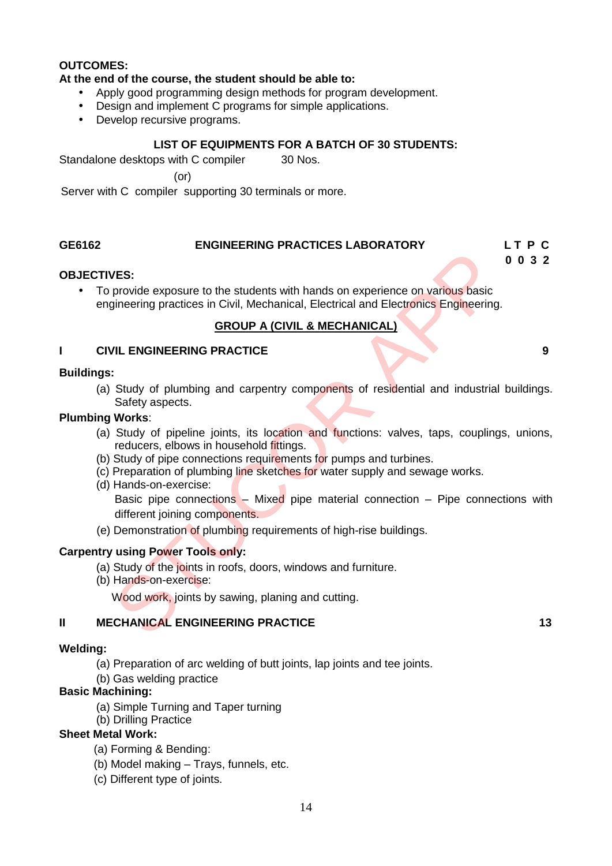#### **OUTCOMES:**

#### **At the end of the course, the student should be able to:**

- Apply good programming design methods for program development.
- Design and implement C programs for simple applications.
- Develop recursive programs.

#### **LIST OF EQUIPMENTS FOR A BATCH OF 30 STUDENTS:**

Standalone desktops with C compiler 30 Nos.

(or)

Server with C compiler supporting 30 terminals or more.

### **GE6162 ENGINEERING PRACTICES LABORATORY L T P C**

# **0 0 3 2**

#### **OBJECTIVES:**

 To provide exposure to the students with hands on experience on various basic engineering practices in Civil, Mechanical, Electrical and Electronics Engineering.

#### **GROUP A (CIVIL & MECHANICAL)**

#### **I CIVIL ENGINEERING PRACTICE 9**

#### **Buildings:**

(a) Study of plumbing and carpentry components of residential and industrial buildings. Safety aspects.

#### **Plumbing Works**:

- (a) Study of pipeline joints, its location and functions: valves, taps, couplings, unions, reducers, elbows in household fittings.
- (b) Study of pipe connections requirements for pumps and turbines.
- (c) Preparation of plumbing line sketches for water supply and sewage works.
- (d) Hands-on-exercise: Basic pipe connections – Mixed pipe material connection – Pipe connections with different joining components. VES:<br>
provide exposure to the students with hands on experience on various basic<br>
gineering practices in Civil, Mechanical, Electrical and Electronics Engineering<br>
GROUP A (CIVIL & MECHANICAL)<br>
VIL ENGINEERING PRACTICE<br>
:<br>
- (e) Demonstration of plumbing requirements of high-rise buildings.

#### **Carpentry using Power Tools only:**

- (a) Study of the joints in roofs, doors, windows and furniture.
- (b) Hands-on-exercise:

Wood work, joints by sawing, planing and cutting.

#### **II MECHANICAL ENGINEERING PRACTICE 13**

#### **Welding:**

- (a) Preparation of arc welding of butt joints, lap joints and tee joints.
- (b) Gas welding practice

#### **Basic Machining:**

- (a) Simple Turning and Taper turning
- (b) Drilling Practice

#### **Sheet Metal Work:**

- (a) Forming & Bending:
- (b) Model making Trays, funnels, etc.
- (c) Different type of joints.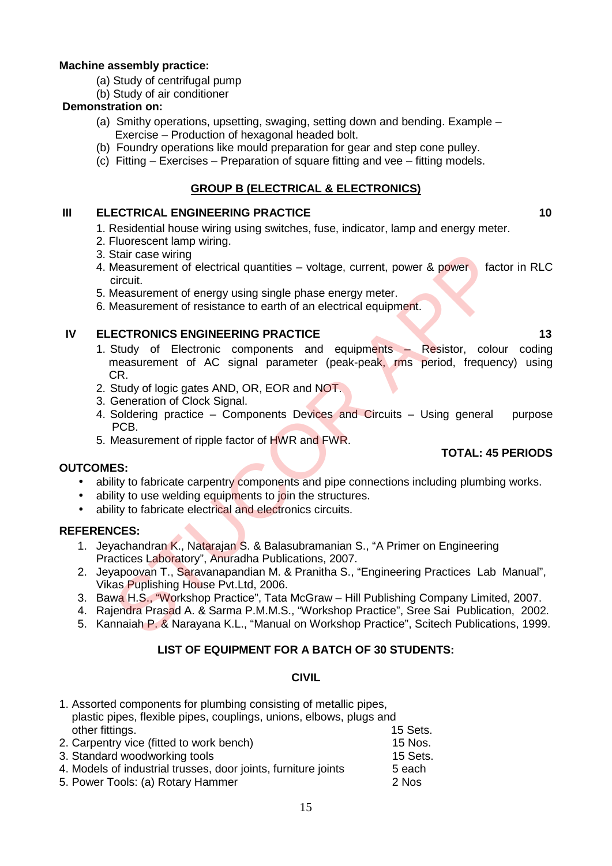#### **Machine assembly practice:**

- (a) Study of centrifugal pump
- (b) Study of air conditioner

#### **Demonstration on:**

- (a) Smithy operations, upsetting, swaging, setting down and bending. Example Exercise – Production of hexagonal headed bolt.
- (b) Foundry operations like mould preparation for gear and step cone pulley.
- (c) Fitting Exercises Preparation of square fitting and vee fitting models.

### **GROUP B (ELECTRICAL & ELECTRONICS)**

#### **III ELECTRICAL ENGINEERING PRACTICE 10**

- 1. Residential house wiring using switches, fuse, indicator, lamp and energy meter.
- 2. Fluorescent lamp wiring.
- 3. Stair case wiring
- 4. Measurement of electrical quantities voltage, current, power & power factor in RLC circuit.
- 5. Measurement of energy using single phase energy meter.
- 6. Measurement of resistance to earth of an electrical equipment.

#### **IV ELECTRONICS ENGINEERING PRACTICE 13**

- 1. Study of Electronic components and equipments Resistor, colour coding measurement of AC signal parameter (peak-peak, rms period, frequency) using CR. Stair case wiring<br>
Measurement of electrical quantities – voltage, current, power & power<br>
Ideasurement of electrical quantities – voltage, current, power & power<br>
Circuit.<br>
Measurement of energy using single phase energy
- 2. Study of logic gates AND, OR, EOR and NOT.
- 3. Generation of Clock Signal.
- 4. Soldering practice Components Devices and Circuits Using general purpose PCB.

5. Measurement of ripple factor of HWR and FWR.

#### **OUTCOMES:**

- ability to fabricate carpentry components and pipe connections including plumbing works.
- ability to use welding equipments to join the structures.
- ability to fabricate electrical and electronics circuits.

#### **REFERENCES:**

- 1. Jeyachandran K., Natarajan S. & Balasubramanian S., "A Primer on Engineering Practices Laboratory", Anuradha Publications, 2007.
- 2. Jeyapoovan T., Saravanapandian M. & Pranitha S., "Engineering Practices Lab Manual", Vikas Puplishing House Pvt.Ltd, 2006.
- 3. Bawa H.S., "Workshop Practice", Tata McGraw Hill Publishing Company Limited, 2007.
- 4. Rajendra Prasad A. & Sarma P.M.M.S., "Workshop Practice", Sree Sai Publication, 2002.
- 5. Kannaiah P. & Narayana K.L., "Manual on Workshop Practice", Scitech Publications, 1999.

### **LIST OF EQUIPMENT FOR A BATCH OF 30 STUDENTS:**

#### **CIVIL**

| 1. Assorted components for plumbing consisting of metallic pipes,   |          |
|---------------------------------------------------------------------|----------|
| plastic pipes, flexible pipes, couplings, unions, elbows, plugs and |          |
| other fittings.                                                     | 15 Sets. |
| 2. Carpentry vice (fitted to work bench)                            | 15 Nos.  |
| 3. Standard woodworking tools                                       | 15 Sets. |
| 4. Models of industrial trusses, door joints, furniture joints      | 5 each   |
| 5. Power Tools: (a) Rotary Hammer                                   | 2 Nos    |

**TOTAL: 45 PERIODS**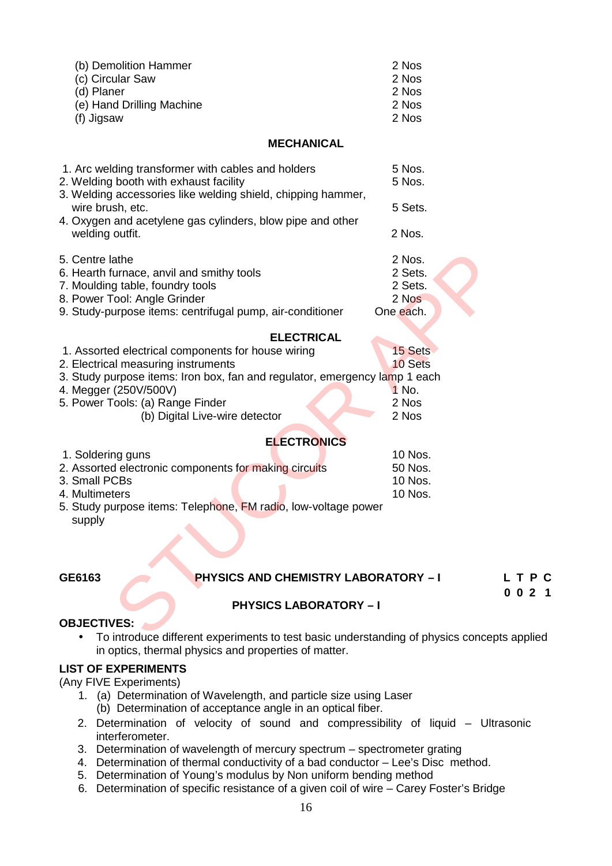| (b) Demolition Hammer<br>(c) Circular Saw<br>(d) Planer<br>(e) Hand Drilling Machine<br>(f) Jigsaw                                                                                                                                                                                          | 2 Nos<br>2 Nos<br>2 Nos<br>2 Nos<br>2 Nos          |
|---------------------------------------------------------------------------------------------------------------------------------------------------------------------------------------------------------------------------------------------------------------------------------------------|----------------------------------------------------|
| <b>MECHANICAL</b>                                                                                                                                                                                                                                                                           |                                                    |
| 1. Arc welding transformer with cables and holders<br>2. Welding booth with exhaust facility<br>3. Welding accessories like welding shield, chipping hammer,                                                                                                                                | 5 Nos.<br>5 Nos.                                   |
| wire brush, etc.<br>4. Oxygen and acetylene gas cylinders, blow pipe and other                                                                                                                                                                                                              | 5 Sets.                                            |
| welding outfit.                                                                                                                                                                                                                                                                             | 2 Nos.                                             |
| 5. Centre lathe<br>6. Hearth furnace, anvil and smithy tools<br>7. Moulding table, foundry tools<br>8. Power Tool: Angle Grinder<br>9. Study-purpose items: centrifugal pump, air-conditioner                                                                                               | 2 Nos.<br>2 Sets.<br>2 Sets.<br>2 Nos<br>One each. |
| <b>ELECTRICAL</b><br>1. Assorted electrical components for house wiring<br>2. Electrical measuring instruments<br>3. Study purpose items: Iron box, fan and regulator, emergency lamp 1 each<br>4. Megger (250V/500V)<br>5. Power Tools: (a) Range Finder<br>(b) Digital Live-wire detector | 15 Sets<br>10 Sets<br>1 No.<br>2 Nos<br>2 Nos      |
| <b>ELECTRONICS</b>                                                                                                                                                                                                                                                                          |                                                    |
| 1. Soldering guns<br>2. Assorted electronic components for making circuits<br>3. Small PCBs<br>4. Multimeters<br>5. Study purpose items: Telephone, FM radio, low-voltage power<br>supply                                                                                                   | 10 Nos.<br>50 Nos.<br>10 Nos.<br>10 Nos.           |
|                                                                                                                                                                                                                                                                                             |                                                    |
| <b>PHYSICS AND CHEMISTRY LABORATORY - I</b>                                                                                                                                                                                                                                                 |                                                    |
| GE6163                                                                                                                                                                                                                                                                                      |                                                    |
| <b>PHYSICS LABORATORY - I</b><br><b>OBJECTIVES:</b>                                                                                                                                                                                                                                         |                                                    |
| To introduce different experiments to test basic understanding of physics concep-                                                                                                                                                                                                           |                                                    |

| 1. Assorted electrical components for house wiring                         | 15 Sets |
|----------------------------------------------------------------------------|---------|
| 2. Electrical measuring instruments                                        | 10 Sets |
| 3. Study purpose items: Iron box, fan and regulator, emergency lamp 1 each |         |
| 4. Megger (250V/500V)                                                      | 1 No.   |
| 5. Power Tools: (a) Range Finder                                           | 2 Nos   |
| (b) Digital Live-wire detector                                             | 2 Nos   |

#### **ELECTRONICS**

| 1. Soldering guns                                              |  | 10 Nos.   |
|----------------------------------------------------------------|--|-----------|
| 2. Assorted electronic components for making circuits          |  | 50 Nos.   |
| 3. Small PCBs                                                  |  | $10$ Nos. |
| 4. Multimeters                                                 |  | $10$ Nos. |
| 5. Study purpose items: Telephone, FM radio, low-voltage power |  |           |

#### **GE6163 PHYSICS AND CHEMISTRY LABORATORY – I L T P C**

**0 0 2 1**

### **PHYSICS LABORATORY – I**

#### **OBJECTIVES:**

 To introduce different experiments to test basic understanding of physics concepts applied in optics, thermal physics and properties of matter.

#### **LIST OF EXPERIMENTS**

(Any FIVE Experiments)

- 1. (a) Determination of Wavelength, and particle size using Laser (b) Determination of acceptance angle in an optical fiber.
- 2. Determination of velocity of sound and compressibility of liquid Ultrasonic interferometer.
- 3. Determination of wavelength of mercury spectrum spectrometer grating
- 4. Determination of thermal conductivity of a bad conductor Lee's Disc method.
- 5. Determination of Young's modulus by Non uniform bending method
- 6. Determination of specific resistance of a given coil of wire Carey Foster's Bridge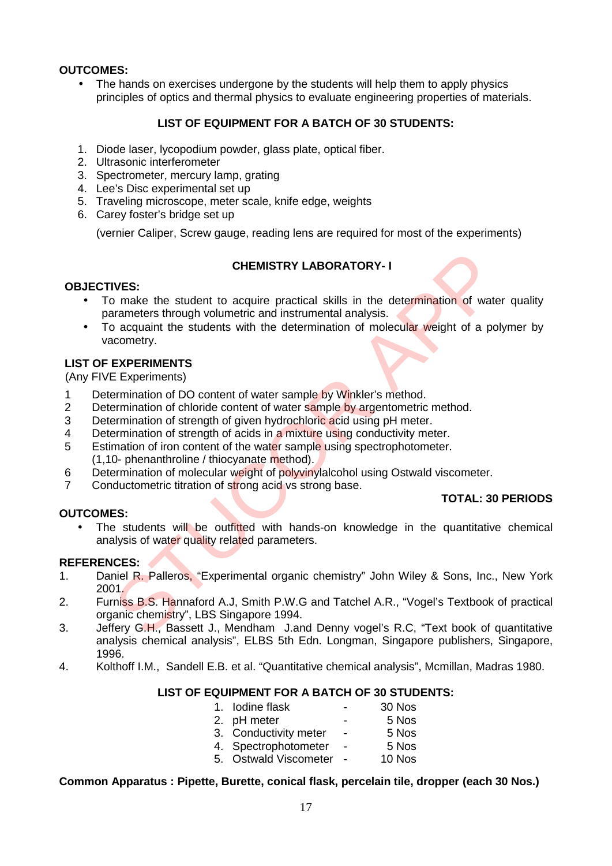#### **OUTCOMES:**

• The hands on exercises undergone by the students will help them to apply physics principles of optics and thermal physics to evaluate engineering properties of materials.

#### **LIST OF EQUIPMENT FOR A BATCH OF 30 STUDENTS:**

- 1. Diode laser, lycopodium powder, glass plate, optical fiber.
- 2. Ultrasonic interferometer
- 3. Spectrometer, mercury lamp, grating
- 4. Lee's Disc experimental set up
- 5. Traveling microscope, meter scale, knife edge, weights
- 6. Carey foster's bridge set up

(vernier Caliper, Screw gauge, reading lens are required for most of the experiments)

#### **CHEMISTRY LABORATORY- I**

#### **OBJECTIVES:**

- To make the student to acquire practical skills in the determination of water quality parameters through volumetric and instrumental analysis. **CHEMISTRY LABORATORY-1**<br>
THEMISTRY LABORATORY-1<br>
Transmeters through volumetric and instrumental analysis.<br>
The determination of wate<br>
accomptive and instrumental analysis.<br>
EXPERIMENTS<br>
EXPERIMENTS<br>
EXPERIMENTS<br>
EXPERIME
- To acquaint the students with the determination of molecular weight of a polymer by vacometry.

#### **LIST OF EXPERIMENTS**

(Any FIVE Experiments)

- 1 Determination of DO content of water sample by Winkler's method.
- 2 Determination of chloride content of water sample by argentometric method.
- 3 Determination of strength of given hydrochloric acid using pH meter.<br>4 Determination of strength of acids in a mixture using conductivity met
- 4 Determination of strength of acids in a mixture using conductivity meter.<br>5 Estimation of iron content of the water sample using spectrophotometer.
- Estimation of iron content of the water sample using spectrophotometer. (1,10- phenanthroline / thiocyanate method).
- 6 Determination of molecular weight of polyvinylalcohol using Ostwald viscometer.
- 7 Conductometric titration of strong acid vs strong base.

### **TOTAL: 30 PERIODS**

• The students will be outfitted with hands-on knowledge in the quantitative chemical analysis of water quality related parameters.

#### **REFERENCES:**

**OUTCOMES:**

- 1. Daniel R. Palleros, "Experimental organic chemistry" John Wiley & Sons, Inc., New York 2001.
- 2. Furniss B.S. Hannaford A.J, Smith P.W.G and Tatchel A.R., "Vogel's Textbook of practical organic chemistry", LBS Singapore 1994.
- 3. Jeffery G.H., Bassett J., Mendham J.and Denny vogel's R.C, "Text book of quantitative analysis chemical analysis", ELBS 5th Edn. Longman, Singapore publishers, Singapore, 1996.
- 4. Kolthoff I.M., Sandell E.B. et al. "Quantitative chemical analysis", Mcmillan, Madras 1980.

#### **LIST OF EQUIPMENT FOR A BATCH OF 30 STUDENTS:**

| 1. Iodine flask   | 30 Nos            |
|-------------------|-------------------|
| $\Omega$ nU motor | E N <sub>oo</sub> |

- 2. pH meter 5 Nos
- 3. Conductivity meter 5 Nos
- 4. Spectrophotometer 5 Nos
- 5. Ostwald Viscometer 10 Nos

#### **Common Apparatus : Pipette, Burette, conical flask, percelain tile, dropper (each 30 Nos.)**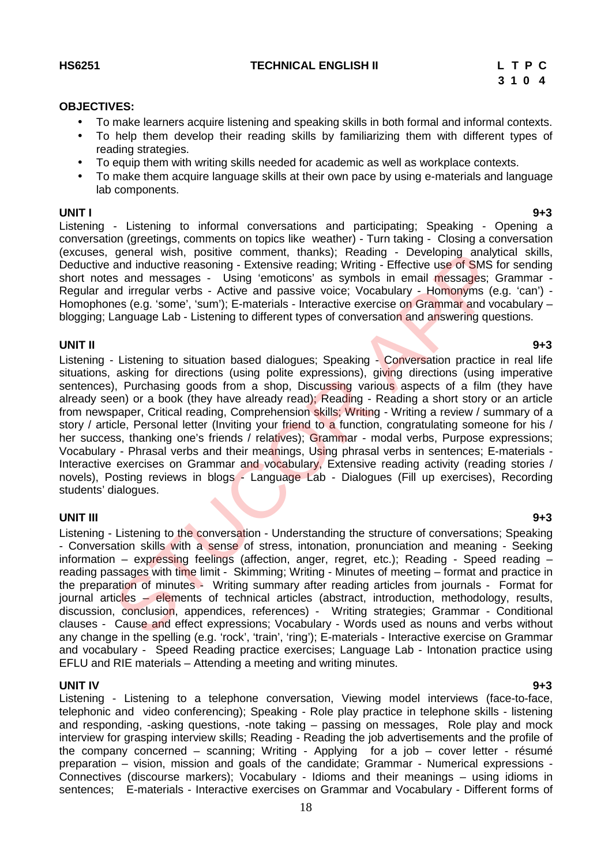#### **OBJECTIVES:**

- To make learners acquire listening and speaking skills in both formal and informal contexts.
- To help them develop their reading skills by familiarizing them with different types of reading strategies.
- To equip them with writing skills needed for academic as well as workplace contexts.
- To make them acquire language skills at their own pace by using e-materials and language lab components.

**UNIT I 9+3** Listening - Listening to informal conversations and participating; Speaking - Opening a conversation (greetings, comments on topics like weather) - Turn taking - Closing a conversation (excuses, general wish, positive comment, thanks); Reading - Developing analytical skills, Deductive and inductive reasoning - Extensive reading; Writing - Effective use of SMS for sending short notes and messages - Using 'emoticons' as symbols in email messages; Grammar -Regular and irregular verbs - Active and passive voice; Vocabulary - Homonyms (e.g. 'can') - Homophones (e.g. 'some', 'sum'); E-materials - Interactive exercise on Grammar and vocabulary blogging; Language Lab - Listening to different types of conversation and answering questions.

#### **UNIT II 9+3**

Listening - Listening to situation based dialogues; Speaking - Conversation practice in real life situations, asking for directions (using polite expressions), giving directions (using imperative sentences), Purchasing goods from a shop, Discussing various aspects of a film (they have already seen) or a book (they have already read); Reading - Reading a short story or an article from newspaper, Critical reading, Comprehension skills; Writing - Writing a review / summary of a story / article, Personal letter (Inviting your friend to a function, congratulating someone for his / her success, thanking one's friends / relatives); Grammar - modal verbs, Purpose expressions; Vocabulary - Phrasal verbs and their meanings, Using phrasal verbs in sentences; E-materials -Interactive exercises on Grammar and vocabulary, Extensive reading activity (reading stories / novels), Posting reviews in blogs - Language Lab - Dialogues (Fill up exercises), Recording students' dialogues. general wish, positive comment, thanks); Reading - Developing analyish, ending<br>and inductive reasoning - Extensive reading: Writing - Effective use of SMS fission and messages - Using 'emoticons' as symbols in email messag

**UNIT III 9+3** Listening - Listening to the conversation - Understanding the structure of conversations; Speaking - Conversation skills with a sense of stress, intonation, pronunciation and meaning - Seeking information – expressing feelings (affection, anger, regret, etc.); Reading - Speed reading – reading passages with time limit - Skimming; Writing - Minutes of meeting – format and practice in the preparation of minutes - Writing summary after reading articles from journals - Format for journal articles – elements of technical articles (abstract, introduction, methodology, results, discussion, conclusion, appendices, references) - Writing strategies; Grammar - Conditional clauses - Cause and effect expressions; Vocabulary - Words used as nouns and verbs without any change in the spelling (e.g. 'rock', 'train', 'ring'); E-materials - Interactive exercise on Grammar and vocabulary - Speed Reading practice exercises; Language Lab - Intonation practice using EFLU and RIE materials – Attending a meeting and writing minutes.

**UNIT IV 9+3** Listening - Listening to a telephone conversation, Viewing model interviews (face-to-face, telephonic and video conferencing); Speaking - Role play practice in telephone skills - listening and responding, -asking questions, -note taking – passing on messages, Role play and mock interview for grasping interview skills; Reading - Reading the job advertisements and the profile of the company concerned – scanning; Writing - Applying for a job – cover letter - résumé preparation – vision, mission and goals of the candidate; Grammar - Numerical expressions - Connectives (discourse markers); Vocabulary - Idioms and their meanings – using idioms in sentences; E-materials - Interactive exercises on Grammar and Vocabulary - Different forms of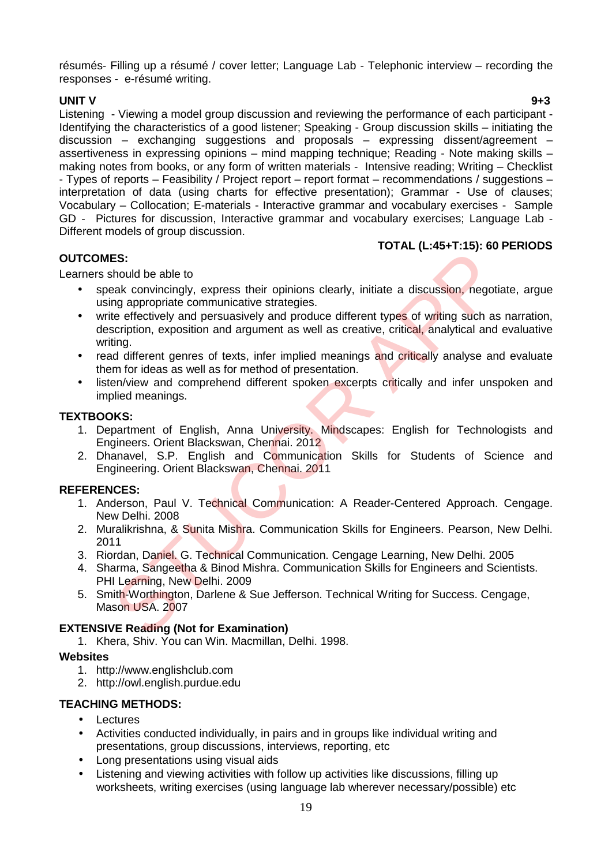résumés- Filling up a résumé / cover letter; Language Lab - Telephonic interview – recording the responses - e-résumé writing.

**UNIT V 9+3** Listening - Viewing a model group discussion and reviewing the performance of each participant - Identifying the characteristics of a good listener; Speaking - Group discussion skills – initiating the discussion – exchanging suggestions and proposals – expressing dissent/agreement – assertiveness in expressing opinions – mind mapping technique; Reading - Note making skills – making notes from books, or any form of written materials - Intensive reading; Writing – Checklist - Types of reports – Feasibility / Project report – report format – recommendations / suggestions – interpretation of data (using charts for effective presentation); Grammar - Use of clauses; Vocabulary – Collocation; E-materials - Interactive grammar and vocabulary exercises - Sample GD - Pictures for discussion, Interactive grammar and vocabulary exercises; Language Lab - Different models of group discussion.

#### **OUTCOMES:**

#### **TOTAL (L:45+T:15): 60 PERIODS**

Learners should be able to

- speak convincingly, express their opinions clearly, initiate a discussion, negotiate, argue using appropriate communicative strategies.
- write effectively and persuasively and produce different types of writing such as narration, description, exposition and argument as well as creative, critical, analytical and evaluative writing. ES:<br>
Simula be able to<br>
Simula be able to<br>
Simula be able to<br>
the discussion, negoting appropriate communicative strategies.<br>
Let effectively and persuasively and produce different types of writing such as<br>
scription, expo
- read different genres of texts, infer implied meanings and critically analyse and evaluate them for ideas as well as for method of presentation.
- listen/view and comprehend different spoken excerpts critically and infer unspoken and implied meanings.

#### **TEXTBOOKS:**

- 1. Department of English, Anna University. Mindscapes: English for Technologists and Engineers. Orient Blackswan, Chennai. 2012
- 2. Dhanavel, S.P. English and Communication Skills for Students of Science and Engineering. Orient Blackswan, Chennai. 2011

#### **REFERENCES:**

- 1. Anderson, Paul V. Technical Communication: A Reader-Centered Approach. Cengage. New Delhi. 2008
- 2. Muralikrishna, & Sunita Mishra. Communication Skills for Engineers. Pearson, New Delhi. 2011
- 3. Riordan, Daniel. G. Technical Communication. Cengage Learning, New Delhi. 2005
- 4. Sharma, Sangeetha & Binod Mishra. Communication Skills for Engineers and Scientists. PHI Learning, New Delhi. 2009
- 5. Smith-Worthington, Darlene & Sue Jefferson. Technical Writing for Success. Cengage, Mason USA. 2007

#### **EXTENSIVE Reading (Not for Examination)**

1. Khera, Shiv. You can Win. Macmillan, Delhi. 1998.

#### **Websites**

- 1. http://www.englishclub.com
- 2. http://owl.english.purdue.edu

### **TEACHING METHODS:**

- Lectures
- Activities conducted individually, in pairs and in groups like individual writing and presentations, group discussions, interviews, reporting, etc
- Long presentations using visual aids
- Listening and viewing activities with follow up activities like discussions, filling up worksheets, writing exercises (using language lab wherever necessary/possible) etc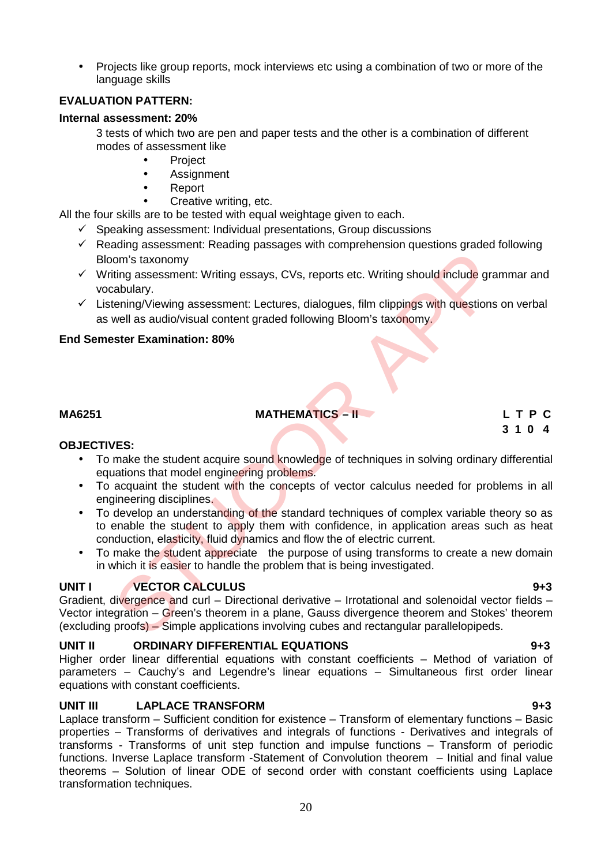• Projects like group reports, mock interviews etc using a combination of two or more of the language skills

#### **EVALUATION PATTERN:**

#### **Internal assessment: 20%**

3 tests of which two are pen and paper tests and the other is a combination of different modes of assessment like

- Project
- Assignment
- Report
- Creative writing, etc.

All the four skills are to be tested with equal weightage given to each.

- $\checkmark$  Speaking assessment: Individual presentations, Group discussions
- $\checkmark$  Reading assessment: Reading passages with comprehension questions graded following Bloom's taxonomy
- $\checkmark$  Writing assessment: Writing essays, CVs, reports etc. Writing should include grammar and vocabulary.
- $\checkmark$  Listening/Viewing assessment: Lectures, dialogues, film clippings with questions on verbal as well as audio/visual content graded following Bloom's taxonomy.

#### **End Semester Examination: 80%**

### **MA6251 MATHEMATICS – II L T P C**

# **3 1 0 4**

#### **OBJECTIVES:**

- To make the student acquire sound knowledge of techniques in solving ordinary differential equations that model engineering problems.
- To acquaint the student with the concepts of vector calculus needed for problems in all engineering disciplines.
- To develop an understanding of the standard techniques of complex variable theory so as to enable the student to apply them with confidence, in application areas such as heat conduction, elasticity, fluid dynamics and flow the of electric current. Norm's taxonomy<br>
Som's taxonomy<br>
Strangence and CVI (Witting essays, CVs, reports etc. Writing should include gra<br>
State tening/Viewing assessment: Lectures, dialogues, film clippings with questions<br>
well as audio/visual c
- To make the student appreciate the purpose of using transforms to create a new domain in which it is easier to handle the problem that is being investigated.

#### **UNIT I VECTOR CALCULUS 9+3**

Gradient, divergence and curl – Directional derivative – Irrotational and solenoidal vector fields – Vector integration – Green's theorem in a plane, Gauss divergence theorem and Stokes' theorem (excluding proofs) – Simple applications involving cubes and rectangular parallelopipeds.

#### **UNIT II ORDINARY DIFFERENTIAL EQUATIONS 9+3**

Higher order linear differential equations with constant coefficients – Method of variation of parameters – Cauchy's and Legendre's linear equations – Simultaneous first order linear equations with constant coefficients.

#### **UNIT III LAPLACE TRANSFORM 9+3**

Laplace transform – Sufficient condition for existence – Transform of elementary functions – Basic properties – Transforms of derivatives and integrals of functions - Derivatives and integrals of transforms - Transforms of unit step function and impulse functions – Transform of periodic functions. Inverse Laplace transform -Statement of Convolution theorem – Initial and final value theorems – Solution of linear ODE of second order with constant coefficients using Laplace transformation techniques.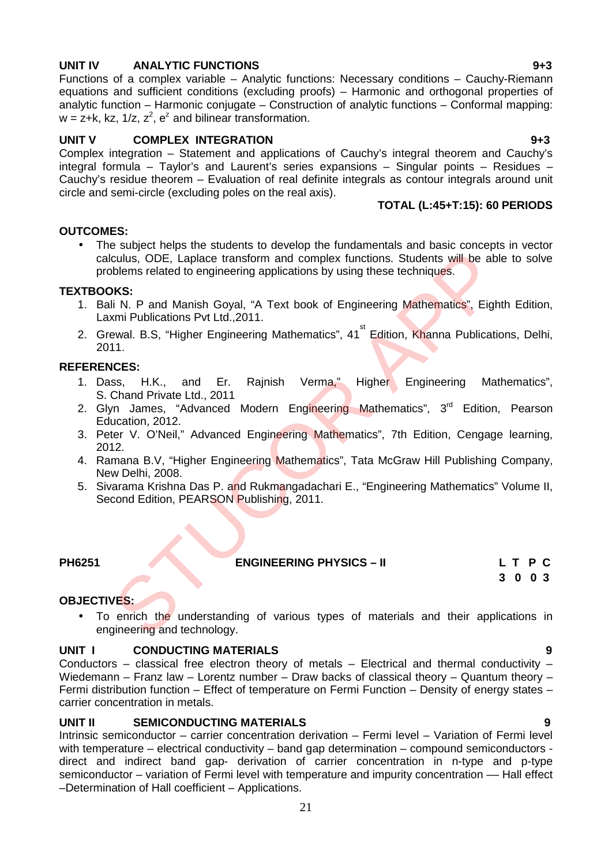#### **UNIT IV ANALYTIC FUNCTIONS 9+3**

Functions of a complex variable – Analytic functions: Necessary conditions – Cauchy-Riemann equations and sufficient conditions (excluding proofs) – Harmonic and orthogonal properties of analytic function – Harmonic conjugate – Construction of analytic functions – Conformal mapping:  $w = z + k$ , kz, 1/z,  $z^2$ ,  $e^z$  and bilinear transformation.

#### **UNIT V COMPLEX INTEGRATION 9+3**

Complex integration – Statement and applications of Cauchy's integral theorem and Cauchy's integral formula – Taylor's and Laurent's series expansions – Singular points – Residues – Cauchy's residue theorem – Evaluation of real definite integrals as contour integrals around unit circle and semi-circle (excluding poles on the real axis).

#### **TOTAL (L:45+T:15): 60 PERIODS**

#### **OUTCOMES:**

 The subject helps the students to develop the fundamentals and basic concepts in vector calculus, ODE, Laplace transform and complex functions. Students will be able to solve problems related to engineering applications by using these techniques. culus, ODE, Laplace transform and complex functions. Students will be ab-<br>culus, ODE, Laplace transform and complex functions. Students will be ab-<br>
NKS:<br>
II N. P and Manish Goyal, "A Text book of Engineering Mathematics",

#### **TEXTBOOKS:**

- 1. Bali N. P and Manish Goyal, "A Text book of Engineering Mathematics", Eighth Edition, Laxmi Publications Pvt Ltd.,2011.
- 2. Grewal. B.S, "Higher Engineering Mathematics", 41<sup>st</sup> Edition, Khanna Publications, Delhi, 2011.

#### **REFERENCES:**

- 1. Dass, H.K., and Er. Rajnish Verma," Higher Engineering Mathematics", S. Chand Private Ltd., 2011
- 2. Glyn James, "Advanced Modern Engineering Mathematics", 3<sup>rd</sup> Edition, Pearson Education, 2012.
- 3. Peter V. O'Neil," Advanced Engineering Mathematics", 7th Edition, Cengage learning, 2012.
- 4. Ramana B.V, "Higher Engineering Mathematics", Tata McGraw Hill Publishing Company, New Delhi, 2008.
- 5. Sivarama Krishna Das P. and Rukmangadachari E., "Engineering Mathematics" Volume II, Second Edition, PEARSON Publishing, 2011.

**PH6251 ENGINEERING PHYSICS – II L T P C**

**3 0 0 3**

#### **OBJECTIVES:**

• To enrich the understanding of various types of materials and their applications in engineering and technology.

#### **UNIT I CONDUCTING MATERIALS 9**

Conductors – classical free electron theory of metals – Electrical and thermal conductivity – Wiedemann – Franz law – Lorentz number – Draw backs of classical theory – Quantum theory – Fermi distribution function – Effect of temperature on Fermi Function – Density of energy states – carrier concentration in metals.

#### **UNIT II SEMICONDUCTING MATERIALS 9**

Intrinsic semiconductor – carrier concentration derivation – Fermi level – Variation of Fermi level with temperature – electrical conductivity – band gap determination – compound semiconductors direct and indirect band gap- derivation of carrier concentration in n-type and p-type semiconductor – variation of Fermi level with temperature and impurity concentration — Hall effect –Determination of Hall coefficient – Applications.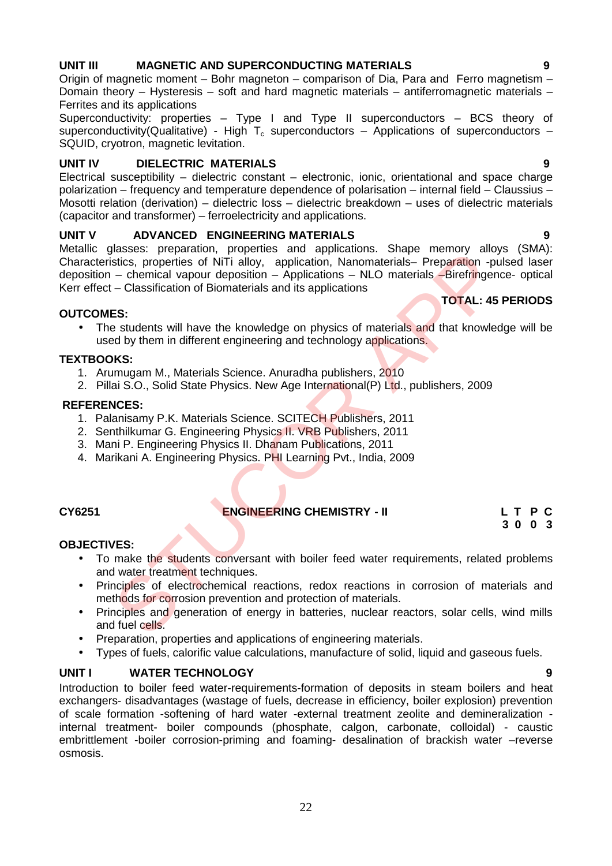#### **UNIT III MAGNETIC AND SUPERCONDUCTING MATERIALS 9**

Origin of magnetic moment – Bohr magneton – comparison of Dia, Para and Ferro magnetism – Domain theory – Hysteresis – soft and hard magnetic materials – antiferromagnetic materials – Ferrites and its applications

Superconductivity: properties – Type I and Type II superconductors – BCS theory of superconductivity(Qualitative) - High  $T_c$  superconductors – Applications of superconductors – SQUID, cryotron, magnetic levitation.

#### **UNIT IV DIELECTRIC MATERIALS 9**

Electrical susceptibility – dielectric constant – electronic, ionic, orientational and space charge polarization – frequency and temperature dependence of polarisation – internal field – Claussius – Mosotti relation (derivation) – dielectric loss – dielectric breakdown – uses of dielectric materials (capacitor and transformer) – ferroelectricity and applications.

#### **UNIT V ADVANCED ENGINEERING MATERIALS 9**

Metallic glasses: preparation, properties and applications. Shape memory alloys (SMA): Characteristics, properties of NiTi alloy, application, Nanomaterials– Preparation -pulsed laser deposition – chemical vapour deposition – Applications – NLO materials – Birefringence- optical Kerr effect – Classification of Biomaterials and its applications Statistics, preparation, properties of NIT1 alloy, application, Nanomaterials—Preparation -piercel - chemical vapour deposition - Applications - NLO materials - Breezration of Biomaterials and its applications - NLO materi

#### **OUTCOMES:**

• The students will have the knowledge on physics of materials and that knowledge will be used by them in different engineering and technology applications.

#### **TEXTBOOKS:**

- 1. Arumugam M., Materials Science. Anuradha publishers, 2010
- 2. Pillai S.O., Solid State Physics. New Age International(P) Ltd., publishers, 2009

#### **REFERENCES:**

- 1. Palanisamy P.K. Materials Science. SCITECH Publishers, 2011
- 2. Senthilkumar G. Engineering Physics II. VRB Publishers, 2011
- 3. Mani P. Engineering Physics II. Dhanam Publications, 2011
- 4. Marikani A. Engineering Physics. PHI Learning Pvt., India, 2009.

#### **CY6251 ENGINEERING CHEMISTRY - II L T P C**

**3 0 0 3**

**TOTAL: 45 PERIODS**

#### **OBJECTIVES:**

- To make the students conversant with boiler feed water requirements, related problems and water treatment techniques.
- Principles of electrochemical reactions, redox reactions in corrosion of materials and methods for corrosion prevention and protection of materials.
- Principles and generation of energy in batteries, nuclear reactors, solar cells, wind mills and fuel cells.
- Preparation, properties and applications of engineering materials.
- Types of fuels, calorific value calculations, manufacture of solid, liquid and gaseous fuels.

#### **UNIT I WATER TECHNOLOGY 9**

Introduction to boiler feed water-requirements-formation of deposits in steam boilers and heat exchangers- disadvantages (wastage of fuels, decrease in efficiency, boiler explosion) prevention of scale formation -softening of hard water -external treatment zeolite and demineralization internal treatment- boiler compounds (phosphate, calgon, carbonate, colloidal) - caustic embrittlement -boiler corrosion-priming and foaming- desalination of brackish water –reverse osmosis.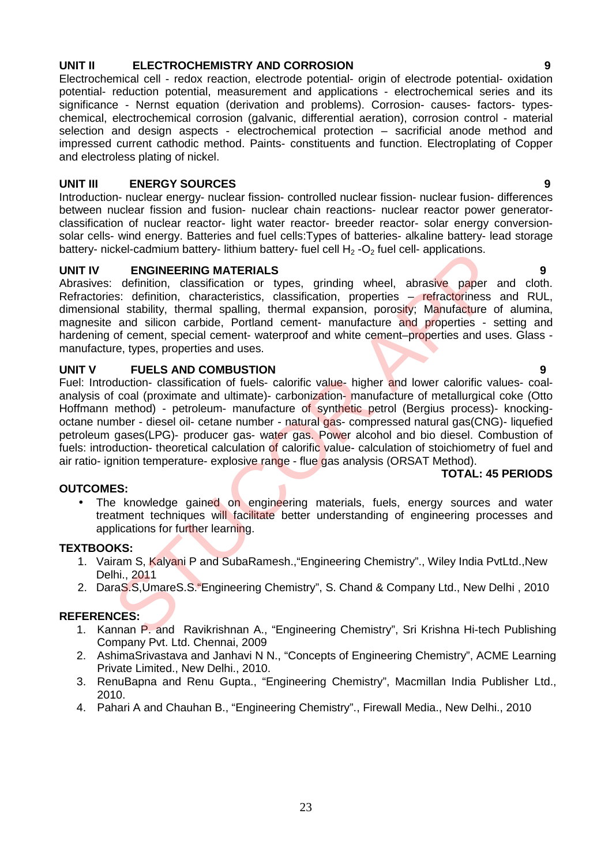#### **UNIT II ELECTROCHEMISTRY AND CORROSION 9**

Electrochemical cell - redox reaction, electrode potential- origin of electrode potential- oxidation potential- reduction potential, measurement and applications - electrochemical series and its significance - Nernst equation (derivation and problems). Corrosion- causes- factors- types chemical, electrochemical corrosion (galvanic, differential aeration), corrosion control - material selection and design aspects - electrochemical protection – sacrificial anode method and impressed current cathodic method. Paints- constituents and function. Electroplating of Copper and electroless plating of nickel.

#### **UNIT III ENERGY SOURCES 9**

Introduction- nuclear energy- nuclear fission- controlled nuclear fission- nuclear fusion- differences between nuclear fission and fusion- nuclear chain reactions- nuclear reactor power generator classification of nuclear reactor- light water reactor- breeder reactor- solar energy conversion solar cells- wind energy. Batteries and fuel cells:Types of batteries- alkaline battery- lead storage battery- nickel-cadmium battery- lithium battery- fuel cell  $H_2$ -O<sub>2</sub> fuel cell- applications.

#### **UNIT IV ENGINEERING MATERIALS 9**

Abrasives: definition, classification or types, grinding wheel, abrasive paper and cloth. Refractories: definition, characteristics, classification, properties – refractoriness and RUL, dimensional stability, thermal spalling, thermal expansion, porosity; Manufacture of alumina, magnesite and silicon carbide, Portland cement- manufacture and properties - setting and hardening of cement, special cement- waterproof and white cement–properties and uses. Glass manufacture, types, properties and uses.

#### **UNIT V FUELS AND COMBUSTION 9**

Fuel: Introduction- classification of fuels- calorific value- higher and lower calorific values- coal analysis of coal (proximate and ultimate)- carbonization- manufacture of metallurgical coke (Otto Hoffmann method) - petroleum- manufacture of synthetic petrol (Bergius process)- knocking octane number - diesel oil- cetane number - natural gas- compressed natural gas(CNG)- liquefied petroleum gases(LPG)- producer gas- water gas. Power alcohol and bio diesel. Combustion of fuels: introduction- theoretical calculation of calorific value- calculation of stoichiometry of fuel and air ratio- ignition temperature- explosive range - flue gas analysis (ORSAT Method). ENGIFIERING MATERIALS<br>
ENGIFIERING MATERIALS<br>
Enfinition, characteristics, classification, properties – refractoriness<br>
and stability, thermal spalling, thermal expansion, properties – refractoriness<br>
and stability, therma

#### **TOTAL: 45 PERIODS**

#### **OUTCOMES:**

• The knowledge gained on engineering materials, fuels, energy sources and water treatment techniques will facilitate better understanding of engineering processes and applications for further learning.

#### **TEXTBOOKS:**

- 1. Vairam S, Kalyani P and SubaRamesh.,"Engineering Chemistry"., Wiley India PvtLtd.,New Delhi., 2011
- 2. DaraS.S, UmareS.S. "Engineering Chemistry", S. Chand & Company Ltd., New Delhi, 2010

- 1. Kannan P. and Ravikrishnan A., "Engineering Chemistry", Sri Krishna Hi-tech Publishing Company Pvt. Ltd. Chennai, 2009
- 2. AshimaSrivastava and Janhavi N N., "Concepts of Engineering Chemistry", ACME Learning Private Limited., New Delhi., 2010.
- 3. RenuBapna and Renu Gupta., "Engineering Chemistry", Macmillan India Publisher Ltd., 2010.
- 4. Pahari A and Chauhan B., "Engineering Chemistry"., Firewall Media., New Delhi., 2010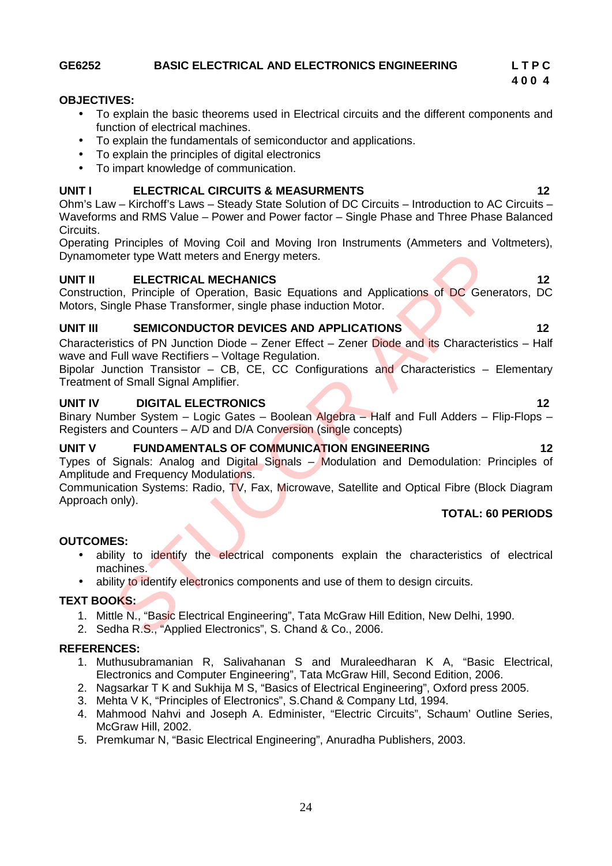#### **GE6252 BASIC ELECTRICAL AND ELECTRONICS ENGINEERING L T P C**

#### **OBJECTIVES:**

- To explain the basic theorems used in Electrical circuits and the different components and function of electrical machines.
- To explain the fundamentals of semiconductor and applications.
- To explain the principles of digital electronics
- To impart knowledge of communication.

#### **UNIT I ELECTRICAL CIRCUITS & MEASURMENTS 12**

Ohm's Law – Kirchoff's Laws – Steady State Solution of DC Circuits – Introduction to AC Circuits – Waveforms and RMS Value – Power and Power factor – Single Phase and Three Phase Balanced Circuits.

Operating Principles of Moving Coil and Moving Iron Instruments (Ammeters and Voltmeters), Dynamometer type Watt meters and Energy meters.

#### **UNIT II ELECTRICAL MECHANICS 12**

Construction, Principle of Operation, Basic Equations and Applications of DC Generators, DC Motors, Single Phase Transformer, single phase induction Motor.

#### **UNIT III SEMICONDUCTOR DEVICES AND APPLICATIONS 12**

Characteristics of PN Junction Diode – Zener Effect – Zener Diode and its Characteristics – Half wave and Full wave Rectifiers – Voltage Regulation.

Bipolar Junction Transistor – CB,  $\overline{C}E$ , CC Configurations and Characteristics – Elementary Treatment of Small Signal Amplifier.

#### **UNIT IV DIGITAL ELECTRONICS 12**

Binary Number System – Logic Gates – Boolean Algebra – Half and Full Adders – Flip-Flops – Registers and Counters – A/D and D/A Conversion (single concepts)

### **UNIT V FUNDAMENTALS OF COMMUNICATION ENGINEERING 12**

Types of Signals: Analog and Digital Signals – Modulation and Demodulation: Principles of Amplitude and Frequency Modulations. eter type Watt meters and Energy meters.<br> **ELECTRICAL MECHANICS**<br>
on, Principle of Operation, Basic Equations and Applications of DC Gene<br>
ongle Phase Transformer, single phase induction Motor.<br> **SEMICONDUCTOR DEVICES AND** 

Communication Systems: Radio, TV, Fax, Microwave, Satellite and Optical Fibre (Block Diagram Approach only).

### **TOTAL: 60 PERIODS**

#### **OUTCOMES:**

- ability to identify the electrical components explain the characteristics of electrical machines.
- ability to identify electronics components and use of them to design circuits.

#### **TEXT BOOKS:**

- 1. Mittle N., "Basic Electrical Engineering", Tata McGraw Hill Edition, New Delhi, 1990.
- 2. Sedha R.S., "Applied Electronics", S. Chand & Co., 2006.

- 1. Muthusubramanian R, Salivahanan S and Muraleedharan K A, "Basic Electrical, Electronics and Computer Engineering", Tata McGraw Hill, Second Edition, 2006.
- 2. Nagsarkar T K and Sukhija M S, "Basics of Electrical Engineering", Oxford press 2005.
- 3. Mehta V K, "Principles of Electronics", S.Chand & Company Ltd, 1994.
- 4. Mahmood Nahvi and Joseph A. Edminister, "Electric Circuits", Schaum' Outline Series, McGraw Hill, 2002.
- 5. Premkumar N, "Basic Electrical Engineering", Anuradha Publishers, 2003.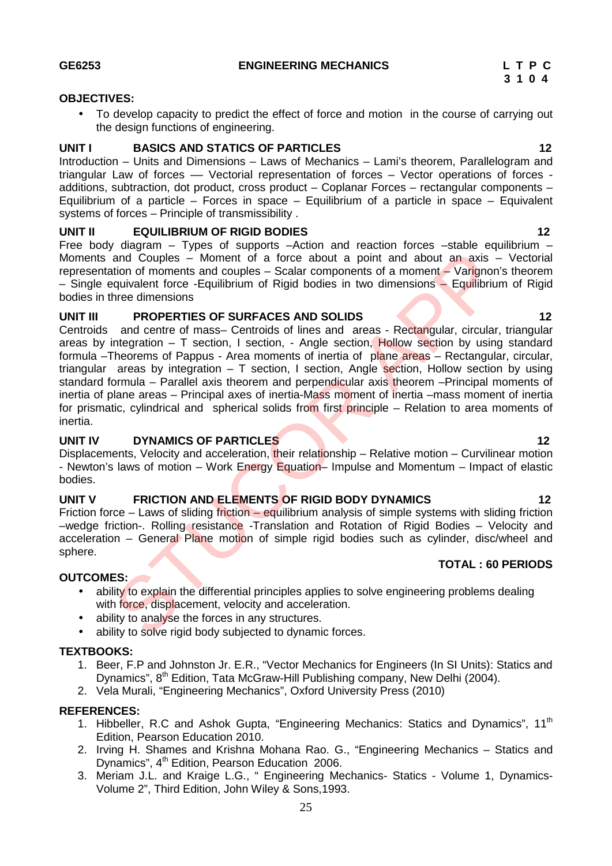#### **OBJECTIVES:**

• To develop capacity to predict the effect of force and motion in the course of carrying out the design functions of engineering.

#### **UNIT I BASICS AND STATICS OF PARTICLES 12**

Introduction – Units and Dimensions – Laws of Mechanics – Lami's theorem, Parallelogram and triangular Law of forces –– Vectorial representation of forces – Vector operations of forces additions, subtraction, dot product, cross product – Coplanar Forces – rectangular components – Equilibrium of a particle – Forces in space – Equilibrium of a particle in space – Equivalent systems of forces – Principle of transmissibility .

#### **UNIT II EQUILIBRIUM OF RIGID BODIES 12**

Free body diagram – Types of supports –Action and reaction forces –stable equilibrium – Moments and Couples – Moment of a force about a point and about an axis – Vectorial representation of moments and couples - Scalar components of a moment - Varignon's theorem – Single equivalent force -Equilibrium of Rigid bodies in two dimensions – Equilibrium of Rigid bodies in three dimensions

#### **UNIT III PROPERTIES OF SURFACES AND SOLIDS 12**

Centroids and centre of mass– Centroids of lines and areas - Rectangular, circular, triangular areas by integration  $-$  T section, I section,  $-$  Angle section, Hollow section by using standard formula –Theorems of Pappus - Area moments of inertia of plane areas – Rectangular, circular, triangular areas by integration  $-$  T section, I section, Angle section, Hollow section by using standard formula – Parallel axis theorem and perpendicular axis theorem –Principal moments of inertia of plane areas – Principal axes of inertia-Mass moment of inertia –mass moment of inertia for prismatic, cylindrical and spherical solids from first principle – Relation to area moments of inertia. and Couples -- Moment of a force about a point and about an axis<br>
and Couples -- Moment of a force about a point and about an axis<br>
arguivalent force -Equilibrium of Rigid bodies in two dimensions -- Equilibrium<br>
and coupl

#### **UNIT IV DYNAMICS OF PARTICLES 12**

Displacements, Velocity and acceleration, their relationship – Relative motion – Curvilinear motion - Newton's laws of motion – Work Energy Equation– Impulse and Momentum – Impact of elastic bodies.

#### **UNIT V FRICTION AND ELEMENTS OF RIGID BODY DYNAMICS 12**

Friction force – Laws of sliding friction – equilibrium analysis of simple systems with sliding friction –wedge friction-. Rolling resistance -Translation and Rotation of Rigid Bodies – Velocity and acceleration – General Plane motion of simple rigid bodies such as cylinder, disc/wheel and sphere. **TOTAL : 60 PERIODS**

#### **OUTCOMES:**

- ability to explain the differential principles applies to solve engineering problems dealing with force, displacement, velocity and acceleration.
- ability to analyse the forces in any structures.
- ability to solve rigid body subjected to dynamic forces.

#### **TEXTBOOKS:**

- 1. Beer, F.P and Johnston Jr. E.R., "Vector Mechanics for Engineers (In SI Units): Statics and Dynamics", 8<sup>th</sup> Edition, Tata McGraw-Hill Publishing company, New Delhi (2004).
- 2. Vela Murali, "Engineering Mechanics", Oxford University Press (2010)

- 1. Hibbeller, R.C and Ashok Gupta, "Engineering Mechanics: Statics and Dynamics", 11<sup>th</sup> Edition, Pearson Education 2010.
- 2. Irving H. Shames and Krishna Mohana Rao. G., "Engineering Mechanics Statics and Dynamics", 4<sup>th</sup> Edition, Pearson Education 2006.
- 3. Meriam J.L. and Kraige L.G., " Engineering Mechanics- Statics Volume 1, Dynamics- Volume 2", Third Edition, John Wiley & Sons,1993.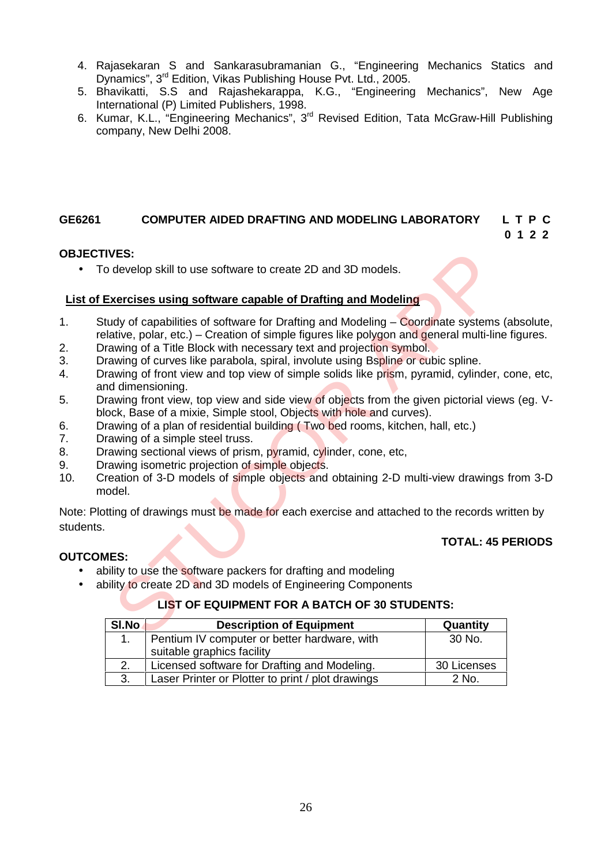- 4. Rajasekaran S and Sankarasubramanian G., "Engineering Mechanics Statics and Dynamics", 3rd Edition, Vikas Publishing House Pvt. Ltd., 2005.
- 5. Bhavikatti, S.S and Rajashekarappa, K.G., "Engineering Mechanics", New Age International (P) Limited Publishers, 1998.
- 6. Kumar, K.L., "Engineering Mechanics", 3<sup>rd</sup> Revised Edition, Tata McGraw-Hill Publishing company, New Delhi 2008.

### **GE6261 COMPUTER AIDED DRAFTING AND MODELING LABORATORY L T P C**

## **0 1 2 2**

**TOTAL: 45 PERIODS**

### **OBJECTIVES:**

To develop skill to use software to create 2D and 3D models.

#### **List of Exercises using software capable of Drafting and Modeling**

- 1. Study of capabilities of software for Drafting and Modeling Coordinate systems (absolute, relative, polar, etc.) – Creation of simple figures like polygon and general multi-line figures. VES:<br>
Secretive still to use software to create 2D and 3D models.<br>
Secretives using software capable of Drafting and Modeling<br>
Ady of capabilities of software for Drafting and Modeling – Coordinate systems<br>
and yor of a Th
- 2. Drawing of a Title Block with necessary text and projection symbol.
- 3. Drawing of curves like parabola, spiral, involute using Bspline or cubic spline.
- 4. Drawing of front view and top view of simple solids like prism, pyramid, cylinder, cone, etc, and dimensioning.
- 5. Drawing front view, top view and side view of objects from the given pictorial views (eg. Vblock, Base of a mixie, Simple stool, Objects with hole and curves).
- 6. Drawing of a plan of residential building ( Two bed rooms, kitchen, hall, etc.)
- 7. Drawing of a simple steel truss.
- 8. Drawing sectional views of prism, pyramid, cylinder, cone, etc,
- 
- 9. Drawing isometric projection of simple objects.<br>10. Creation of 3-D models of simple objects and 10. Creation of 3-D models of simple objects and obtaining 2-D multi-view drawings from 3-D model.

Note: Plotting of drawings must be made for each exercise and attached to the records written by students.

### **OUTCOMES:**

- ability to use the software packers for drafting and modeling
- ability to create 2D and 3D models of Engineering Components

### **LIST OF EQUIPMENT FOR A BATCH OF 30 STUDENTS:**

| SI.No | <b>Description of Equipment</b>                   | Quantity    |
|-------|---------------------------------------------------|-------------|
|       | Pentium IV computer or better hardware, with      | 30 No.      |
|       | suitable graphics facility                        |             |
|       | Licensed software for Drafting and Modeling.      | 30 Licenses |
| 3.    | Laser Printer or Plotter to print / plot drawings | 2 No.       |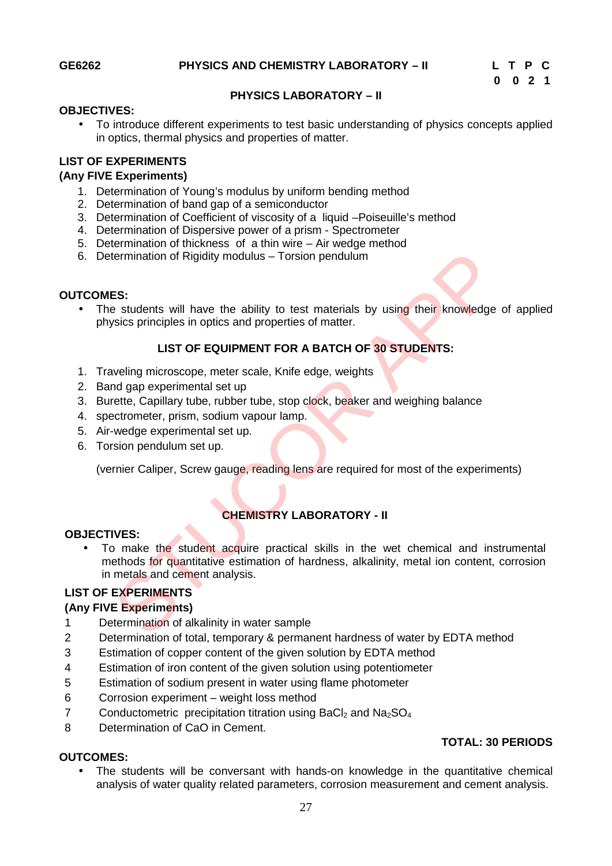**TOTAL: 30 PERIODS**

#### **PHYSICS LABORATORY –II**

#### **OBJECTIVES:**

 To introduce different experiments to test basic understanding of physics concepts applied in optics, thermal physics and properties of matter.

#### **LIST OF EXPERIMENTS**

#### **(Any FIVE Experiments)**

- 1. Determination of Young's modulus by uniform bending method
- 2. Determination of band gap of a semiconductor
- 3. Determination of Coefficient of viscosity of a liquid –Poiseuille's method
- 4. Determination of Dispersive power of a prism Spectrometer
- 5. Determination of thickness of a thin wire Air wedge method
- 6. Determination of Rigidity modulus Torsion pendulum

#### **OUTCOMES:**

The students will have the ability to test materials by using their knowledge of applied physics principles in optics and properties of matter.

#### **LIST OF EQUIPMENT FOR A BATCH OF 30 STUDENTS:**

- 1. Traveling microscope, meter scale, Knife edge, weights
- 2. Band gap experimental set up
- 3. Burette, Capillary tube, rubber tube, stop clock, beaker and weighing balance
- 4. spectrometer, prism, sodium vapour lamp.
- 5. Air-wedge experimental set up.
- 6. Torsion pendulum set up.

(vernier Caliper, Screw gauge, reading lens are required for most of the experiments)

### **CHEMISTRY LABORATORY - II**

#### **OBJECTIVES:**

• To make the student acquire practical skills in the wet chemical and instrumental methods for quantitative estimation of hardness, alkalinity, metal ion content, corrosion in metals and cement analysis. termination of Rigidity modulus – Torsion pendulum<br>
ES:<br>
e students will have the ability to test materials by using their knowledge<br>
sysics principles in optics and properties of matter.<br>
LIST OF EQUIPMENT FOR A BATCH OF

### **LIST OF EXPERIMENTS**

#### **(Any FIVE Experiments)**

- 1 Determination of alkalinity in water sample
- 2 Determination of total, temporary & permanent hardness of water by EDTA method
- 3 Estimation of copper content of the given solution by EDTA method
- 4 Estimation of iron content of the given solution using potentiometer
- 5 Estimation of sodium present in water using flame photometer
- 6 Corrosion experiment weight loss method
- 7 Conductometric precipitation titration using BaCl<sub>2</sub> and Na<sub>2</sub>SO<sub>4</sub>
- 8 Determination of CaO in Cement.

#### **OUTCOMES:**

 The students will be conversant with hands-on knowledge in the quantitative chemical analysis of water quality related parameters, corrosion measurement and cement analysis.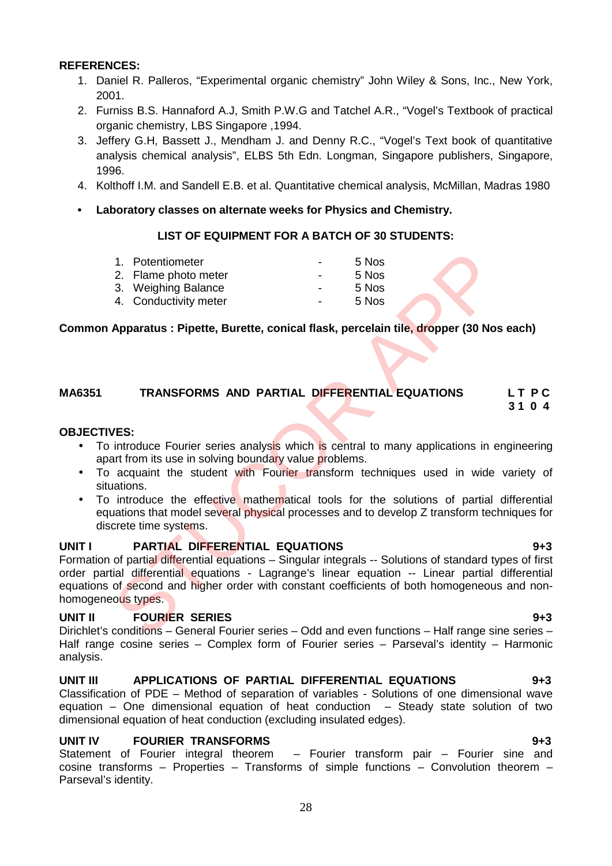#### **REFERENCES:**

- 1. Daniel R. Palleros, "Experimental organic chemistry" John Wiley & Sons, Inc., New York, 2001.
- 2. Furniss B.S. Hannaford A.J, Smith P.W.G and Tatchel A.R., "Vogel's Textbook of practical organic chemistry, LBS Singapore ,1994.
- 3. Jeffery G.H, Bassett J., Mendham J. and Denny R.C., "Vogel's Text book of quantitative analysis chemical analysis", ELBS 5th Edn. Longman, Singapore publishers, Singapore, 1996.
- 4. Kolthoff I.M. and Sandell E.B. et al. Quantitative chemical analysis, McMillan, Madras 1980
- **• Laboratory classes on alternate weeks for Physics and Chemistry.**

#### **LIST OF EQUIPMENT FOR A BATCH OF 30 STUDENTS:**

| 1. Potentiometer      | $\overline{\phantom{a}}$ | 5 Nos |  |
|-----------------------|--------------------------|-------|--|
| 2. Flame photo meter  | $\blacksquare$           | 5 Nos |  |
| 3. Weighing Balance   | $\blacksquare$           | 5 Nos |  |
| 4. Conductivity meter | $\overline{\phantom{a}}$ | 5 Nos |  |

#### **Common Apparatus : Pipette, Burette, conical flask, percelain tile, dropper (30 Nos each)**

#### **MA6351 TRANSFORMS AND PARTIAL DIFFERENTIAL EQUATIONS L T P C 3 1 0 4**

#### **OBJECTIVES:**

- To introduce Fourier series analysis which is central to many applications in engineering apart from its use in solving boundary value problems.
- To acquaint the student with Fourier transform techniques used in wide variety of situations.
- To introduce the effective mathematical tools for the solutions of partial differential equations that model several physical processes and to develop Z transform techniques for discrete time systems.

#### **UNIT I PARTIAL DIFFERENTIAL EQUATIONS 9+3**

Formation of partial differential equations – Singular integrals -- Solutions of standard types of first order partial differential equations - Lagrange's linear equation -- Linear partial differential equations of second and higher order with constant coefficients of both homogeneous and non homogeneous types. 1. Potentiometer<br>
2. Flame photo meter<br>
3. Weighing Balance<br>
4. Conductivity meter<br>
4. Conductivity meter<br>
4. Conductivity meter<br>
1. STOS<br>
Apparatus : Pipette, Burette, conical flask, percelain tile, dropper (30 Not<br>
1. ST

#### **UNIT II FOURIER SERIES 9+3**

Dirichlet's conditions – General Fourier series – Odd and even functions – Half range sine series – Half range cosine series – Complex form of Fourier series – Parseval's identity – Harmonic analysis.

#### **UNIT III APPLICATIONS OF PARTIAL DIFFERENTIAL EQUATIONS 9+3** Classification of PDE – Method of separation of variables - Solutions of one dimensional wave equation – One dimensional equation of heat conduction – Steady state solution of two dimensional equation of heat conduction (excluding insulated edges).

#### **UNIT IV FOURIER TRANSFORMS 9+3**

Statement of Fourier integral theorem – Fourier transform pair – Fourier sine and cosine transforms – Properties – Transforms of simple functions – Convolution theorem – Parseval's identity.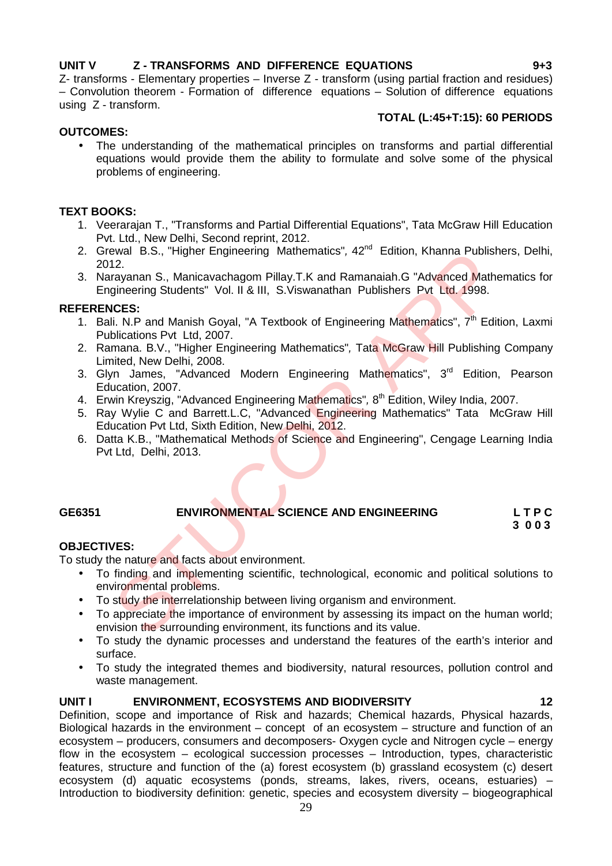#### **UNIT V Z - TRANSFORMS AND DIFFERENCE EQUATIONS 9+3**

Z- transforms - Elementary properties – Inverse Z - transform (using partial fraction and residues) – Convolution theorem - Formation of difference equations – Solution of difference equations using Z - transform.

#### **TOTAL (L:45+T:15): 60 PERIODS**

#### **OUTCOMES:**

 The understanding of the mathematical principles on transforms and partial differential equations would provide them the ability to formulate and solve some of the physical problems of engineering.

#### **TEXT BOOKS:**

- 1. Veerarajan T., "Transforms and Partial Differential Equations", Tata McGraw Hill Education Pvt. Ltd., New Delhi, Second reprint, 2012.
- 2. Grewal B.S., "Higher Engineering Mathematics", 42<sup>nd</sup> Edition, Khanna Publishers, Delhi, 2012.
- 3. Narayanan S., Manicavachagom Pillay.T.K and Ramanaiah.G "Advanced Mathematics for Engineering Students" Vol. II & III, S.Viswanathan Publishers Pvt Ltd. 1998.

#### **REFERENCES:**

- 1. Bali. N.P and Manish Goyal, "A Textbook of Engineering Mathematics", 7<sup>th</sup> Edition, Laxmi Publications Pvt Ltd, 2007. ewall B.S., "Higher Engineering Mathematics", 42" Edition, Khanna Publish<br>12.<br>12.<br>Irayanan S., Manicavachagom Pillay.T.K and Ramanaiah.G "Advanced Mathematics"<br>Incense Students" Vol. II & III, S.Viswanathan Publishers Pvt
- 2. Ramana. B.V., "Higher Engineering Mathematics"*,* Tata McGraw Hill Publishing Company Limited, New Delhi, 2008.
- 3. Glyn James, "Advanced Modern Engineering Mathematics", 3<sup>rd</sup> Edition, Pearson Education, 2007.
- 4. Erwin Kreyszig, "Advanced Engineering Mathematics"*,* 8 th Edition, Wiley India, 2007.
- 5. Ray Wylie C and Barrett.L.C. "Advanced Engineering Mathematics" Tata McGraw Hill Education Pvt Ltd, Sixth Edition, New Delhi, 2012.
- 6. Datta K.B., "Mathematical Methods of Science and Engineering", Cengage Learning India Pvt Ltd, Delhi, 2013.

#### **GE6351 ENVIRONMENTAL SCIENCE AND ENGINEERING L T P C**

**3 0 0 3**

#### **OBJECTIVES:**

To study the nature and facts about environment.

- To finding and implementing scientific, technological, economic and political solutions to environmental problems.
- To study the interrelationship between living organism and environment.
- To appreciate the importance of environment by assessing its impact on the human world: envision the surrounding environment, its functions and its value.
- To study the dynamic processes and understand the features of the earth's interior and surface.
- To study the integrated themes and biodiversity, natural resources, pollution control and waste management.

#### **UNIT I ENVIRONMENT, ECOSYSTEMS AND BIODIVERSITY 12**

Definition, scope and importance of Risk and hazards; Chemical hazards, Physical hazards, Biological hazards in the environment – concept of an ecosystem – structure and function of an ecosystem – producers, consumers and decomposers- Oxygen cycle and Nitrogen cycle – energy flow in the ecosystem – ecological succession processes – Introduction, types, characteristic features, structure and function of the (a) forest ecosystem (b) grassland ecosystem (c) desert ecosystem (d) aquatic ecosystems (ponds, streams, lakes, rivers, oceans, estuaries) – Introduction to biodiversity definition: genetic, species and ecosystem diversity – biogeographical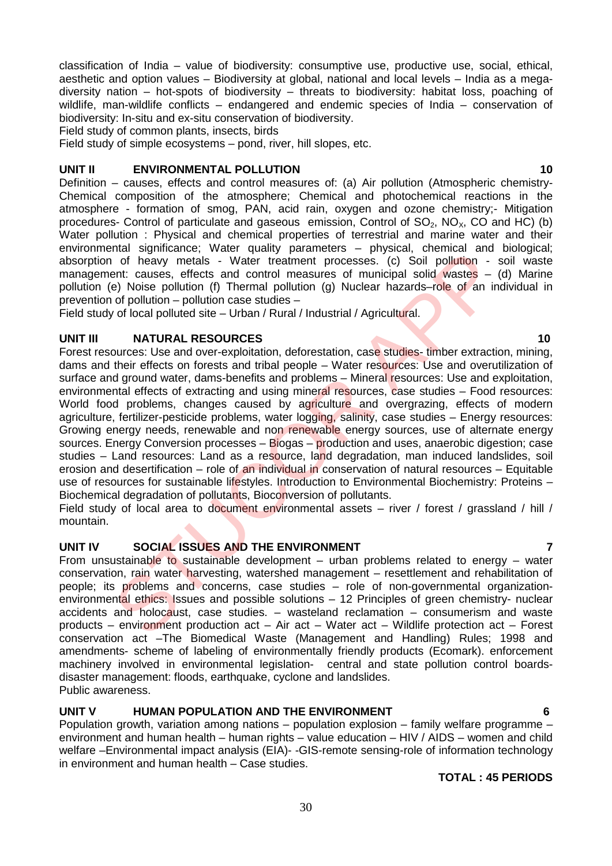classification of India – value of biodiversity: consumptive use, productive use, social, ethical, aesthetic and option values – Biodiversity at global, national and local levels – India as a mega diversity nation – hot-spots of biodiversity – threats to biodiversity: habitat loss, poaching of wildlife, man-wildlife conflicts – endangered and endemic species of India – conservation of biodiversity: In-situ and ex-situ conservation of biodiversity.

Field study of common plants, insects, birds

Field study of simple ecosystems – pond, river, hill slopes, etc.

#### **UNIT II ENVIRONMENTAL POLLUTION 10**

Definition – causes, effects and control measures of: (a) Air pollution (Atmospheric chemistry- Chemical composition of the atmosphere; Chemical and photochemical reactions in the atmosphere - formation of smog, PAN, acid rain, oxygen and ozone chemistry;- Mitigation procedures- Control of particulate and gaseous emission, Control of  $SO_2$ ,  $NO_2$ , CO and HC) (b) Water pollution : Physical and chemical properties of terrestrial and marine water and their environmental significance; Water quality parameters – physical, chemical and biological; absorption of heavy metals - Water treatment processes. (c) Soil pollution - soil waste management: causes, effects and control measures of municipal solid wastes – (d) Marine pollution (e) Noise pollution (f) Thermal pollution (g) Nuclear hazards–role of an individual in prevention of pollution – pollution case studies –

Field study of local polluted site – Urban / Rural / Industrial / Agricultural.

#### **UNIT III NATURAL RESOURCES 10**

Forest resources: Use and over-exploitation, deforestation, case studies- timber extraction, mining, dams and their effects on forests and tribal people – Water resources: Use and overutilization of surface and ground water, dams-benefits and problems – Mineral resources: Use and exploitation, environmental effects of extracting and using mineral resources, case studies – Food resources: World food problems, changes caused by agriculture and overgrazing, effects of modern agriculture, fertilizer-pesticide problems, water logging, salinity, case studies – Energy resources: Growing energy needs, renewable and non renewable energy sources, use of alternate energy sources. Energy Conversion processes – Biogas – production and uses, anaerobic digestion; case studies – Land resources: Land as a resource, land degradation, man induced landslides, soil erosion and desertification – role of an individual in conservation of natural resources – Equitable use of resources for sustainable lifestyles. Introduction to Environmental Biochemistry: Proteins – Biochemical degradation of pollutants, Bioconversion of pollutants. mann symmatries, view quanties are privation and and the entropy parameter and the one symmatric of heavy metals - Water treatment processes. (c) Soil pollution - inter accesses. (c) Soil pollution - inter access of munici

Field study of local area to document environmental assets – river / forest / grassland / hill / mountain.

#### **UNIT IV SOCIAL ISSUES AND THE ENVIRONMENT 7**

From unsustainable to sustainable development – urban problems related to energy – water conservation, rain water harvesting, watershed management – resettlement and rehabilitation of people; its problems and concerns, case studies – role of non-governmental organization environmental ethics: Issues and possible solutions - 12 Principles of green chemistry- nuclear accidents and holocaust, case studies. – wasteland reclamation – consumerism and waste products – environment production act – Air act – Water act – Wildlife protection act – Forest conservation act –The Biomedical Waste (Management and Handling) Rules; 1998 and amendments- scheme of labeling of environmentally friendly products (Ecomark). enforcement machinery involved in environmental legislation- central and state pollution control boards disaster management: floods, earthquake, cyclone and landslides. Public awareness.

### **UNIT V HUMAN POPULATION AND THE ENVIRONMENT 6**

Population growth, variation among nations – population explosion – family welfare programme – environment and human health – human rights – value education – HIV / AIDS – women and child welfare –Environmental impact analysis (EIA)- -GIS-remote sensing-role of information technology in environment and human health – Case studies.

#### **TOTAL : 45 PERIODS**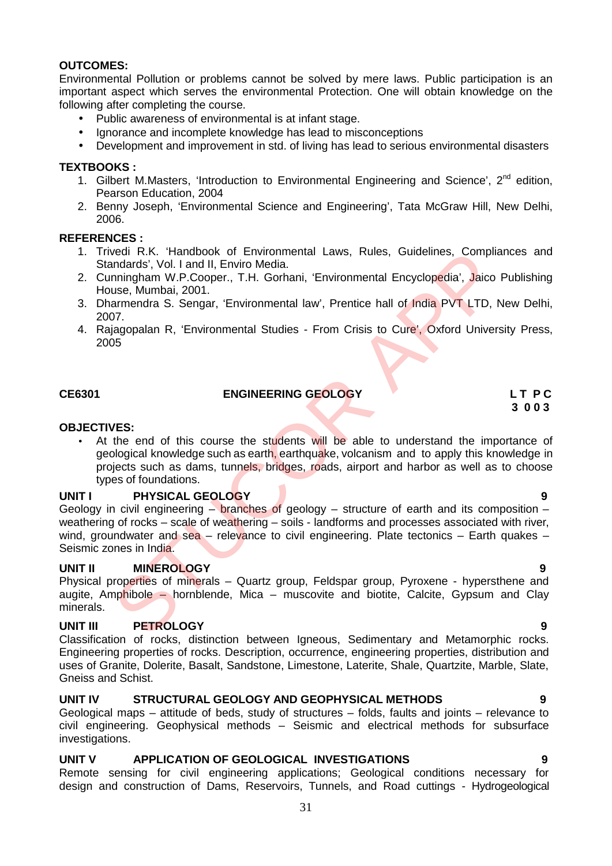#### **OUTCOMES:**

Environmental Pollution or problems cannot be solved by mere laws. Public participation is an important aspect which serves the environmental Protection. One will obtain knowledge on the following after completing the course.

- Public awareness of environmental is at infant stage.
- Ignorance and incomplete knowledge has lead to misconceptions
- Development and improvement in std. of living has lead to serious environmental disasters

#### **TEXTBOOKS :**

- 1. Gilbert M.Masters, 'Introduction to Environmental Engineering and Science', 2<sup>nd</sup> edition, Pearson Education, 2004
- 2. Benny Joseph, 'Environmental Science and Engineering', Tata McGraw Hill, New Delhi, 2006.

#### **REFERENCES :**

- 1. Trivedi R.K. 'Handbook of Environmental Laws, Rules, Guidelines, Compliances and Standards', Vol. I and II, Enviro Media.
- 2. Cunningham W.P.Cooper., T.H. Gorhani, 'Environmental Encyclopedia', Jaico Publishing House, Mumbai, 2001.
- 3. Dharmendra S. Sengar, 'Environmental law', Prentice hall of India PVT LTD, New Delhi, 2007.
- 4. Rajagopalan R, 'Environmental Studies From Crisis to Cure', Oxford University Press, 2005

### **CE6301 ENGINEERING GEOLOGY L T P C**

# **3 0 0 3**

#### **OBJECTIVES:**

• At the end of this course the students will be able to understand the importance of geological knowledge such as earth, earthquake, volcanism and to apply this knowledge in projects such as dams, tunnels, bridges, roads, airport and harbor as well as to choose types of foundations.

#### **UNIT I PHYSICAL GEOLOGY 9**

Geology in civil engineering  $-$  branches of geology  $-$  structure of earth and its composition  $$ weathering of rocks – scale of weathering – soils - landforms and processes associated with river, wind, groundwater and sea – relevance to civil engineering. Plate tectonics – Earth quakes – Seismic zones in India. well R.K. "Handbook of Environmental Laws, Rules, Guidelines, Compliary<br>
andards', Vol. 1 and II, Enviro Media.<br>
2001.<br>
suse, Mumbai, 2001.<br>
sumbai, 2001.<br>
armendra S. Sengar, 'Environmental law', Prentice hall of India PV

#### **UNIT II MINEROLOGY 9**

Physical properties of minerals – Quartz group, Feldspar group, Pyroxene - hypersthene and augite, Amphibole – hornblende, Mica – muscovite and biotite, Calcite, Gypsum and Clay minerals.

#### **UNIT III PETROLOGY 9**

Classification of rocks, distinction between Igneous, Sedimentary and Metamorphic rocks. Engineering properties of rocks. Description, occurrence, engineering properties, distribution and uses of Granite, Dolerite, Basalt, Sandstone, Limestone, Laterite, Shale, Quartzite, Marble, Slate, Gneiss and Schist.

#### **UNIT IV STRUCTURAL GEOLOGY AND GEOPHYSICAL METHODS 9**

Geological maps – attitude of beds, study of structures – folds, faults and joints – relevance to civil engineering. Geophysical methods – Seismic and electrical methods for subsurface investigations.

#### **UNIT V APPLICATION OF GEOLOGICAL INVESTIGATIONS 9**

Remote sensing for civil engineering applications; Geological conditions necessary for design and construction of Dams, Reservoirs, Tunnels, and Road cuttings - Hydrogeological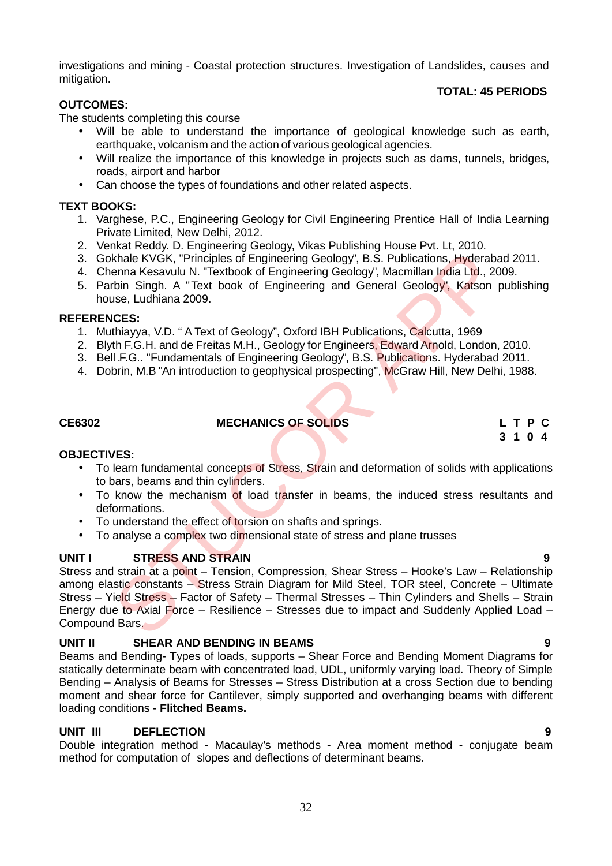investigations and mining - Coastal protection structures. Investigation of Landslides, causes and mitigation.

#### **TOTAL: 45 PERIODS**

#### **OUTCOMES:**

The students completing this course

- Will be able to understand the importance of geological knowledge such as earth, earthquake, volcanism and the action of various geological agencies.
- Will realize the importance of this knowledge in projects such as dams, tunnels, bridges, roads, airport and harbor
- Can choose the types of foundations and other related aspects.

#### **TEXT BOOKS:**

- 1. Varghese, P.C., Engineering Geology for Civil Engineering Prentice Hall of India Learning Private Limited, New Delhi, 2012.
- 2. Venkat Reddy. D. Engineering Geology, Vikas Publishing House Pvt. Lt, 2010.
- 3. Gokhale KVGK, "Principles of Engineering Geology", B.S. Publications, Hyderabad 2011.
- 4. Chenna Kesavulu N. "Textbook of Engineering Geology", Macmillan India Ltd., 2009.
- 5. Parbin Singh. A "Text book of Engineering and General Geology", Katson publishing house, Ludhiana 2009.

#### **REFERENCES:**

- 1. Muthiayya, V.D. " A Text of Geology", Oxford IBH Publications, Calcutta, 1969
- 2. Blyth F.G.H. and de Freitas M.H., Geology for Engineers, Edward Arnold, London, 2010.
- 3. Bell .F.G.. "Fundamentals of Engineering Geology", B.S. Publications. Hyderabad 2011.
- 4. Dobrin, M.B "An introduction to geophysical prospecting", McGraw Hill, New Delhi, 1988.

#### **CE6302 MECHANICS OF SOLIDS L T P C**

**3 1 0 4**

#### **OBJECTIVES:**

- To learn fundamental concepts of Stress, Strain and deformation of solids with applications to bars, beams and thin cylinders.
- To know the mechanism of load transfer in beams, the induced stress resultants and deformations.
- To understand the effect of torsion on shafts and springs.
- To analyse a complex two dimensional state of stress and plane trusses

#### **UNIT I STRESS AND STRAIN 9**

Stress and strain at a point – Tension, Compression, Shear Stress – Hooke's Law – Relationship among elastic constants – Stress Strain Diagram for Mild Steel, TOR steel, Concrete – Ultimate Stress – Yield Stress – Factor of Safety – Thermal Stresses – Thin Cylinders and Shells – Strain Energy due to Axial Force – Resilience – Stresses due to impact and Suddenly Applied Load – Compound Bars. Internal Kessavilla M. Trackbook of Engineering Geology", B.S. Publications, Hyderaba<br>
Internal Kessavilla M. Trackbook of Engineering Geology", B.S. Publications, Hyderaba<br>
Internal Kessavilla M. Trackbook of Engineering

#### **UNIT II SHEAR AND BENDING IN BEAMS 9**

Beams and Bending- Types of loads, supports – Shear Force and Bending Moment Diagrams for statically determinate beam with concentrated load, UDL, uniformly varying load. Theory of Simple Bending – Analysis of Beams for Stresses – Stress Distribution at a cross Section due to bending moment and shear force for Cantilever, simply supported and overhanging beams with different loading conditions - **Flitched Beams.**

#### **UNIT III DEFLECTION 9**

Double integration method - Macaulay's methods - Area moment method - conjugate beam method for computation of slopes and deflections of determinant beams.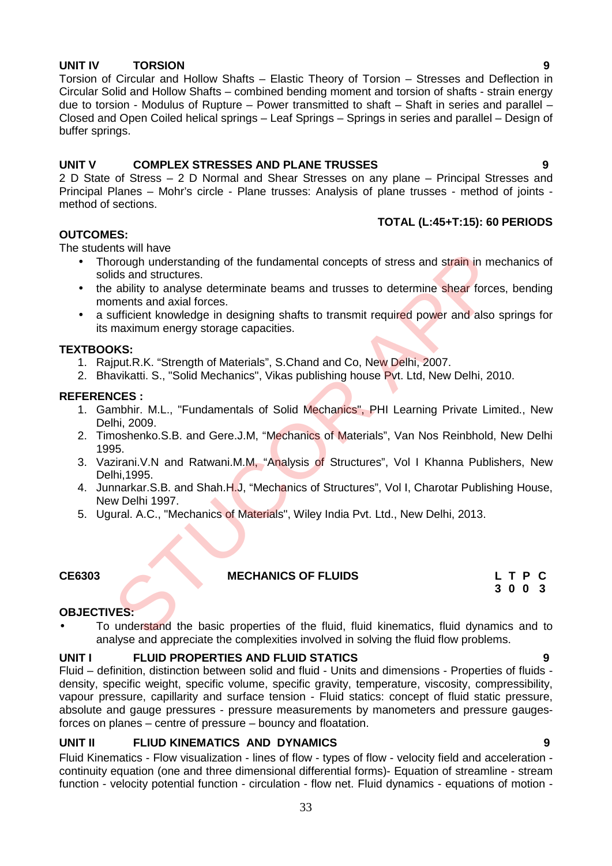### **UNIT IV TORSION 9**

Torsion of Circular and Hollow Shafts – Elastic Theory of Torsion – Stresses and Deflection in Circular Solid and Hollow Shafts – combined bending moment and torsion of shafts - strain energy due to torsion - Modulus of Rupture – Power transmitted to shaft – Shaft in series and parallel – Closed and Open Coiled helical springs – Leaf Springs – Springs in series and parallel – Design of buffer springs.

### **UNIT V COMPLEX STRESSES AND PLANE TRUSSES 9**

2 D State of Stress – 2 D Normal and Shear Stresses on any plane – Principal Stresses and Principal Planes – Mohr's circle - Plane trusses: Analysis of plane trusses - method of joints method of sections.

#### **TOTAL (L:45+T:15): 60 PERIODS**

#### **OUTCOMES:**

The students will have

- Thorough understanding of the fundamental concepts of stress and strain in mechanics of solids and structures. Incomplementary of the fundamental concepts of stress and strain in metrics<br>and structures.<br>
and structures.<br>
and structures.<br>
and structures.<br>
Editity to analyse determinate beams and trusses to determine shear force<br>
are
- the ability to analyse determinate beams and trusses to determine shear forces, bending moments and axial forces.
- a sufficient knowledge in designing shafts to transmit required power and also springs for its maximum energy storage capacities.

#### **TEXTBOOKS:**

- 1. Rajput.R.K. "Strength of Materials", S.Chand and Co, New Delhi, 2007.
- 2. Bhavikatti. S., "Solid Mechanics", Vikas publishing house Pvt. Ltd, New Delhi, 2010.

#### **REFERENCES :**

- 1. Gambhir. M.L., "Fundamentals of Solid Mechanics", PHI Learning Private Limited., New Delhi, 2009.
- 2. Timoshenko.S.B. and Gere.J.M, "Mechanics of Materials", Van Nos Reinbhold, New Delhi 1995.
- 3. Vazirani.V.N and Ratwani.M.M, "Analysis of Structures", Vol I Khanna Publishers, New Delhi,1995.
- 4. Junnarkar.S.B. and Shah.H.J, "Mechanics of Structures", Vol I, Charotar Publishing House, New Delhi 1997.
- 5. Ugural. A.C., "Mechanics of Materials", Wiley India Pvt. Ltd., New Delhi, 2013.

### **CE6303 MECHANICS OF FLUIDS L T P C**

**3 0 0 3**

#### **OBJECTIVES:**

 To understand the basic properties of the fluid, fluid kinematics, fluid dynamics and to analyse and appreciate the complexities involved in solving the fluid flow problems.

#### **UNIT I FLUID PROPERTIES AND FLUID STATICS 9**

Fluid – definition, distinction between solid and fluid - Units and dimensions - Properties of fluids density, specific weight, specific volume, specific gravity, temperature, viscosity, compressibility, vapour pressure, capillarity and surface tension - Fluid statics: concept of fluid static pressure, absolute and gauge pressures - pressure measurements by manometers and pressure gaugesforces on planes – centre of pressure – bouncy and floatation.

#### **UNIT II FLIUD KINEMATICS AND DYNAMICS 9**

Fluid Kinematics - Flow visualization - lines of flow - types of flow - velocity field and acceleration continuity equation (one and three dimensional differential forms)- Equation of streamline - stream function - velocity potential function - circulation - flow net. Fluid dynamics - equations of motion -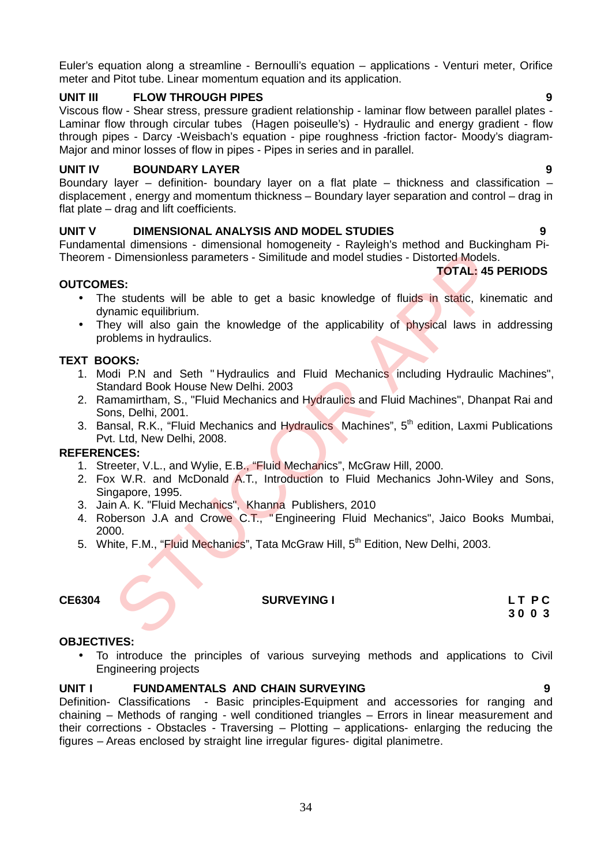Euler's equation along a streamline - Bernoulli's equation – applications - Venturi meter, Orifice meter and Pitot tube. Linear momentum equation and its application.

#### **UNIT III FLOW THROUGH PIPES 9**

Viscous flow - Shear stress, pressure gradient relationship - laminar flow between parallel plates - Laminar flow through circular tubes (Hagen poiseulle's) - Hydraulic and energy gradient - flow through pipes - Darcy -Weisbach's equation - pipe roughness -friction factor- Moody's diagram- Major and minor losses of flow in pipes - Pipes in series and in parallel.

#### **UNIT IV BOUNDARY LAYER 9**

Boundary layer – definition- boundary layer on a flat plate – thickness and classification – displacement , energy and momentum thickness – Boundary layer separation and control – drag in flat plate – drag and lift coefficients.

#### **UNIT V DIMENSIONAL ANALYSIS AND MODEL STUDIES 9**

Fundamental dimensions - dimensional homogeneity - Rayleigh's method and Buckingham Pi- Theorem - Dimensionless parameters - Similitude and model studies - Distorted Models.

#### **OUTCOMES:**

- The students will be able to get a basic knowledge of fluids in static, kinematic and dynamic equilibrium.
- They will also gain the knowledge of the applicability of physical laws in addressing problems in hydraulics.

#### **TEXT BOOKS***:*

- 1. Modi P.N and Seth " Hydraulics and Fluid Mechanics including Hydraulic Machines", Standard Book House New Delhi. 2003
- 2. Ramamirtham, S., "Fluid Mechanics and Hydraulics and Fluid Machines", Dhanpat Rai and Sons, Delhi, 2001.
- 3. Bansal, R.K., "Fluid Mechanics and Hydraulics Machines", 5<sup>th</sup> edition, Laxmi Publications Pvt. Ltd, New Delhi, 2008.

#### **REFERENCES:**

- 1. Streeter, V.L., and Wylie, E.B., "Fluid Mechanics", McGraw Hill, 2000.
- 2. Fox W.R. and McDonald A.T., Introduction to Fluid Mechanics John-Wiley and Sons, Singapore, 1995.
- 3. Jain A. K. "Fluid Mechanics", Khanna Publishers, 2010
- 4. Roberson J.A and Crowe C.T., " Engineering Fluid Mechanics", Jaico Books Mumbai, 2000. Dimensionless parameters - Similitude and model studies - Distorted Models.<br> **ES:**<br>
STOTAL: 45 I<br>
STOTAL: 45 I<br>
STOTAL: 45 I<br>
STOTAL: 45 I<br>
STOTAL: 45 I<br>
STOTAL: 45 I<br>
STOTAL: 45 I<br>
STOTAL: 45 I<br>
STOTAL: 45 I<br>
STOTAL: 45 I
- 5. White, F.M., "Fluid Mechanics", Tata McGraw Hill, 5<sup>th</sup> Edition, New Delhi, 2003.

#### **CE6304 SURVEYING I L T P C**

**3 0 0 3**

#### **OBJECTIVES:**

 To introduce the principles of various surveying methods and applications to Civil Engineering projects

#### **UNIT I FUNDAMENTALS AND CHAIN SURVEYING 9**

Definition- Classifications - Basic principles-Equipment and accessories for ranging and chaining – Methods of ranging - well conditioned triangles – Errors in linear measurement and their corrections - Obstacles - Traversing – Plotting – applications- enlarging the reducing the figures – Areas enclosed by straight line irregular figures- digital planimetre.

**TOTAL: 45 PERIODS**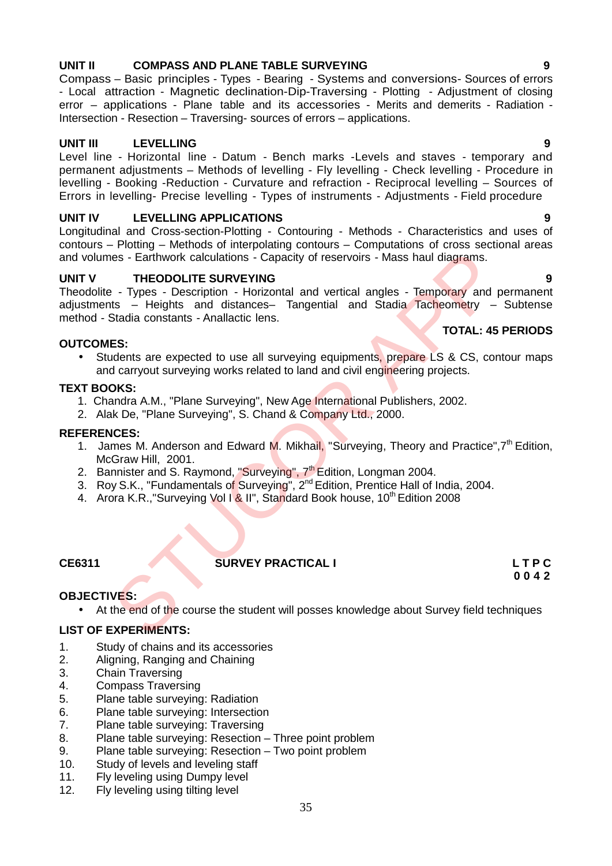#### **OUTCOMES:**

• Students are expected to use all surveying equipments, prepare LS & CS, contour maps and carryout surveying works related to land and civil engineering projects.

### **TEXT BOOKS:**

- 1. Chandra A.M., "Plane Surveying", New Age International Publishers, 2002.
- 2. Alak De, "Plane Surveying", S. Chand & Company Ltd., 2000.

### **REFERENCES:**

- 1. James M. Anderson and Edward M. Mikhail, "Surveying, Theory and Practice",7<sup>th</sup> Edition, McGraw Hill, 2001.
- 2. Bannister and S. Raymond, "Surveying", 7<sup>th</sup> Edition, Longman 2004.
- 3. Roy S.K., "Fundamentals of Surveying", 2<sup>nd</sup> Edition, Prentice Hall of India, 2004.
- 4. Arora K.R., "Surveying Vol I & II", Standard Book house, 10<sup>th</sup> Edition 2008

#### **CE6311 SURVEY PRACTICAL I L T P C**

#### **OBJECTIVES:**

• At the end of the course the student will posses knowledge about Survey field techniques

#### **LIST OF EXPERIMENTS:**

- 1. Study of chains and its accessories
- 2. Aligning, Ranging and Chaining
- 3. Chain Traversing
- 4. Compass Traversing
- 5. Plane table surveying: Radiation
- 6. Plane table surveying: Intersection
- 7. Plane table surveying: Traversing
- 8. Plane table surveying: Resection Three point problem
- 9. Plane table surveying: Resection Two point problem
- 10. Study of levels and leveling staff
- 11. Fly leveling using Dumpy level
- 12. Fly leveling using tilting level

#### **UNIT II COMPASS AND PLANE TABLE SURVEYING 9**

Compass – Basic principles - Types - Bearing - Systems and conversions- Sources of errors - Local attraction - Magnetic declination-Dip-Traversing - Plotting - Adjustment of closing error – applications - Plane table and its accessories - Merits and demerits - Radiation - Intersection - Resection – Traversing- sources of errors – applications.

### **UNIT III LEVELLING 9**

Level line - Horizontal line - Datum - Bench marks -Levels and staves - temporary and permanent adjustments – Methods of levelling - Fly levelling - Check levelling - Procedure in levelling - Booking -Reduction - Curvature and refraction - Reciprocal levelling – Sources of Errors in levelling- Precise levelling - Types of instruments - Adjustments - Field procedure

#### **UNIT IV LEVELLING APPLICATIONS 9**

Longitudinal and Cross-section-Plotting - Contouring - Methods - Characteristics and uses of contours – Plotting – Methods of interpolating contours – Computations of cross sectional areas and volumes - Earthwork calculations - Capacity of reservoirs - Mass haul diagrams.

#### **UNIT V THEODOLITE SURVEYING 9**

Theodolite - Types - Description - Horizontal and vertical angles - Temporary and permanent adjustments – Heights and distances– Tangential and Stadia Tacheometry – Subtense method - Stadia constants - Anallactic lens. es - Earthwork calculations - Capacity of reservoirs - Mass haul diagrams.<br>
THEODOLITE SURVEYING<br>
- Types - Description - Horizontal and vertical angles - Temporary and<br>
ts - Heights and distances- Tangential and Stadia Ta

#### **TOTAL: 45 PERIODS**

**0 0 4 2**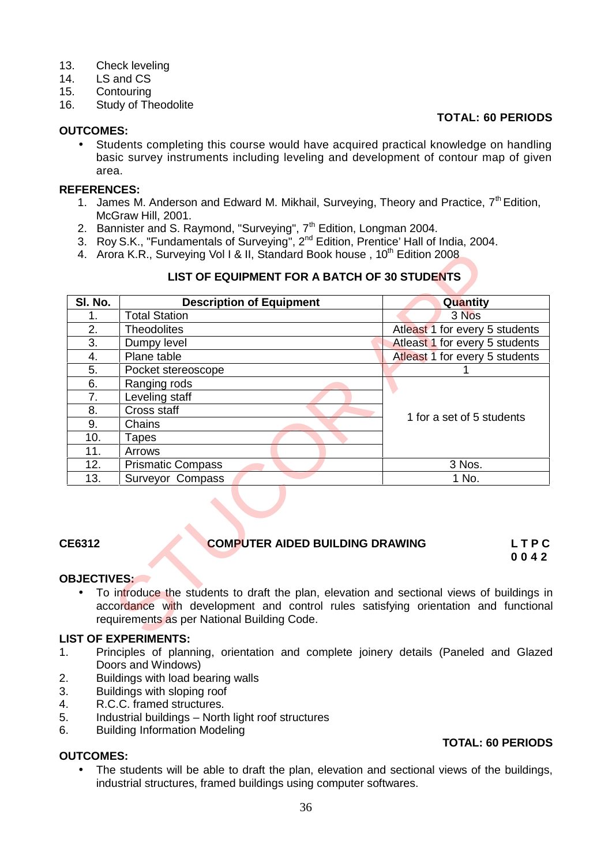- 13. Check leveling<br>14. IS and CS
- 1.S and CS
- 15. Contouring
- 16. Study of Theodolite

#### **OUTCOMES:**

### **TOTAL: 60 PERIODS**

**TOTAL: 60 PERIODS**

• Students completing this course would have acquired practical knowledge on handling basic survey instruments including leveling and development of contour map of given area.

#### **REFERENCES:**

- 1. James M. Anderson and Edward M. Mikhail, Surveying, Theory and Practice,  $7<sup>th</sup>$  Edition, McGraw Hill, 2001.
- 2. Bannister and S. Raymond, "Surveying", 7<sup>th</sup> Edition, Longman 2004.
- 3. Roy S.K., "Fundamentals of Surveying", 2<sup>nd</sup> Edition, Prentice' Hall of India, 2004.
- 4. Arora K.R., Surveying Vol I & II, Standard Book house, 10<sup>th</sup> Edition 2008

#### **LIST OF EQUIPMENT FOR A BATCH OF 30 STUDENTS**

| 3 Nos<br>Atleast 1 for every 5 students<br>Atleast 1 for every 5 students<br>Atleast 1 for every 5 students<br>1 for a set of 5 students<br>3 Nos. |
|----------------------------------------------------------------------------------------------------------------------------------------------------|
|                                                                                                                                                    |
|                                                                                                                                                    |
|                                                                                                                                                    |
|                                                                                                                                                    |
|                                                                                                                                                    |
|                                                                                                                                                    |
|                                                                                                                                                    |
|                                                                                                                                                    |
|                                                                                                                                                    |
|                                                                                                                                                    |
|                                                                                                                                                    |
|                                                                                                                                                    |
| 1 No.                                                                                                                                              |
| <b>COMPUTER AIDED BUILDING DRAWING</b><br>LTPC<br>0042                                                                                             |
|                                                                                                                                                    |
|                                                                                                                                                    |
| To introduce the students to draft the plan, elevation and sectional views of buildings in                                                         |
| accordance with development and control rules satisfying orientation and functional                                                                |

#### **CE6312 COMPUTER AIDED BUILDING DRAWING L T P C 0 0 4 2**

#### **OBJECTIVES:**

#### **LIST OF EXPERIMENTS:**

- 1. Principles of planning, orientation and complete joinery details (Paneled and Glazed Doors and Windows)
- 2. Buildings with load bearing walls<br>3. Buildings with sloping roof
- 3. Buildings with sloping roof<br>4. R.C.C. framed structures.
- R.C.C. framed structures.
- 5. Industrial buildings North light roof structures
- 6. Building Information Modeling

#### **OUTCOMES:**

 The students will be able to draft the plan, elevation and sectional views of the buildings, industrial structures, framed buildings using computer softwares.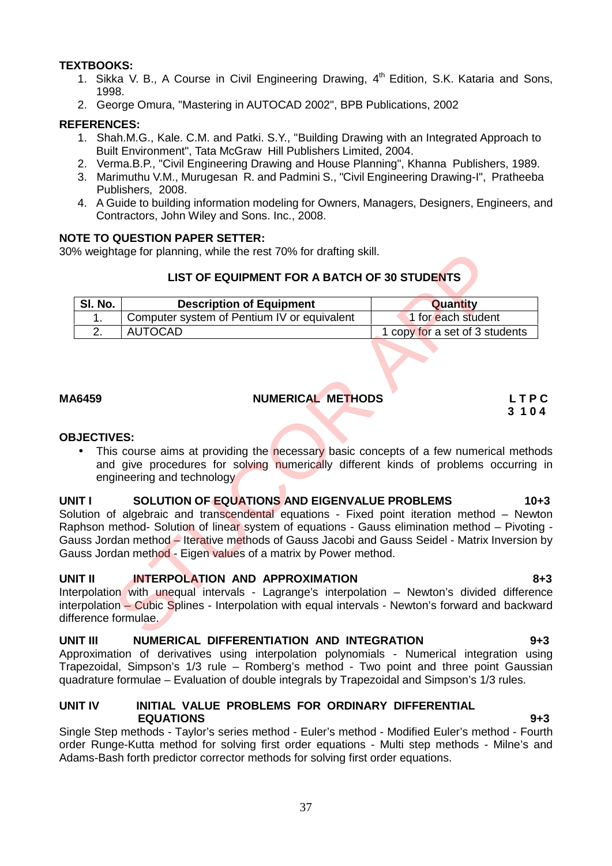## **TEXTBOOKS:**

- 1. Sikka V. B., A Course in Civil Engineering Drawing, 4<sup>th</sup> Edition, S.K. Kataria and Sons, 1998.
- 2. George Omura, "Mastering in AUTOCAD 2002", BPB Publications, 2002

## **REFERENCES:**

- 1. Shah.M.G., Kale. C.M. and Patki. S.Y., "Building Drawing with an Integrated Approach to Built Environment", Tata McGraw Hill Publishers Limited, 2004.
- 2. Verma.B.P., "Civil Engineering Drawing and House Planning", Khanna Publishers, 1989.
- 3. Marimuthu V.M., Murugesan R. and Padmini S., "Civil Engineering Drawing-I", Pratheeba Publishers, 2008.
- 4. A Guide to building information modeling for Owners, Managers, Designers, Engineers, and Contractors, John Wiley and Sons. Inc., 2008.

## **NOTE TO QUESTION PAPER SETTER:**

30% weightage for planning, while the rest 70% for drafting skill.

## **LIST OF EQUIPMENT FOR A BATCH OF 30 STUDENTS**

| SI. No.    | <b>Description of Equipment</b>             | <b>Quantity</b>                |
|------------|---------------------------------------------|--------------------------------|
|            | Computer system of Pentium IV or equivalent | 1 for each student             |
| <u>.</u> . | AUTOCAD                                     | 1 copy for a set of 3 students |

## **MA6459 NUMERICAL METHODS L T P C**

# **3 1 0 4**

## **OBJECTIVES:**

This course aims at providing the necessary basic concepts of a few numerical methods and give procedures for solving numerically different kinds of problems occurring in engineering and technology

## **UNIT I SOLUTION OF EQUATIONS AND EIGENVALUE PROBLEMS 10+3**

Solution of algebraic and transcendental equations - Fixed point iteration method – Newton Raphson method- Solution of linear system of equations - Gauss elimination method – Pivoting - Gauss Jordan method – Iterative methods of Gauss Jacobi and Gauss Seidel - Matrix Inversion by Gauss Jordan method - Eigen values of a matrix by Power method. The method Solution of linear system of equations - Representation - Newton's Gradient Computer system of Pentium IV or equivalent<br>
MUTOCAD<br>
Sumption of Equipment<br>
Computer system of Pentium IV or equivalent<br>
AUTOCAD<br>
NUME

## **UNIT II INTERPOLATION AND APPROXIMATION 8+3**

Interpolation with unequal intervals - Lagrange's interpolation – Newton's divided difference interpolation – Cubic Splines - Interpolation with equal intervals - Newton's forward and backward difference formulae.

## **UNIT III NUMERICAL DIFFERENTIATION AND INTEGRATION 9+3**

Approximation of derivatives using interpolation polynomials - Numerical integration using Trapezoidal, Simpson's 1/3 rule – Romberg's method - Two point and three point Gaussian quadrature formulae – Evaluation of double integrals by Trapezoidal and Simpson's 1/3 rules.

## **UNIT IV INITIAL VALUE PROBLEMS FOR ORDINARY DIFFERENTIAL EQUATIONS 9+3**

Single Step methods - Taylor's series method - Euler's method - Modified Euler's method - Fourth order Runge-Kutta method for solving first order equations - Multi step methods - Milne's and Adams-Bash forth predictor corrector methods for solving first order equations.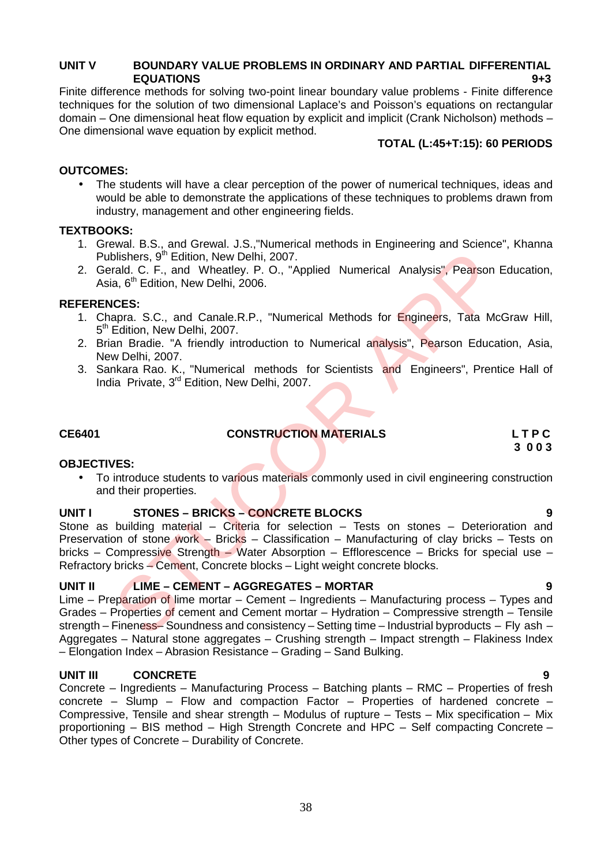## **UNIT V BOUNDARY VALUE PROBLEMS IN ORDINARY AND PARTIAL DIFFERENTIAL EQUATIONS 9+3**

Finite difference methods for solving two-point linear boundary value problems - Finite difference techniques for the solution of two dimensional Laplace's and Poisson's equations on rectangular domain – One dimensional heat flow equation by explicit and implicit (Crank Nicholson) methods – One dimensional wave equation by explicit method.

## **TOTAL (L:45+T:15): 60 PERIODS**

## **OUTCOMES:**

 The students will have a clear perception of the power of numerical techniques, ideas and would be able to demonstrate the applications of these techniques to problems drawn from industry, management and other engineering fields.

## **TEXTBOOKS:**

- 1. Grewal. B.S., and Grewal. J.S.,"Numerical methods in Engineering and Science", Khanna Publishers, 9<sup>th</sup> Edition, New Delhi, 2007.
- 2. Gerald. C. F., and Wheatley. P. O., "Applied Numerical Analysis", Pearson Education, Asia, 6<sup>th</sup> Edition, New Delhi, 2006.

## **REFERENCES:**

- 1. Chapra. S.C., and Canale.R.P., "Numerical Methods for Engineers, Tata McGraw Hill, 5<sup>th</sup> Edition, New Delhi, 2007.
- 2. Brian Bradie. "A friendly introduction to Numerical analysis", Pearson Education, Asia, New Delhi, 2007.
- 3. Sankara Rao. K., "Numerical methods for Scientists and Engineers", Prentice Hall of India Private, 3<sup>rd</sup> Edition, New Delhi, 2007.

## **CE6401 CONSTRUCTION MATERIALS L T P C**

**3 0 0 3**

## **OBJECTIVES:**

• To introduce students to various materials commonly used in civil engineering construction and their properties.

## **UNIT I STONES – BRICKS –CONCRETE BLOCKS 9**

Stone as building material – Criteria for selection – Tests on stones – Deterioration and Preservation of stone work – Bricks – Classification – Manufacturing of clay bricks – Tests on bricks – Compressive Strength – Water Absorption – Efflorescence – Bricks for special use – Refractory bricks – Cement, Concrete blocks – Light weight concrete blocks. blishers, 9<sup>th</sup> Edition, New Delhi, 2007.<br>
Trail, C. F., and Wheatley. P. O., "Applied Numerical Analysis", Pearson<br>
16. 6th Edition, New Delhi, 2006.<br>
16. 6th Edition, New Delhi, 2007.<br>
16. 6th Edition, New Delhi, 2007.<br>

## **UNIT II LIME –CEMENT – AGGREGATES –MORTAR 9**

Lime – Preparation of lime mortar – Cement – Ingredients – Manufacturing process – Types and Grades – Properties of cement and Cement mortar – Hydration – Compressive strength – Tensile strength – Fineness– Soundness and consistency – Setting time – Industrial byproducts – Fly ash – Aggregates – Natural stone aggregates – Crushing strength – Impact strength – Flakiness Index – Elongation Index – Abrasion Resistance – Grading – Sand Bulking.

## **UNIT III CONCRETE 9**

Concrete – Ingredients – Manufacturing Process – Batching plants – RMC – Properties of fresh concrete – Slump – Flow and compaction Factor – Properties of hardened concrete – Compressive, Tensile and shear strength – Modulus of rupture – Tests – Mix specification – Mix proportioning – BIS method – High Strength Concrete and HPC – Self compacting Concrete – Other types of Concrete – Durability of Concrete.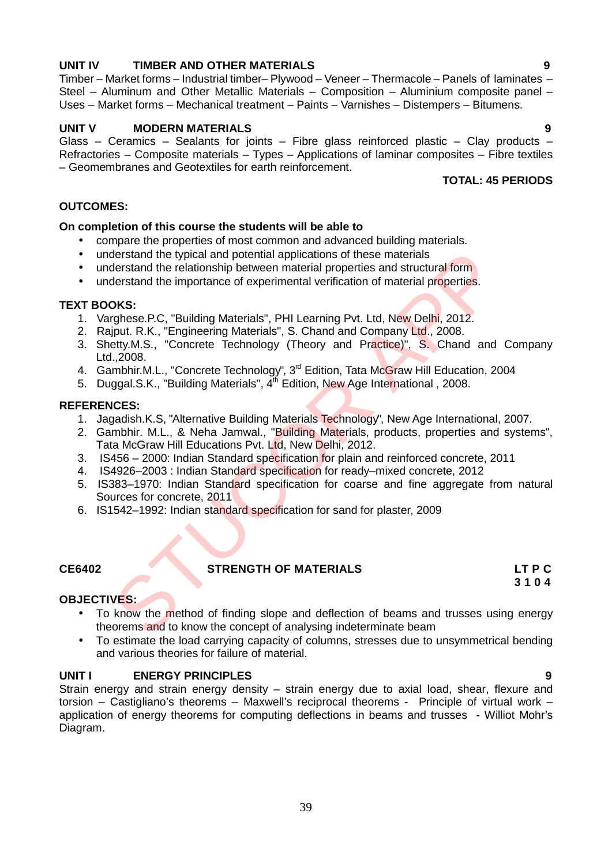## **UNIT IV TIMBER AND OTHER MATERIALS 9**

Timber – Market forms – Industrial timber– Plywood – Veneer – Thermacole – Panels of laminates – Steel – Aluminum and Other Metallic Materials – Composition – Aluminium composite panel – Uses – Market forms – Mechanical treatment – Paints – Varnishes – Distempers – Bitumens.

## **UNIT V MODERN MATERIALS 9**

Glass – Ceramics – Sealants for joints – Fibre glass reinforced plastic – Clay products – Refractories – Composite materials – Types – Applications of laminar composites – Fibre textiles – Geomembranes and Geotextiles for earth reinforcement.

## **TOTAL: 45 PERIODS**

**3 1 0 4**

## **OUTCOMES:**

## **On completion of this course the students will be able to**

- compare the properties of most common and advanced building materials.
- understand the typical and potential applications of these materials
- understand the relationship between material properties and structural form
- understand the importance of experimental verification of material properties.

## **TEXT BOOKS:**

- 1. Varghese.P.C, "Building Materials", PHI Learning Pvt. Ltd, New Delhi, 2012.
- 2. Rajput. R.K., "Engineering Materials", S. Chand and Company Ltd., 2008.
- 3. Shetty.M.S., "Concrete Technology (Theory and Practice)", S. Chand and Company Ltd.,2008. derstand the typical and potential applications of these materials<br>derstand the indicionship between material properties and structural form<br>derstand the importance of experimental verification of material properties.<br>
DKS
- 4. Gambhir.M.L., "Concrete Technology", 3<sup>rd</sup> Edition, Tata McGraw Hill Education, 2004
- 5. Duggal.S.K., "Building Materials", 4<sup>th</sup> Edition, New Age International , 2008.

## **REFERENCES:**

- 1. Jagadish.K.S, "Alternative Building Materials Technology", New Age International, 2007.
- 2. Gambhir. M.L., & Neha Jamwal., "Building Materials, products, properties and systems", Tata McGraw Hill Educations Pvt. Ltd, New Delhi, 2012.
- 3. IS456 2000: Indian Standard specification for plain and reinforced concrete, 2011
- 4. IS4926–2003 : Indian Standard specification for ready–mixed concrete, 2012
- 5. IS383–1970: Indian Standard specification for coarse and fine aggregate from natural Sources for concrete, 2011
- 6. IS1542–1992: Indian standard specification for sand for plaster, 2009

## **CE6402 STRENGTH OF MATERIALS LT P C**

## **OBJECTIVES:**

- To know the method of finding slope and deflection of beams and trusses using energy theorems and to know the concept of analysing indeterminate beam
- To estimate the load carrying capacity of columns, stresses due to unsymmetrical bending and various theories for failure of material.

## **UNIT I ENERGY PRINCIPLES 9**

Strain energy and strain energy density – strain energy due to axial load, shear, flexure and torsion – Castigliano's theorems – Maxwell's reciprocal theorems - Principle of virtual work – application of energy theorems for computing deflections in beams and trusses - Williot Mohr's Diagram.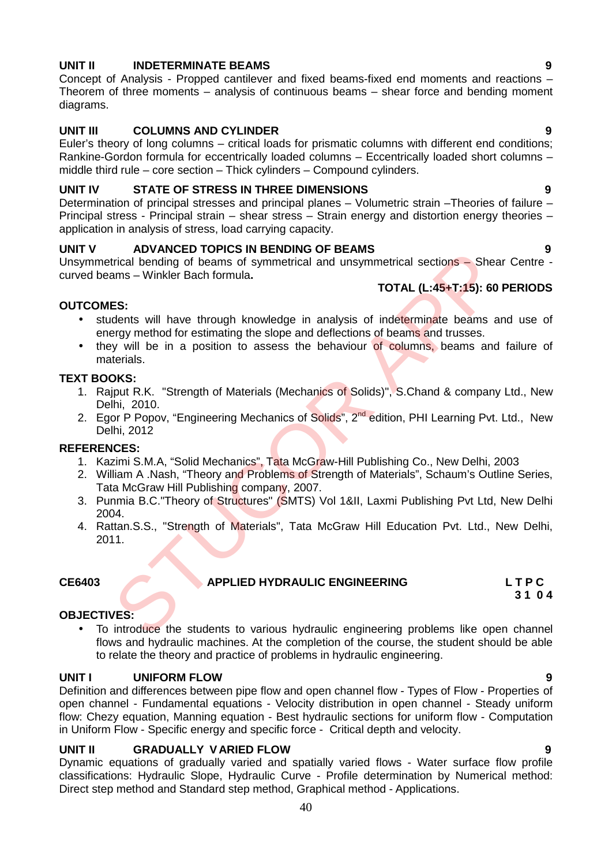## **UNIT II INDETERMINATE BEAMS 9**

Concept of Analysis - Propped cantilever and fixed beams-fixed end moments and reactions – Theorem of three moments – analysis of continuous beams – shear force and bending moment diagrams.

## **UNIT III COLUMNS AND CYLINDER 9**

Euler's theory of long columns – critical loads for prismatic columns with different end conditions; Rankine-Gordon formula for eccentrically loaded columns – Eccentrically loaded short columns – middle third rule – core section – Thick cylinders – Compound cylinders.

## **UNIT IV STATE OF STRESS IN THREE DIMENSIONS 9**

Determination of principal stresses and principal planes – Volumetric strain –Theories of failure – Principal stress - Principal strain – shear stress – Strain energy and distortion energy theories – application in analysis of stress, load carrying capacity.

## **UNIT V ADVANCED TOPICS IN BENDING OF BEAMS 9**

Unsymmetrical bending of beams of symmetrical and unsymmetrical sections – Shear Centre curved beams – Winkler Bach formula**.**

## **TOTAL (L:45+T:15): 60 PERIODS**

## **OUTCOMES:**

- students will have through knowledge in analysis of indeterminate beams and use of energy method for estimating the slope and deflections of beams and trusses.
- they will be in a position to assess the behaviour of columns, beams and failure of materials.

## **TEXT BOOKS:**

- 1. Rajput R.K. "Strength of Materials (Mechanics of Solids)", S.Chand & company Ltd., New Delhi, 2010.
- 2. Egor P Popov, "Engineering Mechanics of Solids", 2<sup>nd</sup> edition, PHI Learning Pvt. Ltd., New Delhi, 2012

## **REFERENCES:**

- 1. Kazimi S.M.A, "Solid Mechanics", Tata McGraw-Hill Publishing Co., New Delhi, 2003
- 2. William A .Nash, "Theory and Problems of Strength of Materials", Schaum's Outline Series, Tata McGraw Hill Publishing company, 2007. Notice of the priority in Fig. 10.1 The MPLIED HYDRAULIC ENGINEERING<br>
ES:<br>
STUCK IN THE APPLIED HYDRAULIC ENGINEERING<br>
ES:<br>
STUCK IN THE APPLIED MOVED AND MOVE THE APPLIED AND MOVE THE APPLIED AND NOT CONDUCT SUPPORT THE A
- 3. Punmia B.C."Theory of Structures" (SMTS) Vol 1&II, Laxmi Publishing Pvt Ltd, New Delhi 2004.
- 4. Rattan.S.S., "Strength of Materials", Tata McGraw Hill Education Pvt. Ltd., New Delhi, 2011.

## **CE6403 APPLIED HYDRAULIC ENGINEERING L T P C**

# **3 1 0 4**

## **OBJECTIVES:**

• To introduce the students to various hydraulic engineering problems like open channel flows and hydraulic machines. At the completion of the course, the student should be able to relate the theory and practice of problems in hydraulic engineering.

## **UNIT I UNIFORM FLOW 9**

Definition and differences between pipe flow and open channel flow - Types of Flow - Properties of open channel - Fundamental equations - Velocity distribution in open channel - Steady uniform flow: Chezy equation, Manning equation - Best hydraulic sections for uniform flow - Computation in Uniform Flow - Specific energy and specific force - Critical depth and velocity.

## **UNIT II GRADUALLY V ARIED FLOW 9**

Dynamic equations of gradually varied and spatially varied flows - Water surface flow profile classifications: Hydraulic Slope, Hydraulic Curve - Profile determination by Numerical method: Direct step method and Standard step method, Graphical method - Applications.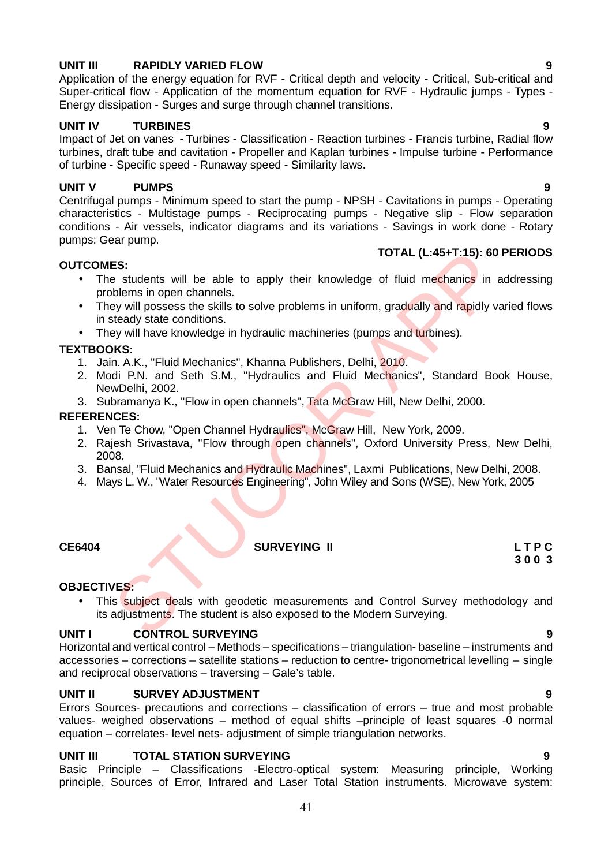## **UNIT III RAPIDLY VARIED FLOW 9**

Application of the energy equation for RVF - Critical depth and velocity - Critical, Sub-critical and Super-critical flow - Application of the momentum equation forRVF - Hydraulic jumps - Types - Energy dissipation - Surges and surge through channel transitions.

## **UNIT IV TURBINES 9**

Impact of Jet on vanes - Turbines - Classification - Reaction turbines - Francis turbine, Radial flow turbines, draft tube and cavitation - Propeller and Kaplan turbines - Impulse turbine - Performance of turbine - Specific speed - Runaway speed - Similarity laws.

## **UNIT V PUMPS 9**

Centrifugal pumps - Minimum speed to start the pump - NPSH - Cavitations in pumps - Operating characteristics - Multistage pumps - Reciprocating pumps - Negative slip - Flow separation conditions - Air vessels, indicator diagrams and its variations - Savings in work done - Rotary pumps: Gear pump.

## **OUTCOMES:**

## **TOTAL (L:45+T:15): 60 PERIODS**

- The students will be able to apply their knowledge of fluid mechanics in addressing problems in open channels.
- They will possess the skills to solve problems in uniform, gradually and rapidly varied flows in steady state conditions. TOTAL (L:45+T:15): 60<br>
SES:<br>
TOTAL (L:45+T:15): 60<br>
beloms in open channels.<br>
beloms in open channels.<br>
beloms in open channels in signal mechanics in signal mechanics in signal<br>
below will possess the skills to solve prob
- They will have knowledge in hydraulic machineries (pumps and turbines).

## **TEXTBOOKS:**

- 1. Jain. A.K., "Fluid Mechanics", Khanna Publishers, Delhi, 2010.
- 2. Modi P.N. and Seth S.M., "Hydraulics and Fluid Mechanics", Standard Book House, NewDelhi, 2002.
- 3. Subramanya K., "Flow in open channels", Tata McGraw Hill, New Delhi, 2000.

## **REFERENCES:**

- 1. Ven Te Chow, "Open Channel Hydraulics", McGraw Hill, New York, 2009.
- 2. Rajesh Srivastava, "Flow through open channels", Oxford University Press, New Delhi, 2008.
- 3. Bansal, "Fluid Mechanics and Hydraulic Machines", Laxmi Publications, New Delhi, 2008.
- 4. Mays L. W., "Water Resources Engineering", John Wiley and Sons (WSE), New York, 2005

## **CE6404 SURVEYING II L T P C**

# **3 0 0 3**

## **OBJECTIVES:**

• This subject deals with geodetic measurements and Control Survey methodology and its adjustments. The student is also exposed to the Modern Surveying.

## **UNIT I CONTROL SURVEYING 9**

Horizontal and vertical control – Methods – specifications – triangulation- baseline – instruments and accessories – corrections – satellite stations – reduction to centre- trigonometrical levelling – single and reciprocal observations – traversing – Gale's table.

## **UNIT II SURVEY ADJUSTMENT 9**

Errors Sources- precautions and corrections – classification of errors – true and most probable values- weighed observations – method of equal shifts –principle of least squares -0 normal equation – correlates- level nets- adjustment of simple triangulation networks.

## **UNIT III TOTAL STATION SURVEYING 9**

Basic Principle – Classifications -Electro-optical system: Measuring principle, Working principle, Sources of Error, Infrared and Laser Total Station instruments. Microwave system: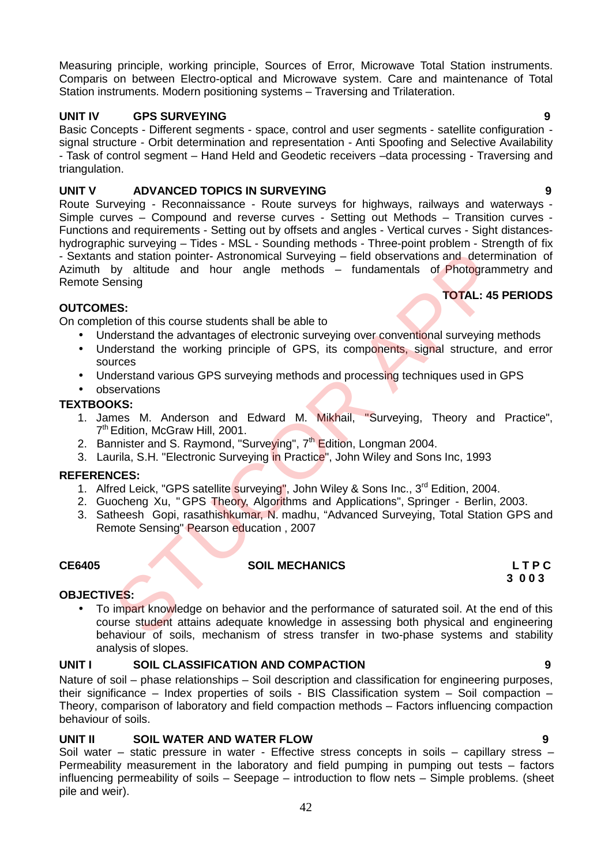Measuring principle, working principle, Sources of Error, Microwave Total Station instruments. Comparis on between Electro-optical and Microwave system. Care and maintenance of Total Station instruments. Modern positioning systems – Traversing and Trilateration.

## **UNIT IV GPS SURVEYING 9**

Basic Concepts - Different segments - space, control and user segments - satellite configuration signal structure - Orbit determination and representation - Anti Spoofing and Selective Availability - Task of control segment – Hand Held and Geodetic receivers –data processing - Traversing and triangulation.

## **UNIT V ADVANCED TOPICS IN SURVEYING 9**

Route Surveying - Reconnaissance - Route surveys for highways, railways and waterways - Simple curves – Compound and reverse curves - Setting out Methods – Transition curves - Functions and requirements - Setting out by offsets and angles - Vertical curves - Sight distances hydrographic surveying – Tides - MSL - Sounding methods - Three-point problem - Strength of fix - Sextants and station pointer- Astronomical Surveying – field observations and determination of Azimuth by altitude and hour angle methods – fundamentals of Photogrammetry and Remote Sensing and station pointer-Astronomical Surveying – field observations and determ<br>they alitude and hour angle methods – fundamentals of Photogram<br>ensing<br>ensity<br>and the advantages of electronic surveying over conventional surveyin

## **OUTCOMES:**

On completion of this course students shall be able to

- Understand the advantages of electronic surveying over conventional surveying methods
- Understand the working principle of GPS, its components, signal structure, and error sources
- Understand various GPS surveying methods and processing techniques used in GPS
- observations

## **TEXTBOOKS:**

- 1. James M. Anderson and Edward M. Mikhail, "Surveying, Theory and Practice", 7<sup>th</sup> Edition, McGraw Hill, 2001.
- 2. Bannister and S. Raymond, "Surve<mark>y</mark>ing", 7<sup>th</sup> Edition, Longman 2004.
- 3. Laurila, S.H. "Electronic Surveying in Practice", John Wiley and Sons Inc, 1993

## **REFERENCES:**

- 1. Alfred Leick, "GPS satellite surveying", John Wiley & Sons Inc., 3<sup>rd</sup> Edition, 2004.
- 2. Guocheng Xu, "GPS Theory, Algorithms and Applications", Springer Berlin, 2003.
- 3. Satheesh Gopi, rasathishkumar, N. madhu, "Advanced Surveying, Total Station GPS and Remote Sensing" Pearson education , 2007

## **CE6405 SOIL MECHANICS L T P C**

## **OBJECTIVES:**

 To impart knowledge on behavior and the performance of saturated soil. At the end of this course student attains adequate knowledge in assessing both physical and engineering behaviour of soils, mechanism of stress transfer in two-phase systems and stability analysis of slopes.

## **UNIT I SOIL CLASSIFICATION AND COMPACTION 9**

Nature of soil – phase relationships – Soil description and classification for engineering purposes, their significance – Index properties of soils - BIS Classification system – Soil compaction – Theory, comparison of laboratory and field compaction methods – Factors influencing compaction behaviour of soils.

## **UNIT II SOIL WATER AND WATER FLOW 9**

Soil water – static pressure in water - Effective stress concepts in soils – capillary stress – Permeability measurement in the laboratory and field pumping in pumping out tests – factors influencing permeability of soils – Seepage – introduction to flow nets – Simple problems. (sheet pile and weir).

**TOTAL: 45 PERIODS**

# **3 0 0 3**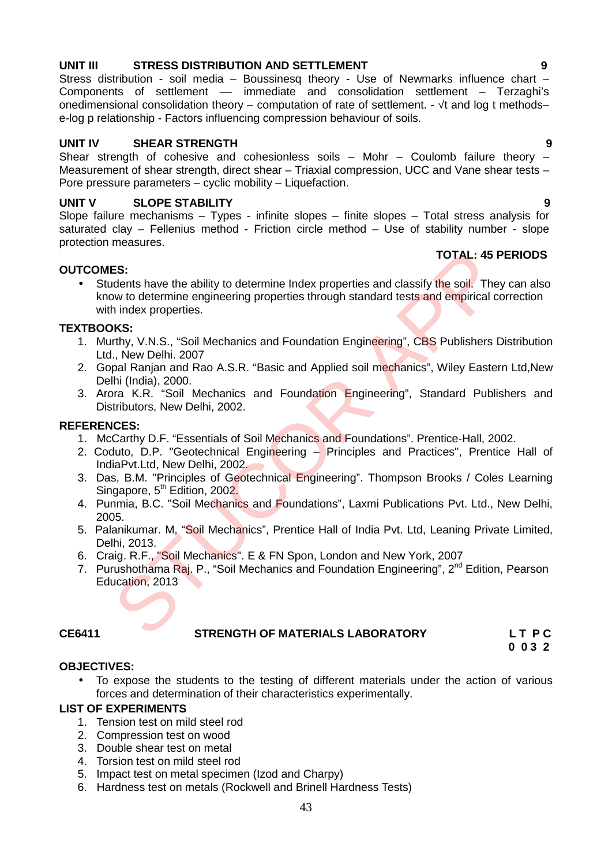## 2. Gopal Ranjan and Rao A.S.R. "Basic and Applied soil mechanics", Wiley Eastern Ltd, New

Delhi (India), 2000. 3. Arora K.R. "Soil Mechanics and Foundation Engineering", Standard Publishers and Distributors, New Delhi, 2002. **ES:**<br> **ES:**<br> **ES:**<br> **ES:**<br> **EDENDIGENT INTERT INTERT CONDENDING THE SOLUTION OF CONDENDATION IN A INDEX POPERTIES.<br>
In MeChanics and Foundation Engineering", CBS Publishers I<br>
<b>ANO DENDIE 2007**<br> **ENET INTERT INTERT INTERT** 

## **REFERENCES:**

**OUTCOMES:**

**TEXTBOOKS:**

- 1. McCarthy D.F. "Essentials of Soil Mechanics and Foundations". Prentice-Hall, 2002.
- 2. Coduto, D.P. "Geotechnical Engineering Principles and Practices", Prentice Hall of IndiaPvt.Ltd, New Delhi, 2002.
- 3. Das, B.M. "Principles of Geotechnical Engineering". Thompson Brooks / Coles Learning Singapore, 5<sup>th</sup> Edition, 2002.
- 4. Punmia, B.C. "Soil Mechanics and Foundations", Laxmi Publications Pvt. Ltd., New Delhi, 2005.
- 5. Palanikumar. M, "Soil Mechanics", Prentice Hall of India Pvt. Ltd, Leaning Private Limited, Delhi, 2013.
- 6. Craig. R.F., "Soil Mechanics". E & FN Spon, London and New York, 2007
- 7. Purushothama Raj. P., "Soil Mechanics and Foundation Engineering", 2<sup>nd</sup> Edition, Pearson Education, 2013

## **CE6411 STRENGTH OF MATERIALS LABORATORY L T P C**

**0 0 3 2**

### **OBJECTIVES:**

 To expose the students to the testing of different materials under the action of various forces and determination of their characteristics experimentally.

### **LIST OF EXPERIMENTS**

- 1. Tension test on mild steel rod
- 2. Compression test on wood
- 3. Double shear test on metal
- 4. Torsion test on mild steel rod
- 5. Impact test on metal specimen (Izod and Charpy)
- 6. Hardness test on metals (Rockwell and Brinell Hardness Tests)

## **UNIT III STRESS DISTRIBUTION AND SETTLEMENT 9**

Stress distribution - soil media – Boussinesq theory - Use of Newmarks influence chart – Components of settlement — immediate and consolidation settlement – Terzaghi's onedimensional consolidation theory – computation of rate of settlement. - t and log t methods– e-log p relationship - Factors influencing compression behaviour of soils.

## **UNIT IV SHEAR STRENGTH 9**

Shear strength of cohesive and cohesionless soils  $-$  Mohr  $-$  Coulomb failure theory  $-$ Measurement of shear strength, direct shear – Triaxial compression, UCC and Vane shear tests – Pore pressure parameters – cyclic mobility – Liquefaction.

### **UNIT V SLOPE STABILITY 9**

with index properties.

Ltd., New Delhi. 2007

Slope failure mechanisms – Types - infinite slopes – finite slopes – Total stress analysis for saturated clay – Fellenius method - Friction circle method – Use of stability number - slope protection measures.

• Students have the ability to determine Index properties and classify the soil. They can also know to determine engineering properties through standard tests and empirical correction

1. Murthy, V.N.S., "Soil Mechanics and Foundation Engineering", CBS Publishers Distribution

## **TOTAL: 45 PERIODS**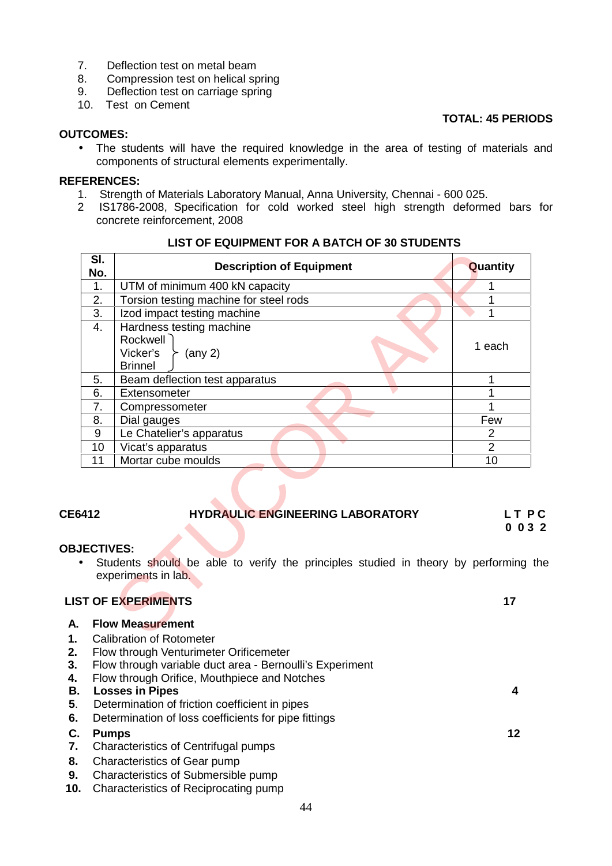- 7. Deflection test on metal beam
- 8. Compression test on helical spring
- 9. Deflection test on carriage spring
- 10. Test on Cement

## **TOTAL: 45 PERIODS**

## **OUTCOMES:**

 The students will have the required knowledge in the area of testing of materials and components of structural elements experimentally.

## **REFERENCES:**

- 1. Strength of Materials Laboratory Manual, Anna University, Chennai 600 025.
- 2 IS1786-2008, Specification for cold worked steel high strength deformed bars for concrete reinforcement, 2008

| SI.<br>No.             | <b>Description of Equipment</b>                                                                             | Quantity       |
|------------------------|-------------------------------------------------------------------------------------------------------------|----------------|
| 1.                     | UTM of minimum 400 kN capacity                                                                              |                |
| 2.                     | Torsion testing machine for steel rods                                                                      |                |
| $\overline{3}$ .       | Izod impact testing machine                                                                                 |                |
| 4.                     | Hardness testing machine<br>Rockwell<br>Vicker's<br>(any 2)<br><b>Brinnel</b>                               | 1 each         |
| 5.                     | Beam deflection test apparatus                                                                              | 1              |
| 6.                     | Extensometer                                                                                                |                |
| 7.                     | Compressometer                                                                                              |                |
| 8.                     | Dial gauges                                                                                                 | Few            |
| 9                      | Le Chatelier's apparatus                                                                                    | $\overline{2}$ |
| 10                     | Vicat's apparatus                                                                                           | $\overline{2}$ |
| 11                     | Mortar cube moulds                                                                                          | 10             |
| 412<br><b>ECTIVES:</b> | <b>HYDRAULIC ENGINEERING LABORATORY</b>                                                                     | LT PC<br>0032  |
|                        | Students should be able to verify the principles studied in theory by performing the<br>experiments in lab. |                |
|                        | <b>T OF EXPERIMENTS</b>                                                                                     | 17             |
|                        | <b>Flow Measurement</b><br>Oallenation of Datama                                                            |                |

## **LIST OF EQUIPMENT FOR A BATCH OF 30 STUDENTS**

## **CE6412 HYDRAULIC ENGINEERING LABORATORY L T P C**

## **OBJECTIVES:**

## **LIST OF EXPERIMENTS 17**

- **A. Flow Measurement**
- **1.** Calibration of Rotometer
- **2.** Flow through Venturimeter Orificemeter
- **3.** Flow through variable duct area Bernoulli's Experiment
- **4.** Flow through Orifice, Mouthpiece and Notches
- **B.** Losses in Pipes<br>5. Determination of
- **<sup>5</sup>**. **Losses in Pipes <sup>4</sup>** Determination of friction coefficient in pipes
- **6.** Determination of loss coefficients for pipe fittings **4**

### **C. Pumps 12**

- **7.** Characteristics of Centrifugal pumps
- **8.** Characteristics of Gear pump<br>**9.** Characteristics of Submersible
- **9.** Characteristics of Submersible pump
- **10.** Characteristics of Reciprocating pump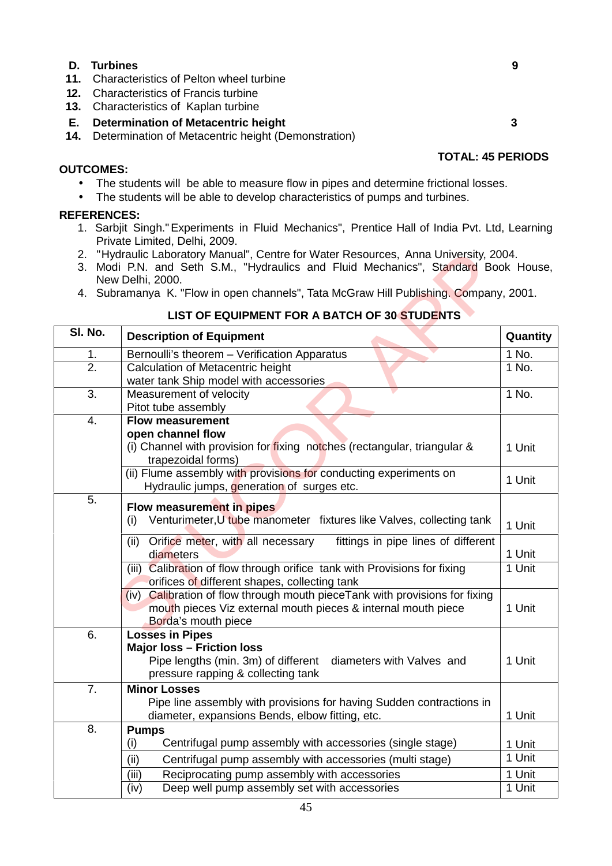### **D. Turbines 9**

- **11.** Characteristics of Pelton wheel turbine
- **12.** Characteristics of Francis turbine
- **13.** Characteristics of Kaplan turbine

### **E. Determination of Metacentric height 3** 3

**14.** Determination of Metacentric height (Demonstration)

## **OUTCOMES:**

- The students will be able to measure flow in pipes and determine frictional losses.
- The students will be able to develop characteristics of pumps and turbines.

## **REFERENCES:**

- 1. Sarbjit Singh."Experiments in Fluid Mechanics", Prentice Hall of India Pvt. Ltd, Learning Private Limited, Delhi, 2009.
- 2. "Hydraulic Laboratory Manual", Centre for Water Resources, Anna University, 2004.
- 3. Modi P.N. and Seth S.M., "Hydraulics and Fluid Mechanics", Standard Book House, New Delhi, 2000.
- 4. Subramanya K. "Flow in open channels", Tata McGraw Hill Publishing. Company, 2001.

## **LIST OF EQUIPMENT FOR A BATCH OF 30 STUDENTS**

| 2.      | "Hydraulic Laboratory Manual", Centre for Water Resources, Anna University, 2004.<br>3. Modi P.N. and Seth S.M., "Hydraulics and Fluid Mechanics", Standard Book House, |          |
|---------|-------------------------------------------------------------------------------------------------------------------------------------------------------------------------|----------|
|         | New Delhi, 2000.<br>4. Subramanya K. "Flow in open channels", Tata McGraw Hill Publishing. Company, 2001.                                                               |          |
|         |                                                                                                                                                                         |          |
|         | LIST OF EQUIPMENT FOR A BATCH OF 30 STUDENTS                                                                                                                            |          |
| SI. No. | <b>Description of Equipment</b>                                                                                                                                         | Quantity |
| 1.      | Bernoulli's theorem - Verification Apparatus                                                                                                                            | 1 No.    |
| 2.      | Calculation of Metacentric height<br>water tank Ship model with accessories                                                                                             | 1 No.    |
| 3.      | Measurement of velocity<br>Pitot tube assembly                                                                                                                          | 1 No.    |
| 4.      | <b>Flow measurement</b><br>open channel flow<br>(i) Channel with provision for fixing notches (rectangular, triangular &                                                | 1 Unit   |
|         | trapezoidal forms)<br>(ii) Flume assembly with provisions for conducting experiments on<br>Hydraulic jumps, generation of surges etc.                                   | 1 Unit   |
| 5.      | Flow measurement in pipes<br>Venturimeter, U tube manometer fixtures like Valves, collecting tank<br>(i)                                                                | 1 Unit   |
|         | Orifice meter, with all necessary<br>fittings in pipe lines of different<br>(ii)<br>diameters                                                                           | 1 Unit   |
|         | (iii) Calibration of flow through orifice tank with Provisions for fixing<br>orifices of different shapes, collecting tank                                              | 1 Unit   |
|         | (iv) Calibration of flow through mouth piece Tank with provisions for fixing<br>mouth pieces Viz external mouth pieces & internal mouth piece<br>Borda's mouth piece    | 1 Unit   |
| 6.      | <b>Losses in Pipes</b><br><b>Major loss - Friction loss</b><br>Pipe lengths (min. 3m) of different<br>diameters with Valves and<br>pressure rapping & collecting tank   | 1 Unit   |
| 7.      | <b>Minor Losses</b><br>Pipe line assembly with provisions for having Sudden contractions in<br>diameter, expansions Bends, elbow fitting, etc.                          | 1 Unit   |
| 8.      | <b>Pumps</b>                                                                                                                                                            |          |
|         | Centrifugal pump assembly with accessories (single stage)<br>(i)                                                                                                        | 1 Unit   |
|         | (ii)<br>Centrifugal pump assembly with accessories (multi stage)                                                                                                        | 1 Unit   |
|         | (iii)<br>Reciprocating pump assembly with accessories                                                                                                                   | 1 Unit   |
|         | Deep well pump assembly set with accessories<br>(iv)                                                                                                                    | 1 Unit   |
|         |                                                                                                                                                                         |          |

## **TOTAL: 45 PERIODS**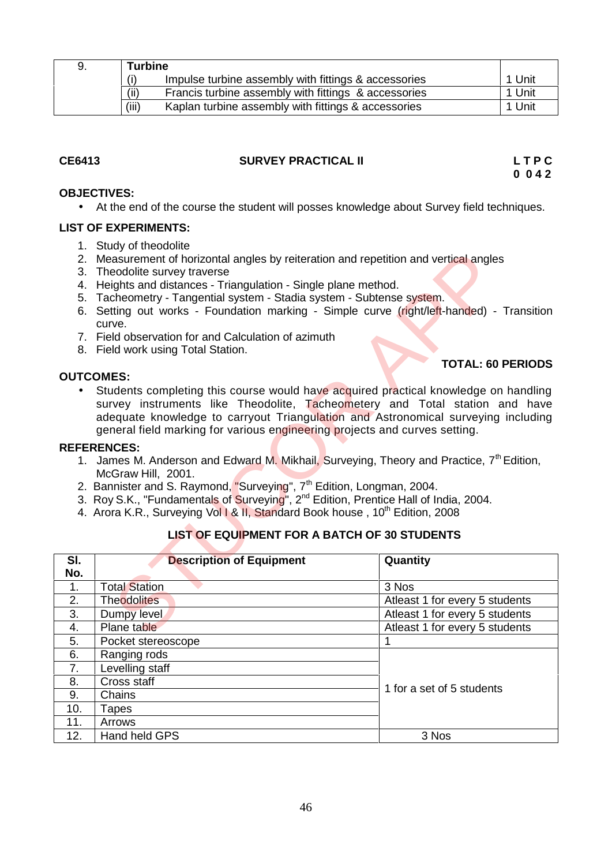| 9. | <b>Turbine</b>                                               |        |
|----|--------------------------------------------------------------|--------|
|    | (i)<br>Impulse turbine assembly with fittings & accessories  | 1 Unit |
|    | (ii)<br>Francis turbine assembly with fittings & accessories | 1 Unit |
|    | (iii)<br>Kaplan turbine assembly with fittings & accessories | 1 Unit |

## **CE6413 SURVEY PRACTICAL II L T P C**

**0 0 4 2**

## **OBJECTIVES:**

At the end of the course the student will posses knowledge about Survey field techniques.

## **LIST OF EXPERIMENTS:**

- 1. Study of theodolite
- 2. Measurement of horizontal angles by reiteration and repetition and vertical angles
- 3. Theodolite survey traverse
- 4. Heights and distances Triangulation Single plane method.
- 5. Tacheometry Tangential system Stadia system Subtense system.
- 6. Setting out works Foundation marking Simple curve (right/left-handed) Transition curve.
- 7. Field observation for and Calculation of azimuth
- 8. Field work using Total Station.

## **OUTCOMES:**

## **TOTAL: 60 PERIODS**

## **REFERENCES:**

- 1. James M. Anderson and Edward M. Mikhail, Surveying, Theory and Practice, 7<sup>th</sup> Edition, McGraw Hill, 2001.
- 2. Bannister and S. Raymond<mark>, "</mark>Surveying", 7<sup>th</sup> Edition, Longman, 2004.
- 3. Roy S.K., "Fundamentals of Surveying", 2<sup>nd</sup> Edition, Prentice Hall of India, 2004.
- 4. Arora K.R., Surveying Vol 1 & II, Standard Book house, 10<sup>th</sup> Edition, 2008

## **LIST OF EQUIPMENT FOR A BATCH OF 30 STUDENTS**

|           | 2. Measurement of horizontal angles by reiteration and repetition and vertical angles                |                                |  |
|-----------|------------------------------------------------------------------------------------------------------|--------------------------------|--|
|           | 3. Theodolite survey traverse                                                                        |                                |  |
|           | 4. Heights and distances - Triangulation - Single plane method.                                      |                                |  |
|           | 5. Tacheometry - Tangential system - Stadia system - Subtense system.                                |                                |  |
|           | 6. Setting out works - Foundation marking - Simple curve (right/left-handed) - Transition            |                                |  |
|           | curve.                                                                                               |                                |  |
|           | 7. Field observation for and Calculation of azimuth                                                  |                                |  |
|           | 8. Field work using Total Station.                                                                   |                                |  |
|           | <b>OUTCOMES:</b>                                                                                     | <b>TOTAL: 60 PERIODS</b>       |  |
| $\bullet$ | Students completing this course would have acquired practical knowledge on handling                  |                                |  |
|           | survey instruments like Theodolite, Tacheometery and Total station and have                          |                                |  |
|           | adequate knowledge to carryout Triangulation and Astronomical surveying including                    |                                |  |
|           | general field marking for various engineering projects and curves setting.                           |                                |  |
|           | <b>REFERENCES:</b>                                                                                   |                                |  |
|           | 1. James M. Anderson and Edward M. Mikhail, Surveying, Theory and Practice, 7 <sup>th</sup> Edition, |                                |  |
|           | McGraw Hill, 2001.                                                                                   |                                |  |
|           | 2. Bannister and S. Raymond, "Surveying", 7 <sup>th</sup> Edition, Longman, 2004.                    |                                |  |
|           | 3. Roy S.K., "Fundamentals of Surveying", 2 <sup>nd</sup> Edition, Prentice Hall of India, 2004.     |                                |  |
|           | 4. Arora K.R., Surveying Vol 1 & II, Standard Book house, 10 <sup>th</sup> Edition, 2008             |                                |  |
|           |                                                                                                      |                                |  |
|           | <b>LIST OF EQUIPMENT FOR A BATCH OF 30 STUDENTS</b>                                                  |                                |  |
|           |                                                                                                      |                                |  |
| SI.       | <b>Description of Equipment</b>                                                                      | Quantity                       |  |
| No.       |                                                                                                      |                                |  |
| 1.        | <b>Total Station</b>                                                                                 | 3 Nos                          |  |
| 2.        | Theodolites                                                                                          | Atleast 1 for every 5 students |  |
| 3.        | Dumpy level                                                                                          | Atleast 1 for every 5 students |  |
| 4.        | Plane table                                                                                          | Atleast 1 for every 5 students |  |
| 5.        | Pocket stereoscope                                                                                   | 1                              |  |
| 6.        | Ranging rods                                                                                         |                                |  |
| 7.        | Levelling staff                                                                                      |                                |  |
| 8.        | Cross staff                                                                                          |                                |  |
| 9.        | Chains                                                                                               | 1 for a set of 5 students      |  |
| 10.       | Tapes                                                                                                |                                |  |
| 11.       | Arrows                                                                                               |                                |  |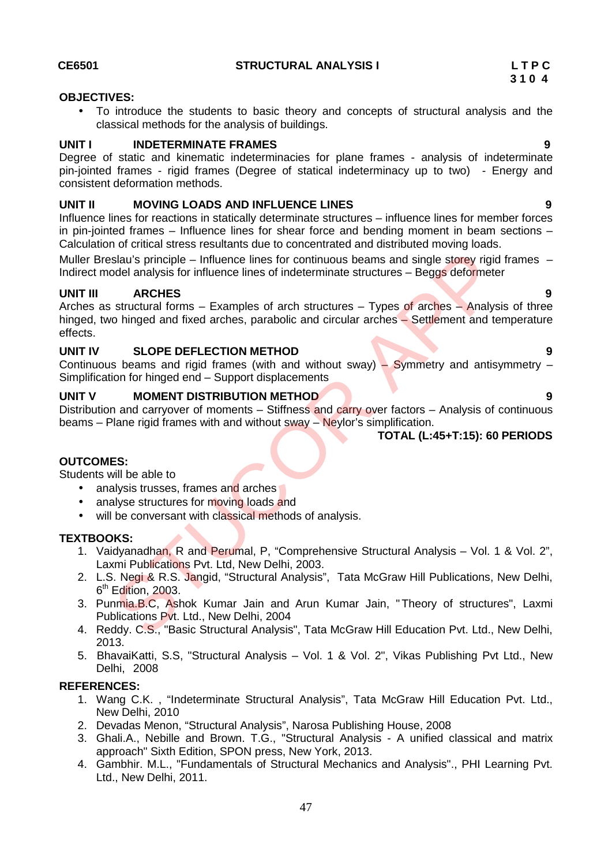## **OBJECTIVES:**

 To introduce the students to basic theory and concepts of structural analysis and the classical methods for the analysis of buildings.

## **UNIT I INDETERMINATE FRAMES 9**

Degree of static and kinematic indeterminacies for plane frames - analysis of indeterminate pin-jointed frames - rigid frames (Degree of statical indeterminacy up to two) - Energy and consistent deformation methods.

## **UNIT II MOVING LOADS AND INFLUENCE LINES 9**

Influence lines for reactions in statically determinate structures – influence lines for member forces in pin-jointed frames – Influence lines for shear force and bending moment in beam sections – Calculation of critical stress resultants due to concentrated and distributed moving loads.

Muller Breslau's principle – Influence lines for continuous beams and single storey rigid frames – Indirect model analysis for influence lines of indeterminate structures – Beggs deformeter

## **UNIT III ARCHES 9**

Arches as structural forms – Examples of arch structures – Types of arches – Analysis of three hinged, two hinged and fixed arches, parabolic and circular arches - Settlement and temperature effects. Sau's principle – Influence lines for continuous beams and single storey rigical<br>
STUCTUS CORES TO interact and the structures – Beggs deformed<br>
STUCTUS – Examples of arch structures – Types of arches – Analys<br>
STUCTUS MET

## **UNIT IV SLOPE DEFLECTION METHOD 9**

Continuous beams and rigid frames (with and without sway) – Symmetry and antisymmetry – Simplification for hinged end – Support displacements

## **UNIT V MOMENT DISTRIBUTION METHOD 9**

Distribution and carryover of moments – Stiffness and carry over factors – Analysis of continuous beams – Plane rigid frames with and without sway – Neylor's simplification.

## **TOTAL (L:45+T:15): 60 PERIODS**

## **OUTCOMES:**

Students will be able to

- analysis trusses, frames and arches
- analyse structures for moving loads and
- will be conversant with classical methods of analysis.

## **TEXTBOOKS:**

- 1. Vaidyanadhan, R and Perumal, P, "Comprehensive Structural Analysis Vol. 1 & Vol. 2", Laxmi Publications Pvt. Ltd, New Delhi, 2003.
- 2. L.S. Negi & R.S. Jangid, "Structural Analysis", Tata McGraw Hill Publications, New Delhi, 6<sup>th</sup> Edition, 2003.
- 3. Punmia.B.C, Ashok Kumar Jain and Arun Kumar Jain, "Theory of structures", Laxmi Publications Pvt. Ltd., New Delhi, 2004
- 4. Reddy. C.S., "Basic Structural Analysis", Tata McGraw Hill Education Pvt. Ltd., New Delhi, 2013.
- 5. BhavaiKatti, S.S, "Structural Analysis Vol. 1 & Vol. 2", Vikas Publishing Pvt Ltd., New Delhi, 2008

## **REFERENCES:**

- 1. Wang C.K. , "Indeterminate Structural Analysis", Tata McGraw Hill Education Pvt. Ltd., New Delhi, 2010
- 2. Devadas Menon, "Structural Analysis", Narosa Publishing House, 2008
- 3. Ghali.A., Nebille and Brown. T.G., "Structural Analysis A unified classical and matrix approach" Sixth Edition, SPON press, New York, 2013.
- 4. Gambhir. M.L., "Fundamentals of Structural Mechanics and Analysis"., PHI Learning Pvt. Ltd., New Delhi, 2011.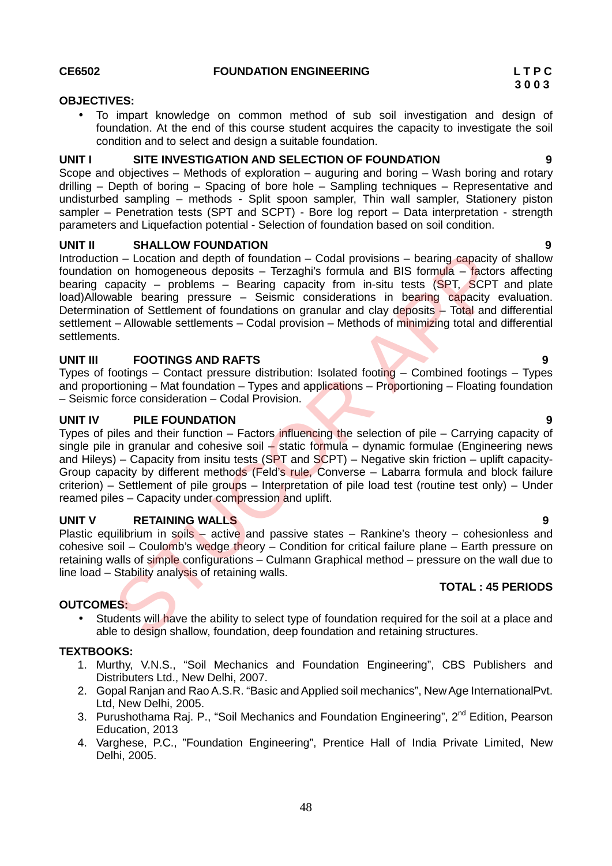## **CE6502 FOUNDATION ENGINEERING L T P C**

## **OBJECTIVES:**

 To impart knowledge on common method of sub soil investigation and design of foundation. At the end of this course student acquires the capacity to investigate the soil condition and to select and design a suitable foundation.

## **UNIT I SITE INVESTIGATION AND SELECTION OF FOUNDATION 9**

Scope and objectives – Methods of exploration – auguring and boring – Wash boring and rotary drilling – Depth of boring – Spacing of bore hole – Sampling techniques – Representative and undisturbed sampling – methods - Split spoon sampler, Thin wall sampler, Stationery piston sampler – Penetration tests (SPT and SCPT) - Bore log report – Data interpretation - strength parameters and Liquefaction potential - Selection of foundation based on soil condition.

## **UNIT II SHALLOW FOUNDATION 9**

Introduction – Location and depth of foundation – Codal provisions – bearing capacity of shallow foundation on homogeneous deposits – Terzaghi's formula and BIS formula – factors affecting bearing capacity – problems – Bearing capacity from in-situ tests  $(SPT, SCPT$  and plate load)Allowable bearing pressure – Seismic considerations in bearing capacity evaluation. Determination of Settlement of foundations on granular and clay deposits – Total and differential settlement – Allowable settlements – Codal provision – Methods of minimizing total and differential settlements. n – Location and depth of foundation – Codal provisions – bearing capacity<br>on homogeneous deposits – Terzaghis' formula and BIS formula<br>operative problems – Bearing capacity from in-situ tests (SPT, SCPT<br>able bearing press

## **UNIT III FOOTINGS AND RAFTS 9**

Types of footings – Contact pressure distribution: Isolated footing – Combined footings – Types and proportioning – Mat foundation – Types and applications – Proportioning – Floating foundation – Seismic force consideration – Codal Provision.

## **UNIT IV PILE FOUNDATION 9**

Types of piles and their function – Factors influencing the selection of pile – Carrying capacity of single pile in granular and cohesive soil  $-$  static formula – dynamic formulae (Engineering news and Hileys) – Capacity from insitu tests (SPT and SCPT) – Negative skin friction – uplift capacity-Group capacity by different methods (Feld's rule, Converse – Labarra formula and block failure criterion) – Settlement of pile groups – Interpretation of pile load test (routine test only) – Under reamed piles – Capacity under compression and uplift.

## **UNIT V RETAINING WALLS 9**

Plastic equilibrium in soils – active and passive states – Rankine's theory – cohesionless and cohesive soil – Coulomb's wedge theory – Condition for critical failure plane – Earth pressure on retaining walls of simple configurations – Culmann Graphical method – pressure on the wall due to line load – Stability analysis of retaining walls.

## **TOTAL : 45 PERIODS**

## **OUTCOMES:**

• Students will have the ability to select type of foundation required for the soil at a place and able to design shallow, foundation, deep foundation and retaining structures.

## **TEXTBOOKS:**

- 1. Murthy, V.N.S., "Soil Mechanics and Foundation Engineering", CBS Publishers and Distributers Ltd., New Delhi, 2007.
- 2. Gopal Ranjan and Rao A.S.R. "Basic and Applied soil mechanics", New Age InternationalPvt. Ltd, New Delhi, 2005.
- 3. Purushothama Raj. P., "Soil Mechanics and Foundation Engineering", 2<sup>nd</sup> Edition, Pearson Education, 2013
- 4. Varghese, P.C., "Foundation Engineering", Prentice Hall of India Private Limited, New Delhi, 2005.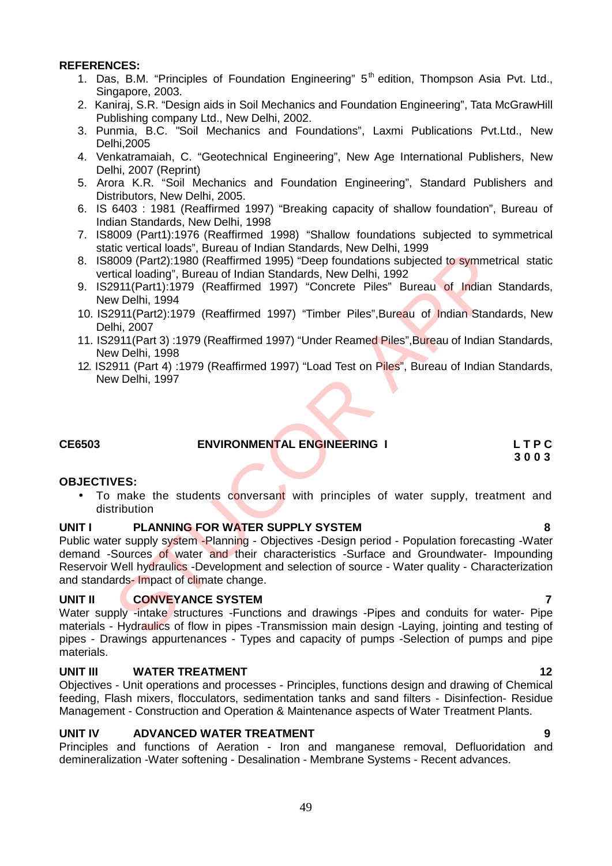## **REFERENCES:**

- 1. Das, B.M. "Principles of Foundation Engineering" 5<sup>th</sup> edition, Thompson Asia Pvt. Ltd., Singapore, 2003.
- 2. Kaniraj, S.R. "Design aids in Soil Mechanics and Foundation Engineering", Tata McGrawHill Publishing company Ltd., New Delhi, 2002.
- 3. Punmia, B.C. "Soil Mechanics and Foundations", Laxmi Publications Pvt.Ltd., New Delhi,2005
- 4. Venkatramaiah, C. "Geotechnical Engineering", New Age International Publishers, New Delhi, 2007 (Reprint)
- 5. Arora K.R. "Soil Mechanics and Foundation Engineering", Standard Publishers and Distributors, New Delhi, 2005.
- 6. IS 6403 : 1981 (Reaffirmed 1997) "Breaking capacity of shallow foundation", Bureau of Indian Standards, New Delhi, 1998
- 7. IS8009 (Part1):1976 (Reaffirmed 1998) "Shallow foundations subjected to symmetrical static vertical loads", Bureau of Indian Standards, New Delhi, 1999
- 8. IS8009 (Part2):1980 (Reaffirmed 1995) "Deep foundations subjected to symmetrical static vertical loading", Bureau of Indian Standards, New Delhi, 1992
- 9. IS2911(Part1):1979 (Reaffirmed 1997) "Concrete Piles" Bureau of Indian Standards, New Delhi, 1994
- 10. IS2911(Part2):1979 (Reaffirmed 1997) "Timber Piles",Bureau of Indian Standards, New Delhi, 2007
- 11. IS2911(Part 3) :1979 (Reaffirmed 1997) "Under Reamed Piles",Bureau of Indian Standards, New Delhi, 1998
- 12. IS2911 (Part 4) :1979 (Reaffirmed 1997) "Load Test on Piles", Bureau of Indian Standards, New Delhi, 1997

## **CE6503 ENVIRONMENTAL ENGINEERING I L T P C**

# **3 0 0 3**

## **OBJECTIVES:**

• To make the students conversant with principles of water supply, treatment and distribution

## **UNIT I PLANNING FOR WATER SUPPLY SYSTEM 8**

Public water supply system -Planning - Objectives -Design period - Population forecasting -Water demand -Sources of water and their characteristics -Surface and Groundwater- Impounding Reservoir Well hydraulics -Development and selection of source - Water quality - Characterization and standards-Impact of climate change. Intervention Conservation Conservation Conservation School (Part2):1980 (Reaffirmed 1995) "Deep foundations subjected to symmetrical loading", Bureau of Indian Standards, New Delhi, 1992<br>2911(Part2):1980 (Reaffirmed 1997)

## **UNIT II CONVEYANCE SYSTEM 7**

Water supply -intake structures -Functions and drawings -Pipes and conduits for water- Pipe materials - Hydraulics of flow in pipes -Transmission main design -Laying, jointing and testing of pipes - Drawings appurtenances - Types and capacity of pumps -Selection of pumps and pipe materials.

## **UNIT III WATER TREATMENT 12**

Objectives - Unit operations and processes - Principles, functions design and drawing of Chemical feeding, Flash mixers, flocculators, sedimentation tanks and sand filters - Disinfection- Residue Management - Construction and Operation & Maintenance aspects of Water Treatment Plants.

## **UNIT IV ADVANCED WATER TREATMENT 9**

Principles and functions of Aeration - Iron and manganese removal, Defluoridation and demineralization -Water softening - Desalination - Membrane Systems - Recent advances.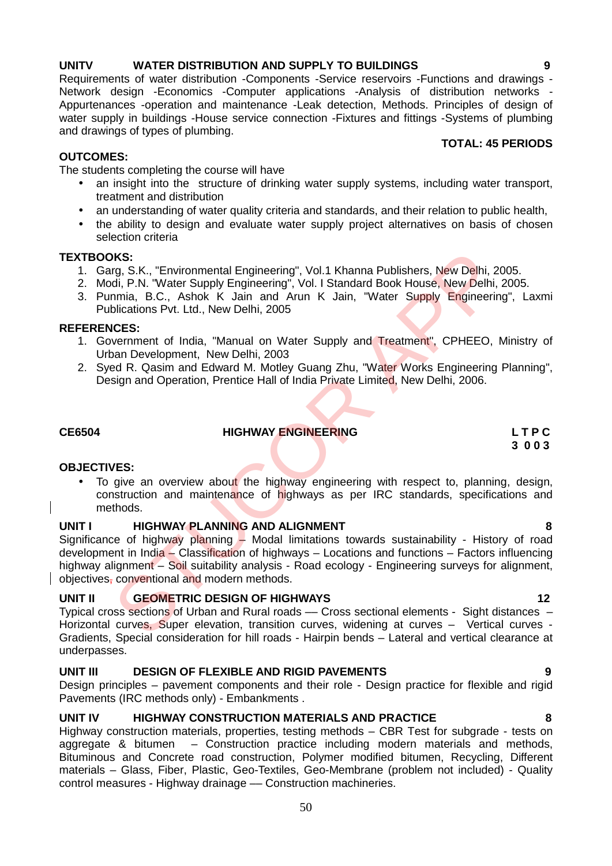## **UNITV WATER DISTRIBUTION AND SUPPLY TO BUILDINGS 9**

Requirements of water distribution -Components -Service reservoirs -Functions and drawings - Network design -Economics -Computer applications -Analysis of distribution networks -<br>Appurtenances -operation and maintenance -Leak detection, Methods. Principles of design of water supply in buildings -House service connection -Fixtures and fittings -Systems of plumbing and drawings of types of plumbing. **TOTAL: 45 PERIODS**

## **OUTCOMES:**

The students completing the course will have

- an insight into the structure of drinking water supply systems, including water transport, treatment and distribution
- an understanding of water quality criteria and standards, and their relation to public health,
- the ability to design and evaluate water supply project alternatives on basis of chosen selection criteria

## **TEXTBOOKS:**

- 1. Garg, S.K., "Environmental Engineering", Vol.1 Khanna Publishers, New Delhi, 2005.
- 2. Modi, P.N. "Water Supply Engineering", Vol. I Standard Book House, New Delhi, 2005.
- 3. Punmia, B.C., Ashok K Jain and Arun K Jain, "Water Supply Engineering", Laxmi Publications Pvt. Ltd., New Delhi, 2005

## **REFERENCES:**

- 1. Government of India, "Manual on Water Supply and Treatment", CPHEEO, Ministry of Urban Development, New Delhi, 2003
- 2. Syed R. Qasim and Edward M. Motley Guang Zhu, "Water Works Engineering Planning", Design and Operation, Prentice Hall of India Private Limited, New Delhi, 2006.

## **CE6504 HIGHWAY ENGINEERING L T P C**

## **OBJECTIVES:**

• To give an overview about the highway engineering with respect to, planning, design, construction and maintenance of highways as per IRC standards, specifications and methods.

## **UNIT I HIGHWAY PLANNING AND ALIGNMENT 8**

Significance of highway planning – Modal limitations towards sustainability - History of road development in India – Classification of highways – Locations and functions – Factors influencing highway alignment – Soil suitability analysis - Road ecology - Engineering surveys for alignment, objectives, conventional and modern methods. **ISC**:<br>
ISC, S.K., "Environmental Engineering", Vol.1 Khanna Publishers, New Delhi, 2<br>
Idi, P.N. "Water Supply Engineering", Vol.1 Standard Book House, New Delhi,<br>
Idi, P.N. "Water Supply Engineering", Vol.1 Standard Book

## **UNIT II GEOMETRIC DESIGN OF HIGHWAYS 12**

Typical cross sections of Urban and Rural roads –– Cross sectional elements - Sight distances – Horizontal curves, Super elevation, transition curves, widening at curves – Vertical curves -Gradients, Special consideration for hill roads - Hairpin bends – Lateral and vertical clearance at underpasses.

## **UNIT III DESIGN OF FLEXIBLE AND RIGID PAVEMENTS 9**

Design principles – pavement components and their role - Design practice for flexible and rigid Pavements (IRC methods only) - Embankments .

## **UNIT IV HIGHWAY CONSTRUCTION MATERIALS AND PRACTICE 8**

Highway construction materials, properties, testing methods – CBR Test for subgrade - tests on aggregate & bitumen – Construction practice including modern materials and methods, Bituminous and Concrete road construction, Polymer modified bitumen, Recycling, Different materials – Glass, Fiber, Plastic, Geo-Textiles, Geo-Membrane (problem not included) - Quality control measures - Highway drainage –– Construction machineries.

**3 0 0 3**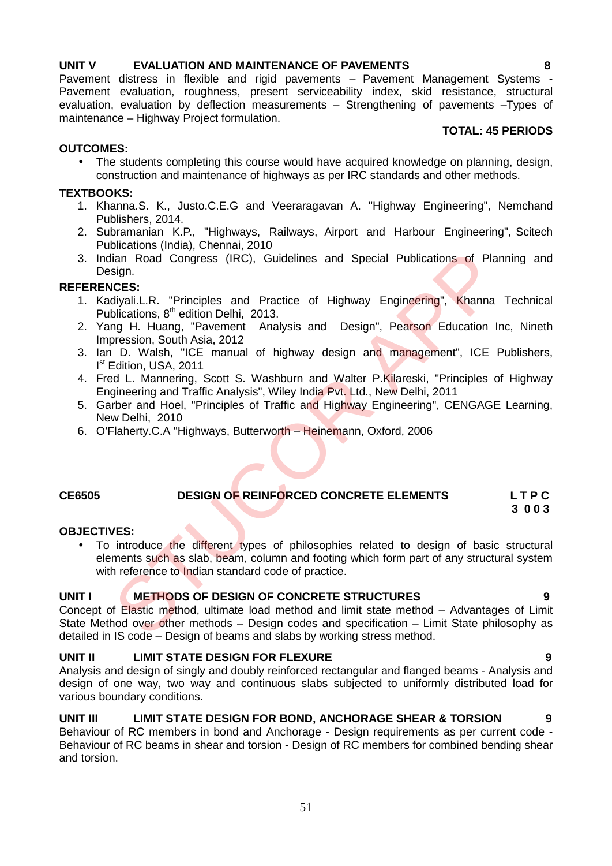## **UNIT V EVALUATION AND MAINTENANCE OF PAVEMENTS 8**

Pavement distress in flexible and rigid pavements - Pavement Management Systems -Pavement evaluation, roughness, present serviceability index, skid resistance, structural evaluation, evaluation by deflection measurements – Strengthening of pavements –Types of maintenance – Highway Project formulation.

## **TOTAL: 45 PERIODS**

## **OUTCOMES:**

 The students completing this course would have acquired knowledge on planning, design, construction and maintenance of highways as per IRC standards and other methods.

## **TEXTBOOKS:**

- 1. Khanna.S. K., Justo.C.E.G and Veeraragavan A. "Highway Engineering", Nemchand Publishers, 2014.
- 2. Subramanian K.P., "Highways, Railways, Airport and Harbour Engineering", Scitech Publications (India), Chennai, 2010
- 3. Indian Road Congress (IRC), Guidelines and Special Publications of Planning and Design.

## **REFERENCES:**

- 1. Kadiyali.L.R. "Principles and Practice of Highway Engineering", Khanna Technical Publications, 8<sup>th</sup> edition Delhi, 2013.
- 2. Yang H. Huang, "Pavement Analysis and Design", Pearson Education Inc, Nineth Impression, South Asia, 2012
- 3. Ian D. Walsh, "ICE manual of highway design and management", ICE Publishers, I<sup>st</sup> Edition, USA, 2011
- 4. Fred L. Mannering, Scott S. Washburn and Walter P.Kilareski, "Principles of Highway Engineering and Traffic Analysis", Wiley India Pvt. Ltd., New Delhi, 2011
- 5. Garber and Hoel, "Principles of Traffic and Highway Engineering", CENGAGE Learning, New Delhi, 2010
- 6. O'Flaherty.C.A "Highways, Butterworth Heinemann, Oxford, 2006

### **CE6505 DESIGN OF REINFORCED CONCRETE ELEMENTS L T P C 3 0 0 3**

## **OBJECTIVES:**

• To introduce the different types of philosophies related to design of basic structural elements such as slab, beam, column and footing which form part of any structural system with reference to Indian standard code of practice. lian Road Congress (IRC), Guidelines and Special Publications of Pla<br>
islan Road Congress (IRC), Guidelines and Special Publications of Pla<br>
ICES:<br>
Idivali.L.R. "Principles and Practice of Highway Engineering", Khanna<br>
bli

## **UNIT I METHODS OF DESIGN OF CONCRETE STRUCTURES 9**

Concept of Elastic method, ultimate load method and limit state method – Advantages of Limit State Method over other methods – Design codes and specification – Limit State philosophy as detailed in IS code – Design of beams and slabs by working stress method.

## **UNIT II LIMIT STATE DESIGN FOR FLEXURE 9**

Analysis and design of singly and doubly reinforced rectangular and flanged beams - Analysis and design of one way, two way and continuous slabs subjected to uniformly distributed load for various boundary conditions.

## **UNIT III LIMIT STATE DESIGN FOR BOND, ANCHORAGE SHEAR & TORSION 9**

Behaviour of RC members in bond and Anchorage - Design requirements as per current code - Behaviour of RC beams in shear and torsion - Design of RC members for combined bending shear and torsion.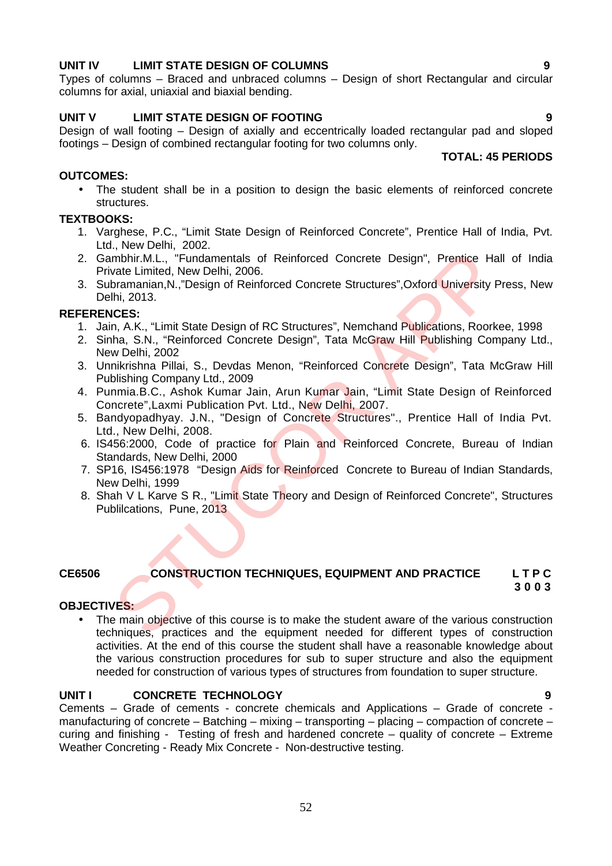## **UNIT IV LIMIT STATE DESIGN OF COLUMNS 9**

Types of columns – Braced and unbraced columns – Design of short Rectangular and circular columns for axial, uniaxial and biaxial bending.

## **UNIT V LIMIT STATE DESIGN OF FOOTING 9**

Design of wall footing – Design of axially and eccentrically loaded rectangular pad and sloped footings – Design of combined rectangular footing for two columns only. **TOTAL: 45 PERIODS**

## **OUTCOMES:**

• The student shall be in a position to design the basic elements of reinforced concrete structures.

## **TEXTBOOKS:**

- 1. Varghese, P.C., "Limit State Design of Reinforced Concrete", Prentice Hall of India, Pvt. Ltd., New Delhi, 2002.
- 2. Gambhir.M.L., "Fundamentals of Reinforced Concrete Design", Prentice Hall of India Private Limited, New Delhi, 2006.
- 3. Subramanian,N.,"Design of Reinforced Concrete Structures",Oxford University Press, New Delhi, 2013. mbhir.M.L., "Fundamentals of Reinforced Concrete Design", Prentice Havate Limited, New Delhi, 2006.<br>
Limited, New Delhi, 2006.<br>
Limited, New Delhi, 2006.<br>
Ihi, 2013.<br>
ICES:<br>
In. 2013.<br>
ICES:<br>
ICES: Trait State Design of RC

## **REFERENCES:**

- 1. Jain, A.K., "Limit State Design of RC Structures", Nemchand Publications, Roorkee, 1998
- 2. Sinha, S.N., "Reinforced Concrete Design", Tata McGraw Hill Publishing Company Ltd., New Delhi, 2002
- 3. Unnikrishna Pillai, S., Devdas Menon, "Reinforced Concrete Design", Tata McGraw Hill Publishing Company Ltd., 2009
- 4. Punmia.B.C., Ashok Kumar Jain, Arun Kumar Jain, "Limit State Design of Reinforced Concrete",Laxmi Publication Pvt. Ltd., New Delhi, 2007.
- 5. Bandyopadhyay. J.N., "Design of Concrete Structures"., Prentice Hall of India Pvt. Ltd., New Delhi, 2008.
- 6. IS456:2000, Code of practice for Plain and Reinforced Concrete, Bureau of Indian Standards, New Delhi, 2000
- 7. SP16, IS456:1978 "Design Aids for Reinforced Concrete to Bureau of Indian Standards, New Delhi, 1999
- 8. Shah V L Karve S R., "Limit State Theory and Design of Reinforced Concrete", Structures Publilcations, Pune, 2013

## **CE6506 CONSTRUCTION TECHNIQUES, EQUIPMENT AND PRACTICE L T P C**

## **3 0 0 3**

## **OBJECTIVES:**

The main objective of this course is to make the student aware of the various construction techniques, practices and the equipment needed for different types of construction activities. At the end of this course the student shall have a reasonable knowledge about the various construction procedures for sub to super structure and also the equipment needed for construction of various types of structures from foundation to super structure.

## **UNIT I CONCRETE TECHNOLOGY 9**

Cements – Grade of cements - concrete chemicals and Applications – Grade of concrete manufacturing of concrete – Batching – mixing – transporting – placing – compaction of concrete – curing and finishing - Testing of fresh and hardened concrete – quality of concrete – Extreme Weather Concreting - Ready Mix Concrete - Non-destructive testing.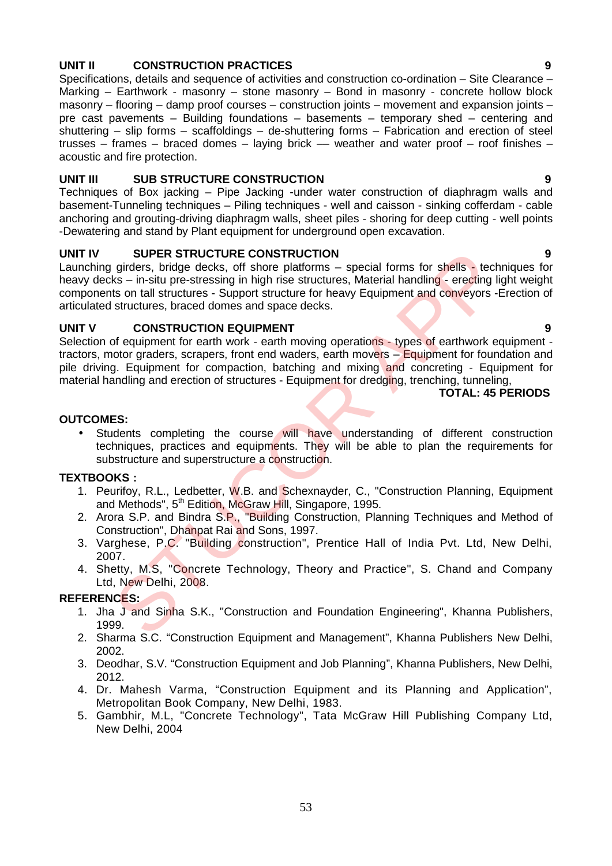## **UNIT II CONSTRUCTION PRACTICES 9**

Specifications, details and sequence of activities and construction co-ordination – Site Clearance – Marking – Earthwork - masonry – stone masonry – Bond in masonry - concrete hollow block masonry – flooring – damp proof courses – construction joints – movement and expansion joints – pre cast pavements – Building foundations – basements – temporary shed – centering and shuttering – slip forms – scaffoldings – de-shuttering forms – Fabrication and erection of steel trusses – frames – braced domes – laying brick –– weather and water proof – roof finishes – acoustic and fire protection.

## **UNIT III SUB STRUCTURE CONSTRUCTION 9**

Techniques of Box jacking – Pipe Jacking -under water construction of diaphragm walls and basement-Tunneling techniques – Piling techniques - well and caisson - sinking cofferdam - cable anchoring and grouting-driving diaphragm walls, sheet piles - shoring for deep cutting - well points -Dewatering and stand by Plant equipment for underground open excavation.

## **UNIT IV SUPER STRUCTURE CONSTRUCTION 9**

Launching girders, bridge decks, off shore platforms – special forms for shells - techniques for heavy decks – in-situ pre-stressing in high rise structures, Material handling - erecting light weight components on tall structures - Support structure for heavy Equipment and conveyors -Erection of articulated structures, braced domes and space decks. SUPER STRUCTURE CONSTRUCTION<br>
girdens, bridge decks, off shore platforms – special forms for shells - tect<br>
ts – in-situ pre-stressing in high rise structures, Material handling - erecting I<br>
sts on tall structures - Suppo

## **UNIT V CONSTRUCTION EQUIPMENT 9**

Selection of equipment for earth work - earth moving operations - types of earthwork equipment tractors, motor graders, scrapers, front end waders, earth movers – Equipment for foundation and pile driving. Equipment for compaction, batching and mixing and concreting - Equipment for material handling and erection of structures - Equipment for dredging, trenching, tunneling,

## **TOTAL: 45 PERIODS**

## **OUTCOMES:**

• Students completing the course will have understanding of different construction techniques, practices and equipments. They will be able to plan the requirements for substructure and superstructure a construction.

## **TEXTBOOKS :**

- 1. Peurifoy, R.L., Ledbetter, W.B. and Schexnayder, C., "Construction Planning, Equipment and Methods", 5<sup>th</sup> Edition, McGraw Hill, Singapore, 1995.
- 2. Arora S.P. and Bindra S.P., "Building Construction, Planning Techniques and Method of Construction", Dhanpat Rai and Sons, 1997.
- 3. Varghese, P.C. "Building construction", Prentice Hall of India Pvt. Ltd, New Delhi, 2007.
- 4. Shetty, M.S, "Concrete Technology, Theory and Practice", S. Chand and Company Ltd, New Delhi, 2008.

## **REFERENCES:**

- 1. Jha J and Sinha S.K., "Construction and Foundation Engineering", Khanna Publishers, 1999.
- 2. Sharma S.C. "Construction Equipment and Management", Khanna Publishers New Delhi, 2002.
- 3. Deodhar, S.V. "Construction Equipment and Job Planning", Khanna Publishers, New Delhi, 2012.
- 4. Dr. Mahesh Varma, "Construction Equipment and its Planning and Application", Metropolitan Book Company, New Delhi, 1983.
- 5. Gambhir, M.L, "Concrete Technology", Tata McGraw Hill Publishing Company Ltd, New Delhi, 2004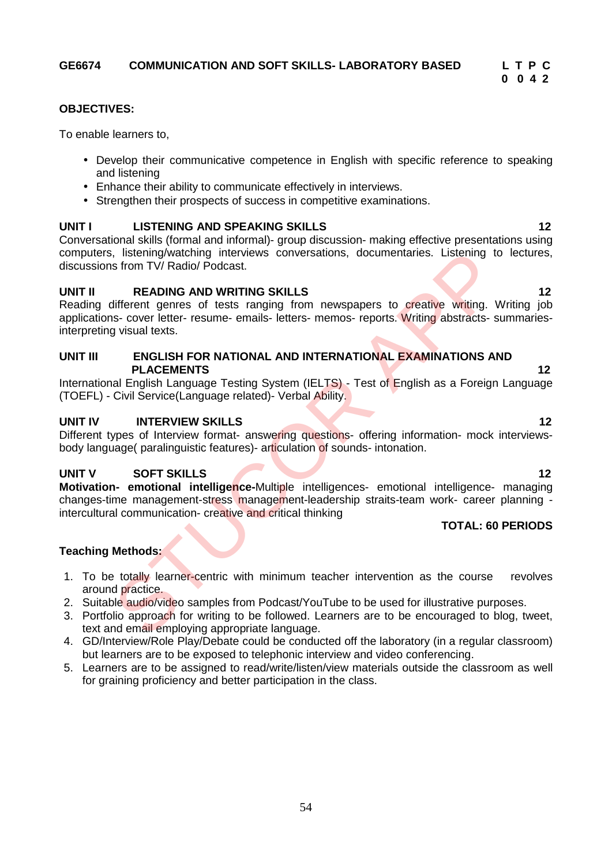# **0 0 4 2**

## **OBJECTIVES:**

To enable learners to,

- Develop their communicative competence in English with specific reference to speaking and listening
- Enhance their ability to communicate effectively in interviews.
- Strengthen their prospects of success in competitive examinations.

## **UNIT I LISTENING AND SPEAKING SKILLS 12**

Conversational skills (formal and informal)- group discussion- making effective presentations using computers, listening/watching interviews conversations, documentaries. Listening to lectures, discussions from TV/ Radio/ Podcast.

## **UNIT II READING AND WRITING SKILLS 12**

Reading different genres of tests ranging from newspapers to creative writing. Writing job applications- cover letter- resume- emails- letters- memos- reports. Writing abstracts- summariesinterpreting visual texts. is from TV/Radio/Podcast.<br>
Representing interviews conversations, documentaries. Listening to<br>
from TV/Radio/Podcast.<br>
REPOING AND INTERNETING SKILLS<br>
STEPHENTE STRIPT (FOR NATIONAL AND INTERNATIONAL EXAMINATIONS AT<br>
ENGLI

## **UNIT III ENGLISH FOR NATIONAL AND INTERNATIONAL EXAMINATIONS AND PLACEMENTS 12**

International English Language Testing System (IELTS) - Test of English as a Foreign Language (TOEFL) - Civil Service(Language related)- Verbal Ability.

## **UNIT IV INTERVIEW SKILLS 12**

Different types of Interview format- answering questions- offering information- mock interviewsbody language( paralinguistic features)- articulation of sounds- intonation.

## **UNIT V SOFT SKILLS 12**

**Motivation- emotional intelligence-**Multiple intelligences- emotional intelligence- managing changes-time management-stress management-leadership straits-team work- career planning intercultural communication- creative and critical thinking

## **TOTAL: 60 PERIODS**

## **Teaching Methods:**

- 1. To be totally learner-centric with minimum teacher intervention as the course revolves around practice.
- 2. Suitable audio/video samples from Podcast/YouTube to be used for illustrative purposes.
- 3. Portfolio approach for writing to be followed. Learners are to be encouraged to blog, tweet, text and email employing appropriate language.
- 4. GD/Interview/Role Play/Debate could be conducted off the laboratory (in a regular classroom) but learners are to be exposed to telephonic interview and video conferencing.
- 5. Learners are to be assigned to read/write/listen/view materials outside the classroom as well for graining proficiency and better participation in the class.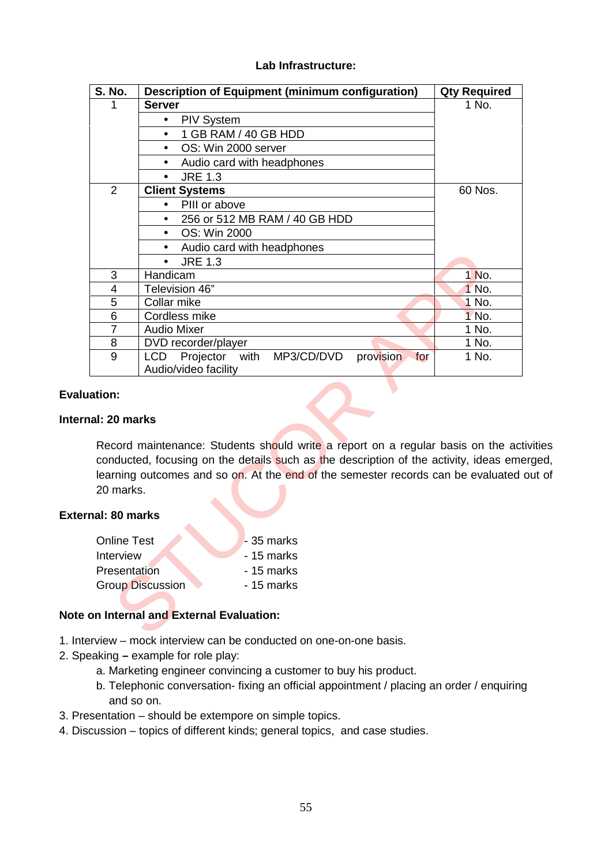## **Lab Infrastructure:**

| <b>S. No.</b>                       | <b>Description of Equipment (minimum configuration)</b>                                                                                                                                                                                                                          | <b>Qty Required</b> |
|-------------------------------------|----------------------------------------------------------------------------------------------------------------------------------------------------------------------------------------------------------------------------------------------------------------------------------|---------------------|
| 1                                   | <b>Server</b>                                                                                                                                                                                                                                                                    | 1 No.               |
|                                     | <b>PIV System</b><br>٠                                                                                                                                                                                                                                                           |                     |
|                                     | 1 GB RAM / 40 GB HDD<br>$\bullet$                                                                                                                                                                                                                                                |                     |
|                                     | OS: Win 2000 server                                                                                                                                                                                                                                                              |                     |
|                                     | Audio card with headphones                                                                                                                                                                                                                                                       |                     |
|                                     | <b>JRE 1.3</b>                                                                                                                                                                                                                                                                   |                     |
| $\overline{2}$                      | <b>Client Systems</b>                                                                                                                                                                                                                                                            | 60 Nos.             |
|                                     | PIII or above<br>$\bullet$                                                                                                                                                                                                                                                       |                     |
|                                     | 256 or 512 MB RAM / 40 GB HDD<br>$\bullet$                                                                                                                                                                                                                                       |                     |
|                                     | OS: Win 2000<br>$\bullet$                                                                                                                                                                                                                                                        |                     |
|                                     | Audio card with headphones                                                                                                                                                                                                                                                       |                     |
|                                     | <b>JRE 1.3</b>                                                                                                                                                                                                                                                                   |                     |
| 3                                   | Handicam                                                                                                                                                                                                                                                                         | 1 No.               |
| 4                                   | Television 46"                                                                                                                                                                                                                                                                   | 1 No.               |
| 5                                   | Collar mike                                                                                                                                                                                                                                                                      | 1 No.               |
| 6                                   | Cordless mike                                                                                                                                                                                                                                                                    | 1 No.               |
| $\overline{7}$                      | <b>Audio Mixer</b>                                                                                                                                                                                                                                                               | 1 No.               |
| 8                                   | DVD recorder/player                                                                                                                                                                                                                                                              | 1 No.               |
| 9                                   | <b>LCD</b><br>Projector<br>MP3/CD/DVD<br>provision<br>with<br>for<br>Audio/video facility                                                                                                                                                                                        | 1 No.               |
| ation:<br>al: 20 marks<br>20 marks. | Record maintenance: Students should write a report on a regular basis on the activities<br>conducted, focusing on the details such as the description of the activity, ideas emerged,<br>learning outcomes and so on. At the end of the semester records can be evaluated out of |                     |
| nal: 80 marks                       |                                                                                                                                                                                                                                                                                  |                     |
| <b>Online Test</b>                  | - 35 marks                                                                                                                                                                                                                                                                       |                     |
| Interview                           | - 15 marks                                                                                                                                                                                                                                                                       |                     |
| Presentation                        | - 15 marks                                                                                                                                                                                                                                                                       |                     |
|                                     | <b>Group Discussion</b><br>- 15 marks                                                                                                                                                                                                                                            |                     |
|                                     | on Internal and External Evaluation:                                                                                                                                                                                                                                             |                     |
|                                     |                                                                                                                                                                                                                                                                                  |                     |

## **Evaluation:**

## **Internal: 20 marks**

## **External: 80 marks**

| <b>Online Test</b>      | $-35$ marks |
|-------------------------|-------------|
| Interview               | - 15 marks  |
| Presentation            | - 15 marks  |
| <b>Group Discussion</b> | - 15 marks  |

## **Note on Internal and External Evaluation:**

- 1. Interview mock interview can be conducted on one-on-one basis.
- 2. Speaking **–** example for role play:
	- a. Marketing engineer convincing a customer to buy his product.
	- b. Telephonic conversation- fixing an official appointment / placing an order / enquiring and so on.
- 3. Presentation should be extempore on simple topics.
- 4. Discussion topics of different kinds; general topics, and case studies.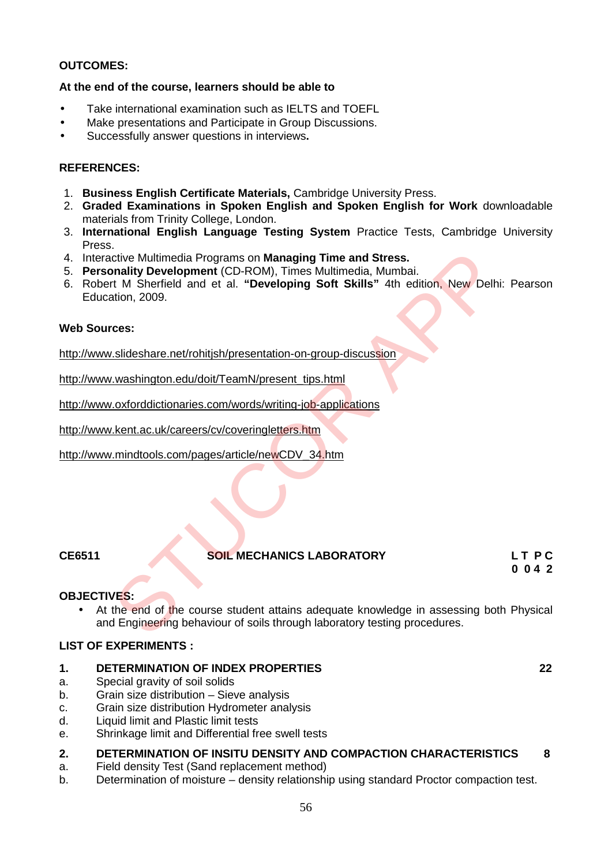## **OUTCOMES:**

## **At the end of the course, learners should be able to**

- Take international examination such as IELTS and TOEFL
- Make presentations and Participate in Group Discussions.
- Successfully answer questions in interviews**.**

## **REFERENCES:**

- 1. **Business English Certificate Materials,** Cambridge University Press.
- 2. **Graded Examinations in Spoken English and Spoken English for Work** downloadable materials from Trinity College, London.
- 3. **International English Language Testing System** Practice Tests, Cambridge University Press.
- 4. Interactive Multimedia Programs on **Managing Time and Stress.**
- 5. **Personality Development** (CD-ROM), Times Multimedia, Mumbai.
- 6. Robert M Sherfield and et al. **"Developing Soft Skills"** 4th edition, New Delhi: Pearson Education, 2009.

## **Web Sources:**

http://www.slideshare.net/rohitjsh/presentation-on-group-discussion

http://www.washington.edu/doit/TeamN/present\_tips.html

http://www.oxforddictionaries.com/words/writing-job-applications

http://www.kent.ac.uk/careers/cv/coveringletters.htm

http://www.mindtools.com/pages/article/newCDV\_34.htm

## **CE6511 SOIL MECHANICS LABORATORY L T P C**

**0 0 4 2**

## **OBJECTIVES:**

• At the end of the course student attains adequate knowledge in assessing both Physical and Engineering behaviour of soils through laboratory testing procedures. citive Multimedia Programs on Managing Time and Stress.<br>
The Multimedia Aronsoin (CD-ROM), Times Multimedia, Mumbai.<br>
The Multimedia and et al. "Developing Soft Skills" 4th edition, New Delh<br>
ation, 2009.<br>
Stateshare.net/r

## **LIST OF EXPERIMENTS :**

## **1. DETERMINATION OF INDEX PROPERTIES 22**

- a. Special gravity of soil solids
- b. Grain size distribution Sieve analysis
- c. Grain size distribution Hydrometer analysis
- d. Liquid limit and Plastic limit tests
- e. Shrinkage limit and Differential free swell tests

## **2. DETERMINATION OF INSITU DENSITY AND COMPACTION CHARACTERISTICS 8**

- a. Field density Test (Sand replacement method)
- b. Determination of moisture density relationship using standard Proctor compaction test.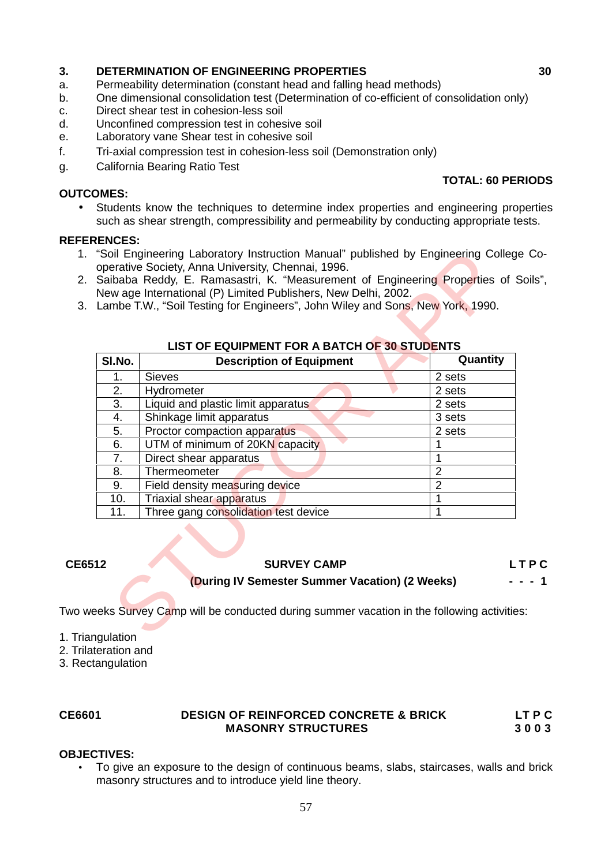# **3. DETERMINATION OF ENGINEERING PROPERTIES 30**

- Permeability determination (constant head and falling head methods)
- b. One dimensional consolidation test (Determination of co-efficient of consolidation only)
- c. Direct shear test in cohesion-less soil
- d. Unconfined compression test in cohesive soil
- e. Laboratory vane Shear test in cohesive soil
- f. Tri-axial compression test in cohesion-less soil (Demonstration only)
- g. California Bearing Ratio Test

## **OUTCOMES:**

## **TOTAL: 60 PERIODS**

 Students know the techniques to determine index properties and engineering properties such as shear strength, compressibility and permeability by conducting appropriate tests.

## **REFERENCES:**

- 1. "Soil Engineering Laboratory Instruction Manual" published by Engineering College Co operative Society, Anna University, Chennai, 1996.
- 2. Saibaba Reddy, E. Ramasastri, K. "Measurement of Engineering Properties of Soils", New age International (P) Limited Publishers, New Delhi, 2002.
- 3. Lambe T.W., "Soil Testing for Engineers", John Wiley and Sons, New York, 1990.

|        | Lambe T.W., "Soil Testing for Engineers", John Wiley and Sons, New York, 1990.<br><b>LIST OF EQUIPMENT FOR A BATCH OF 30 STUDENTS</b> |                |
|--------|---------------------------------------------------------------------------------------------------------------------------------------|----------------|
| SI.No. | <b>Description of Equipment</b>                                                                                                       | Quantity       |
| 1.     | <b>Sieves</b>                                                                                                                         | 2 sets         |
| 2.     | Hydrometer                                                                                                                            | 2 sets         |
| 3.     | Liquid and plastic limit apparatus                                                                                                    | 2 sets         |
| 4.     | Shinkage limit apparatus                                                                                                              | 3 sets         |
| 5.     | Proctor compaction apparatus                                                                                                          | 2 sets         |
| 6.     | UTM of minimum of 20KN capacity                                                                                                       | 1              |
| 7.     | Direct shear apparatus                                                                                                                | 1              |
| 8.     | Thermeometer                                                                                                                          | $\overline{2}$ |
| 9.     | Field density measuring device                                                                                                        | $\overline{2}$ |
| 10.    | Triaxial shear apparatus                                                                                                              | 1              |
| 11.    | Three gang consolidation test device                                                                                                  | 1              |
|        | <b>SURVEY CAMP</b>                                                                                                                    | LTPC           |

## **LIST OF EQUIPMENT FOR A BATCH OF 30 STUDENTS**

## **CE6512 SURVEY CAMP L T P C**

## **(During IV Semester Summer Vacation) (2 Weeks) - - - 1**

Two weeks Survey Camp will be conducted during summer vacation in the following activities:

- 1. Triangulation
- 2. Trilateration and
- 3. Rectangulation

## **CE6601 DESIGN OF REINFORCED CONCRETE & BRICK LT P C MASONRY STRUCTURES 3 0 0 3**

## **OBJECTIVES:**

 To give an exposure to the design of continuous beams, slabs, staircases, walls and brick masonry structures and to introduce yield line theory.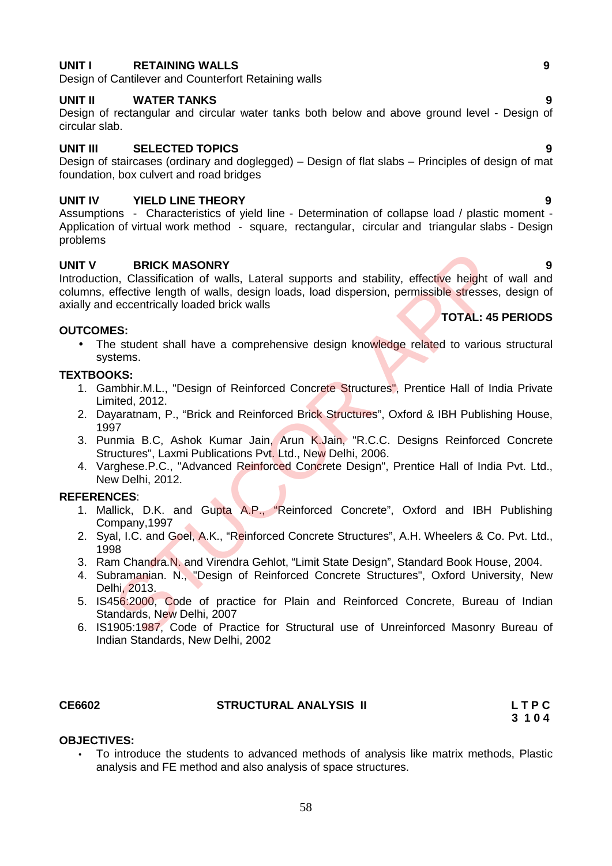## **UNIT I RETAINING WALLS 9**

Design of Cantilever and Counterfort Retaining walls

## **UNIT II WATER TANKS 9**

Design of rectangular and circular water tanks both below and above ground level - Design of circular slab.

## **UNIT III SELECTED TOPICS 9**

Design of staircases (ordinary and doglegged) – Design of flat slabs – Principles of design of mat foundation, box culvert and road bridges

## **UNIT IV YIELD LINE THEORY 9**

Assumptions - Characteristics of yield line - Determination of collapse load / plastic moment - Application of virtual work method - square, rectangular, circular and triangular slabs - Design problems

## **UNIT V BRICK MASONRY 9**

Introduction, Classification of walls, Lateral supports and stability, effective height of wall and columns, effective length of walls, design loads, load dispersion, permissible stresses, design of axially and eccentrically loaded brick walls **BRICK MASONRY**<br>
In, Classification of walls, Lateral supports and stability, effective height of<br>
efective length of walls, design loads, load dispersion, permissible stresses<br>
ES:<br>
STOTAL: 45<br>
estudent shall have a compr

## **OUTCOMES:**

• The student shall have a comprehensive design knowledge related to various structural systems.

## **TEXTBOOKS:**

- 1. Gambhir.M.L., "Design of Reinforced Concrete Structures", Prentice Hall of India Private Limited, 2012.
- 2. Dayaratnam, P., "Brick and Reinforced Brick Structures", Oxford & IBH Publishing House, 1997
- 3. Punmia B.C, Ashok Kumar Jain, Arun K.Jain, "R.C.C. Designs Reinforced Concrete Structures", Laxmi Publications Pvt. Ltd., New Delhi, 2006.
- 4. Varghese.P.C., "Advanced Reinforced Concrete Design", Prentice Hall of India Pvt. Ltd., New Delhi, 2012.

## **REFERENCES**:

- 1. Mallick, D.K. and Gupta A.P., "Reinforced Concrete", Oxford and IBH Publishing Company,1997
- 2. Syal, I.C. and Goel, A.K., "Reinforced Concrete Structures", A.H. Wheelers & Co. Pvt. Ltd., 1998
- 3. Ram Chandra.N. and Virendra Gehlot, "Limit State Design", Standard Book House, 2004.
- 4. Subramanian. N., "Design of Reinforced Concrete Structures", Oxford University, New Delhi, 2013.
- 5. IS456:2000, Code of practice for Plain and Reinforced Concrete, Bureau of Indian Standards, New Delhi, 2007
- 6. IS1905:1987, Code of Practice for Structural use of Unreinforced Masonry Bureau of Indian Standards, New Delhi, 2002

## **CE6602 STRUCTURAL ANALYSIS II L T P C**

**3 1 0 4**

## **OBJECTIVES:**

 To introduce the students to advanced methods of analysis like matrix methods, Plastic analysis and FE method and also analysis of space structures.

**TOTAL: 45 PERIODS**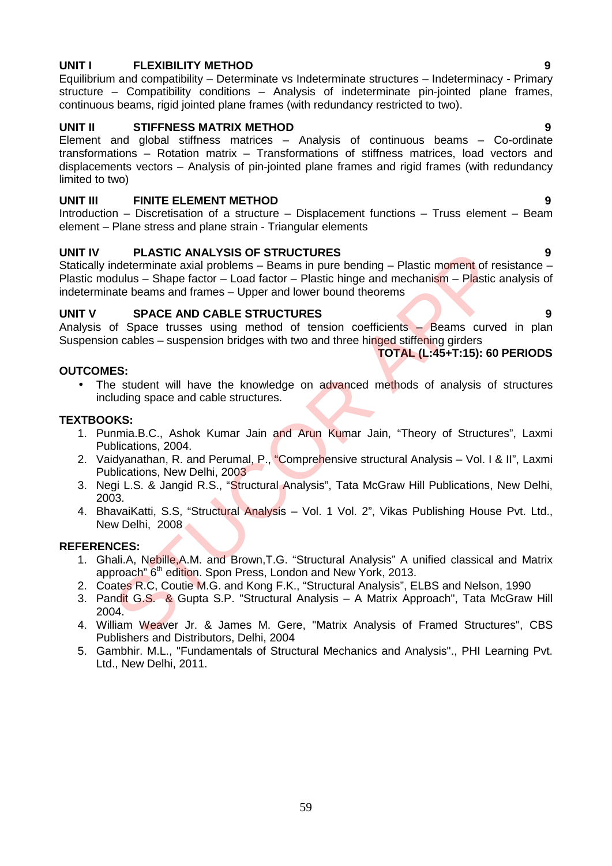## **UNIT I FLEXIBILITY METHOD 9**

Equilibrium and compatibility – Determinate vs Indeterminate structures – Indeterminacy - Primary structure – Compatibility conditions – Analysis of indeterminate pin-jointed plane frames, continuous beams, rigid jointed plane frames (with redundancy restricted to two).

## **UNIT II STIFFNESS MATRIX METHOD 9**

Element and global stiffness matrices – Analysis of continuous beams – Co-ordinate transformations – Rotation matrix – Transformations of stiffness matrices, load vectors and displacements vectors – Analysis of pin-jointed plane frames and rigid frames (with redundancy limited to two)

## **UNIT III FINITE ELEMENT METHOD 9**

Introduction – Discretisation of a structure – Displacement functions – Truss element – Beam element – Plane stress and plane strain - Triangular elements

## **UNIT IV PLASTIC ANALYSIS OF STRUCTURES 9**

Statically indeterminate axial problems – Beams in pure bending – Plastic moment of resistance – Plastic modulus – Shape factor – Load factor – Plastic hinge and mechanism – Plastic analysis of indeterminate beams and frames – Upper and lower bound theorems PLASTIC MALYSIS OF STRUCTURES<br>
The method and moderninate axial problems – Beams in pure bending – Plastic moment of red<br>
didlus – Shape factor – Load factor – Plastic hinge and mechanism – Plastic<br>
atte beams and frames –

## **UNIT V SPACE AND CABLE STRUCTURES 9**

Analysis of Space trusses using method of tension coefficients – Beams curved in plan Suspension cables – suspension bridges with two and three hinged stiffening girders

**TOTAL (L:45+T:15): 60 PERIODS**

## **OUTCOMES:**

• The student will have the knowledge on advanced methods of analysis of structures including space and cable structures.

## **TEXTBOOKS:**

- 1. Punmia.B.C., Ashok Kumar Jain and Arun Kumar Jain, "Theory of Structures", Laxmi Publications, 2004.
- 2. Vaidyanathan, R. and Perumal, P., "Comprehensive structural Analysis Vol. I & II", Laxmi Publications, New Delhi, 2003
- 3. Negi L.S. & Jangid R.S., "Structural Analysis", Tata McGraw Hill Publications, New Delhi, 2003.
- 4. BhavaiKatti, S.S, "Structural Analysis Vol. 1 Vol. 2", Vikas Publishing House Pvt. Ltd., New Delhi, 2008

## **REFERENCES:**

- 1. Ghali.A, Nebille,A.M. and Brown,T.G. "Structural Analysis" A unified classical and Matrix approach" 6<sup>th</sup> edition. Spon Press, London and New York, 2013.
- 2. Coates R.C, Coutie M.G. and Kong F.K., "Structural Analysis", ELBS and Nelson, 1990
- 3. Pandit G.S. & Gupta S.P. "Structural Analysis A Matrix Approach", Tata McGraw Hill 2004.
- 4. William Weaver Jr. & James M. Gere, "Matrix Analysis of Framed Structures", CBS Publishers and Distributors, Delhi, 2004
- 5. Gambhir. M.L., "Fundamentals of Structural Mechanics and Analysis"., PHI Learning Pvt. Ltd., New Delhi, 2011.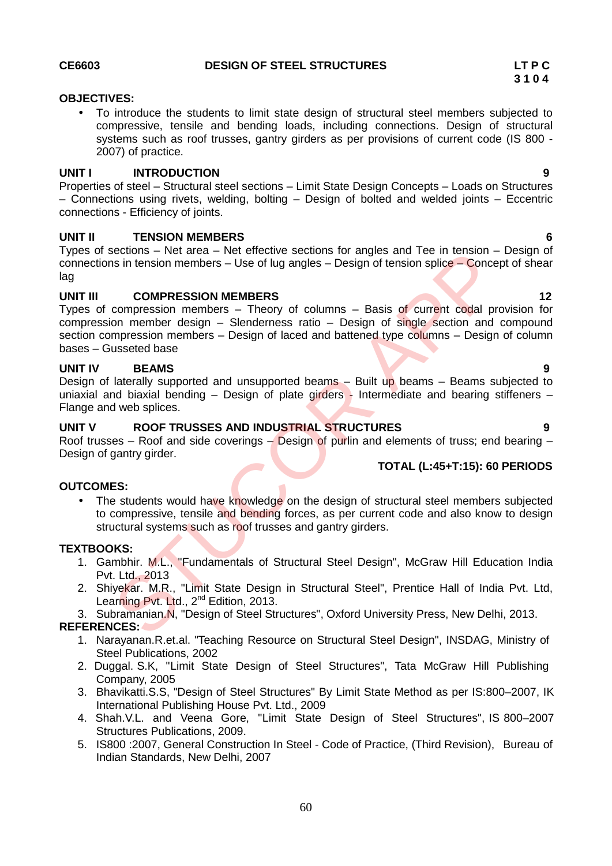## **OBJECTIVES:**

 To introduce the students to limit state design of structural steel members subjected to compressive, tensile and bending loads, including connections. Design of structural systems such as roof trusses, gantry girders as per provisions of current code (IS 800 - 2007) of practice.

## **UNIT I INTRODUCTION 9**

Properties of steel – Structural steel sections – Limit State Design Concepts – Loads on Structures – Connections using rivets, welding, bolting – Design of bolted and welded joints – Eccentric connections - Efficiency of joints.

## **UNIT II TENSION MEMBERS 6**

Types of sections – Net area – Net effective sections for angles and Tee in tension – Design of connections in tension members – Use of lug angles – Design of tension splice – Concept of shear lag

## **UNIT III COMPRESSION MEMBERS 12**

Types of compression members – Theory of columns – Basis of current codal provision for compression member design – Slenderness ratio – Design of single section and compound section compression members – Design of laced and battened type columns – Design of column bases – Gusseted base Sections – thet are net reflective sections for angles and Tee In tension<br>
sin tension members – Use of lug angles – Design of tension splice – Conce<br>
COMPRESSION MEMBERS<br>
compression member design – Shenderness ratio – De

## **UNIT IV BEAMS 9**

Design of laterally supported and unsupported beams – Built up beams – Beams subjected to uniaxial and biaxial bending  $-$  Design of plate girders - Intermediate and bearing stiffeners  $-$ Flange and web splices.

## **UNIT V ROOF TRUSSES AND INDUSTRIAL STRUCTURES 9**

Roof trusses – Roof and side coverings – Design of purlin and elements of truss; end bearing – Design of gantry girder. **TOTAL (L:45+T:15): 60 PERIODS**

## **OUTCOMES:**

• The students would have knowledge on the design of structural steel members subjected to compressive, tensile and bending forces, as per current code and also know to design structural systems such as roof trusses and gantry girders.

## **TEXTBOOKS:**

- 1. Gambhir. M.L., "Fundamentals of Structural Steel Design", McGraw Hill Education India Pvt. Ltd., 2013
- 2. Shiyekar. M.R., "Limit State Design in Structural Steel", Prentice Hall of India Pvt. Ltd, Lear<mark>ning Pvt. Lt</mark>d., 2<sup>nd</sup> Edition, 2013.
- 3. Subramanian.N, "Design of Steel Structures", Oxford University Press, New Delhi, 2013.

## **REFERENCES:**

- 1. Narayanan.R.et.al. "Teaching Resource on Structural Steel Design", INSDAG, Ministry of Steel Publications, 2002
- 2. Duggal. S.K, "Limit State Design of Steel Structures", Tata McGraw Hill Publishing Company, 2005
- 3. Bhavikatti.S.S, "Design of Steel Structures" By Limit State Method as per IS:800–2007, IK International Publishing House Pvt. Ltd., 2009
- 4. Shah.V.L. and Veena Gore, "Limit State Design of Steel Structures", IS 800–2007 Structures Publications, 2009.
- 5. IS800 :2007, General Construction In Steel Code of Practice, (Third Revision), Bureau of Indian Standards, New Delhi, 2007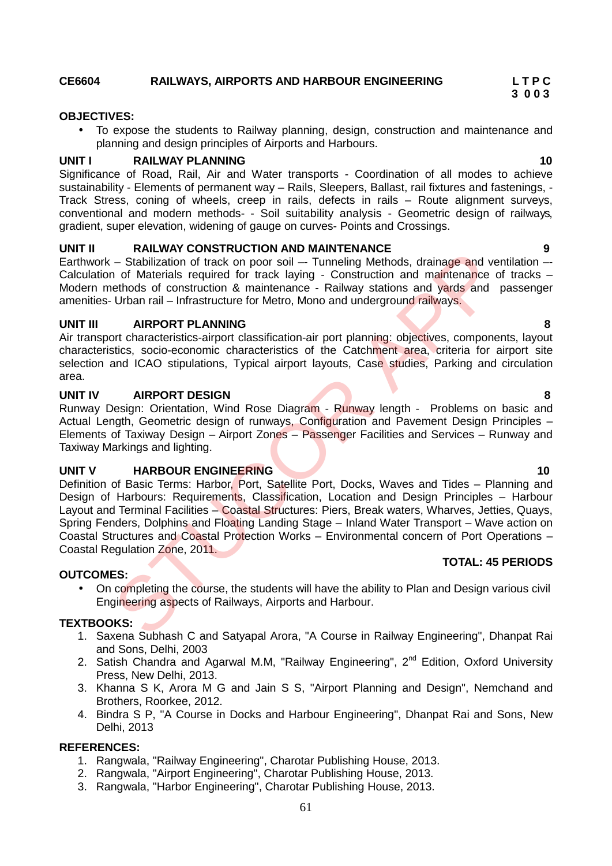## **CE6604 RAILWAYS, AIRPORTS AND HARBOUR ENGINEERING L T P C**

## **OBJECTIVES:**

 To expose the students to Railway planning, design, construction and maintenance and planning and design principles of Airports and Harbours.

## **UNIT I RAILWAY PLANNING 10**

Significance of Road, Rail, Air and Water transports - Coordination of all modes to achieve sustainability - Elements of permanent way - Rails, Sleepers, Ballast, rail fixtures and fastenings. -Track Stress, coning of wheels, creep in rails, defects in rails – Route alignment surveys, conventional and modern methods- - Soil suitability analysis - Geometric design of railways, gradient, super elevation, widening of gauge on curves- Points and Crossings.

## **UNIT II RAILWAY CONSTRUCTION AND MAINTENANCE 9**

Earthwork – Stabilization of track on poor soil – Tunneling Methods, drainage and ventilation – Calculation of Materials required for track laying - Construction and maintenance of tracks  $-$ Modern methods of construction & maintenance - Railway stations and vards and passenger amenities- Urban rail – Infrastructure for Metro, Mono and underground railways.

### **UNIT III AIRPORT PLANNING 8**

Air transport characteristics-airport classification-air port planning: objectives, components, layout characteristics, socio-economic characteristics of the Catchment area, criteria for airport site selection and ICAO stipulations, Typical airport layouts, Case studies, Parking and circulation area.

### **UNIT IV AIRPORT DESIGN 8**

Runway Design: Orientation, Wind Rose Diagram - Runway length - Problems on basic and Actual Length, Geometric design of runways, Configuration and Pavement Design Principles – Elements of Taxiway Design – Airport Zones – Passenger Facilities and Services – Runway and Taxiway Markings and lighting.

## **UNIT V HARBOUR ENGINEERING 10**

Definition of Basic Terms: Harbor, Port, Satellite Port, Docks, Waves and Tides – Planning and Design of Harbours: Requirements, Classification, Location and Design Principles - Harbour Layout and Terminal Facilities - Coastal Structures: Piers, Break waters, Wharves, Jetties, Quays, Spring Fenders, Dolphins and Floating Landing Stage – Inland Water Transport – Wave action on Coastal Structures and Coastal Protection Works – Environmental concern of Port Operations – Coastal Regulation Zone, 2011. **Example the Control of The Control Amelian Control Control Control Control Control Control Control Control Control Control Control Control Control Control Control Control Control Control Control Control Control Control Co** 

### **OUTCOMES:**

• On completing the course, the students will have the ability to Plan and Design various civil Engineering aspects of Railways, Airports and Harbour.

### **TEXTBOOKS:**

- 1. Saxena Subhash C and Satyapal Arora, "A Course in Railway Engineering", Dhanpat Rai and Sons, Delhi, 2003
- 2. Satish Chandra and Agarwal M.M, "Railway Engineering", 2<sup>nd</sup> Edition, Oxford University Press, New Delhi, 2013.
- 3. Khanna S K, Arora M G and Jain S S, "Airport Planning and Design", Nemchand and Brothers, Roorkee, 2012.
- 4. Bindra S P, "A Course in Docks and Harbour Engineering", Dhanpat Rai and Sons, New Delhi, 2013

## **REFERENCES:**

- 1. Rangwala, "Railway Engineering", Charotar Publishing House, 2013.
- 2. Rangwala, "Airport Engineering", Charotar Publishing House, 2013.
- 3. Rangwala, "Harbor Engineering", Charotar Publishing House, 2013.

## **TOTAL: 45 PERIODS**

**3 0 0 3**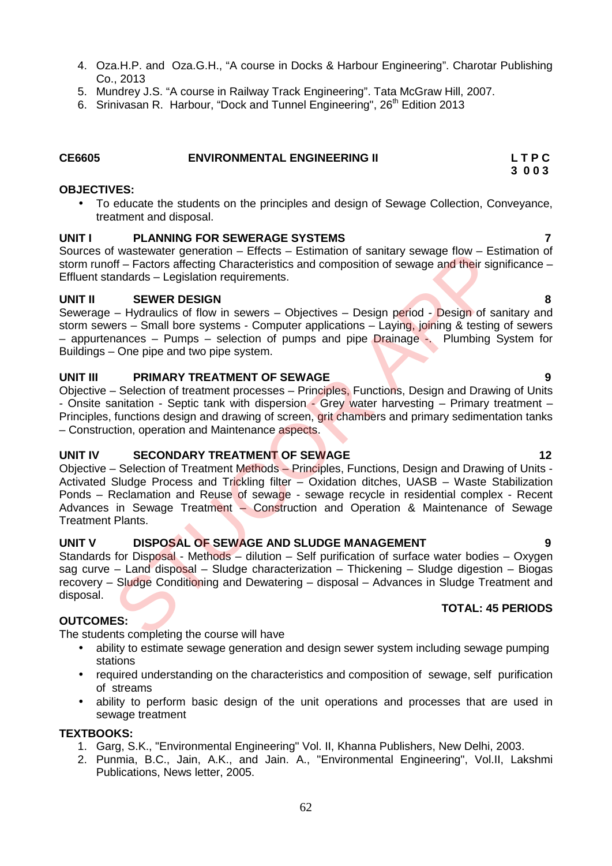- 4. Oza.H.P. and Oza.G.H., "A course in Docks & Harbour Engineering". Charotar Publishing Co., 2013
- 5. Mundrey J.S. "A course in Railway Track Engineering". Tata McGraw Hill, 2007.
- 6. Srinivasan R. Harbour, "Dock and Tunnel Engineering", 26<sup>th</sup> Edition 2013

| CE6605 | <b>ENVIRONMENTAL ENGINEERING II</b> | LTPC |
|--------|-------------------------------------|------|
|        |                                     | 3003 |

## **OBJECTIVES:**

 To educate the students on the principles and design of Sewage Collection, Conveyance, treatment and disposal.

## **UNIT I PLANNING FOR SEWERAGE SYSTEMS 7**

Sources of wastewater generation – Effects – Estimation of sanitary sewage flow – Estimation of storm runoff – Factors affecting Characteristics and composition of sewage and their significance – Effluent standards – Legislation requirements.

## **UNIT II SEWER DESIGN 8**

Sewerage – Hydraulics of flow in sewers – Objectives – Design period - Design of sanitary and storm sewers – Small bore systems - Computer applications – Laying, joining & testing of sewers – appurtenances – Pumps – selection of pumps and pipe Drainage -. Plumbing System for Buildings – One pipe and two pipe system.

## **UNIT III PRIMARY TREATMENT OF SEWAGE 9**

Objective – Selection of treatment processes – Principles, Functions, Design and Drawing of Units - Onsite sanitation - Septic tank with dispersion - Grey water harvesting – Primary treatment – Principles, functions design and drawing of screen, grit chambers and primary sedimentation tanks – Construction, operation and Maintenance aspects.

## **UNIT IV SECONDARY TREATMENT OF SEWAGE 12**

Objective – Selection of Treatment Methods – Principles, Functions, Design and Drawing of Units - Activated Sludge Process and Trickling filter – Oxidation ditches, UASB – Waste Stabilization Ponds – Reclamation and Reuse of sewage - sewage recycle in residential complex - Recent Advances in Sewage Treatment - Construction and Operation & Maintenance of Sewage Treatment Plants. It was two reperation – Election – Election Finance Constrained Tow – Estimation of sanateristics and composition of sewage and their signal<br>andards – Legislation requirements.<br>
SEWER DESIGN<br>
— Hydraulics of flow in sewers

## **UNIT V DISPOSAL OF SEWAGE AND SLUDGE MANAGEMENT 9**

Standards for Disposal - Methods – dilution – Self purification of surface water bodies – Oxygen sag curve – Land disposal – Sludge characterization – Thickening – Sludge digestion – Biogas recovery – Sludge Conditioning and Dewatering – disposal – Advances in Sludge Treatment and disposal.

## **OUTCOMES:**

The students completing the course will have

- ability to estimate sewage generation and design sewer system including sewage pumping stations
- required understanding on the characteristics and composition of sewage, self purification of streams
- ability to perform basic design of the unit operations and processes that are used in sewage treatment

### **TEXTBOOKS:**

- 1. Garg, S.K., "Environmental Engineering" Vol. II, Khanna Publishers, New Delhi, 2003.
- 2. Punmia, B.C., Jain, A.K., and Jain. A., "Environmental Engineering", Vol.II, Lakshmi Publications, News letter, 2005.

## **TOTAL: 45 PERIODS**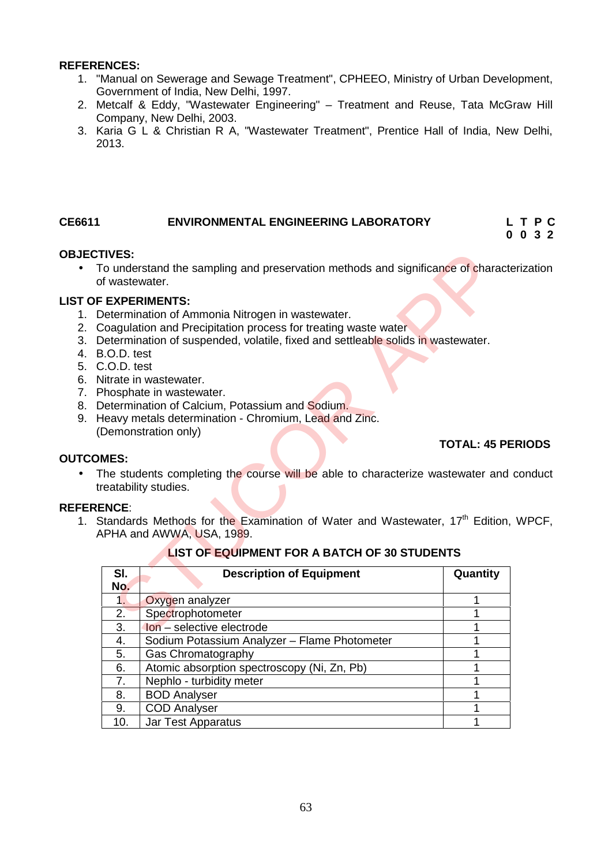## **REFERENCES:**

- 1. "Manual on Sewerage and Sewage Treatment", CPHEEO, Ministry of Urban Development, Government of India, New Delhi, 1997.
- 2. Metcalf & Eddy, "Wastewater Engineering" Treatment and Reuse, Tata McGraw Hill Company, New Delhi, 2003.
- 3. Karia G L & Christian R A, "Wastewater Treatment", Prentice Hall of India, New Delhi, 2013.

## **CE6611 ENVIRONMENTAL ENGINEERING LABORATORY L T P C**

## **0 0 3 2**

## **OBJECTIVES:**

• To understand the sampling and preservation methods and significance of characterization of wastewater.

## **LIST OF EXPERIMENTS:**

- 1. Determination of Ammonia Nitrogen in wastewater.
- 2. Coagulation and Precipitation process for treating waste water
- 3. Determination of suspended, volatile, fixed and settleable solids in wastewater.
- 4. B.O.D. test
- 5. C.O.D. test
- 6. Nitrate in wastewater.
- 7. Phosphate in wastewater.
- 8. Determination of Calcium, Potassium and Sodium.
- 9. Heavy metals determination Chromium, Lead and Zinc. (Demonstration only)

## **TOTAL: 45 PERIODS**

## **OUTCOMES:**

• The students completing the course will be able to characterize wastewater and conduct treatability studies.

## **REFERENCE**:

1. Standards Methods for the Examination of Water and Wastewater,  $17<sup>th</sup>$  Edition, WPCF, APHA and AWWA, USA, 1989.

## **LIST OF EQUIPMENT FOR A BATCH OF 30 STUDENTS**

| <b>TIVES:</b><br>of wastewater. | o understand the sampling and preservation methods and significance of characterization                                                                                                                                                                                                                                                                                                                               |                          |  |
|---------------------------------|-----------------------------------------------------------------------------------------------------------------------------------------------------------------------------------------------------------------------------------------------------------------------------------------------------------------------------------------------------------------------------------------------------------------------|--------------------------|--|
| 3.O.D. test<br>C.O.D. test      | <b>EXPERIMENTS:</b><br>Determination of Ammonia Nitrogen in wastewater.<br>Coagulation and Precipitation process for treating waste water<br>Determination of suspended, volatile, fixed and settleable solids in wastewater.<br>Vitrate in wastewater.<br>hosphate in wastewater.<br>Determination of Calcium, Potassium and Sodium.<br>leavy metals determination - Chromium, Lead and Zinc.<br>Demonstration only) |                          |  |
| <b>MES:</b>                     |                                                                                                                                                                                                                                                                                                                                                                                                                       | <b>TOTAL: 45 PERIOD:</b> |  |
| ENCE:                           | The students completing the course will be able to characterize wastewater and condu-<br>reatability studies.<br>Standards Methods for the Examination of Water and Wastewater, 17 <sup>th</sup> Edition, WPCI<br><b>PHA and AWWA, USA, 1989.</b>                                                                                                                                                                     |                          |  |
|                                 | <b>LIST OF EQUIPMENT FOR A BATCH OF 30 STUDENTS</b>                                                                                                                                                                                                                                                                                                                                                                   |                          |  |
| SI.<br>No.                      | <b>Description of Equipment</b>                                                                                                                                                                                                                                                                                                                                                                                       | Quantity                 |  |
| 1.                              | Oxygen analyzer                                                                                                                                                                                                                                                                                                                                                                                                       | 1                        |  |
| 2.                              | Spectrophotometer                                                                                                                                                                                                                                                                                                                                                                                                     | 1                        |  |
| 3.                              | Ion - selective electrode                                                                                                                                                                                                                                                                                                                                                                                             | 1                        |  |
| 4.                              | Sodium Potassium Analyzer - Flame Photometer                                                                                                                                                                                                                                                                                                                                                                          | 1                        |  |
| 5.                              | Gas Chromatography                                                                                                                                                                                                                                                                                                                                                                                                    | 1                        |  |
| 6.                              | Atomic absorption spectroscopy (Ni, Zn, Pb)                                                                                                                                                                                                                                                                                                                                                                           | 1                        |  |
| 7.                              | Nephlo - turbidity meter                                                                                                                                                                                                                                                                                                                                                                                              | 1                        |  |
| 8.                              | <b>BOD Analyser</b>                                                                                                                                                                                                                                                                                                                                                                                                   | 1                        |  |
| 9.                              | <b>COD Analyser</b>                                                                                                                                                                                                                                                                                                                                                                                                   | 1                        |  |
| 10.                             | <b>Jar Test Apparatus</b>                                                                                                                                                                                                                                                                                                                                                                                             | 1                        |  |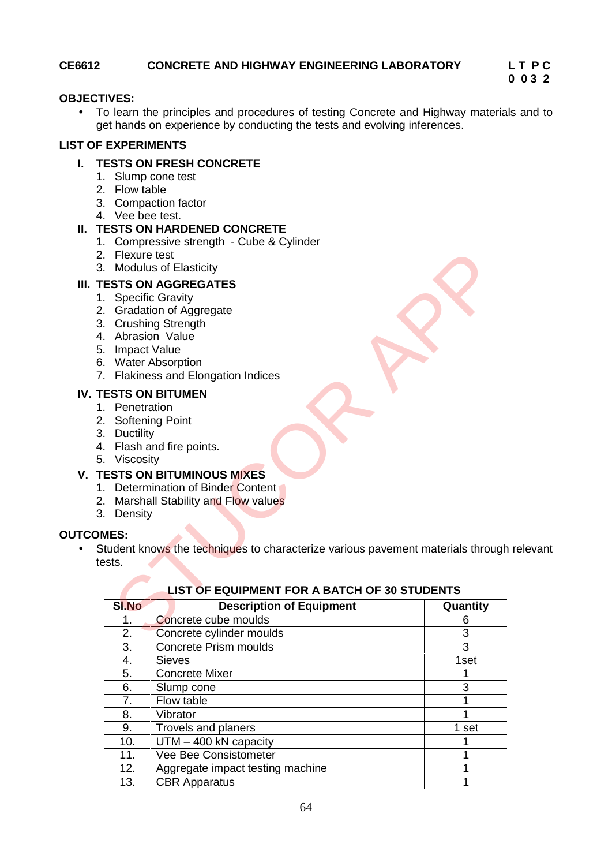## **CE6612 CONCRETE AND HIGHWAY ENGINEERING LABORATORY L T P C**

# **0 0 3 2**

## **OBJECTIVES:**

 To learn the principles and procedures of testing Concrete and Highway materials and to get hands on experience by conducting the tests and evolving inferences.

## **LIST OF EXPERIMENTS**

## **I. TESTS ON FRESH CONCRETE**

- 1. Slump cone test
- 2. Flow table
- 3. Compaction factor
- 4. Vee bee test.

## **II. TESTS ON HARDENED CONCRETE**

- 1. Compressive strength Cube & Cylinder
- 2. Flexure test
- 3. Modulus of Elasticity

## **III. TESTS ON AGGREGATES**

- 1. Specific Gravity
- 2. Gradation of Aggregate
- 3. Crushing Strength
- 4. Abrasion Value
- 5. Impact Value
- 6. Water Absorption
- 7. Flakiness and Elongation Indices
- **IV. TESTS ON BITUMEN**
	- 1. Penetration
	- 2. Softening Point
	- 3. Ductility
	- 4. Flash and fire points.
	- 5. Viscosity

## **V. TESTS ON BITUMINOUS MIXES**

- 1. Determination of Binder Content
- 2. Marshall Stability and Flow values
- 3. Density

## **OUTCOMES:**

• Student knows the techniques to characterize various pavement materials through relevant tests.

| Flexure test        | Modulus of Elasticity                                                                |          |
|---------------------|--------------------------------------------------------------------------------------|----------|
|                     |                                                                                      |          |
|                     | <b>ESTS ON AGGREGATES</b>                                                            |          |
|                     | <b>Specific Gravity</b>                                                              |          |
|                     | <b>Gradation of Aggregate</b>                                                        |          |
|                     | <b>Crushing Strength</b><br>Abrasion Value                                           |          |
| <b>Impact Value</b> |                                                                                      |          |
|                     | <b>Water Absorption</b>                                                              |          |
|                     | <b>Flakiness and Elongation Indices</b>                                              |          |
|                     |                                                                                      |          |
|                     | <b>ESTS ON BITUMEN</b>                                                               |          |
| Penetration         |                                                                                      |          |
|                     | <b>Softening Point</b>                                                               |          |
| <b>Ductility</b>    | Flash and fire points.                                                               |          |
| Viscosity           |                                                                                      |          |
|                     | <b>ESTS ON BITUMINOUS MIXES</b>                                                      |          |
|                     | Determination of Binder Content                                                      |          |
|                     | Marshall Stability and Flow values                                                   |          |
| Density             |                                                                                      |          |
|                     |                                                                                      |          |
| IES:                |                                                                                      |          |
|                     | tudent knows the techniques to characterize various pavement materials through relev |          |
| sts.                |                                                                                      |          |
|                     |                                                                                      |          |
|                     | <b>LIST OF EQUIPMENT FOR A BATCH OF 30 STUDENTS</b>                                  |          |
| <b>SI.No</b>        | <b>Description of Equipment</b>                                                      | Quantity |
| 1.                  | Concrete cube moulds                                                                 | 6        |
| 2.                  | Concrete cylinder moulds                                                             | 3        |
| 3.                  | <b>Concrete Prism moulds</b>                                                         | 3        |
| 4.                  | <b>Sieves</b>                                                                        | 1set     |
| 5.                  | <b>Concrete Mixer</b>                                                                | 1        |
| 6.                  | Slump cone                                                                           | 3        |
| 7.                  | Flow table                                                                           | 1        |
| 8.                  | Vibrator                                                                             | 1        |
| 9.                  | Trovels and planers                                                                  | 1 set    |
| 10.                 | UTM - 400 kN capacity                                                                | 1        |
| 11.                 | Vee Bee Consistometer                                                                | 1        |
| 12.                 | Aggregate impact testing machine                                                     | 1        |
|                     |                                                                                      |          |
| 13.                 | <b>CBR Apparatus</b>                                                                 | 1        |

## **LIST OF EQUIPMENT FOR A BATCH OF 30 STUDENTS**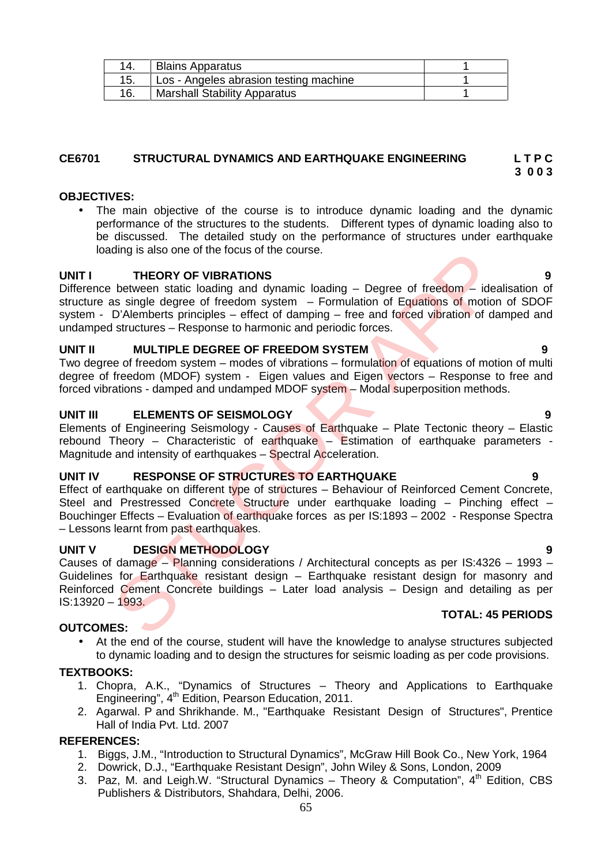|     | <b>Blains Apparatus</b>                |  |
|-----|----------------------------------------|--|
|     | Los - Angeles abrasion testing machine |  |
| 16. | <b>Marshall Stability Apparatus</b>    |  |

## **CE6701 STRUCTURAL DYNAMICS AND EARTHQUAKE ENGINEERING L T P C**

## **OBJECTIVES:**

 The main objective of the course is to introduce dynamic loading and the dynamic performance of the structures to the students. Different types of dynamic loading also to be discussed. The detailed study on the performance of structures under earthquake loading is also one of the focus of the course.

## **UNIT I THEORY OF VIBRATIONS 9**

Difference between static loading and dynamic loading – Degree of freedom – idealisation of structure as single degree of freedom system  $-$  Formulation of Equations of motion of SDOF system - D'Alemberts principles – effect of damping – free and forced vibration of damped and undamped structures – Response to harmonic and periodic forces. ding is also one of the focus of the course.<br> **STEEORY OF VIBRATIONS**<br>
between static loading and dynamic loading – Degree of freedom – ideas<br>
as single degree of freedom system – Formulation of Equations of motion<br>
D'Alem

## **UNIT II MULTIPLE DEGREE OF FREEDOM SYSTEM 9**

Two degree of freedom system – modes of vibrations – formulation of equations of motion of multi degree of freedom (MDOF) system - Eigen values and Eigen vectors - Response to free and forced vibrations - damped and undamped MDOF system – Modal superposition methods.

## **UNIT III ELEMENTS OF SEISMOLOGY 9**

Elements of Engineering Seismology - Causes of Earthquake – Plate Tectonic theory – Elastic rebound Theory – Characteristic of earthquake – Estimation of earthquake parameters -Magnitude and intensity of earthquakes – Spectral Acceleration.

## **UNIT IV RESPONSE OF STRUCTURES TO EARTHQUAKE 9**

Effect of earthquake on different type of structures – Behaviour of Reinforced Cement Concrete, Steel and Prestressed Concrete Structure under earthquake loading – Pinching effect – Bouchinger Effects – Evaluation of earthquake forces as per IS:1893 – 2002 - Response Spectra – Lessons learnt from past earthquakes.

## **UNIT V DESIGN METHODOLOGY 9**

Causes of damage – Planning considerations / Architectural concepts as per IS:4326 – 1993 – Guidelines for Earthquake resistant design – Earthquake resistant design for masonry and Reinforced Cement Concrete buildings – Later load analysis – Design and detailing as per IS:13920 – 1993.

## **OUTCOMES:**

 At the end of the course, student will have the knowledge to analyse structures subjected to dynamic loading and to design the structures for seismic loading as per code provisions.

## **TEXTBOOKS:**

- 1. Chopra, A.K., "Dynamics of Structures Theory and Applications to Earthquake Engineering", 4<sup>th</sup> Edition, Pearson Education, 2011.
- 2. Agarwal. P and Shrikhande. M., "Earthquake Resistant Design of Structures", Prentice Hall of India Pvt. Ltd. 2007

## **REFERENCES:**

- 1. Biggs, J.M., "Introduction to Structural Dynamics", McGraw Hill Book Co., New York, 1964
- 2. Dowrick, D.J., "Earthquake Resistant Design", John Wiley & Sons, London, 2009
- 3. Paz, M. and Leigh.W. "Structural Dynamics Theory & Computation",  $4<sup>th</sup>$  Edition, CBS Publishers & Distributors, Shahdara, Delhi, 2006.

## **TOTAL: 45 PERIODS**

**3 0 0 3**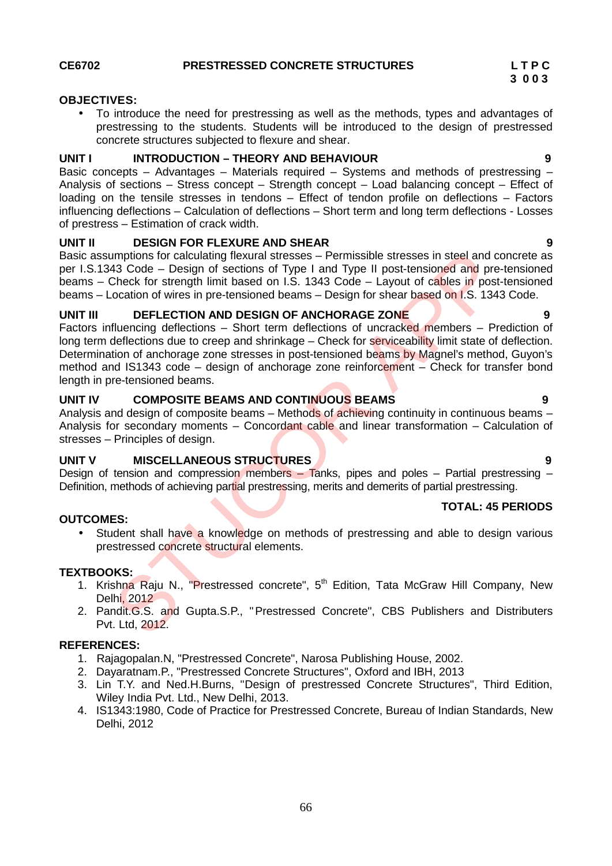**TOTAL: 45 PERIODS**

## **OBJECTIVES:**

 To introduce the need for prestressing as well as the methods, types and advantages of prestressing to the students. Students will be introduced to the design of prestressed concrete structures subjected to flexure and shear.

## **UNIT I INTRODUCTION – THEORY AND BEHAVIOUR 9**

Basic concepts – Advantages – Materials required – Systems and methods of prestressing – Analysis of sections – Stress concept – Strength concept – Load balancing concept – Effect of loading on the tensile stresses in tendons – Effect of tendon profile on deflections – Factors influencing deflections – Calculation of deflections – Short term and long term deflections - Losses of prestress – Estimation of crack width.

## **UNIT II DESIGN FOR FLEXURE AND SHEAR 9**

Basic assumptions for calculating flexural stresses – Permissible stresses in steel and concrete as per I.S.1343 Code – Design of sections of Type I and Type II post-tensioned and pre-tensioned beams – Check for strength limit based on I.S. 1343 Code – Layout of cables in post-tensioned beams – Location of wires in pre-tensioned beams – Design for shear based on I.S. 1343 Code.

## **UNIT III DEFLECTION AND DESIGN OF ANCHORAGE ZONE 9**

Factors influencing deflections – Short term deflections of uncracked members – Prediction of long term deflections due to creep and shrinkage – Check for serviceability limit state of deflection. Determination of anchorage zone stresses in post-tensioned beams by Magnel's method, Guyon's method and IS1343 code – design of anchorage zone reinforcement – Check for transfer bond length in pre-tensioned beams. mptions for calculating flexural stresses – Permissible stresses in steel and d<br>
43 Code – Design of sections of Type I and Type II post-tensioned and pre-<br>
Check for strength limit based on I.S. 1343 Code – Layout of cabl

## **UNIT IV COMPOSITE BEAMS AND CONTINUOUS BEAMS 9**

Analysis and design of composite beams – Methods of achieving continuity in continuous beams – Analysis for secondary moments – Concordant cable and linear transformation – Calculation of stresses – Principles of design.

## **UNIT V MISCELLANEOUS STRUCTURES 9**

Design of tension and compression members – Tanks, pipes and poles – Partial prestressing – Definition, methods of achieving partial prestressing, merits and demerits of partial prestressing.

## **OUTCOMES:**

• Student shall have a knowledge on methods of prestressing and able to design various prestressed concrete structural elements.

## **TEXTBOOKS:**

- 1. Krishna Raju N., "Prestressed concrete", 5<sup>th</sup> Edition, Tata McGraw Hill Company, New Delhi, 2012
- 2. Pandit.G.S. and Gupta.S.P., "Prestressed Concrete", CBS Publishers and Distributers Pvt. Ltd, 2012.

## **REFERENCES:**

- 1. Rajagopalan.N, "Prestressed Concrete", Narosa Publishing House, 2002.
- 2. Dayaratnam.P., "Prestressed Concrete Structures", Oxford and IBH, 2013
- 3. Lin T.Y. and Ned.H.Burns, "Design of prestressed Concrete Structures", Third Edition, Wiley India Pvt. Ltd., New Delhi, 2013.
- 4. IS1343:1980, Code of Practice for Prestressed Concrete, Bureau of Indian Standards, New Delhi, 2012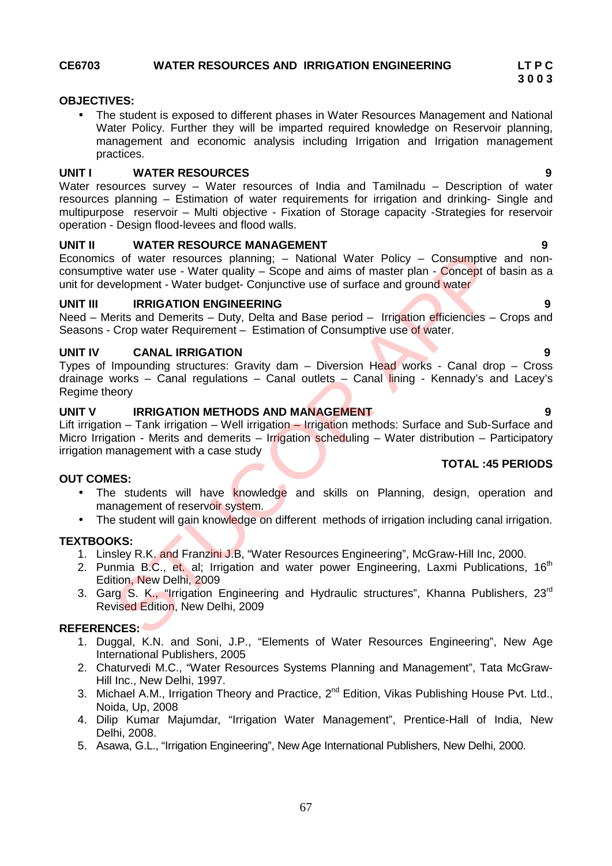## **CE6703 WATER RESOURCES AND IRRIGATION ENGINEERING LT P C**

## **OBJECTIVES:**

 The student is exposed to different phases in Water Resources Management and National Water Policy. Further they will be imparted required knowledge on Reservoir planning, management and economic analysis including Irrigation and Irrigation management practices.

## **UNIT I WATER RESOURCES 9**

Water resources survey – Water resources of India and Tamilnadu – Description of water resources planning – Estimation of water requirements for irrigation and drinking- Single and multipurpose reservoir – Multi objective - Fixation of Storage capacity -Strategies for reservoir operation - Design flood-levees and flood walls.

## **UNIT II WATER RESOURCE MANAGEMENT 9**

Economics of water resources planning; – National Water Policy – Consumptive and non consumptive water use - Water quality - Scope and aims of master plan - Concept of basin as a unit for development - Water budget- Conjunctive use of surface and ground water

## **UNIT III IRRIGATION ENGINEERING 9**

Need – Merits and Demerits – Duty, Delta and Base period – Irrigation efficiencies – Crops and Seasons - Crop water Requirement – Estimation of Consumptive use of water.

## **UNIT IV CANAL IRRIGATION 9**

Types of Impounding structures: Gravity dam – Diversion Head works - Canal drop – Cross drainage works – Canal regulations – Canal outlets – Canal lining - Kennady's and Lacey's Regime theory

## **UNIT V IRRIGATION METHODS AND MANAGEMENT 9**

Lift irrigation – Tank irrigation – Well irrigation – Irrigation methods: Surface and Sub-Surface and Micro Irrigation - Merits and demerits - Irrigation scheduling - Water distribution - Participatory irrigation management with a case study Softwater resources planning: - National Water Policy - Consumptive<br>
Softwater resources planning: - National Water Policy - Consumptive<br>
Severe use of surface and ground water<br>
velopment - Water quality - Scope and alms o

## **OUT COMES:**

- The students will have knowledge and skills on Planning, design, operation and management of reservoir system.
- The student will gain knowledge on different methods of irrigation including canal irrigation.

## **TEXTBOOKS:**

- 1. Linsley R.K. and Franzini J.B, "Water Resources Engineering", McGraw-Hill Inc, 2000.
- 2. Punmia B.C., et. al; Irrigation and water power Engineering, Laxmi Publications, 16<sup>th</sup> Edition, New Delhi, 2009
- 3. Garg S. K., "Irrigation Engineering and Hydraulic structures", Khanna Publishers, 23<sup>rd</sup> Revised Edition, New Delhi, 2009

## **REFERENCES:**

- 1. Duggal, K.N. and Soni, J.P., "Elements of Water Resources Engineering", New Age International Publishers, 2005
- 2. Chaturvedi M.C., "Water Resources Systems Planning and Management", Tata McGraw- Hill Inc., New Delhi, 1997.
- 3. Michael A.M., Irrigation Theory and Practice, 2<sup>nd</sup> Edition, Vikas Publishing House Pvt. Ltd., Noida, Up, 2008
- 4. Dilip Kumar Majumdar, "Irrigation Water Management", Prentice-Hall of India, New Delhi, 2008.
- 5. Asawa, G.L., "Irrigation Engineering", New Age International Publishers, New Delhi, 2000.

### **TOTAL :45 PERIODS**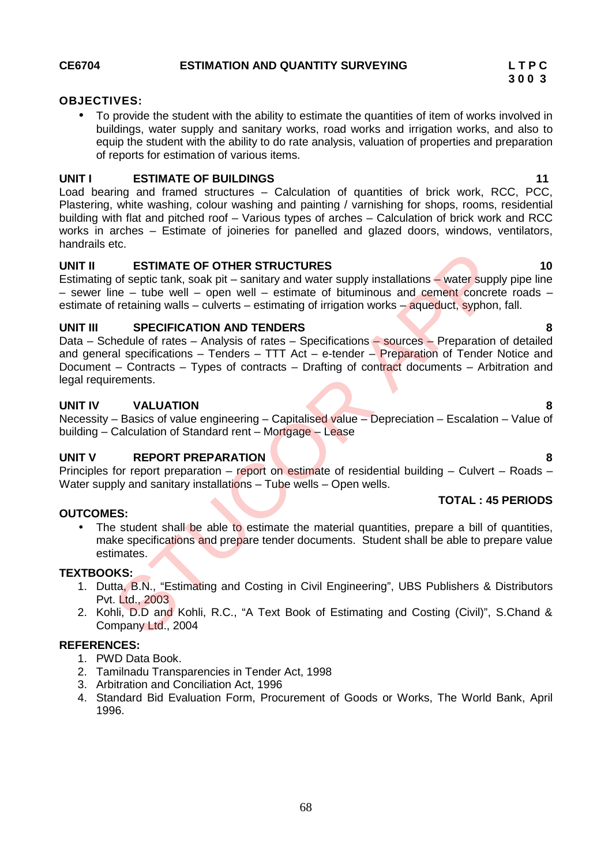## **OBJECTIVES:**

 To provide the student with the ability to estimate the quantities of item of works involved in buildings, water supply and sanitary works, road works and irrigation works, and also to equip the student with the ability to do rate analysis, valuation of properties and preparation of reports for estimation of various items.

## **UNIT I ESTIMATE OF BUILDINGS 11**

Load bearing and framed structures – Calculation of quantities of brick work, RCC, PCC, Plastering, white washing, colour washing and painting / varnishing for shops, rooms, residential building with flat and pitched roof – Various types of arches – Calculation of brick work and RCC works in arches – Estimate of joineries for panelled and glazed doors, windows, ventilators, handrails etc.

## **UNIT II ESTIMATE OF OTHER STRUCTURES 10**

Estimating of septic tank, soak pit – sanitary and water supply installations – water supply pipe line – sewer line – tube well – open well – estimate of bituminous and cement concrete roads – estimate of retaining walls – culverts – estimating of irrigation works – aqueduct, syphon, fall.

## **UNIT III SPECIFICATION AND TENDERS 8**

Data – Schedule of rates – Analysis of rates – Specifications – sources – Preparation of detailed and general specifications  $-$  Tenders  $-$  TTT Act  $-$  e-tender  $-$  Preparation of Tender Notice and Document – Contracts – Types of contracts – Drafting of contract documents – Arbitration and legal requirements. **ESTIMATE OF OTHER STRUCTURES**<br>
Information of septic tank, soak pit – sanitary and water supply installations – water supple<br>
In – tube well – open well – estimate of bituminous and cennent concrete<br>
Intertaining walls –

## **UNIT IV VALUATION 8**

Necessity – Basics of value engineering – Capitalised value – Depreciation – Escalation – Value of building – Calculation of Standard rent – Mortgage – Lease

## **UNIT V REPORT PREPARATION 8**

Principles for report preparation – report on estimate of residential building – Culvert – Roads – Water supply and sanitary installations – Tube wells – Open wells.

## **OUTCOMES:**

 The student shall be able to estimate the material quantities, prepare a bill of quantities, make specifications and prepare tender documents. Student shall be able to prepare value estimates.

## **TEXTBOOKS:**

- 1. Dutta, B.N., "Estimating and Costing in Civil Engineering", UBS Publishers & Distributors Pvt. Ltd., 2003
- 2. Kohli, D.D and Kohli, R.C., "A Text Book of Estimating and Costing (Civil)", S.Chand & Company Ltd., 2004

## **REFERENCES:**

- 1. PWD Data Book.
- 2. Tamilnadu Transparencies in Tender Act, 1998
- 3. Arbitration and Conciliation Act, 1996
- 4. Standard Bid Evaluation Form, Procurement of Goods or Works, The World Bank, April 1996.

**TOTAL : 45 PERIODS**

**3 0 0 3**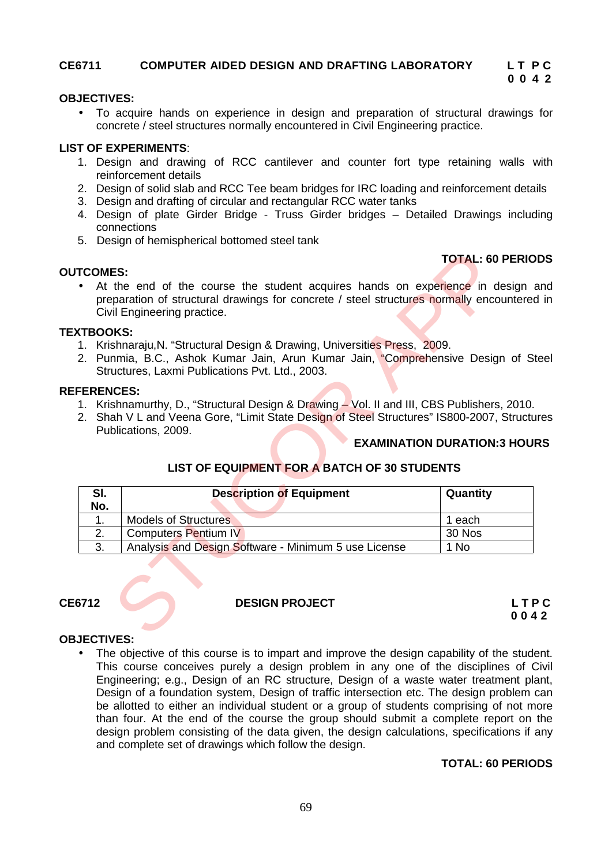## **CE6711 COMPUTER AIDED DESIGN AND DRAFTING LABORATORY L T P C**

## **OBJECTIVES:**

 To acquire hands on experience in design and preparation of structural drawings for concrete / steel structures normally encountered in Civil Engineering practice.

## **LIST OF EXPERIMENTS**:

- 1. Design and drawing of RCC cantilever and counter fort type retaining walls with reinforcement details
- 2. Design of solid slab and RCC Tee beam bridges for IRC loading and reinforcement details
- 3. Design and drafting of circular and rectangular RCC water tanks
- 4. Design of plate Girder Bridge Truss Girder bridges Detailed Drawings including connections
- 5. Design of hemispherical bottomed steel tank

## **TOTAL: 60 PERIODS**

## **TEXTBOOKS:**

**OUTCOMES:**

- 1. Krishnaraju,N. "Structural Design & Drawing, Universities Press, 2009.
- 2. Punmia, B.C., Ashok Kumar Jain, Arun Kumar Jain, "Comprehensive Design of Steel Structures, Laxmi Publications Pvt. Ltd., 2003.

## **REFERENCES:**

- 1. Krishnamurthy, D., "Structural Design & Drawing Vol. II and III, CBS Publishers, 2010.
- 2. Shah V L and Veena Gore, "Limit State Design of Steel Structures" IS800-2007, Structures Publications, 2009.

## **EXAMINATION DURATION:3 HOURS**

## **LIST OF EQUIPMENT FOR A BATCH OF 30 STUDENTS**

|                             |                                                                                                                                                                                                                  | <b>TOTAL: 60 PERIO</b>             |
|-----------------------------|------------------------------------------------------------------------------------------------------------------------------------------------------------------------------------------------------------------|------------------------------------|
| <b>TCOMES:</b><br>$\bullet$ | At the end of the course the student acquires hands on experience in design a<br>preparation of structural drawings for concrete / steel structures normally encountered<br>Civil Engineering practice.          |                                    |
| <b>XTBOOKS:</b>             | 1. Krishnaraju, N. "Structural Design & Drawing, Universities Press, 2009.<br>2. Punmia, B.C., Ashok Kumar Jain, Arun Kumar Jain, "Comprehensive Design of St<br>Structures, Laxmi Publications Pvt. Ltd., 2003. |                                    |
| <b>FERENCES:</b>            | 1. Krishnamurthy, D., "Structural Design & Drawing - Vol. II and III, CBS Publishers, 2010.<br>2. Shah V L and Veena Gore, "Limit State Design of Steel Structures" IS800-2007, Structu<br>Publications, 2009.   |                                    |
|                             | LIST OF EQUIPMENT FOR A BATCH OF 30 STUDENTS                                                                                                                                                                     | <b>EXAMINATION DURATION:3 HOUR</b> |
| SI.                         | <b>Description of Equipment</b>                                                                                                                                                                                  | Quantity                           |
| No.                         |                                                                                                                                                                                                                  |                                    |
| 1.                          | <b>Models of Structures</b>                                                                                                                                                                                      | 1 each                             |
| 2.<br>3.                    | <b>Computers Pentium IV</b><br>Analysis and Design Software - Minimum 5 use License                                                                                                                              | 30 Nos<br>1 No                     |

## **CE6712 DESIGN PROJECT L T P C**

**0 0 4 2**

## **OBJECTIVES:**

 The objective of this course is to impart and improve the design capability of the student. This course conceives purely a design problem in any one of the disciplines of Civil Engineering; e.g., Design of an RC structure, Design of a waste water treatment plant, Design of a foundation system, Design of traffic intersection etc. The design problem can be allotted to either an individual student or a group of students comprising of not more than four. At the end of the course the group should submit a complete report on the design problem consisting of the data given, the design calculations, specifications if any and complete set of drawings which follow the design.

## **TOTAL: 60 PERIODS**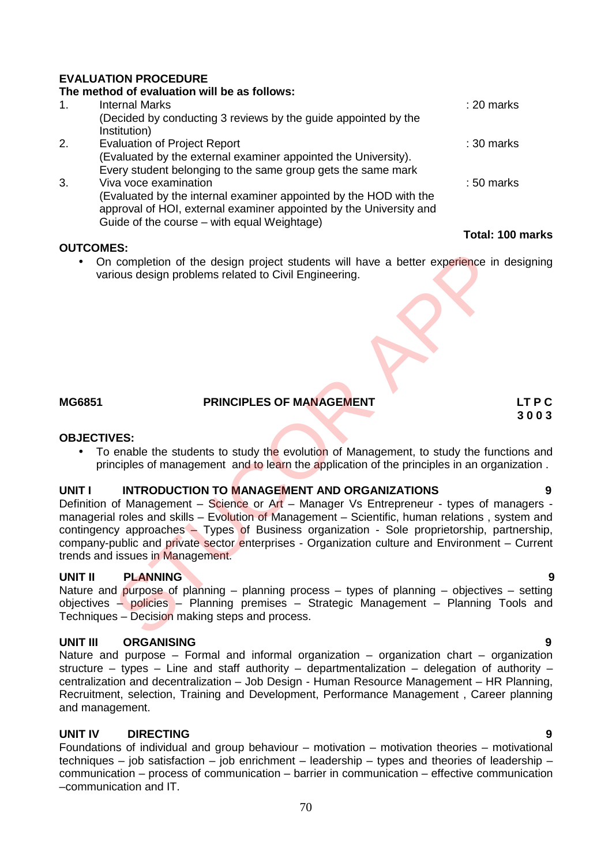## **EVALUATION PROCEDURE**

## **The method of evaluation will be as follows:** 1. Internal Marks : 20 marks (Decided by conducting 3 reviews by the guide appointed by the Institution) 2. Evaluation of Project Report : 30 marks (Evaluated by the external examiner appointed the University). Every student belonging to the same group gets the same mark 3. Viva voce examination : 50 marks (Evaluated by the internal examiner appointed by the HOD with the approval of HOI, external examiner appointed by the University and Guide of the course – with equal Weightage)

## **OUTCOMES:**

• On completion of the design project students will have a better experience in designing various design problems related to Civil Engineering.

## **MG6851 PRINCIPLES OF MANAGEMENT LT P C**

## **OBJECTIVES:**

• To enable the students to study the evolution of Management, to study the functions and principles of management and to learn the application of the principles in an organization .

## **UNIT I INTRODUCTION TO MANAGEMENT AND ORGANIZATIONS 9**

Definition of Management – Science or Art – Manager Vs Entrepreneur - types of managers managerial roles and skills – Evolution of Management – Scientific, human relations , system and contingency approaches – Types of Business organization - Sole proprietorship, partnership, company-public and private sector enterprises - Organization culture and Environment – Current trends and issues in Management. Completion of the design project students will have a better experience in<br>completion of the design problems related to Civil Engineering.<br> **PRINCIPLES OF MANAGEMENT**<br> **PRINCIPLES OF MANAGEMENT**<br> **PRINCIPLES OF MANAGEMENT** 

## **UNIT II PLANNING 9**

Nature and purpose of planning – planning process – types of planning – objectives – setting objectives – policies – Planning premises – Strategic Management – Planning Tools and Techniques – Decision making steps and process.

## **UNIT III ORGANISING 9**

Nature and purpose – Formal and informal organization – organization chart – organization structure – types – Line and staff authority – departmentalization – delegation of authority – centralization and decentralization – Job Design - Human Resource Management – HR Planning, Recruitment, selection, Training and Development, Performance Management , Career planning and management.

## **UNIT IV DIRECTING 9**

Foundations of individual and group behaviour – motivation – motivation theories – motivational techniques – job satisfaction – job enrichment – leadership – types and theories of leadership – communication – process of communication – barrier in communication – effective communication –communication and IT.

## **Total: 100 marks**

# **3 0 0 3**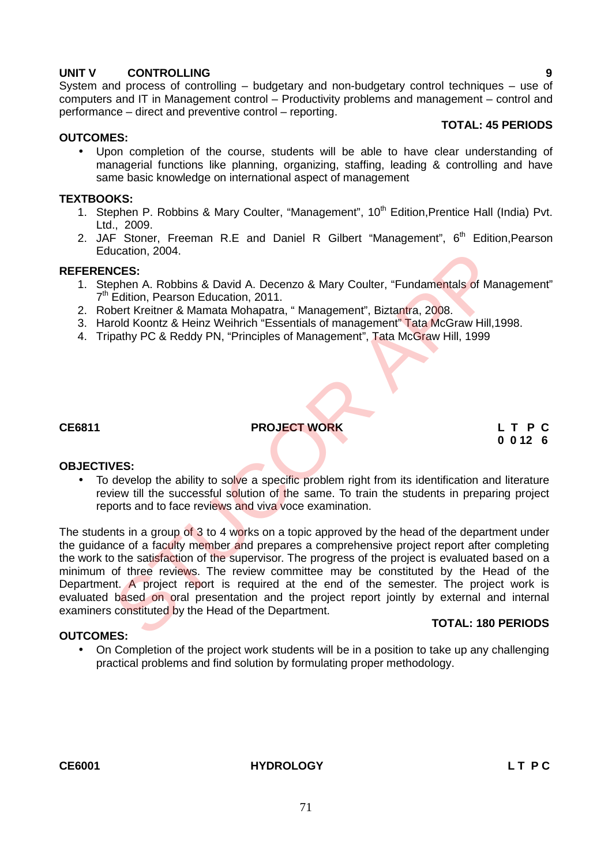## **UNIT V CONTROLLING 9**

System and process of controlling – budgetary and non-budgetary control techniques – use of computers and IT in Management control – Productivity problems and management – control and performance – direct and preventive control – reporting.

## **TOTAL: 45 PERIODS**

## **OUTCOMES:**

 Upon completion of the course, students will be able to have clear understanding of managerial functions like planning, organizing, staffing, leading & controlling and have same basic knowledge on international aspect of management

## **TEXTBOOKS:**

- 1. Stephen P. Robbins & Mary Coulter, "Management", 10<sup>th</sup> Edition, Prentice Hall (India) Pvt. Ltd., 2009.
- 2. JAF Stoner, Freeman R.E and Daniel R Gilbert "Management", 6<sup>th</sup> Edition, Pearson Education, 2004.

## **REFERENCES:**

- 1. Stephen A. Robbins & David A. Decenzo & Mary Coulter, "Fundamentals of Management" 7<sup>th</sup> Edition, Pearson Education, 2011.
- 2. Robert Kreitner & Mamata Mohapatra, "Management", Biztantra, 2008.
- 3. Harold Koontz & Heinz Weihrich "Essentials of management" Tata McGraw Hill,1998.
- 4. Tripathy PC & Reddy PN, "Principles of Management", Tata McGraw Hill, 1999

**CE6811 PROJECT WORK L T P C**

**0 0 12 6**

## **OBJECTIVES:**

**OUTCOMES:**

• To develop the ability to solve a specific problem right from its identification and literature review till the successful solution of the same. To train the students in preparing project reports and to face reviews and viva voce examination.

The students in a group of 3 to 4 works on a topic approved by the head of the department under the quidance of a faculty member and prepares a comprehensive project report after completing the work to the satisfaction of the supervisor. The progress of the project is evaluated based on a minimum of three reviews. The review committee may be constituted by the Head of the Department. A project report is required at the end of the semester. The project work is evaluated based on oral presentation and the project report jointly by external and internal examiners constituted by the Head of the Department. ucation, 2004.<br>
UCES:<br>
SERENCES:<br>
SERENCE ARO BOWING A Decenzo & Mary Coulter, "Fundamentals of Ma<br>
Edition, Pearson Education, 2011.<br>
Dent Kreiner & Mamata Mohapata, "Management", Biztantra, 2008.<br>
Include Kontz & Heinz W

## **TOTAL: 180 PERIODS**

• On Completion of the project work students will be in a position to take up any challenging practical problems and find solution by formulating proper methodology.

**CE6001 HYDROLOGY L T P C**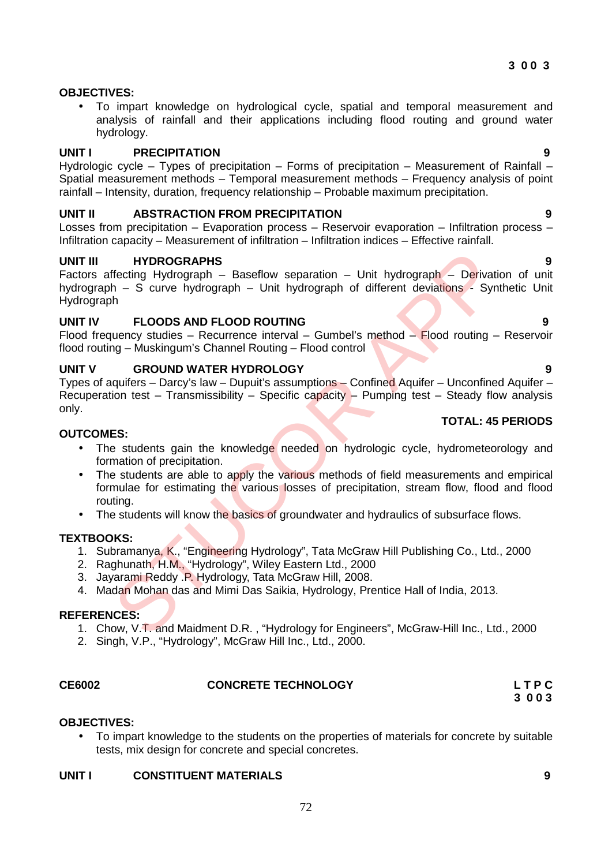## **OBJECTIVES:**

 To impart knowledge on hydrological cycle, spatial and temporal measurement and analysis of rainfall and their applications including flood routing and ground water hydrology.

## **UNIT I PRECIPITATION 9**

Hydrologic cycle – Types of precipitation – Forms of precipitation – Measurement of Rainfall – Spatial measurement methods – Temporal measurement methods – Frequency analysis of point rainfall – Intensity, duration, frequency relationship – Probable maximum precipitation.

## **UNIT II ABSTRACTION FROM PRECIPITATION 9**

Losses from precipitation – Evaporation process – Reservoir evaporation – Infiltration process – Infiltration capacity – Measurement of infiltration – Infiltration indices – Effective rainfall.

## **UNIT III HYDROGRAPHS 9**

Factors affecting Hydrograph – Baseflow separation – Unit hydrograph – Derivation of unit hydrograph – S curve hydrograph – Unit hydrograph of different deviations - Synthetic Unit Hydrograph **HYDROGRAPHS**<br>
ffecting Hydrograph – Baseflow separation – Unit hydrograph – Derivations - Syn<br>
h – S curve hydrograph – Unit hydrograph of different deviations - Syn<br>
h – S curve hydrograph – Unit hydrograph of different

## **UNIT IV FLOODS AND FLOOD ROUTING 9**

Flood frequency studies – Recurrence interval – Gumbel's method – Flood routing – Reservoir flood routing – Muskingum's Channel Routing – Flood control

## **UNIT V GROUND WATER HYDROLOGY 9**

Types of aquifers – Darcy's law – Dupuit's assumptions – Confined Aquifer – Unconfined Aquifer – Recuperation test – Transmissibility – Specific capacity – Pumping test – Steady flow analysis only. **TOTAL: 45 PERIODS**

## **OUTCOMES:**

- The students gain the knowledge needed on hydrologic cycle, hydrometeorology and formation of precipitation.
- The students are able to apply the various methods of field measurements and empirical formulae for estimating the various losses of precipitation, stream flow, flood and flood routing.
- The students will know the basics of groundwater and hydraulics of subsurface flows.

## **TEXTBOOKS:**

- 1. Subramanya, K., "Engineering Hydrology", Tata McGraw Hill Publishing Co., Ltd., 2000
- 2. Raghunath, H.M., "Hydrology", Wiley Eastern Ltd., 2000
- 3. Jayarami Reddy .P. Hydrology, Tata McGraw Hill, 2008.
- 4. Madan Mohan das and Mimi Das Saikia, Hydrology, Prentice Hall of India, 2013.

## **REFERENCES:**

- 1. Chow, V.T. and Maidment D.R. , "Hydrology for Engineers", McGraw-Hill Inc., Ltd., 2000
- 2. Singh, V.P., "Hydrology", McGraw Hill Inc., Ltd., 2000.

## **CE6002 CONCRETE TECHNOLOGY L T P C**

## **OBJECTIVES:**

 To impart knowledge to the students on the properties of materials for concrete by suitable tests, mix design for concrete and special concretes.

## **UNIT I CONSTITUENT MATERIALS 9**

# **3 0 0 3**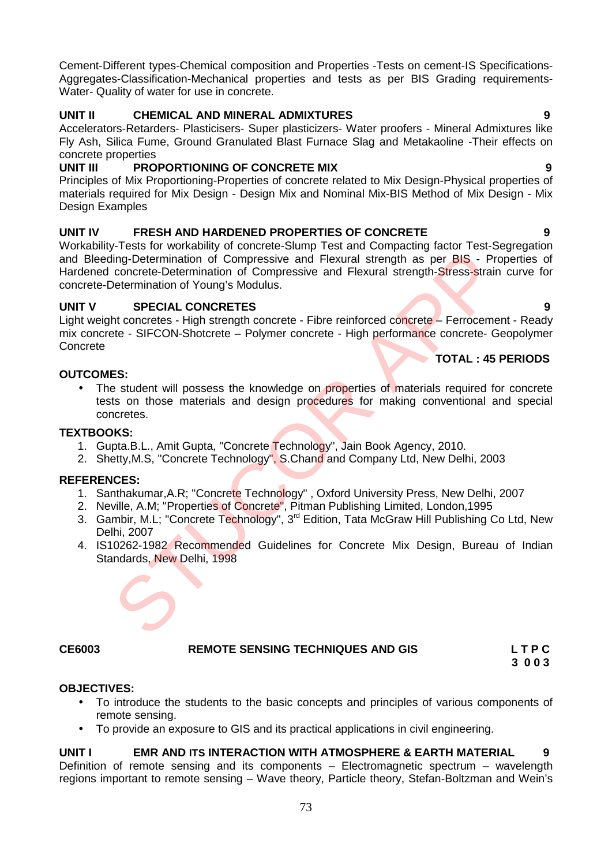Cement-Different types-Chemical composition and Properties -Tests on cement-IS Specifications- Aggregates-Classification-Mechanical properties and tests as per BIS Grading requirements- Water- Quality of water for use in concrete.

# **UNIT II CHEMICAL AND MINERAL ADMIXTURES 9**

Accelerators-Retarders- Plasticisers- Super plasticizers- Water proofers - Mineral Admixtures like Fly Ash, Silica Fume, Ground Granulated Blast Furnace Slag and Metakaoline -Their effects on concrete properties<br> **UNIT III** PRO

# **PROPORTIONING OF CONCRETE MIX 19 9**

Principles of Mix Proportioning-Properties of concrete related to Mix Design-Physical properties of materials required for Mix Design - Design Mix and Nominal Mix-BIS Method of Mix Design - Mix Design Examples

# **UNIT IV FRESH AND HARDENED PROPERTIES OF CONCRETE 9**

Workability-Tests for workability of concrete-Slump Test and Compacting factor Test-Segregation and Bleeding-Determination of Compressive and Flexural strength as per BIS - Properties of Hardened concrete-Determination of Compressive and Flexural strength-Stress-strain curve for concrete-Determination of Young's Modulus. Franchischer Contents and Flexural sterigth as per BIS - Production of Compressive and Flexural sterigth as per BIS - Proceed-Determination of Compressive and Flexural sterigth as per BIS - Proceed-Determination of Young's

# **UNIT V SPECIAL CONCRETES 9**

Light weight concretes - High strength concrete - Fibre reinforced concrete – Ferrocement - Ready mix concrete - SIFCON-Shotcrete – Polymer concrete - High performance concrete- Geopolymer Concrete

# **OUTCOMES:**

• The student will possess the knowledge on properties of materials required for concrete tests on those materials and design procedures for making conventional and special concretes.

# **TEXTBOOKS:**

- 1. Gupta.B.L., Amit Gupta, "Concrete Technology", Jain Book Agency, 2010.
- 2. Shetty, M.S, "Concrete Technology", S.Chand and Company Ltd, New Delhi, 2003

# **REFERENCES:**

- 1. Santhakumar, A.R; "Concrete Technology", Oxford University Press, New Delhi, 2007
- 2. Neville, A.M; "Properties of Concrete", Pitman Publishing Limited, London, 1995
- 3. Gambir, M.L; "Concrete Technology", 3<sup>rd</sup> Edition, Tata McGraw Hill Publishing Co Ltd, New Delhi, 2007
- 4. IS10262-1982 Recommended Guidelines for Concrete Mix Design, Bureau of Indian Standards, New Delhi, 1998

# **CE6003 REMOTE SENSING TECHNIQUES AND GIS L T P C**

#### **OBJECTIVES:** To introduce the students to the basic concepts and principles of various components of remote sensing.

To provide an exposure to GIS and its practical applications in civil engineering.

# **UNIT I EMR AND ITS INTERACTION WITH ATMOSPHERE & EARTH MATERIAL 9**

Definition of remote sensing and its components – Electromagnetic spectrum – wavelength regions important to remote sensing – Wave theory, Particle theory, Stefan-Boltzman and Wein's

# **TOTAL : 45 PERIODS**

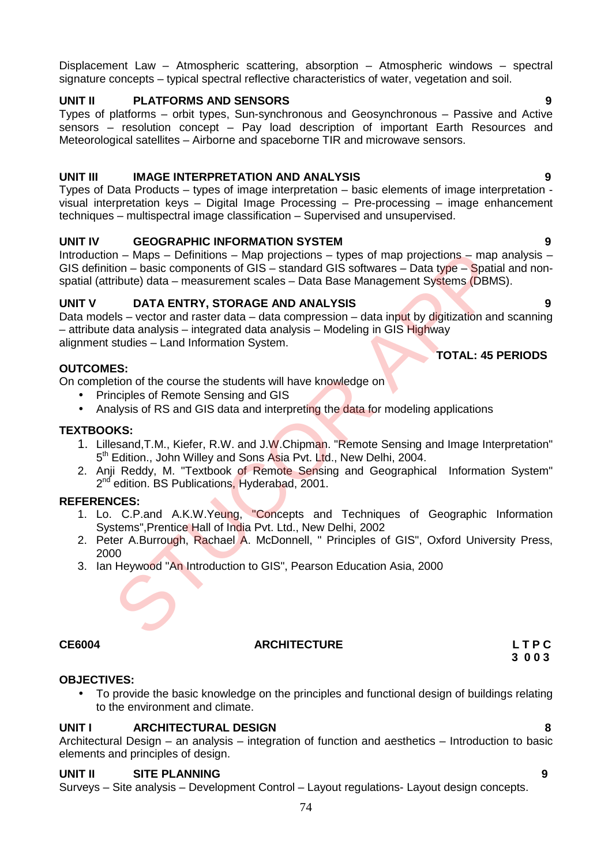Displacement Law – Atmospheric scattering, absorption – Atmospheric windows – spectral signature concepts – typical spectral reflective characteristics of water, vegetation and soil.

# **UNIT II PLATFORMS AND SENSORS 9**

Types of platforms – orbit types, Sun-synchronous and Geosynchronous – Passive and Active sensors – resolution concept – Pay load description of important Earth Resources and Meteorological satellites – Airborne and spaceborne TIR and microwave sensors.

# **UNIT III IMAGE INTERPRETATION AND ANALYSIS 9**

Types of Data Products – types of image interpretation – basic elements of image interpretation visual interpretation keys – Digital Image Processing – Pre-processing – image enhancement techniques – multispectral image classification – Supervised and unsupervised.

# **UNIT IV GEOGRAPHIC INFORMATION SYSTEM 9**

Introduction – Maps – Definitions – Map projections – types of map projections – map analysis – GIS definition – basic components of GIS – standard GIS softwares – Data type – Spatial and nonspatial (attribute) data – measurement scales – Data Base Management Systems (DBMS).

# **UNIT V DATA ENTRY, STORAGE AND ANALYSIS 9**

Data models – vector and raster data – data compression – data input by digitization and scanning – attribute data analysis – integrated data analysis – Modeling in GIS Highway alignment studies – Land Information System. **TOTAL: 45 PERIODS** Inchess Components of GIS – standard GIS softwares – they soft map projections – map<br>
inchute) data – measurement scales – Data Base Management Systems (DBM<br>
Inchess components of GIS – standard GIS softwares – Data Data<br>

# **OUTCOMES:**

On completion of the course the students will have knowledge on

- Principles of Remote Sensing and GIS
- Analysis of RS and GIS data and interpreting the data for modeling applications

# **TEXTBOOKS:**

- 1. Lillesand,T.M., Kiefer, R.W. and J.W.Chipman. "Remote Sensing and Image Interpretation" 5<sup>th</sup> Edition., John Willey and Sons Asia Pvt. Ltd., New Delhi, 2004.
- 2. Anii Reddy. M. "Textbook of Remote Sensing and Geographical Information System" 2<sup>nd</sup> edition. BS Publications, Hyderabad, 2001.

# **REFERENCES:**

- 1. Lo. C.P.and A.K.W.Yeung, "Concepts and Techniques of Geographic Information Systems",Prentice Hall of India Pvt. Ltd., New Delhi, 2002
- 2. Peter A.Burrough, Rachael A. McDonnell, " Principles of GIS", Oxford University Press, 2000
- 3. Ian Heywood "An Introduction to GIS", Pearson Education Asia, 2000

# **OBJECTIVES:**

 To provide the basic knowledge on the principles and functional design of buildings relating to the environment and climate.

# **UNIT I ARCHITECTURAL DESIGN 8**

Architectural Design – an analysis – integration of function and aesthetics – Introduction to basic elements and principles of design.

# **UNIT II SITE PLANNING 9**

Surveys – Site analysis – Development Control – Layout regulations- Layout design concepts.

**CE6004 ARCHITECTURE L T P C 3 0 0 3**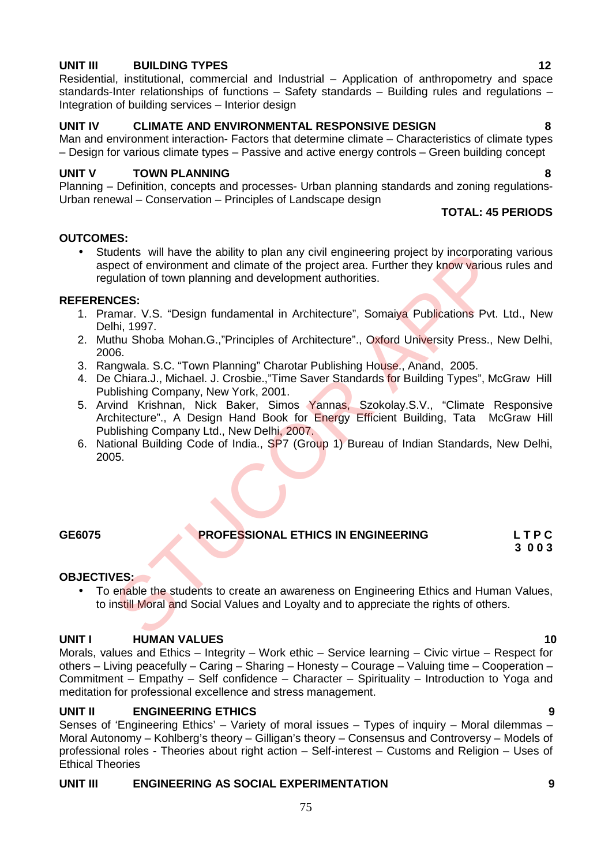# **UNIT III BUILDING TYPES 12**

Residential, institutional, commercial and Industrial – Application of anthropometry and space standards-Inter relationships of functions – Safety standards – Building rules and regulations – Integration of building services – Interior design

# **UNIT IV CLIMATE AND ENVIRONMENTAL RESPONSIVE DESIGN 8**

Man and environment interaction- Factors that determine climate – Characteristics of climate types – Design for various climate types – Passive and active energy controls – Green building concept

### **UNIT V TOWN PLANNING 8**

Planning – Definition, concepts and processes- Urban planning standards and zoning regulations- Urban renewal – Conservation – Principles of Landscape design

#### **TOTAL: 45 PERIODS**

### **OUTCOMES:**

 Students will have the ability to plan any civil engineering project by incorporating various aspect of environment and climate of the project area. Further they know various rules and regulation of town planning and development authorities.

#### **REFERENCES:**

- 1. Pramar. V.S. "Design fundamental in Architecture", Somaiya Publications Pvt. Ltd., New Delhi, 1997.
- 2. Muthu Shoba Mohan.G.,"Principles of Architecture"., Oxford University Press., New Delhi, 2006.
- 3. Rangwala. S.C. "Town Planning" Charotar Publishing House., Anand, 2005.
- 4. De Chiara.J., Michael. J. Crosbie.,"Time Saver Standards for Building Types", McGraw Hill Publishing Company, New York, 2001.
- 5. Arvind Krishnan, Nick Baker, Simos Yannas, Szokolay.S.V., "Climate Responsive Architecture"., A Design Hand Book for Energy Efficient Building, Tata McGraw Hill Publishing Company Ltd., New Delhi, 2007. ment will have the ability to plan any civil enpineering project by incorporations will have the ability to plan any civil enpineering project by incorporation<br>of the minimum of the project area. Further they know various<br>
- 6. National Building Code of India., SP7 (Group 1) Bureau of Indian Standards, New Delhi, 2005.

# **GE6075 PROFESSIONAL ETHICS IN ENGINEERING L T P C**

# **3 0 0 3**

#### **OBJECTIVES:**

• To enable the students to create an awareness on Engineering Ethics and Human Values, to instill Moral and Social Values and Loyalty and to appreciate the rights of others.

# **UNIT I HUMAN VALUES 10**

Morals, values and Ethics – Integrity – Work ethic – Service learning – Civic virtue – Respect for others – Living peacefully – Caring – Sharing – Honesty – Courage – Valuing time – Cooperation – Commitment – Empathy – Self confidence – Character – Spirituality – Introduction to Yoga and meditation for professional excellence and stress management.

# **UNIT II ENGINEERING ETHICS 9**

Senses of 'Engineering Ethics' – Variety of moral issues – Types of inquiry – Moral dilemmas – Moral Autonomy – Kohlberg's theory – Gilligan's theory – Consensus and Controversy – Models of professional roles - Theories about right action – Self-interest – Customs and Religion – Uses of Ethical Theories

75

# **UNIT III ENGINEERING AS SOCIAL EXPERIMENTATION 9**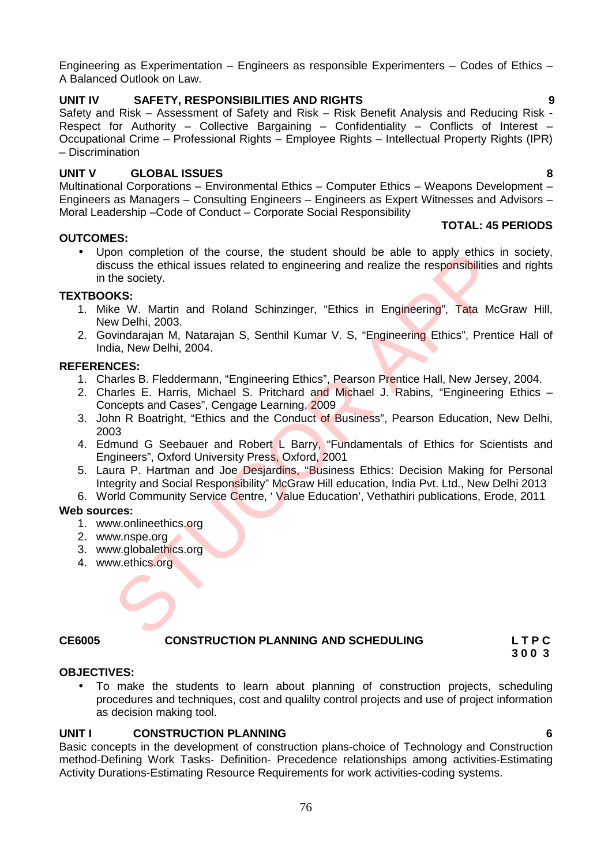Engineering as Experimentation – Engineers as responsible Experimenters – Codes of Ethics – A Balanced Outlook on Law.

# **UNIT IV SAFETY, RESPONSIBILITIES AND RIGHTS 9**

Safety and Risk – Assessment of Safety and Risk – Risk Benefit Analysis and Reducing Risk - Respect for Authority – Collective Bargaining – Confidentiality – Conflicts of Interest – Occupational Crime – Professional Rights – Employee Rights – Intellectual Property Rights (IPR) – Discrimination

# **UNIT V GLOBAL ISSUES 8**

Multinational Corporations – Environmental Ethics – Computer Ethics – Weapons Development – Engineers as Managers – Consulting Engineers – Engineers as Expert Witnesses and Advisors – Moral Leadership –Code of Conduct – Corporate Social Responsibility **TOTAL: 45 PERIODS**

# **OUTCOMES:**

 Upon completion of the course, the student should be able to apply ethics in society, discuss the ethical issues related to engineering and realize the responsibilities and rights in the society. on completion of the course, the student should be able to apply ethics<br>cuss the ethical issues related to engineering and realize the responsibilities<br>te. W. Martin and Roland Schinzinger, "Ethics in Engineering", Tata Mc

# **TEXTBOOKS:**

- 1. Mike W. Martin and Roland Schinzinger, "Ethics in Engineering", Tata McGraw Hill, New Delhi, 2003.
- 2. Govindarajan M, Natarajan S, Senthil Kumar V. S, "Engineering Ethics", Prentice Hall of India, New Delhi, 2004.

# **REFERENCES:**

- 1. Charles B. Fleddermann, "Engineering Ethics", Pearson Prentice Hall, New Jersey, 2004.
- 2. Charles E. Harris, Michael S. Pritchard and Michael J. Rabins, "Engineering Ethics Concepts and Cases", Cengage Learning, 2009
- 3. John R Boatright, "Ethics and the Conduct of Business", Pearson Education, New Delhi, 2003
- 4. Edmund G Seebauer and Robert L Barry, "Fundamentals of Ethics for Scientists and Engineers", Oxford University Press, Oxford, 2001
- 5. Laura P. Hartman and Joe Desjardins, "Business Ethics: Decision Making for Personal Integrity and Social Responsibility" McGraw Hill education, India Pvt. Ltd., New Delhi 2013
- 6. World Community Service Centre, 'Value Education', Vethathiri publications, Erode, 2011

# **Web sources:**

- 1. www.onlineethics.org
- 2. www.nspe.org
- 3. www.globalethics.org
- 4. www.ethics.org

# **CE6005 CONSTRUCTION PLANNING AND SCHEDULING L T P C**

**3 0 0 3**

# **OBJECTIVES:**

 To make the students to learn about planning of construction projects, scheduling procedures and techniques, cost and qualilty control projects and use of project information as decision making tool.

# **UNIT I CONSTRUCTION PLANNING 6**

Basic concepts in the development of construction plans-choice of Technology and Construction method-Defining Work Tasks- Definition- Precedence relationships among activities-Estimating Activity Durations-Estimating Resource Requirements for work activities-coding systems.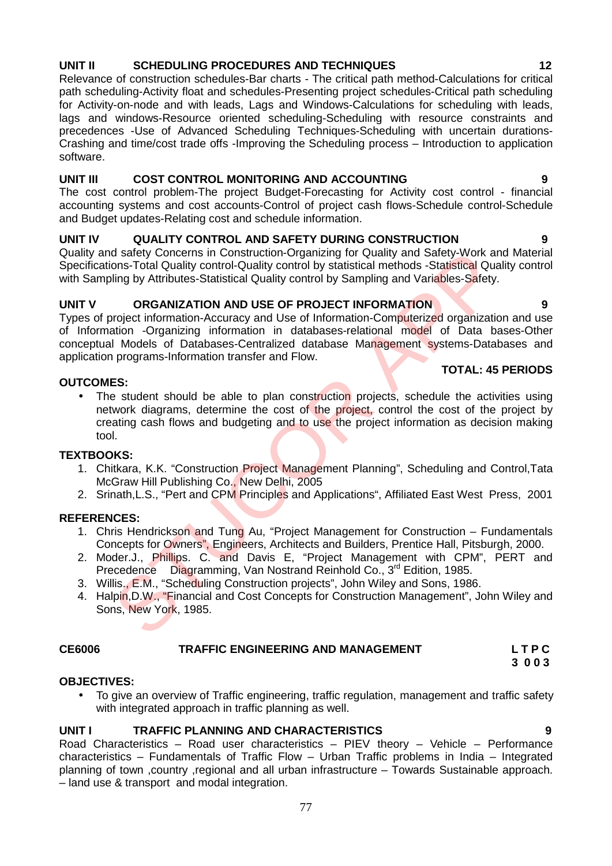# **UNIT II SCHEDULING PROCEDURES AND TECHNIQUES 12**

Relevance of construction schedules-Bar charts - The critical path method-Calculations for critical path scheduling-Activity float and schedules-Presenting project schedules-Critical path scheduling for Activity-on-node and with leads, Lags and Windows-Calculations for scheduling with leads, lags and windows-Resource oriented scheduling-Scheduling with resource constraints and precedences -Use of Advanced Scheduling Techniques-Scheduling with uncertain durations- Crashing and time/cost trade offs -Improving the Scheduling process – Introduction to application software.

# **UNIT III COST CONTROL MONITORING AND ACCOUNTING 9**

The cost control problem-The project Budget-Forecasting for Activity cost control - financial accounting systems and cost accounts-Control of project cash flows-Schedule control-Schedule and Budget updates-Relating cost and schedule information.

# **UNIT IV QUALITY CONTROL AND SAFETY DURING CONSTRUCTION 9**

Quality and safety Concerns in Construction-Organizing for Quality and Safety-Work and Material Specifications-Total Quality control-Quality control by statistical methods -Statistical Quality control with Sampling by Attributes-Statistical Quality control by Sampling and Variables-Safety.

# **UNIT V ORGANIZATION AND USE OF PROJECT INFORMATION 9**

Types of project information-Accuracy and Use of Information-Computerized organization and use of Information -Organizing information in databases-relational model of Data bases-Other conceptual Models of Databases-Centralized database Management systems-Databases and application programs-Information transfer and Flow.

# **OUTCOMES:**

• The student should be able to plan construction projects, schedule the activities using network diagrams, determine the cost of the project, control the cost of the project by creating cash flows and budgeting and to use the project information as decision making tool. d safety Concerns in Construction-Organizing for Quality and Safety-Work and<br>ons-Total Quality control-Quality control by statistical methods -Statistical Quality<br>ontrol-Quality control by statistical methods -Statistical

# **TEXTBOOKS:**

- 1. Chitkara, K.K. "Construction Project Management Planning", Scheduling and Control,Tata McGraw Hill Publishing Co., New Delhi, 2005
- 2. Srinath, L.S., "Pert and CPM Principles and Applications", Affiliated East West Press, 2001

# **REFERENCES:**

- 1. Chris Hendrickson and Tung Au, "Project Management for Construction Fundamentals Concepts for Owners", Engineers, Architects and Builders, Prentice Hall, Pitsburgh, 2000.
- 2. Moder.J., Phillips. C. and Davis E. "Project Management with CPM", PERT and Precedence Diagramming, Van Nostrand Reinhold Co., 3<sup>rd</sup> Edition, 1985.
- 3. Willis., E.M., "Scheduling Construction projects", John Wiley and Sons, 1986.
- 4. Halpin, D.W., "Financial and Cost Concepts for Construction Management", John Wiley and Sons, New York, 1985.

# **CE6006 TRAFFIC ENGINEERING AND MANAGEMENT L T P C**

**3 0 0 3**

# **OBJECTIVES:**

 To give an overview of Traffic engineering, traffic regulation, management and traffic safety with integrated approach in traffic planning as well.

# **UNIT I TRAFFIC PLANNING AND CHARACTERISTICS 9**

Road Characteristics – Road user characteristics – PIEV theory – Vehicle – Performance characteristics – Fundamentals of Traffic Flow – Urban Traffic problems in India – Integrated planning of town ,country ,regional and all urban infrastructure – Towards Sustainable approach. – land use & transport and modal integration.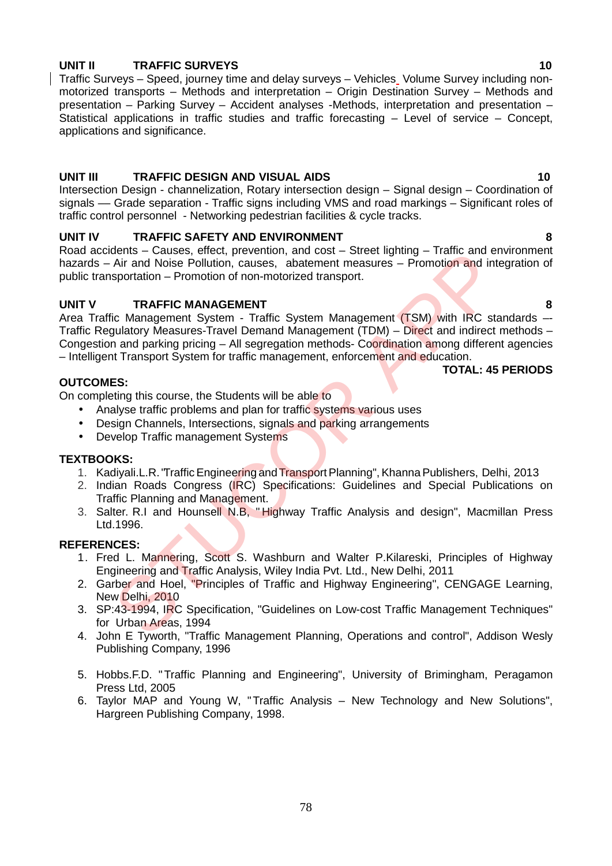# **UNIT II TRAFFIC SURVEYS 10**

Traffic Surveys – Speed, journey time and delay surveys – Vehicles Volume Survey including non motorized transports – Methods and interpretation – Origin Destination Survey – Methods and presentation – Parking Survey – Accident analyses -Methods, interpretation and presentation – Statistical applications in traffic studies and traffic forecasting – Level of service – Concept, applications and significance.

# **UNIT III TRAFFIC DESIGN AND VISUAL AIDS 10**

Intersection Design - channelization, Rotary intersection design – Signal design – Coordination of signals –– Grade separation - Traffic signs including VMS and road markings – Significant roles of traffic control personnel - Networking pedestrian facilities & cycle tracks.

# **UNIT IV TRAFFIC SAFETY AND ENVIRONMENT 8**

Road accidents – Causes, effect, prevention, and cost – Street lighting – Traffic and environment hazards – Air and Noise Pollution, causes, abatement measures – Promotion and integration of public transportation – Promotion of non-motorized transport.

# **UNIT V TRAFFIC MANAGEMENT 8**

Area Traffic Management System - Traffic System Management (TSM) with IRC standards -Traffic Regulatory Measures-Travel Demand Management (TDM) – Direct and indirect methods – Congestion and parking pricing – All segregation methods- Coordination among different agencies – Intelligent Transport System for traffic management, enforcement and education. dents – Causes, enect, prevention, and cost – Street ignining – Irance and<br>
Air and Noise Pollution, causes, abatement measures – Promotion and int<br>
sportation – Promotion of non-motorized transport.<br>
TRAFFIC MANAGEMENT<br>
T

**TOTAL: 45 PERIODS**

# **OUTCOMES:**

On completing this course, the Students will be able to

- Analyse traffic problems and plan for traffic systems various uses
- Design Channels, Intersections, signals and parking arrangements
- Develop Traffic management Systems

# **TEXTBOOKS:**

- 1. Kadiyali.L.R. "Traffic Engineering and Transport Planning", Khanna Publishers, Delhi, 2013
- 2. Indian Roads Congress (IRC) Specifications: Guidelines and Special Publications on Traffic Planning and Management.
- 3. Salter. R.I and Hounsell N.B, " Highway Traffic Analysis and design", Macmillan Press Ltd.1996.

- 1. Fred L. Mannering, Scott S. Washburn and Walter P.Kilareski, Principles of Highway Engineering and Traffic Analysis, Wiley India Pvt. Ltd., New Delhi, 2011
- 2. Garber and Hoel, "Principles of Traffic and Highway Engineering", CENGAGE Learning, New Delhi, 2010
- 3. SP:43-1994, IRC Specification, "Guidelines on Low-cost Traffic Management Techniques" for Urban Areas, 1994
- 4. John E Tyworth, "Traffic Management Planning, Operations and control", Addison Wesly Publishing Company, 1996
- 5. Hobbs.F.D. "Traffic Planning and Engineering", University of Brimingham, Peragamon Press Ltd, 2005
- 6. Taylor MAP and Young W, "Traffic Analysis New Technology and New Solutions", Hargreen Publishing Company, 1998.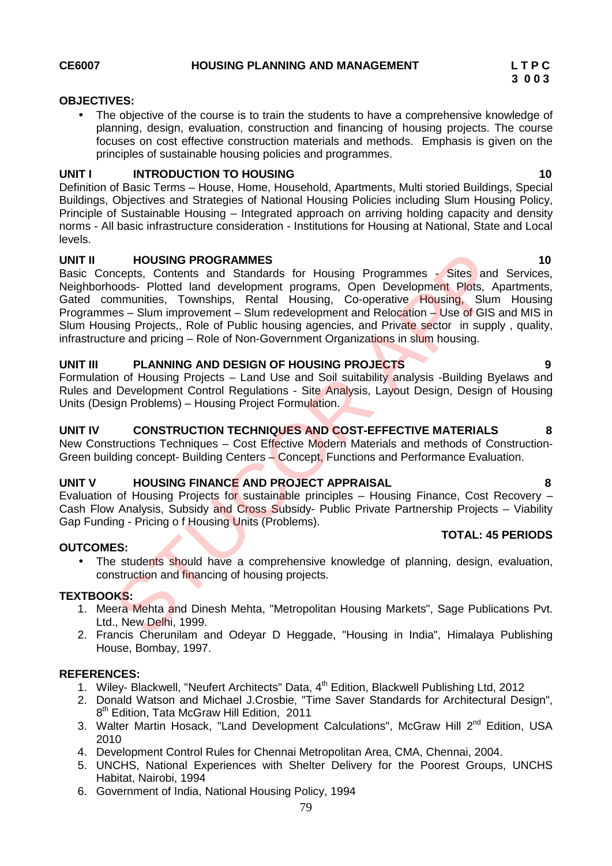### **OBJECTIVES:**

 The objective of the course is to train the students to have a comprehensive knowledge of planning, design, evaluation, construction and financing of housing projects. The course focuses on cost effective construction materials and methods. Emphasis is given on the principles of sustainable housing policies and programmes.

# **UNIT I INTRODUCTION TO HOUSING 10**

Definition of Basic Terms – House, Home, Household, Apartments, Multi storied Buildings, Special Buildings, Objectives and Strategies of National Housing Policies including Slum Housing Policy, Principle of Sustainable Housing – Integrated approach on arriving holding capacity and density norms - All basic infrastructure consideration - Institutions for Housing at National, State and Local levels.

### **UNIT II HOUSING PROGRAMMES 10**

Basic Concepts, Contents and Standards for Housing Programmes - Sites and Services, Neighborhoods- Plotted land development programs, Open Development Plots, Apartments, Gated communities, Townships, Rental Housing, Co-operative Housing, Slum Housing Programmes – Slum improvement – Slum redevelopment and Relocation – Use of GIS and MIS in Slum Housing Projects., Role of Public housing agencies, and Private sector in supply, quality, infrastructure and pricing – Role of Non-Government Organizations in slum housing. **HOUSING PROGRAMMES**<br>
HOUSING PROGRAMMES<br>
Concents: Contents and Standards for Housing Programmes - Sites and<br>
cloods- Plotted land development programs, Open Development Plots, A<br>
Summunities, Townships, Rental Housing, C

# **UNIT III PLANNING AND DESIGN OF HOUSING PROJECTS 9**

Formulation of Housing Projects – Land Use and Soil suitability analysis -Building Byelaws and Rules and Development Control Regulations - Site Analysis, Layout Design, Design of Housing Units (Design Problems) – Housing Project Formulation.

# **UNIT IV CONSTRUCTION TECHNIQUES AND COST-EFFECTIVE MATERIALS 8**

New Constructions Techniques – Cost Effective Modern Materials and methods of Construction-Green building concept- Building Centers – Concept, Functions and Performance Evaluation.

# **UNIT V HOUSING FINANCE AND PROJECT APPRAISAL 8**

Evaluation of Housing Projects for sustainable principles – Housing Finance, Cost Recovery – Cash Flow Analysis, Subsidy and Cross Subsidy- Public Private Partnership Projects - Viability Gap Funding - Pricing o f Housing Units (Problems).

# **TOTAL: 45 PERIODS**

# **OUTCOMES:**

• The students should have a comprehensive knowledge of planning, design, evaluation, construction and financing of housing projects.

#### **TEXTBOOKS:**

- 1. Meera Mehta and Dinesh Mehta, "Metropolitan Housing Markets", Sage Publications Pvt. Ltd., New Delhi, 1999.
- 2. Francis Cherunilam and Odeyar D Heggade, "Housing in India", Himalaya Publishing House, Bombay, 1997.

- 1. Wiley- Blackwell, "Neufert Architects" Data, 4<sup>th</sup> Edition, Blackwell Publishing Ltd, 2012
- 2. Donald Watson and Michael J.Crosbie, "Time Saver Standards for Architectural Design", 8<sup>th</sup> Edition, Tata McGraw Hill Edition, 2011
- 3. Walter Martin Hosack, "Land Development Calculations", McGraw Hill 2<sup>nd</sup> Edition, USA 2010
- 4. Development Control Rules for Chennai Metropolitan Area, CMA, Chennai, 2004.
- 5. UNCHS, National Experiences with Shelter Delivery for the Poorest Groups, UNCHS Habitat, Nairobi, 1994
- 6. Government of India, National Housing Policy, 1994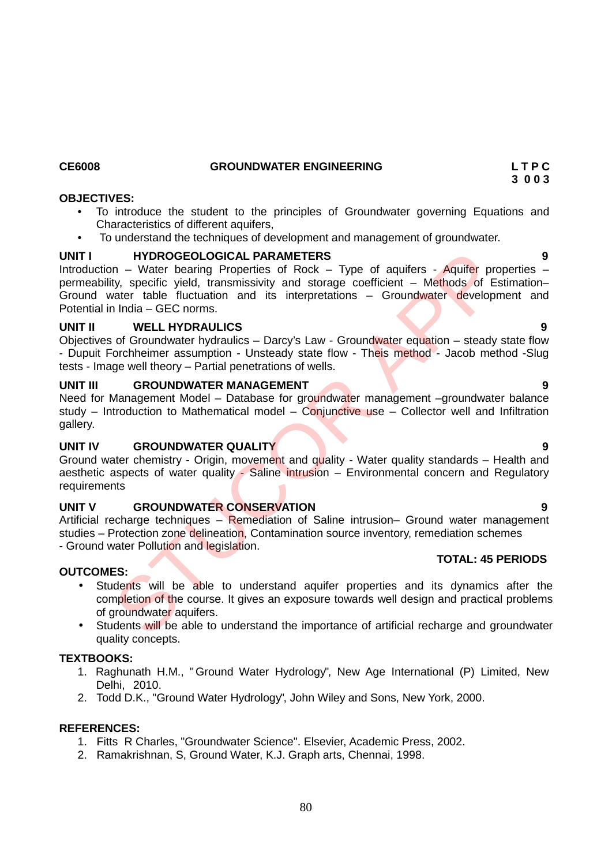# **CE6008 GROUNDWATER ENGINEERING L T P C**

### **OBJECTIVES:**

- To introduce the student to the principles of Groundwater governing Equations and Characteristics of different aquifers,
- To understand the techniques of development and management of groundwater.

# **UNIT I HYDROGEOLOGICAL PARAMETERS 9**

Introduction – Water bearing Properties of Rock – Type of aquifers - Aquifer properties – permeability, specific yield, transmissivity and storage coefficient - Methods of Estimation-Ground water table fluctuation and its interpretations – Groundwater development and Potential in India – GEC norms. HYDROGEOLOGICAL PARAMETERS<br>
In - Water bearing Properties of Rock - Type of aquifers - Aquifer pro<br>
In - Water bearing Properties of Rock - Type of aquifers - Aquifer pro<br>
tyl, specific yield, transmissivity and storage co

### **UNIT II WELL HYDRAULICS 9**

Objectives of Groundwater hydraulics – Darcy's Law - Groundwater equation – steady state flow - Dupuit Forchheimer assumption - Unsteady state flow - Theis method - Jacob method - Slug tests - Image well theory – Partial penetrations of wells.

### **UNIT III GROUNDWATER MANAGEMENT 9**

Need for Management Model - Database for groundwater management -groundwater balance study – Introduction to Mathematical model – Conjunctive use – Collector well and Infiltration gallery.

# **UNIT IV GROUNDWATER QUALITY 9**

Ground water chemistry - Origin, movement and quality - Water quality standards – Health and aesthetic aspects of water quality - Saline intrusion – Environmental concern and Regulatory requirements

# **UNIT V GROUNDWATER CONSERVATION 9**

Artificial recharge techniques – Remediation of Saline intrusion– Ground water management studies – Protection zone delineation, Contamination source inventory, remediation schemes - Ground water Pollution and legislation.

# **OUTCOMES:**

- Students will be able to understand aquifer properties and its dynamics after the completion of the course. It gives an exposure towards well design and practical problems of groundwater aquifers.
- Students will be able to understand the importance of artificial recharge and groundwater quality concepts.

# **TEXTBOOKS:**

- 1. Raghunath H.M., "Ground Water Hydrology", New Age International (P) Limited, New Delhi, 2010.
- 2. Todd D.K., "Ground Water Hydrology", John Wiley and Sons, New York, 2000.

# **REFERENCES:**

- 1. Fitts R Charles, "Groundwater Science". Elsevier, Academic Press, 2002.
- 2. Ramakrishnan, S, Ground Water, K.J. Graph arts, Chennai, 1998.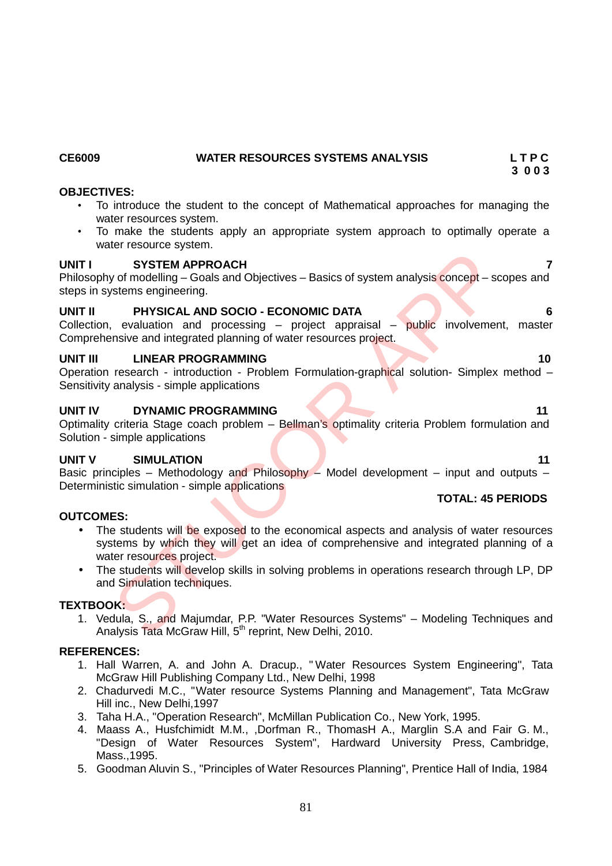# **CE6009 WATER RESOURCES SYSTEMS ANALYSIS L T P C**

# **OBJECTIVES:**

- To introduce the student to the concept of Mathematical approaches for managing the water resources system.
- To make the students apply an appropriate system approach to optimally operate a water resource system.

# **UNIT I SYSTEM APPROACH 7**

Philosophy of modelling – Goals and Objectives – Basics of system analysis concept – scopes and steps in systems engineering.

# **UNIT II PHYSICAL AND SOCIO - ECONOMIC DATA 6**

Collection, evaluation and processing  $-$  project appraisal  $-$  public involvement, master Comprehensive and integrated planning of water resources project.

### **UNIT III LINEAR PROGRAMMING 10**

Operation research - introduction - Problem Formulation-graphical solution- Simplex method – Sensitivity analysis - simple applications

# **UNIT IV DYNAMIC PROGRAMMING 11**

Optimality criteria Stage coach problem – Bellman's optimality criteria Problem formulation and Solution - simple applications

# **UNIT V SIMULATION 11**

Basic principles – Methodology and Philosophy – Model development – input and outputs – Deterministic simulation - simple applications

# **OUTCOMES:**

- The students will be exposed to the economical aspects and analysis of water resources systems by which they will get an idea of comprehensive and integrated planning of a water resources project. **SYSTEM APPROACH**<br>
SYSTEM APPROACH<br>
of modelling – Goals and Objectives – Basics of system analysis concept – st<br>
stems engineering.<br>
PHYSICAL AND SOCIO - ECONOMIC DATA<br>
evaluation and processing – project appraisal – publ
- The students will develop skills in solving problems in operations research through LP, DP and Simulation techniques.

#### **TEXTBOOK:**

1. Vedula, S., and Majumdar, P.P. "Water Resources Systems" – Modeling Techniques and Analysis Tata McGraw Hill, 5<sup>th</sup> reprint, New Delhi, 2010.

### **REFERENCES:**

- 1. Hall Warren, A. and John A. Dracup., " Water Resources System Engineering", Tata McGraw Hill Publishing Company Ltd., New Delhi, 1998
- 2. Chadurvedi M.C., "Water resource Systems Planning and Management", Tata McGraw Hill inc., New Delhi,1997
- 3. Taha H.A., "Operation Research", McMillan Publication Co., New York, 1995.
- 4. Maass A., Husfchimidt M.M., ,Dorfman R., ThomasH A., Marglin S.A and Fair G. M., "Design of Water Resources System", Hardward University Press, Cambridge, Mass.,1995.
- 5. Goodman Aluvin S., "Principles of Water Resources Planning", Prentice Hall of India, 1984

# **3 0 0 3**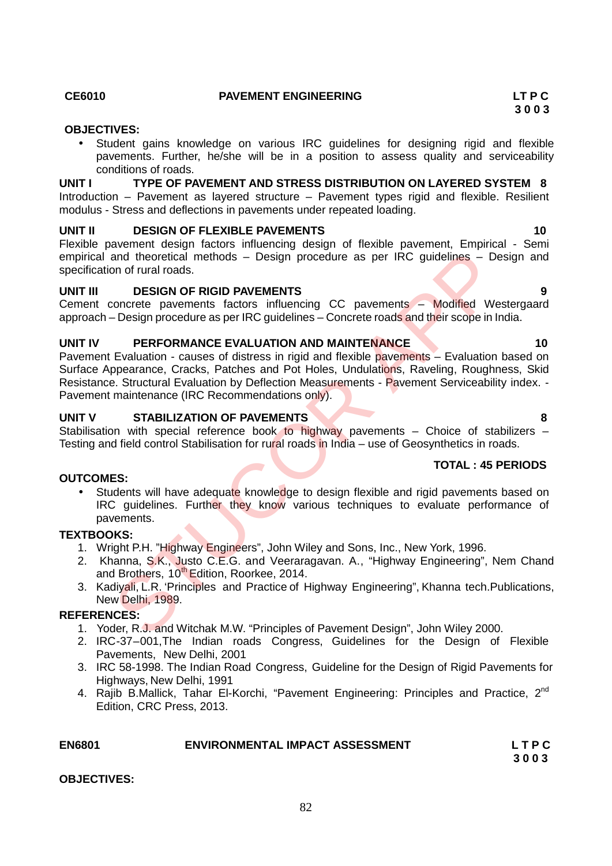#### **CE6010 PAVEMENT ENGINEERING LT P C**

### **OBJECTIVES:**

 Student gains knowledge on various IRC guidelines for designing rigid and flexible pavements. Further, he/she will be in a position to assess quality and serviceability conditions of roads.

**UNIT I TYPE OF PAVEMENT AND STRESS DISTRIBUTION ON LAYERED SYSTEM 8** Introduction – Pavement as layered structure – Pavement types rigid and flexible. Resilient modulus - Stress and deflections in pavements under repeated loading.

#### **UNIT II DESIGN OF FLEXIBLE PAVEMENTS 10**

Flexible pavement design factors influencing design of flexible pavement, Empirical - Semi empirical and theoretical methods – Design procedure as per IRC guidelines – Design and specification of rural roads.

### **UNIT III DESIGN OF RIGID PAVEMENTS 9**

Cement concrete pavements factors influencing CC pavements – Modified Westergaard approach – Design procedure as per IRC guidelines – Concrete roads and their scope in India.

#### **UNIT IV PERFORMANCE EVALUATION AND MAINTENANCE 10**

Pavement Evaluation - causes of distress in rigid and flexible pavements – Evaluation based on Surface Appearance, Cracks, Patches and Pot Holes, Undulations, Raveling, Roughness, Skid Resistance. Structural Evaluation by Deflection Measurements - Pavement Serviceability index. -Pavement maintenance (IRC Recommendations only). and theoretical methods – Design procedure as per IRC guidelines – Diversion of rural roads.<br>
DESIGN OF RIGID PAVEMENTS<br>
CORCORE PAVEMENTS<br>
CORCORE PAVEMENTS<br>
CORCORE PAVEMENTS<br>
CORCORE PAVEMENTS<br>
CORCORE PAVEMENTS<br>
CORCOR

### **UNIT V STABILIZATION OF PAVEMENTS 8**

Stabilisation with special reference book to highway pavements – Choice of stabilizers – Testing and field control Stabilisation for rural roads in India - use of Geosynthetics in roads.

#### **TOTAL : 45 PERIODS**

• Students will have adequate knowledge to design flexible and rigid pavements based on IRC guidelines. Further they know various techniques to evaluate performance of pavements.

# **TEXTBOOKS:**

**OUTCOMES:**

- 1. Wright P.H. "Highway Engineers", John Wiley and Sons, Inc., New York, 1996.
- 2. Khanna, S.K., Justo C.E.G. and Veeraragavan. A., "Highway Engineering", Nem Chand and Brothers, 10<sup>th</sup> Edition, Roorkee, 2014.
- 3. Kadiyali, L.R. 'Principles and Practice of Highway Engineering", Khanna tech.Publications, New Delhi, 1989.

#### **REFERENCES:**

- 1. Yoder, R.J. and Witchak M.W. "Principles of Pavement Design", John Wiley 2000.
- 2. IRC-37–001,The Indian roads Congress, Guidelines for the Design of Flexible Pavements, New Delhi, 2001
- 3. IRC 58-1998. The Indian Road Congress, Guideline for the Design of Rigid Pavements for Highways, New Delhi, 1991
- 4. Rajib B.Mallick, Tahar El-Korchi, "Pavement Engineering: Principles and Practice, 2<sup>nd</sup> Edition, CRC Press, 2013.

# **EN6801 ENVIRONMENTAL IMPACT ASSESSMENT L T P C**

**OBJECTIVES:**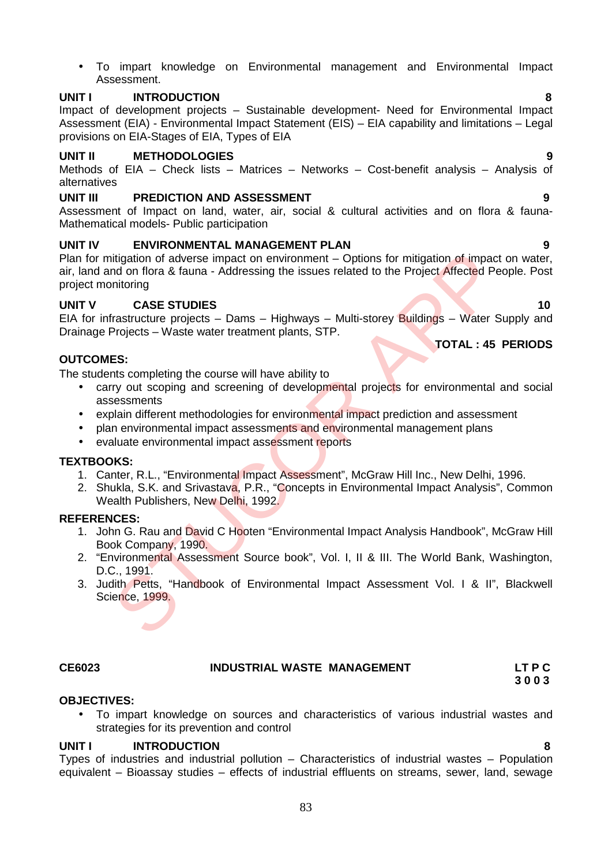To impart knowledge on Environmental management and Environmental Impact Assessment.

# **UNIT I INTRODUCTION 8**

Impact of development projects – Sustainable development- Need for Environmental Impact Assessment (EIA) - Environmental Impact Statement (EIS) – EIA capability and limitations – Legal provisions on EIA-Stages of EIA, Types of EIA

# **UNIT II METHODOLOGIES 9**

Methods of EIA – Check lists – Matrices – Networks – Cost-benefit analysis – Analysis of alternatives

# **UNIT III PREDICTION AND ASSESSMENT 9**

Assessment of Impact on land, water, air, social & cultural activities and on flora & fauna- Mathematical models- Public participation

# **UNIT IV ENVIRONMENTAL MANAGEMENT PLAN 9**

Plan for mitigation of adverse impact on environment – Options for mitigation of impact on water, air, land and on flora & fauna - Addressing the issues related to the Project Affected People. Post project monitoring itingation of adverse impact on environment – Options for mitigation of impact<br>
midd on fora & fauna - Addressing the issues related to the Project Affected Pe<br>
initioning<br>
CASE STUDIES<br>
Frastructure projects – Dams – High

# **UNIT V CASE STUDIES 10**

EIA for infrastructure projects – Dams – Highways – Multi-storey Buildings – Water Supply and Drainage Projects – Waste water treatment plants, STP.

### **OUTCOMES:**

The students completing the course will have ability to

- carry out scoping and screening of developmental projects for environmental and social assessments
- explain different methodologies for environmental impact prediction and assessment
- plan environmental impact assessments and environmental management plans
- evaluate environmental impact assessment reports

#### **TEXTBOOKS:**

- 1. Canter, R.L., "Environmental Impact Assessment", McGraw Hill Inc., New Delhi, 1996.
- 2. Shukla, S.K. and Srivastava, P.R., "Concepts in Environmental Impact Analysis", Common Wealth Publishers, New Delhi, 1992.

#### **REFERENCES:**

- 1. John G. Rau and David C Hooten "Environmental Impact Analysis Handbook", McGraw Hill Book Company, 1990.
- 2. "Environmental Assessment Source book", Vol. I, II & III. The World Bank, Washington, D.C., 1991.
- 3. Judith Petts, "Handbook of Environmental Impact Assessment Vol. I & II", Blackwell Science, 1999.

#### **CE6023 INDUSTRIAL WASTE MANAGEMENT LT P C**

#### **OBJECTIVES:**

 To impart knowledge on sources and characteristics of various industrial wastes and strategies for its prevention and control

#### **UNIT I INTRODUCTION 8**

Types of industries and industrial pollution – Characteristics of industrial wastes – Population equivalent – Bioassay studies – effects of industrial effluents on streams, sewer, land, sewage

### **TOTAL : 45 PERIODS**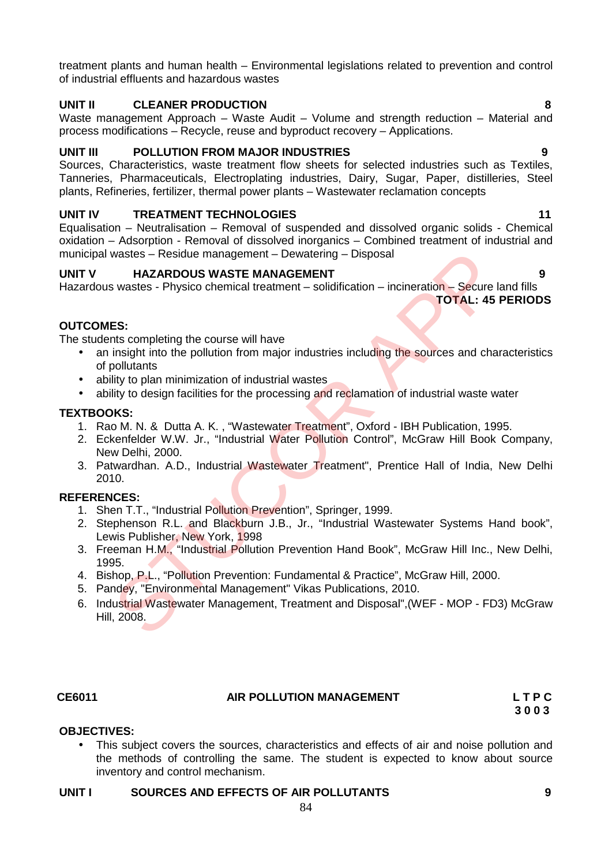treatment plants and human health – Environmental legislations related to prevention and control of industrial effluents and hazardous wastes

# **UNIT II CLEANER PRODUCTION 8**

Waste management Approach – Waste Audit – Volume and strength reduction – Material and process modifications – Recycle, reuse and byproduct recovery – Applications.

# **UNIT III POLLUTION FROM MAJOR INDUSTRIES 9**

Sources, Characteristics, waste treatment flow sheets for selected industries such as Textiles, Tanneries, Pharmaceuticals, Electroplating industries, Dairy, Sugar, Paper, distilleries, Steel plants, Refineries, fertilizer, thermal power plants – Wastewater reclamation concepts

# **UNIT IV TREATMENT TECHNOLOGIES 11**

Equalisation – Neutralisation – Removal of suspended and dissolved organic solids - Chemical oxidation – Adsorption - Removal of dissolved inorganics – Combined treatment of industrial and municipal wastes – Residue management – Dewatering – Disposal

# **UNIT V HAZARDOUS WASTE MANAGEMENT 9**

Hazardous wastes - Physico chemical treatment – solidification – incineration – Secure land fills **TOTAL: 45 PERIODS**

# **OUTCOMES:**

The students completing the course will have

- an insight into the pollution from major industries including the sources and characteristics of pollutants wastes – Residue management – Dewatering – Disposal<br>
HAZARDOUS WASTE MANAGEMENT<br>
SINGLE WASHEM (TOTAL: 45<br>
TOTAL: 45<br>
ES:<br>
Interpreting the course will have<br>
insight into the pollution from major industries including the s
- ability to plan minimization of industrial wastes
- ability to design facilities for the processing and reclamation of industrial waste water

# **TEXTBOOKS:**

- 1. Rao M. N. & Dutta A. K. , "Wastewater Treatment", Oxford IBH Publication, 1995.
- 2. Eckenfelder W.W. Jr., "Industrial Water Pollution Control", McGraw Hill Book Company, New Delhi, 2000.
- 3. Patwardhan. A.D., Industrial Wastewater Treatment", Prentice Hall of India, New Delhi 2010.

# **REFERENCES:**

- 1. Shen T.T., "Industrial Pollution Prevention", Springer, 1999.
- 2. Stephenson R.L. and Blackburn J.B., Jr., "Industrial Wastewater Systems Hand book", Lewis Publisher, New York, 1998
- 3. Freeman H.M., "Industrial Pollution Prevention Hand Book", McGraw Hill Inc., New Delhi, 1995.
- 4. Bishop, P.L., "Pollution Prevention: Fundamental & Practice", McGraw Hill, 2000.
- 5. Pandey, "Environmental Management" Vikas Publications, 2010.
- 6. Industrial Wastewater Management, Treatment and Disposal",(WEF MOP FD3) McGraw Hill, 2008.

#### **CE6011 AIR POLLUTION MANAGEMENT L T P C**

**3 0 0 3**

# **OBJECTIVES:**

 This subject covers the sources, characteristics and effects of air and noise pollution and the methods of controlling the same. The student is expected to know about source inventory and control mechanism.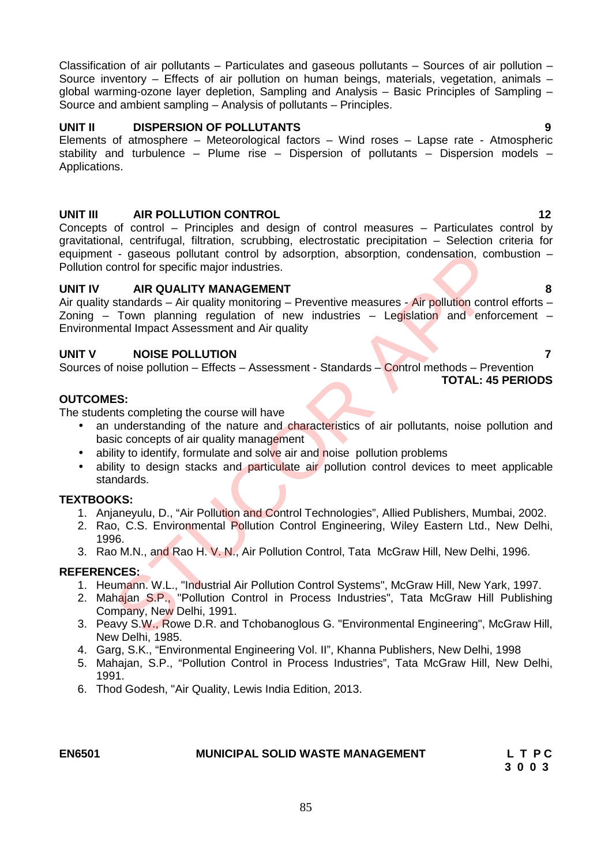Classification of air pollutants – Particulates and gaseous pollutants – Sources of air pollution – Source inventory – Effects of air pollution on human beings, materials, vegetation, animals – global warming-ozone layer depletion, Sampling and Analysis – Basic Principles of Sampling – Source and ambient sampling – Analysis of pollutants – Principles.

### **UNIT II DISPERSION OF POLLUTANTS 9**

Elements of atmosphere – Meteorological factors – Wind roses – Lapse rate - Atmospheric stability and turbulence – Plume rise – Dispersion of pollutants – Dispersion models – Applications.

### **UNIT III AIR POLLUTION CONTROL 12**

Concepts of control – Principles and design of control measures – Particulates control by gravitational, centrifugal, filtration, scrubbing, electrostatic precipitation – Selection criteria for equipment - gaseous pollutant control by adsorption, absorption, condensation, combustion – Pollution control for specific major industries.

#### **UNIT IV AIR QUALITY MANAGEMENT 8**

Air quality standards – Air quality monitoring – Preventive measures - Air pollution control efforts – Zoning – Town planning regulation of new industries – Legislation and enforcement – Environmental Impact Assessment and Air quality Control of specific major industries.<br>
MR QUALITY MANAGEMENT<br>
STAR QUALITY MANAGEMEST<br>
STAR QUALITY MANAGEMENT<br>
STAR QUALITY MANAGEMENT<br>
STAR COUNTERNATION<br>
Town planning regulation of new industries – Legislation and enfo

# **UNIT V NOISE POLLUTION 7**

Sources of noise pollution – Effects – Assessment - Standards – Control methods – Prevention **TOTAL: 45 PERIODS**

# **OUTCOMES:**

The students completing the course will have

- an understanding of the nature and characteristics of air pollutants, noise pollution and basic concepts of air quality management
- ability to identify, formulate and solve air and noise pollution problems
- ability to design stacks and particulate air pollution control devices to meet applicable standards.

#### **TEXTBOOKS:**

- 1. Anjaneyulu, D., "Air Pollution and Control Technologies", Allied Publishers, Mumbai, 2002.
- 2. Rao, C.S. Environmental Pollution Control Engineering, Wiley Eastern Ltd., New Delhi, 1996.
- 3. Rao M.N., and Rao H. V. N., Air Pollution Control, Tata McGraw Hill, New Delhi, 1996.

# **REFERENCES:**

- 1. Heumann. W.L., "Industrial Air Pollution Control Systems", McGraw Hill, New Yark, 1997.
- 2. Mahajan S.P., "Pollution Control in Process Industries", Tata McGraw Hill Publishing Company, New Delhi, 1991.
- 3. Peavy S.W., Rowe D.R. and Tchobanoglous G. "Environmental Engineering", McGraw Hill, New Delhi, 1985.
- 4. Garg, S.K., "Environmental Engineering Vol. II", Khanna Publishers, New Delhi, 1998
- 5. Mahajan, S.P., "Pollution Control in Process Industries", Tata McGraw Hill, New Delhi, 1991.
- 6. Thod Godesh, "Air Quality, Lewis India Edition, 2013.

# **EN6501 MUNICIPAL SOLID WASTE MANAGEMENT L T P C**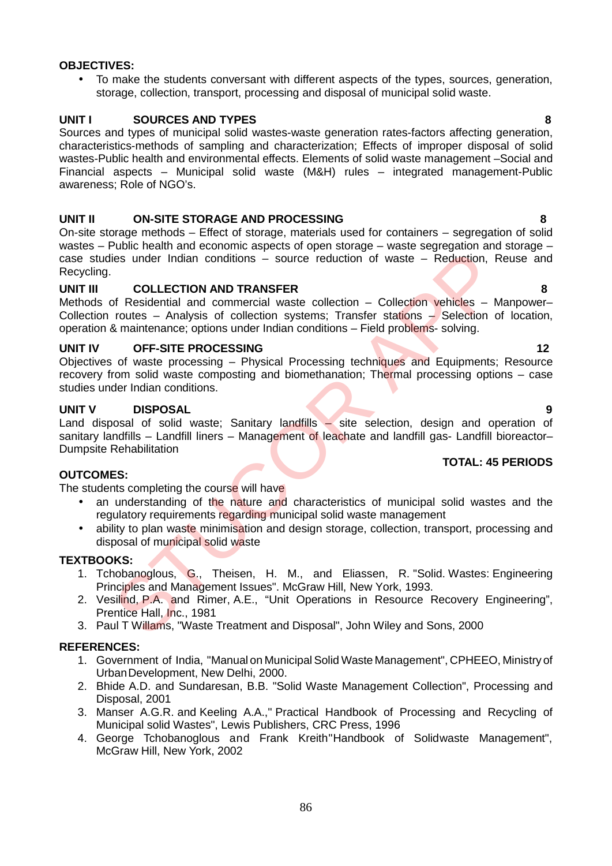# **OBJECTIVES:**

 To make the students conversant with different aspects of the types, sources, generation, storage, collection, transport, processing and disposal of municipal solid waste.

# **UNIT I SOURCES AND TYPES 8**

Sources and types of municipal solid wastes-waste generation rates-factors affecting generation, characteristics-methods of sampling and characterization; Effects of improper disposal of solid wastes-Public health and environmental effects. Elements of solid waste management –Social and Financial aspects – Municipal solid waste (M&H) rules – integrated management-Public awareness; Role of NGO's.

# **UNIT II ON-SITE STORAGE AND PROCESSING 8**

On-site storage methods – Effect of storage, materials used for containers – segregation of solid wastes – Public health and economic aspects of open storage – waste segregation and storage – case studies under Indian conditions – source reduction of waste – Reduction, Reuse and Recycling.

# **UNIT III COLLECTION AND TRANSFER 8**

Methods of Residential and commercial waste collection – Collection vehicles – Manpower– Collection routes – Analysis of collection systems; Transfer stations – Selection of location, operation & maintenance; options under Indian conditions – Field problems- solving.

# **UNIT IV OFF-SITE PROCESSING 12**

Objectives of waste processing – Physical Processing techniques and Equipments; Resource recovery from solid waste composting and biomethanation; Thermal processing options – case studies under Indian conditions.

# **UNIT V DISPOSAL 9**

Land disposal of solid waste; Sanitary landfills – site selection, design and operation of sanitary landfills – Landfill liners – Management of leachate and landfill gas- Landfill bioreactor– Dumpsite Rehabilitation The United States and Management Issues". McGraw Hill, New York, 1993.<br>
Inter Hotal Management Issues: A many of the United States and Management Contess and Management Contess and Commercial waste collection – Collection

# **OUTCOMES:**

The students completing the course will have

- an understanding of the nature and characteristics of municipal solid wastes and the regulatory requirements regarding municipal solid waste management
- ability to plan waste minimisation and design storage, collection, transport, processing and disposal of municipal solid waste

# **TEXTBOOKS:**

- 1. Tchobanoglous, G., Theisen, H. M., and Eliassen, R. "Solid. Wastes: Engineering Principles and Management Issues". McGraw Hill, New York, 1993.
- 2. Vesilind, P.A. and Rimer, A.E., "Unit Operations in Resource Recovery Engineering", Prentice Hall, Inc., 1981
- 3. Paul T Willams, "Waste Treatment and Disposal", John Wiley and Sons, 2000

# **REFERENCES:**

- 1. Government of India, "Manual on MunicipalSolid Waste Management", CPHEEO, Ministry of UrbanDevelopment, New Delhi, 2000.
- 2. Bhide A.D. and Sundaresan, B.B. "Solid Waste Management Collection", Processing and Disposal, 2001
- 3. Manser A.G.R. and Keeling A.A.," Practical Handbook of Processing and Recycling of Municipal solid Wastes", Lewis Publishers, CRC Press, 1996
- 4. George Tchobanoglous and Frank Kreith"Handbook of Solidwaste Management", McGraw Hill, New York, 2002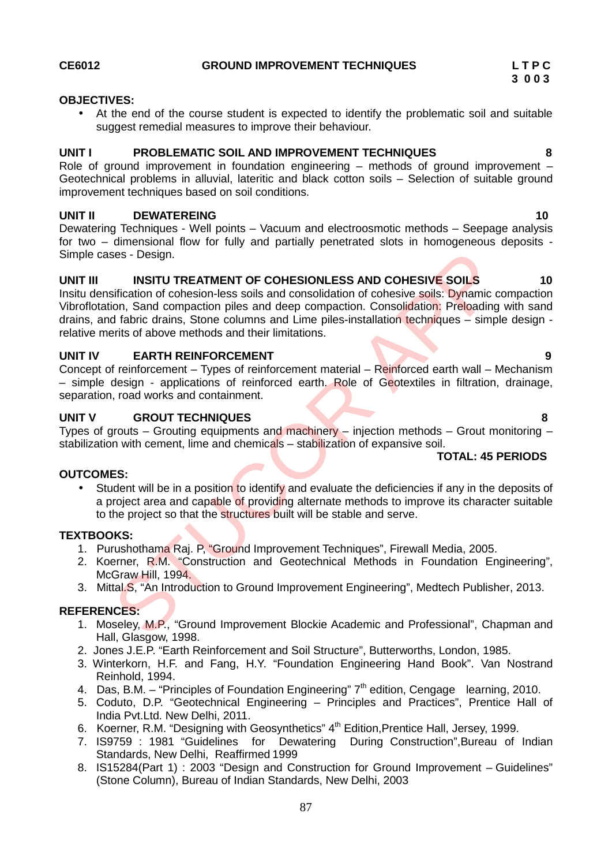### **CE6012 GROUND IMPROVEMENT TECHNIQUES L T P C**

#### **OBJECTIVES:**

 At the end of the course student is expected to identify the problematic soil and suitable suggest remedial measures to improve their behaviour.

# **UNIT I PROBLEMATIC SOIL AND IMPROVEMENT TECHNIQUES 8**

Role of ground improvement in foundation engineering – methods of ground improvement – Geotechnical problems in alluvial, lateritic and black cotton soils – Selection of suitable ground improvement techniques based on soil conditions.

### **UNIT II DEWATEREING 10**

Dewatering Techniques - Well points – Vacuum and electroosmotic methods – Seepage analysis for two – dimensional flow for fully and partially penetrated slots in homogeneous deposits - Simple cases - Design.

### **UNIT III INSITU TREATMENT OF COHESIONLESS AND COHESIVE SOILS 10**

Insitu densification of cohesion-less soils and consolidation of cohesive soils: Dynamic compaction Vibroflotation, Sand compaction piles and deep compaction. Consolidation: Preloading with sand drains, and fabric drains, Stone columns and Lime piles-installation techniques – simple design relative merits of above methods and their limitations. sign.<br>
INSITU TREATMENT OF COHESIONLESS AND COHESIVE SOILS<br>
diffication of cohesion-less coils and consolidation of cohesive solis: Dynamic<br>
diffication Sand compaction piles and deep compaction. Consolidation: Preleading<br>

### **UNIT IV EARTH REINFORCEMENT 9**

Concept of reinforcement – Types of reinforcement material – Reinforced earth wall – Mechanism – simple design - applications of reinforced earth. Role of Geotextiles in filtration, drainage, separation, road works and containment.

### **UNIT V GROUT TECHNIQUES 8**

Types of grouts – Grouting equipments and machinery – injection methods – Grout monitoring – stabilization with cement, lime and chemicals – stabilization of expansive soil.

# **TOTAL: 45 PERIODS**

#### **OUTCOMES:**

 Student will be in a position to identify and evaluate the deficiencies if any in the deposits of a project area and capable of providing alternate methods to improve its character suitable to the project so that the structures built will be stable and serve.

#### **TEXTBOOKS:**

- 1. Purushothama Raj. P, "Ground Improvement Techniques", Firewall Media, 2005.
- 2. Koerner, R.M. "Construction and Geotechnical Methods in Foundation Engineering", McGraw Hill, 1994.
- 3. Mittal.S, "An Introduction to Ground Improvement Engineering", Medtech Publisher, 2013.

- 1. Moseley, M.P., "Ground Improvement Blockie Academic and Professional", Chapman and Hall, Glasgow, 1998.
- 2. Jones J.E.P. "Earth Reinforcement and Soil Structure", Butterworths, London, 1985.
- 3. Winterkorn, H.F. and Fang, H.Y. "Foundation Engineering Hand Book". Van Nostrand Reinhold, 1994.
- 4. Das, B.M. "Principles of Foundation Engineering" 7<sup>th</sup> edition, Cengage learning, 2010.
- 5. Coduto, D.P. "Geotechnical Engineering Principles and Practices", Prentice Hall of India Pvt.Ltd. New Delhi, 2011.
- 6. Koerner, R.M. "Designing with Geosynthetics" 4th Edition,Prentice Hall, Jersey, 1999.
- 7. IS9759 : 1981 "Guidelines for Dewatering During Construction",Bureau of Indian Standards, New Delhi, Reaffirmed 1999
- 8. IS15284(Part 1): 2003 "Design and Construction for Ground Improvement Guidelines" (Stone Column), Bureau of Indian Standards, New Delhi, 2003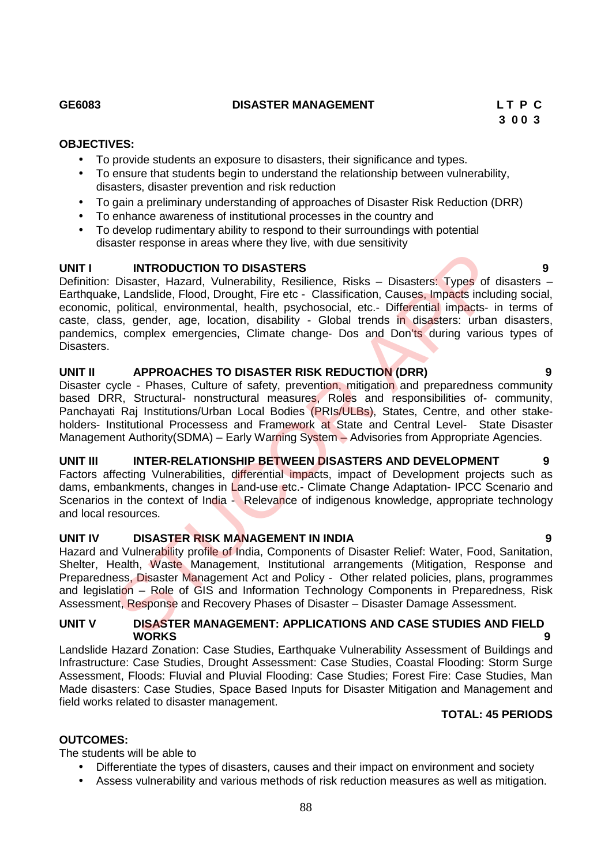# **GE6083 DISASTER MANAGEMENT L T P C**

# **OBJECTIVES:**

- To provide students an exposure to disasters, their significance and types.
- To ensure that students begin to understand the relationship between vulnerability, disasters, disaster prevention and risk reduction
- To gain a preliminary understanding of approaches of Disaster Risk Reduction (DRR)
- To enhance awareness of institutional processes in the country and<br>• To develop rudimentary ability to respond to their surroundings with
- To develop rudimentary ability to respond to their surroundings with potential disaster response in areas where they live, with due sensitivity

# **UNIT I INTRODUCTION TO DISASTERS 9**

Definition: Disaster, Hazard, Vulnerability, Resilience, Risks - Disasters: Types of disasters -Earthquake, Landslide, Flood, Drought, Fire etc - Classification, Causes, Impacts including social, economic, political, environmental, health, psychosocial, etc.- Differential impacts- in terms of caste, class, gender, age, location, disability - Global trends in disasters: urban disasters, pandemics, complex emergencies, Climate change- Dos and Don'ts during various types of **Disasters** INTRODUCTION TO DISASTERS<br>
Disaster, Hazard, Vulnerability, Resilience, Risks – Disasters: Types of c, Landslide, Flood, Drought, Fire etc - Classification, Classes Inpacts include, Disaster, papelitical, environmental, he

# **UNIT II APPROACHES TO DISASTER RISK REDUCTION (DRR) 9**

Disaster cycle - Phases, Culture of safety, prevention, mitigation and preparedness community based DRR, Structural- nonstructural measures, Roles and responsibilities of- community, Panchayati Raj Institutions/Urban Local Bodies (PRIs/ULBs), States, Centre, and other stakeholders- Institutional Processess and Framework at State and Central Level- State Disaster Management Authority(SDMA) – Early Warning System – Advisories from Appropriate Agencies.

# **UNIT III INTER-RELATIONSHIP BETWEEN DISASTERS AND DEVELOPMENT 9**

Factors affecting Vulnerabilities, differential impacts, impact of Development projects such as dams, embankments, changes in Land-use etc.- Climate Change Adaptation- IPCC Scenario and Scenarios in the context of India - Relevance of indigenous knowledge, appropriate technology and local resources.

# **UNIT IV DISASTER RISK MANAGEMENT IN INDIA 9**

Hazard and Vulnerability profile of India, Components of Disaster Relief: Water, Food, Sanitation, Shelter, Health, Waste Management, Institutional arrangements (Mitigation, Response and Preparedness, Disaster Management Act and Policy - Other related policies, plans, programmes and legislation – Role of GIS and Information Technology Components in Preparedness, Risk Assessment, Response and Recovery Phases of Disaster – Disaster Damage Assessment.

## **UNIT V DISASTER MANAGEMENT: APPLICATIONS AND CASE STUDIES AND FIELD WORKS 9**

Landslide Hazard Zonation: Case Studies, Earthquake Vulnerability Assessment of Buildings and Infrastructure: Case Studies, Drought Assessment: Case Studies, Coastal Flooding: Storm Surge Assessment, Floods: Fluvial and Pluvial Flooding: Case Studies; Forest Fire: Case Studies, Man Made disasters: Case Studies, Space Based Inputs for Disaster Mitigation and Management and field works related to disaster management.

# **TOTAL: 45 PERIODS**

# **OUTCOMES:**

The students will be able to

- Differentiate the types of disasters, causes and their impact on environment and society
- Assess vulnerability and various methods of risk reduction measures as well as mitigation.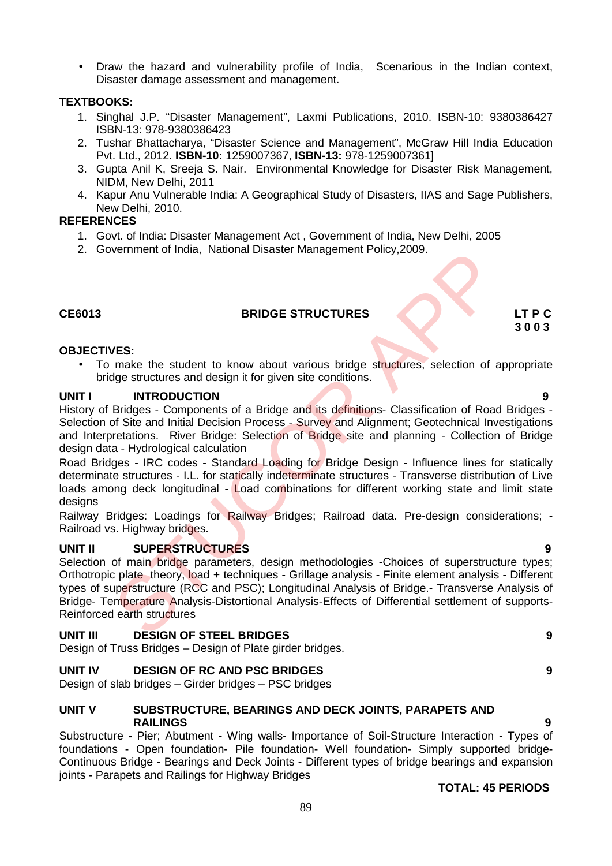Draw the hazard and vulnerability profile of India, Scenarious in the Indian context, Disaster damage assessment and management.

# **TEXTBOOKS:**

- 1. Singhal J.P. "Disaster Management", Laxmi Publications, 2010. ISBN-10: 9380386427 ISBN-13: 978-9380386423
- 2. Tushar Bhattacharya, "Disaster Science and Management", McGraw Hill India Education Pvt. Ltd., 2012. **ISBN-10:** 1259007367, **ISBN-13:** 978-1259007361]
- 3. Gupta Anil K, Sreeja S. Nair. Environmental Knowledge for Disaster Risk Management, NIDM, New Delhi, 2011
- 4. Kapur Anu Vulnerable India: A Geographical Study of Disasters, IIAS and Sage Publishers, New Delhi, 2010.

# **REFERENCES**

- 1. Govt. of India: Disaster Management Act , Government of India, New Delhi, 2005
- 2. Government of India, National Disaster Management Policy,2009.

# **CE6013 BRIDGE STRUCTURES LT P C**

### **OBJECTIVES:**

• To make the student to know about various bridge structures, selection of appropriate bridge structures and design it for given site conditions.

### **UNIT I INTRODUCTION 9**

History of Bridges - Components of a Bridge and its definitions- Classification of Road Bridges -Selection of Site and Initial Decision Process - Survey and Alignment; Geotechnical Investigations and Interpretations. River Bridge: Selection of Bridge site and planning - Collection of Bridge design data - Hydrological calculation

Road Bridges - IRC codes - Standard Loading for Bridge Design - Influence lines for statically determinate structures - I.L. for statically indeterminate structures - Transverse distribution of Live loads among deck longitudinal - Load combinations for different working state and limit state designs

Railway Bridges: Loadings for Railway Bridges; Railroad data. Pre-design considerations; - Railroad vs. Highway bridges.

# **UNIT II SUPERSTRUCTURES 9**

Selection of main bridge parameters, design methodologies -Choices of superstructure types; Orthotropic plate theory, load + techniques - Grillage analysis - Finite element analysis - Different types of superstructure (RCC and PSC); Longitudinal Analysis of Bridge.- Transverse Analysis of Bridge- Temperature Analysis-Distortional Analysis-Effects of Differential settlement of supports- Reinforced earth structures **ISSUE STRUCTURES**<br> **ISSUE STRUCTURES**<br> **ISSUE STRUCTURES**<br> **ISSUE STRUCTURES**<br> **ISSUE STRUCTURES**<br> **ISSUE STRUCTURES**<br>
INTRODUCTION<br>
INTRODUCTION<br>
INTRODUCTION<br> **ENGINES**<br> **ENGINES**<br> **ENGINES**<br> **ENGINES**<br> **ENGINES**<br> **ENGI** 

# **UNIT III DESIGN OF STEEL BRIDGES 9**

Design of Truss Bridges – Design of Plate girder bridges.

# **UNIT IV DESIGN OF RC AND PSC BRIDGES 9**

Design of slab bridges – Girder bridges – PSC bridges

### **UNIT V SUBSTRUCTURE, BEARINGS AND DECK JOINTS, PARAPETS AND RAILINGS 9**

Substructure **-** Pier; Abutment - Wing walls- Importance of Soil-Structure Interaction - Types of foundations - Open foundation- Pile foundation- Well foundation- Simply supported bridge- Continuous Bridge - Bearings and Deck Joints - Different types of bridge bearings and expansion joints - Parapets and Railings for Highway Bridges

# **TOTAL: 45 PERIODS**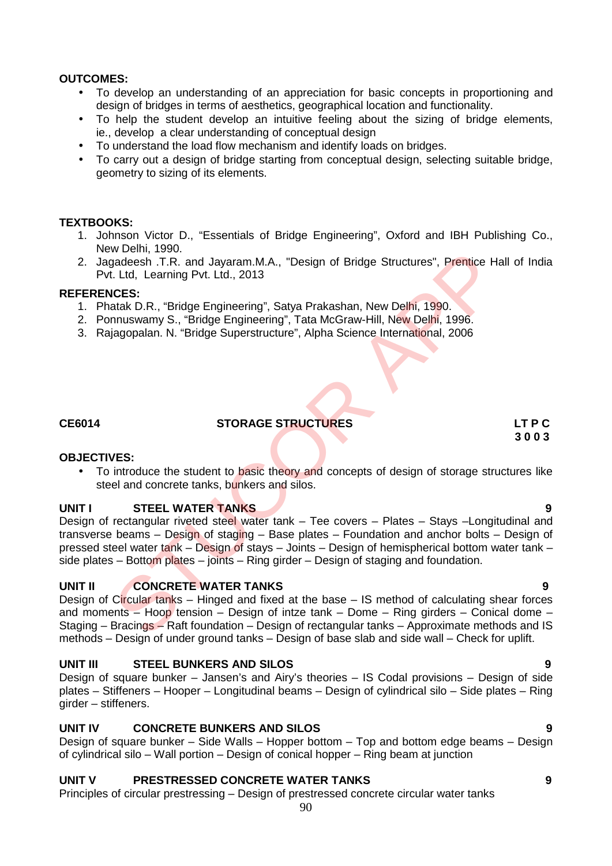# **OUTCOMES:**

- To develop an understanding of an appreciation for basic concepts in proportioning and design of bridges in terms of aesthetics, geographical location and functionality.
- To help the student develop an intuitive feeling about the sizing of bridge elements, ie., develop a clear understanding of conceptual design
- To understand the load flow mechanism and identify loads on bridges.
- To carry out a design of bridge starting from conceptual design, selecting suitable bridge, geometry to sizing of its elements.

# **TEXTBOOKS:**

- 1. Johnson Victor D., "Essentials of Bridge Engineering", Oxford and IBH Publishing Co., New Delhi, 1990.
- 2. Jagadeesh .T.R. and Jayaram.M.A., "Design of Bridge Structures", Prentice Hall of India Pvt. Ltd, Learning Pvt. Ltd., 2013

### **REFERENCES:**

- 1. Phatak D.R., "Bridge Engineering", Satya Prakashan, New Delhi, 1990.
- 2. Ponnuswamy S., "Bridge Engineering", Tata McGraw-Hill, New Delhi, 1996.
- 3. Rajagopalan. N. "Bridge Superstructure", Alpha Science International, 2006

**OBJECTIVES:**

# **CE6014 STORAGE STRUCTURES LT P C**

# **3 0 0 3**

• To introduce the student to basic theory and concepts of design of storage structures like steel and concrete tanks, bunkers and silos.

# **UNIT I STEEL WATER TANKS 9**

Design of rectangular riveted steel water tank – Tee covers – Plates – Stays –Longitudinal and transverse beams – Design of staging – Base plates – Foundation and anchor bolts – Design of pressed steel water tank – Design of stays – Joints – Design of hemispherical bottom water tank – side plates – Bottom plates – joints – Ring girder – Design of staging and foundation. Webm, 1990;<br>
Webm, 1990;<br>
The Cassimon Manuson of Bridge Structures", Prentice H<br>
Ltd, Learning Pvt. Ltd., 2013<br>
CCS:<br>
CCS:<br>
Stak D.R., "Bridge Engineering", Satya Prakashan, New Delhi, 1990.<br>
Innuswamy S., "Bridge Enginee

# **UNIT II CONCRETE WATER TANKS 9**

Design of Circular tanks – Hinged and fixed at the base – IS method of calculating shear forces and moments – Hoop tension – Design of intze tank – Dome – Ring girders – Conical dome – Staging – Bracings – Raft foundation – Design of rectangular tanks – Approximate methods and IS methods – Design of under ground tanks – Design of base slab and side wall – Check for uplift.

# **UNIT III STEEL BUNKERS AND SILOS 9**

Design of square bunker – Jansen's and Airy's theories – IS Codal provisions – Design of side plates – Stiffeners – Hooper – Longitudinal beams – Design of cylindrical silo – Side plates – Ring girder – stiffeners.

# **UNIT IV CONCRETE BUNKERS AND SILOS 9**

Design of square bunker – Side Walls – Hopper bottom – Top and bottom edge beams – Design of cylindrical silo – Wall portion – Design of conical hopper – Ring beam at junction

# **UNIT V PRESTRESSED CONCRETE WATER TANKS 9**

Principles of circular prestressing – Design of prestressed concrete circular water tanks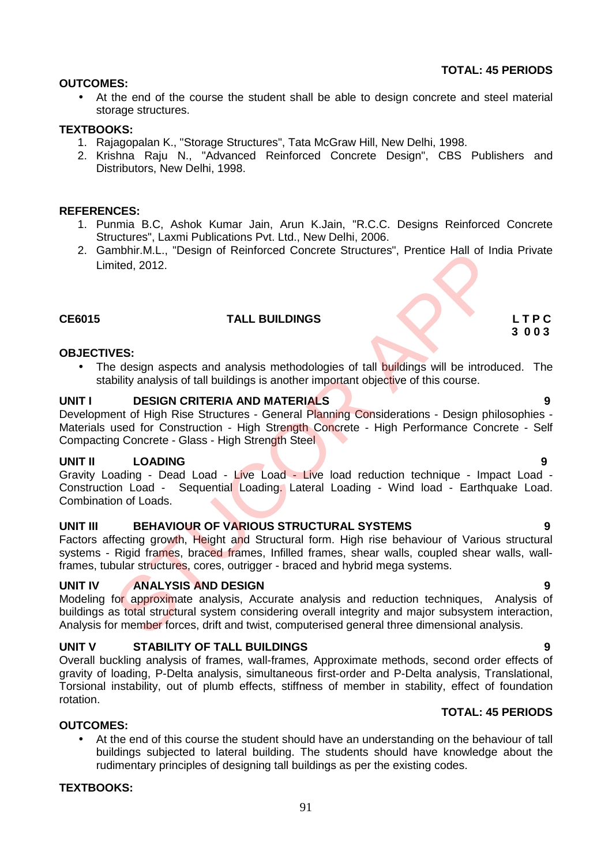rudimentary principles of designing tall buildings as per the existing codes.

**OUTCOMES:** At the end of the course the student shall be able to design concrete and steel material

# **TEXTBOOKS:**

storage structures.

- 1. Rajagopalan K., "Storage Structures", Tata McGraw Hill, New Delhi, 1998.
- 2. Krishna Raju N., "Advanced Reinforced Concrete Design", CBS Publishers and Distributors, New Delhi, 1998.

# **REFERENCES:**

- 1. Punmia B.C, Ashok Kumar Jain, Arun K.Jain, "R.C.C. Designs Reinforced Concrete Structures", Laxmi Publications Pvt. Ltd., New Delhi, 2006.
- 2. Gambhir.M.L., "Design of Reinforced Concrete Structures", Prentice Hall of India Private Limited, 2012.

# **CE6015 TALL BUILDINGS L T P C**

# **OBJECTIVES:**

• The design aspects and analysis methodologies of tall buildings will be introduced. The stability analysis of tall buildings is another important objective of this course.

# **UNIT I DESIGN CRITERIA AND MATERIALS 9**

Development of High Rise Structures - General Planning Considerations - Design philosophies -Materials used for Construction - High Strength Concrete - High Performance Concrete - Self Compacting Concrete - Glass - High Strength Steel monin.with, "Design of Reinforced Concrete Structures", Prenice Hall of Indeed, 2012.<br>
TALL BUILDINGS<br>
TALL BUILDINGS<br>
TALL BUILDINGS<br>
DESIGN CRITERIA AND MATERIALS<br>
DESIGN CRITERIA AND MATERIALS<br>
USES ON CRITERIA AND MATE

# **UNIT II LOADING 9**

Gravity Loading - Dead Load - Live Load - Live load reduction technique - Impact Load - Construction Load - Sequential Loading. Lateral Loading - Wind load - Earthquake Load. Combination of Loads.

# **UNIT III BEHAVIOUR OF VARIOUS STRUCTURAL SYSTEMS 9**

Factors affecting growth, Height and Structural form. High rise behaviour of Various structural systems - Rigid frames, braced frames, Infilled frames, shear walls, coupled shear walls, wallframes, tubular structures, cores, outrigger - braced and hybrid mega systems.

# **UNIT IV ANALYSIS AND DESIGN 9**

Modeling for approximate analysis, Accurate analysis and reduction techniques, Analysis of buildings as total structural system considering overall integrity and major subsystem interaction, Analysis for member forces, drift and twist, computerised general three dimensional analysis.

# **UNIT V STABILITY OF TALL BUILDINGS 9**

Overall buckling analysis of frames, wall-frames, Approximate methods, second order effects of gravity of loading, P-Delta analysis, simultaneous first-order and P-Delta analysis, Translational, Torsional instability, out of plumb effects, stiffness of member in stability, effect of foundation rotation.

 At the end of this course the student should have an understanding on the behaviour of tall buildings subjected to lateral building. The students should have knowledge about the

# **TOTAL: 45 PERIODS**

# **TEXTBOOKS:**

**OUTCOMES:**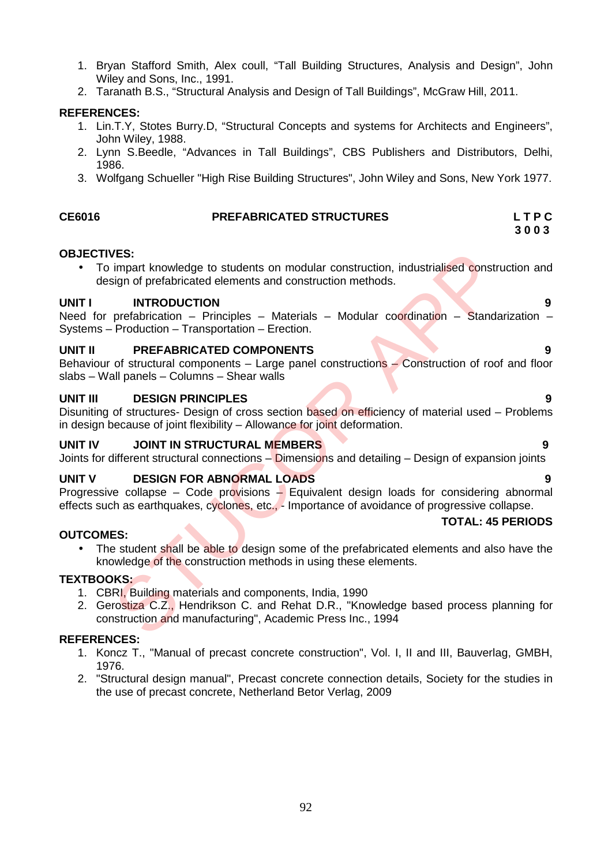- 1. Bryan Stafford Smith, Alex coull, "Tall Building Structures, Analysis and Design", John Wiley and Sons, Inc., 1991.
- 2. Taranath B.S., "Structural Analysis and Design of Tall Buildings", McGraw Hill, 2011.

# **REFERENCES:**

- 1. Lin.T.Y, Stotes Burry.D, "Structural Concepts and systems for Architects and Engineers", John Wiley, 1988.
- 2. Lynn S.Beedle, "Advances in Tall Buildings", CBS Publishers and Distributors, Delhi, 1986.
- 3. Wolfgang Schueller "High Rise Building Structures", John Wiley and Sons, New York 1977.

# **CE6016 PREFABRICATED STRUCTURES L T P C**

# **3 0 0 3**

# **OBJECTIVES:**

 To impart knowledge to students on modular construction, industrialised construction and design of prefabricated elements and construction methods. VES:<br>
Sign of prefabricated elements and construction, industrialised construction<br>
isign of prefabricated elements and construction methods.<br>
INTRODUCTION<br>
prefabrication – Principles – Materials – Modular coordination –

# **UNIT I INTRODUCTION 9**

Need for prefabrication – Principles – Materials – Modular coordination – Standarization – Systems – Production – Transportation – Erection.

# **UNIT II PREFABRICATED COMPONENTS 9**

Behaviour of structural components – Large panel constructions – Construction of roof and floor slabs – Wall panels – Columns – Shear walls

# **UNIT III DESIGN PRINCIPLES 9**

Disuniting of structures- Design of cross section based on efficiency of material used – Problems in design because of joint flexibility – Allowance for joint deformation.

# **UNIT IV JOINT IN STRUCTURAL MEMBERS 9**

Joints for different structural connections – Dimensions and detailing – Design of expansion joints

# **UNIT V DESIGN FOR ABNORMAL LOADS 9**

Progressive collapse – Code provisions – Equivalent design loads for considering abnormal effects such as earthquakes, cyclones, etc., - Importance of avoidance of progressive collapse.

# **OUTCOMES:**

- **TOTAL: 45 PERIODS**
- The student shall be able to design some of the prefabricated elements and also have the knowledge of the construction methods in using these elements.

# **TEXTBOOKS:**

- 1. CBRI, Building materials and components, India, 1990
- 2. Gerostiza C.Z., Hendrikson C. and Rehat D.R., "Knowledge based process planning for construction and manufacturing", Academic Press Inc., 1994

- 1. Koncz T., "Manual of precast concrete construction", Vol. I, II and III, Bauverlag, GMBH, 1976.
- 2. "Structural design manual", Precast concrete connection details, Society for the studies in the use of precast concrete, Netherland Betor Verlag, 2009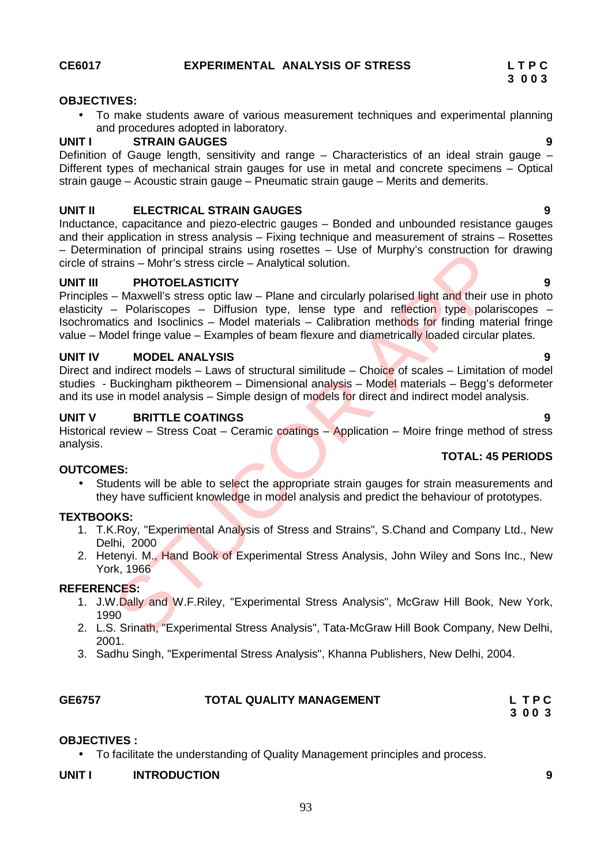#### **OBJECTIVES:**

 To make students aware of various measurement techniques and experimental planning and procedures adopted in laboratory.

#### **UNIT I STRAIN GAUGES 9**

Definition of Gauge length, sensitivity and range - Characteristics of an ideal strain gauge -Different types of mechanical strain gauges for use in metal and concrete specimens – Optical strain gauge – Acoustic strain gauge – Pneumatic strain gauge – Merits and demerits.

#### **UNIT II ELECTRICAL STRAIN GAUGES 9**

Inductance, capacitance and piezo-electric gauges – Bonded and unbounded resistance gauges and their application in stress analysis – Fixing technique and measurement of strains – Rosettes – Determination of principal strains using rosettes – Use of Murphy's construction for drawing circle of strains – Mohr's stress circle – Analytical solution.

#### **UNIT III PHOTOELASTICITY 9**

Principles – Maxwell's stress optic law – Plane and circularly polarised light and their use in photo elasticity – Polariscopes – Diffusion type, lense type and reflection type polariscopes – Isochromatics and Isoclinics – Model materials – Calibration methods for finding material fringe value – Model fringe value – Examples of beam flexure and diametrically loaded circular plates. nation or principal strains using rossence – Des or Murphy Sconstruction in<br>
Trains – Mohr's stress circle – Analytical solution.<br> **PHOTOELASTICITY**<br>
– Maxwell's stress optic law – Plane and circularly polarised light and

# **UNIT IV MODEL ANALYSIS 9**

Direct and indirect models – Laws of structural similitude – Choice of scales – Limitation of model studies - Buckingham piktheorem – Dimensional analysis – Model materials – Begg's deformeter and its use in model analysis – Simple design of models for direct and indirect model analysis.

### **UNIT V BRITTLE COATINGS 9**

Historical review – Stress Coat – Ceramic coatings – Application – Moire fringe method of stress analysis.

### **OUTCOMES:**

• Students will be able to select the appropriate strain gauges for strain measurements and they have sufficient knowledge in model analysis and predict the behaviour of prototypes.

### **TEXTBOOKS:**

- 1. T.K.Roy, "Experimental Analysis of Stress and Strains", S.Chand and Company Ltd., New Delhi, 2000
- 2. Hetenyi. M., Hand Book of Experimental Stress Analysis, John Wiley and Sons Inc., New York, 1966

#### **REFERENCES:**

- 1. J.W.Dally and W.F.Riley, "Experimental Stress Analysis", McGraw Hill Book, New York, 1990
- 2. L.S. Srinath, "Experimental Stress Analysis", Tata-McGraw Hill Book Company, New Delhi, 2001.
- 3. Sadhu Singh, "Experimental Stress Analysis", Khanna Publishers, New Delhi, 2004.

| GE6757 |  |
|--------|--|
|--------|--|

#### **GE6757 TOTAL QUALITY MANAGEMENT L T P C**

**3 0 0 3**

#### **OBJECTIVES :**

To facilitate the understanding of Quality Management principles and process.

### **UNIT I INTRODUCTION 9**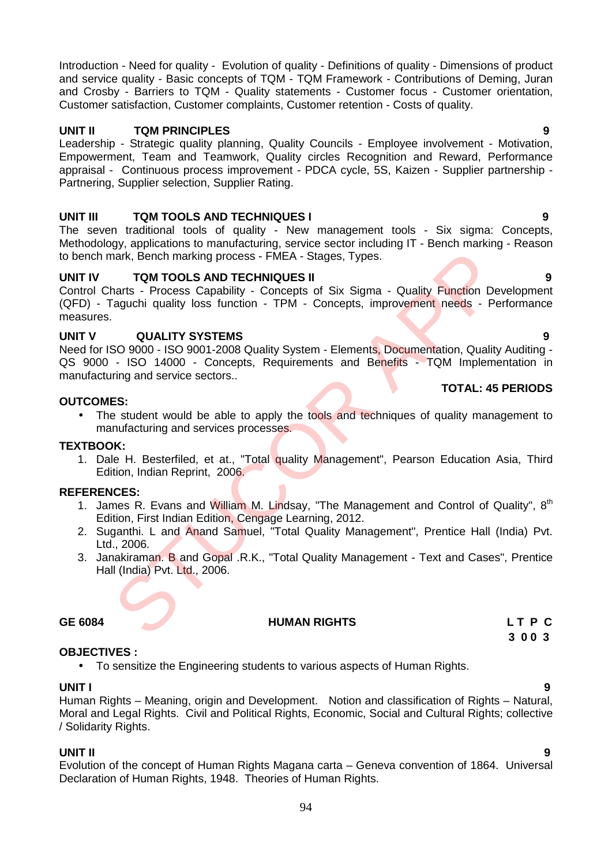Introduction - Need for quality - Evolution of quality - Definitions of quality - Dimensions of product and service quality - Basic concepts of TQM - TQM Framework - Contributions of Deming, Juran and Crosby - Barriers to TQM - Quality statements - Customer focus - Customer orientation, Customer satisfaction, Customer complaints, Customer retention - Costs of quality.

# **UNIT II TQM PRINCIPLES 9**

Leadership - Strategic quality planning, Quality Councils - Employee involvement - Motivation, Empowerment, Team and Teamwork, Quality circles Recognition and Reward, Performance appraisal - Continuous process improvement - PDCA cycle, 5S, Kaizen - Supplier partnership - Partnering, Supplier selection, Supplier Rating.

# **UNIT III TQM TOOLS AND TECHNIQUES I 9**

The seven traditional tools of quality - New management tools - Six sigma: Concepts, Methodology, applications to manufacturing, service sector including IT - Bench marking - Reason to bench mark, Bench marking process - FMEA - Stages, Types.

# **UNIT IV TQM TOOLS AND TECHNIQUES II 9**

Control Charts - Process Capability - Concepts of Six Sigma - Quality Function Development (QFD) - Taguchi quality loss function - TPM - Concepts, improvement needs - Performance measures. Mark, Bench marking process - FMEA - Stages, Types.<br>
TOM TOOLS AND TECHNIQUES II<br>
harts - Process Capability - Concepts of Six Sigma - Quality Function Deatats<br>
Araty Function 2 TPM - Concepts, improvement needs - Pe<br>
CUAL

# **UNIT V QUALITY SYSTEMS 9**

Need for ISO 9000 - ISO 9001-2008 Quality System - Elements, Documentation, Quality Auditing - QS 9000 - ISO 14000 - Concepts, Requirements and Benefits - TQM Implementation in manufacturing and service sectors..

# **OUTCOMES:**

• The student would be able to apply the tools and techniques of quality management to manufacturing and services processes.

# **TEXTBOOK:**

1. Dale H. Besterfiled, et at., "Total quality Management", Pearson Education Asia, Third Edition, Indian Reprint, 2006.

# **REFERENCES:**

- 1. James R. Evans and William M. Lindsay, "The Management and Control of Quality", 8<sup>th</sup> Edition, First Indian Edition, Cengage Learning, 2012.
- 2. Suganthi. L and Anand Samuel, "Total Quality Management", Prentice Hall (India) Pvt. Ltd., 2006.
- 3. Janakiraman. B and Gopal .R.K., "Total Quality Management Text and Cases", Prentice Hall (India) Pvt. Ltd., 2006.

# **OBJECTIVES :**

To sensitize the Engineering students to various aspects of Human Rights.

**UNIT I 9** Human Rights – Meaning, origin and Development. Notion and classification of Rights – Natural, Moral and Legal Rights. Civil and Political Rights, Economic, Social and Cultural Rights; collective / Solidarity Rights.

# **UNIT II 9**

Evolution of the concept of Human Rights Magana carta – Geneva convention of 1864. Universal Declaration of Human Rights, 1948. Theories of Human Rights.

**TOTAL: 45 PERIODS**

**GE 6084 HUMAN RIGHTS L T P C 3 0 0 3**

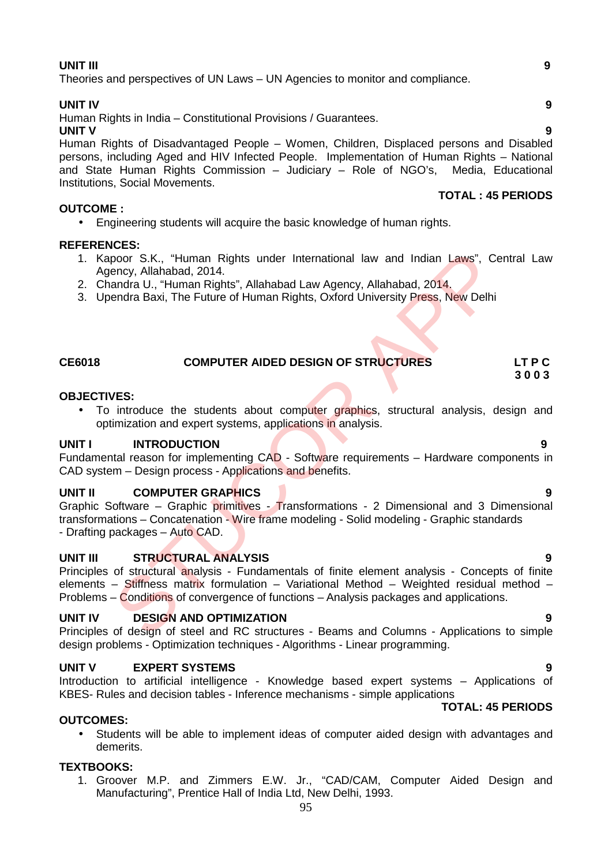# **UNIT III 9**

Theories and perspectives of UN Laws – UN Agencies to monitor and compliance.

#### **UNIT IV 9**

Human Rights in India – Constitutional Provisions / Guarantees.

**UNIT V 9** Human Rights of Disadvantaged People – Women, Children, Displaced persons and Disabled persons, including Aged and HIV Infected People. Implementation of Human Rights – National and State Human Rights Commission – Judiciary – Role of NGO's, Media, Educational Institutions, Social Movements.

### **OUTCOME :**

Engineering students will acquire the basic knowledge of human rights.

### **REFERENCES:**

- 1. Kapoor S.K., "Human Rights under International law and Indian Laws", Central Law Agency, Allahabad, 2014.
- 2. Chandra U., "Human Rights", Allahabad Law Agency, Allahabad, 2014.
- 3. Upendra Baxi, The Future of Human Rights, Oxford University Press, New Delhi

# **CE6018 COMPUTER AIDED DESIGN OF STRUCTURES LT P C**

#### **OBJECTIVES:**

• To introduce the students about computer graphics, structural analysis, design and optimization and expert systems, applications in analysis.

### **UNIT I INTRODUCTION 9**

Fundamental reason for implementing CAD - Software requirements – Hardware components in CAD system – Design process - Applications and benefits.

### **UNIT II COMPUTER GRAPHICS 9**

Graphic Software – Graphic primitives - Transformations - 2 Dimensional and 3 Dimensional transformations – Concatenation - Wire frame modeling - Solid modeling - Graphic standards - Drafting packages - Auto CAD. Netro S.K., "Human Rights under International law and Indian Laws", Cency, Allahabad, 2014.<br>
Rency, Allahabad, 2014.<br>
Rency, Allahabad, 2014.<br>
Rendra D., "Human Rights", Allahabad Law Agency, Allahabad, 2014.<br>
Paradra Baxi

#### **UNIT III STRUCTURAL ANALYSIS 9**

Principles of structural analysis - Fundamentals of finite element analysis - Concepts of finite elements – Stiffness matrix formulation – Variational Method – Weighted residual method – Problems – Conditions of convergence of functions – Analysis packages and applications.

#### **UNIT IV DESIGN AND OPTIMIZATION 9**

Principles of design of steel and RC structures - Beams and Columns - Applications to simple design problems - Optimization techniques - Algorithms - Linear programming.

#### **UNIT V EXPERT SYSTEMS 9**

Introduction to artificial intelligence - Knowledge based expert systems – Applications of KBES- Rules and decision tables - Inference mechanisms - simple applications

# **OUTCOMES:**

 Students will be able to implement ideas of computer aided design with advantages and demerits.

### **TEXTBOOKS:**

1. Groover M.P. and Zimmers E.W. Jr., "CAD/CAM, Computer Aided Design and Manufacturing", Prentice Hall of India Ltd, New Delhi, 1993.

**TOTAL: 45 PERIODS**

**3 0 0 3**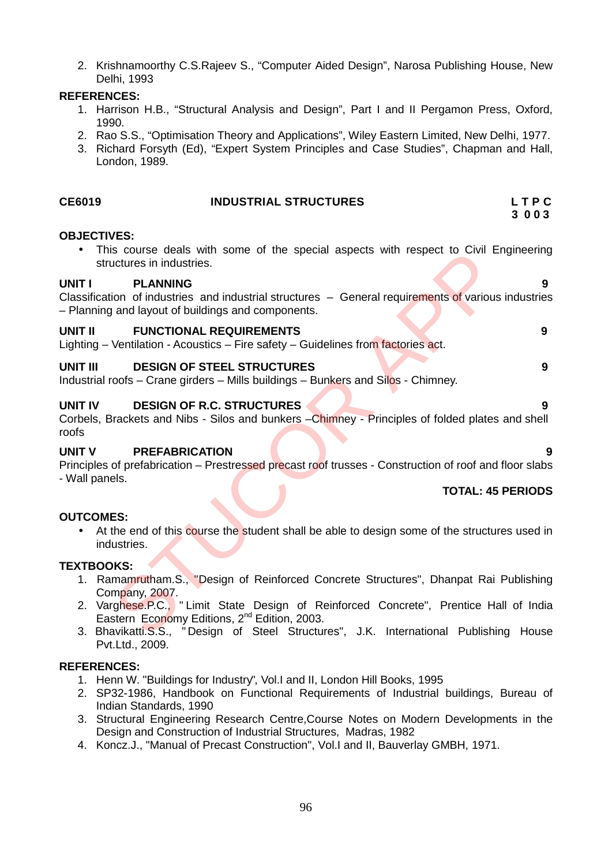2. Krishnamoorthy C.S.Rajeev S., "Computer Aided Design", Narosa Publishing House, New Delhi, 1993

# **REFERENCES:**

- 1. Harrison H.B., "Structural Analysis and Design", Part I and II Pergamon Press, Oxford, 1990.
- 2. Rao S.S., "Optimisation Theory and Applications", Wiley Eastern Limited, New Delhi, 1977.
- 3. Richard Forsyth (Ed), "Expert System Principles and Case Studies", Chapman and Hall, London, 1989.

| <b>CE6019</b>                                   | <b>INDUSTRIAL STRUCTURES</b>                                                                                                                                                                                                                                                                                                        | LTPC<br>3 0 0 3          |
|-------------------------------------------------|-------------------------------------------------------------------------------------------------------------------------------------------------------------------------------------------------------------------------------------------------------------------------------------------------------------------------------------|--------------------------|
| <b>OBJECTIVES:</b><br>structures in industries. | This course deals with some of the special aspects with respect to Civil Engineering                                                                                                                                                                                                                                                |                          |
| <b>UNIT I</b><br><b>PLANNING</b>                | Classification of industries and industrial structures - General requirements of various industries<br>- Planning and layout of buildings and components.                                                                                                                                                                           | 9                        |
| <b>UNIT II</b>                                  | <b>FUNCTIONAL REQUIREMENTS</b><br>Lighting – Ventilation - Acoustics – Fire safety – Guidelines from factories act.                                                                                                                                                                                                                 | 9                        |
| UNIT III                                        | <b>DESIGN OF STEEL STRUCTURES</b><br>Industrial roofs – Crane girders – Mills buildings – Bunkers and Silos - Chimney.                                                                                                                                                                                                              | 9                        |
| <b>UNIT IV</b><br>roofs                         | <b>DESIGN OF R.C. STRUCTURES</b><br>Corbels, Brackets and Nibs - Silos and bunkers - Chimney - Principles of folded plates and shell                                                                                                                                                                                                | 9                        |
| <b>UNIT V</b><br>- Wall panels.                 | <b>PREFABRICATION</b><br>Principles of prefabrication – Prestressed precast roof trusses - Construction of roof and floor slabs                                                                                                                                                                                                     |                          |
|                                                 |                                                                                                                                                                                                                                                                                                                                     | <b>TOTAL: 45 PERIODS</b> |
| <b>OUTCOMES:</b><br>industries.                 | At the end of this course the student shall be able to design some of the structures used in                                                                                                                                                                                                                                        |                          |
| <b>TEXTBOOKS:</b><br>Company, 2007.             | 1. Ramamrutham.S., "Design of Reinforced Concrete Structures", Dhanpat Rai Publishing<br>2. Varghese.P.C., "Limit State Design of Reinforced Concrete", Prentice Hall of India<br>Eastern Economy Editions, 2 <sup>nd</sup> Edition, 2003.<br>3. Bhavikatti.S.S., "Design of Steel Structures", J.K. International Publishing House |                          |

#### **TOTAL: 45 PERIODS**

# **OUTCOMES:**

# **TEXTBOOKS:**

- 1. Ramamrutham.S., "Design of Reinforced Concrete Structures", Dhanpat Rai Publishing Company, 2007.
- 2. Varghese.P.C., " Limit State Design of Reinforced Concrete", Prentice Hall of India Eastern Economy Editions, 2<sup>nd</sup> Edition, 2003.
- 3. Bhavikatti.S.S., " Design of Steel Structures", J.K. International Publishing House Pvt.Ltd., 2009.

- 1. Henn W. "Buildings for Industry", Vol.I and II, London Hill Books, 1995
- 2. SP32-1986, Handbook on Functional Requirements of Industrial buildings, Bureau of Indian Standards, 1990
- 3. Structural Engineering Research Centre,Course Notes on Modern Developments in the Design and Construction of Industrial Structures, Madras, 1982
- 4. Koncz.J., "Manual of Precast Construction", Vol.I and II, Bauverlay GMBH, 1971.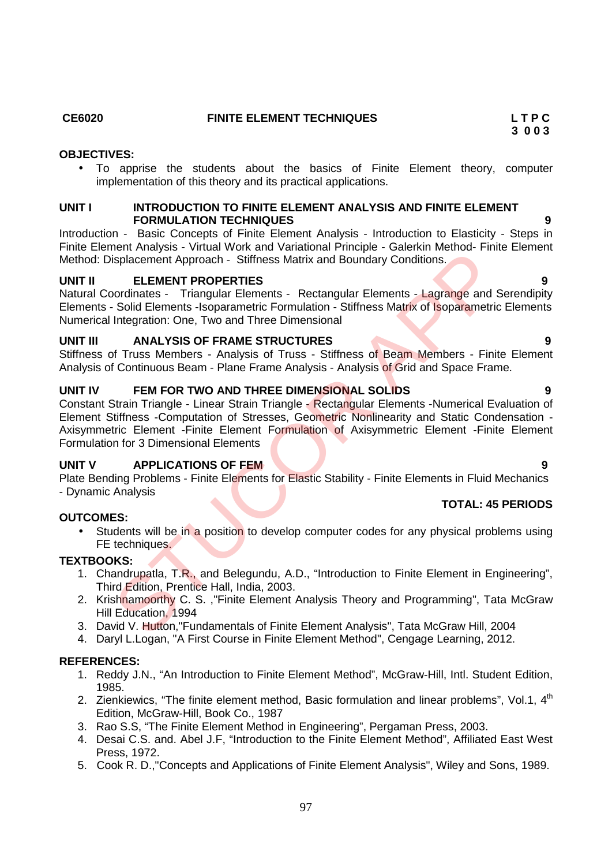# **OBJECTIVES:**

 To apprise the students about the basics of Finite Element theory, computer implementation of this theory and its practical applications.

### **UNIT I INTRODUCTION TO FINITE ELEMENT ANALYSIS AND FINITE ELEMENT FORMULATION TECHNIQUES**

Introduction - Basic Concepts of Finite Element Analysis - Introduction to Elasticity - Steps in Finite Element Analysis - Virtual Work and Variational Principle - Galerkin Method- Finite Element Method: Displacement Approach - Stiffness Matrix and Boundary Conditions.

# **UNIT II ELEMENT PROPERTIES 9**

Natural Coordinates - Triangular Elements - Rectangular Elements - Lagrange and Serendipity Elements - Solid Elements -Isoparametric Formulation - Stiffness Matrix of Isoparametric Elements Numerical Integration: One, Two and Three Dimensional

# **UNIT III ANALYSIS OF FRAME STRUCTURES 9**

Stiffness of Truss Members - Analysis of Truss - Stiffness of Beam Members - Finite Element Analysis of Continuous Beam - Plane Frame Analysis - Analysis of Grid and Space Frame.

# **UNIT IV FEM FOR TWO AND THREE DIMENSIONAL SOLIDS 9**

Constant Strain Triangle - Linear Strain Triangle - Rectangular Elements -Numerical Evaluation of Element Stiffness -Computation of Stresses, Geometric Nonlinearity and Static Condensation - Axisymmetric Element -Finite Element Formulation of Axisymmetric Element -Finite Element Formulation for 3 Dimensional Elements ENTRINGTON Translation of Automation Content Translation (The Element Approach - Stiffness Matrix and Boundary Conditions.<br> **ELEMENT PROPERTIES**<br>
Signal Elements - Rectangular Elements - Lagrange and Schoolinists.<br>
Solid E

# **UNIT V APPLICATIONS OF FEM 9**

Plate Bending Problems - Finite Elements for Elastic Stability - Finite Elements in Fluid Mechanics - Dynamic Analysis

# **OUTCOMES:**

Students will be in a position to develop computer codes for any physical problems using FE techniques.

# **TEXTBOOKS:**

- 1. Chandrupatla, T.R., and Belegundu, A.D., "Introduction to Finite Element in Engineering", Third Edition, Prentice Hall, India, 2003.
- 2. Krishnamoorthy C. S., "Finite Element Analysis Theory and Programming", Tata McGraw Hill Education, 1994
- 3. David V. Hutton,"Fundamentals of Finite Element Analysis", Tata McGraw Hill, 2004
- 4. Daryl L.Logan, "A First Course in Finite Element Method", Cengage Learning, 2012.

# **REFERENCES:**

- 1. Reddy J.N., "An Introduction to Finite Element Method", McGraw-Hill, Intl. Student Edition, 1985.
- 2. Zienkiewics, "The finite element method, Basic formulation and linear problems", Vol.1,  $4^{\text{th}}$ Edition, McGraw-Hill, Book Co., 1987
- 3. Rao S.S, "The Finite Element Method in Engineering", Pergaman Press, 2003.
- 4. Desai C.S. and. Abel J.F, "Introduction to the Finite Element Method", Affiliated East West Press, 1972.
- 5. Cook R. D.,"Concepts and Applications of Finite Element Analysis", Wiley and Sons, 1989.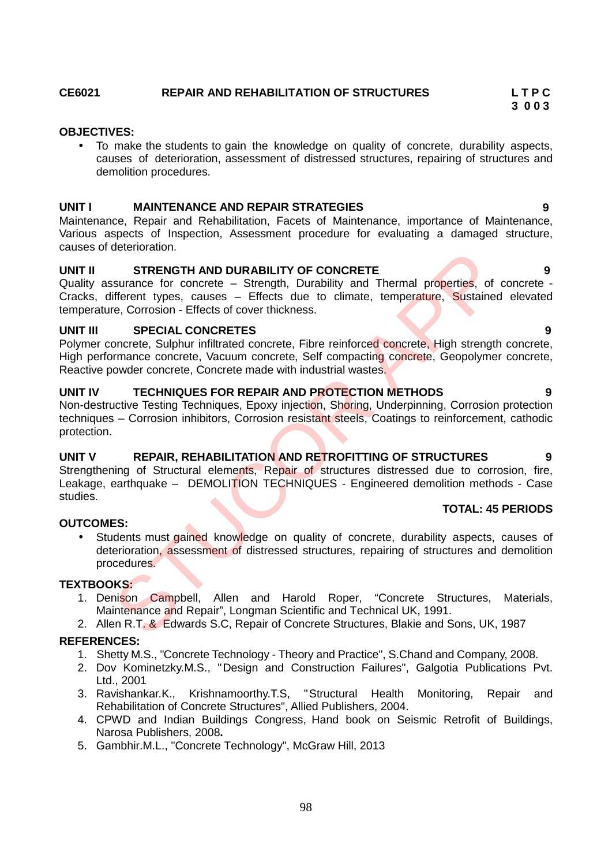# **CE6021 REPAIR AND REHABILITATION OF STRUCTURES L T P C**

# **OBJECTIVES:**

 To make the students to gain the knowledge on quality of concrete, durability aspects, causes of deterioration, assessment of distressed structures, repairing of structures and demolition procedures.

**3 0 0 3**

**TOTAL: 45 PERIODS**

### **UNIT I MAINTENANCE AND REPAIR STRATEGIES 9**

Maintenance, Repair and Rehabilitation, Facets of Maintenance, importance of Maintenance, Various aspects of Inspection, Assessment procedure for evaluating a damaged structure, causes of deterioration.

# **UNIT II STRENGTH AND DURABILITY OF CONCRETE 9**

Quality assurance for concrete – Strength, Durability and Thermal properties, of concrete -Cracks, different types, causes – Effects due to climate, temperature, Sustained elevated temperature, Corrosion - Effects of cover thickness.

### **UNIT III SPECIAL CONCRETES 9**

Polymer concrete, Sulphur infiltrated concrete, Fibre reinforced concrete, High strength concrete, High performance concrete, Vacuum concrete, Self compacting concrete, Geopolymer concrete, Reactive powder concrete, Concrete made with industrial wastes.

#### **UNIT IV TECHNIQUES FOR REPAIR AND PROTECTION METHODS 9**

Non-destructive Testing Techniques, Epoxy injection, Shoring, Underpinning, Corrosion protection techniques – Corrosion inhibitors, Corrosion resistant steels, Coatings to reinforcement, cathodic protection.

# **UNIT V REPAIR, REHABILITATION AND RETROFITTING OF STRUCTURES 9**

Strengthening of Structural elements. Repair of structures distressed due to corrosion, fire, Leakage, earthquake - DEMOLITION TECHNIQUES - Engineered demolition methods - Case studies.

#### **OUTCOMES:**

 Students must gained knowledge on quality of concrete, durability aspects, causes of deterioration, assessment of distressed structures, repairing of structures and demolition procedures. SIGNIFIERT AND DURABILITY OF CONCRETE<br>
SIGNIFIERT STRENGTH AND DURABILITY OF CONCRETE<br>
SIGNIFIERT types, causes – Effects due to climate, temperature, Sustained<br>
reception - Effects of cover trickness.<br>
SPECIAL CONCRETES<br>

# **TEXTBOOKS:**

- 1. Denison Campbell, Allen and Harold Roper, "Concrete Structures, Materials, Maintenance and Repair", Longman Scientific and Technical UK, 1991.
- 2. Allen R.T. & Edwards S.C, Repair of Concrete Structures, Blakie and Sons, UK, 1987

- 1. Shetty M.S., "Concrete Technology Theory and Practice", S.Chand and Company, 2008.
- 2. Dov Kominetzky.M.S., "Design and Construction Failures", Galgotia Publications Pvt. Ltd., 2001
- 3. Ravishankar.K., Krishnamoorthy.T.S, "Structural Health Monitoring, Repair and Rehabilitation of Concrete Structures", Allied Publishers, 2004.
- 4. CPWD and Indian Buildings Congress, Hand book on Seismic Retrofit of Buildings, Narosa Publishers, 2008**.**
- 5. Gambhir.M.L., "Concrete Technology", McGraw Hill, 2013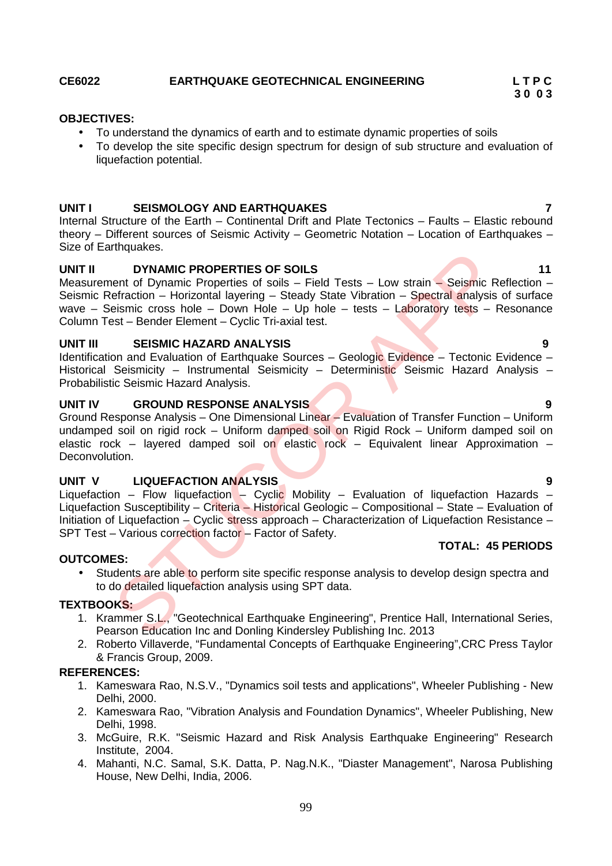# **CE6022 EARTHQUAKE GEOTECHNICAL ENGINEERING L T P C**

### **OBJECTIVES:**

- To understand the dynamics of earth and to estimate dynamic properties of soils
- To develop the site specific design spectrum for design of sub structure and evaluation of liquefaction potential.

# **UNIT I SEISMOLOGY AND EARTHQUAKES 7**

Internal Structure of the Earth – Continental Drift and Plate Tectonics – Faults – Elastic rebound theory – Different sources of Seismic Activity – Geometric Notation – Location of Earthquakes – Size of Earthquakes.

# **UNIT II DYNAMIC PROPERTIES OF SOILS 11**

Measurement of Dynamic Properties of soils - Field Tests - Low strain - Seismic Reflection -Seismic Refraction – Horizontal layering – Steady State Vibration – Spectral analysis of surface wave – Seismic cross hole – Down Hole – Up hole – tests – Laboratory tests – Resonance Column Test – Bender Element – Cyclic Tri-axial test.

# **UNIT III SEISMIC HAZARD ANALYSIS 9**

Identification and Evaluation of Earthquake Sources – Geologic Evidence – Tectonic Evidence – Historical Seismicity - Instrumental Seismicity - Deterministic Seismic Hazard Analysis -Probabilistic Seismic Hazard Analysis.

# **UNIT IV GROUND RESPONSE ANALYSIS 9**

Ground Response Analysis – One Dimensional Linear – Evaluation of Transfer Function – Uniform undamped soil on rigid rock – Uniform damped soil on Rigid Rock – Uniform damped soil on elastic rock – layered damped soil on elastic rock – Equivalent linear Approximation – Deconvolution.

# **UNIT V LIQUEFACTION ANALYSIS 9**

Liquefaction – Flow liquefaction – Cyclic Mobility – Evaluation of liquefaction Hazards – Liquefaction Susceptibility – Criteria – Historical Geologic – Compositional – State – Evaluation of Initiation of Liquefaction – Cyclic stress approach – Characterization of Liquefaction Resistance – SPT Test – Various correction factor – Factor of Safety. Miqualeos.<br>
IMPINAMIC PROPERTIES OF SOILS<br>
EMANIC PROPERTIES OF SOILS<br>
Eeraction - Horizontal layering - Steady State Vibration - Spectral analysis<br>
eismic cross hole - Down Hole - Up hole - tests - Laboratory tests - F<br>
S

#### **OUTCOMES:**

• Students are able to perform site specific response analysis to develop design spectra and to do detailed liquefaction analysis using SPT data.

# **TEXTBOOKS:**

- 1. Krammer S.L., "Geotechnical Earthquake Engineering", Prentice Hall, International Series, Pearson Education Inc and Donling Kindersley Publishing Inc. 2013
- 2. Roberto Villaverde, "Fundamental Concepts of Earthquake Engineering",CRC Press Taylor & Francis Group, 2009.

# **REFERENCES:**

- 1. Kameswara Rao, N.S.V., "Dynamics soil tests and applications", Wheeler Publishing New Delhi, 2000.
- 2. Kameswara Rao, "Vibration Analysis and Foundation Dynamics", Wheeler Publishing, New Delhi, 1998.
- 3. McGuire, R.K. "Seismic Hazard and Risk Analysis Earthquake Engineering" Research Institute, 2004.
- 4. Mahanti, N.C. Samal, S.K. Datta, P. Nag.N.K., "Diaster Management", Narosa Publishing House, New Delhi, India, 2006.

**3 0 0 3**